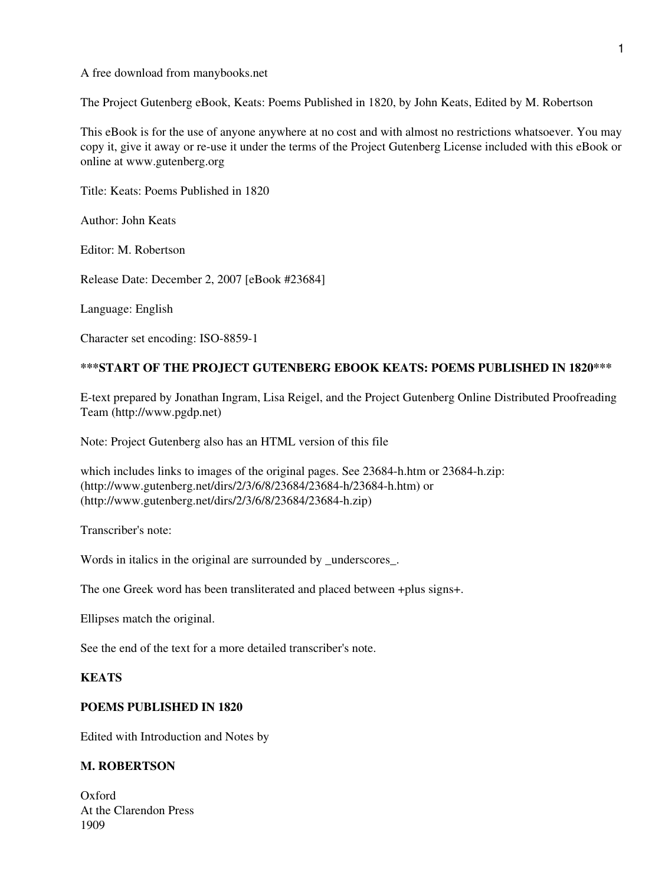#### A free download from manybooks.net

The Project Gutenberg eBook, Keats: Poems Published in 1820, by John Keats, Edited by M. Robertson

This eBook is for the use of anyone anywhere at no cost and with almost no restrictions whatsoever. You may copy it, give it away or re-use it under the terms of the Project Gutenberg License included with this eBook or online at www.gutenberg.org

Title: Keats: Poems Published in 1820

Author: John Keats

Editor: M. Robertson

Release Date: December 2, 2007 [eBook #23684]

Language: English

Character set encoding: ISO-8859-1

### **\*\*\*START OF THE PROJECT GUTENBERG EBOOK KEATS: POEMS PUBLISHED IN 1820\*\*\***

E-text prepared by Jonathan Ingram, Lisa Reigel, and the Project Gutenberg Online Distributed Proofreading Team (http://www.pgdp.net)

Note: Project Gutenberg also has an HTML version of this file

which includes links to images of the original pages. See 23684-h.htm or 23684-h.zip: (http://www.gutenberg.net/dirs/2/3/6/8/23684/23684-h/23684-h.htm) or (http://www.gutenberg.net/dirs/2/3/6/8/23684/23684-h.zip)

Transcriber's note:

Words in italics in the original are surrounded by underscores.

The one Greek word has been transliterated and placed between +plus signs+.

Ellipses match the original.

See the end of the text for a more detailed transcriber's note.

#### **KEATS**

## **POEMS PUBLISHED IN 1820**

Edited with Introduction and Notes by

#### **M. ROBERTSON**

Oxford At the Clarendon Press 1909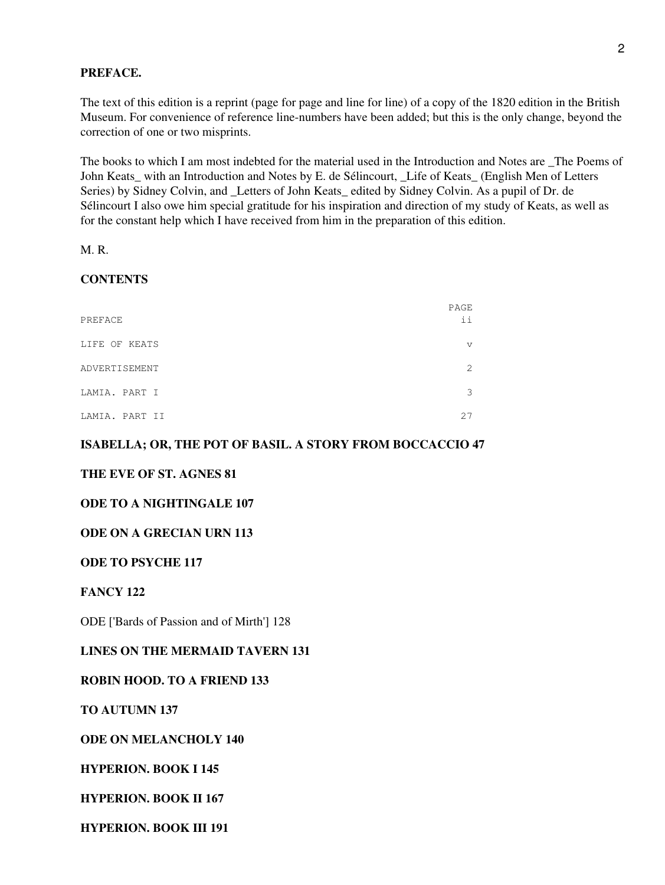## **PREFACE.**

The text of this edition is a reprint (page for page and line for line) of a copy of the 1820 edition in the British Museum. For convenience of reference line-numbers have been added; but this is the only change, beyond the correction of one or two misprints.

The books to which I am most indebted for the material used in the Introduction and Notes are \_The Poems of John Keats\_ with an Introduction and Notes by E. de Sélincourt, \_Life of Keats\_ (English Men of Letters Series) by Sidney Colvin, and Letters of John Keats edited by Sidney Colvin. As a pupil of Dr. de Sélincourt I also owe him special gratitude for his inspiration and direction of my study of Keats, as well as for the constant help which I have received from him in the preparation of this edition.

M. R.

## **CONTENTS**

| PREFACE        | PAGE<br>ii                  |
|----------------|-----------------------------|
| LIFE OF KEATS  | v                           |
| ADVERTISEMENT  | $\mathcal{D}_{\mathcal{L}}$ |
| LAMIA. PART I  | 3                           |
| LAMIA. PART II | 27                          |

## **ISABELLA; OR, THE POT OF BASIL. A STORY FROM BOCCACCIO 47**

## **THE EVE OF ST. AGNES 81**

### **ODE TO A NIGHTINGALE 107**

#### **ODE ON A GRECIAN URN 113**

### **ODE TO PSYCHE 117**

### **FANCY 122**

ODE ['Bards of Passion and of Mirth'] 128

## **LINES ON THE MERMAID TAVERN 131**

#### **ROBIN HOOD. TO A FRIEND 133**

**TO AUTUMN 137**

**ODE ON MELANCHOLY 140**

## **HYPERION. BOOK I 145**

**HYPERION. BOOK II 167**

**HYPERION. BOOK III 191**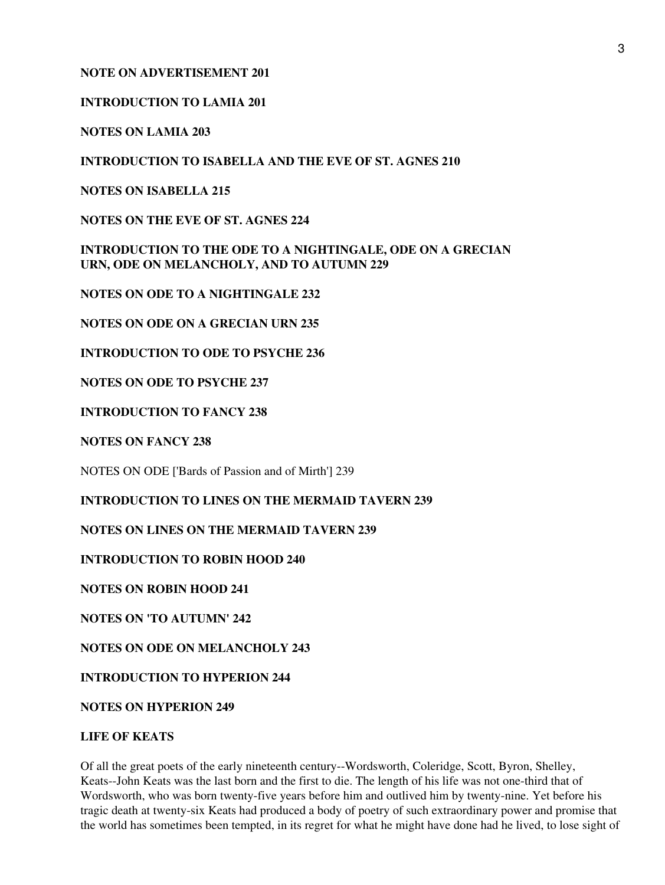## **NOTE ON ADVERTISEMENT 201**

# **INTRODUCTION TO LAMIA 201**

**NOTES ON LAMIA 203**

**INTRODUCTION TO ISABELLA AND THE EVE OF ST. AGNES 210**

**NOTES ON ISABELLA 215**

**NOTES ON THE EVE OF ST. AGNES 224**

**INTRODUCTION TO THE ODE TO A NIGHTINGALE, ODE ON A GRECIAN URN, ODE ON MELANCHOLY, AND TO AUTUMN 229**

**NOTES ON ODE TO A NIGHTINGALE 232**

**NOTES ON ODE ON A GRECIAN URN 235**

**INTRODUCTION TO ODE TO PSYCHE 236**

**NOTES ON ODE TO PSYCHE 237**

**INTRODUCTION TO FANCY 238**

**NOTES ON FANCY 238**

NOTES ON ODE ['Bards of Passion and of Mirth'] 239

**INTRODUCTION TO LINES ON THE MERMAID TAVERN 239**

**NOTES ON LINES ON THE MERMAID TAVERN 239**

**INTRODUCTION TO ROBIN HOOD 240**

**NOTES ON ROBIN HOOD 241**

**NOTES ON 'TO AUTUMN' 242**

**NOTES ON ODE ON MELANCHOLY 243**

**INTRODUCTION TO HYPERION 244**

**NOTES ON HYPERION 249**

## **LIFE OF KEATS**

Of all the great poets of the early nineteenth century--Wordsworth, Coleridge, Scott, Byron, Shelley, Keats--John Keats was the last born and the first to die. The length of his life was not one-third that of Wordsworth, who was born twenty-five years before him and outlived him by twenty-nine. Yet before his tragic death at twenty-six Keats had produced a body of poetry of such extraordinary power and promise that the world has sometimes been tempted, in its regret for what he might have done had he lived, to lose sight of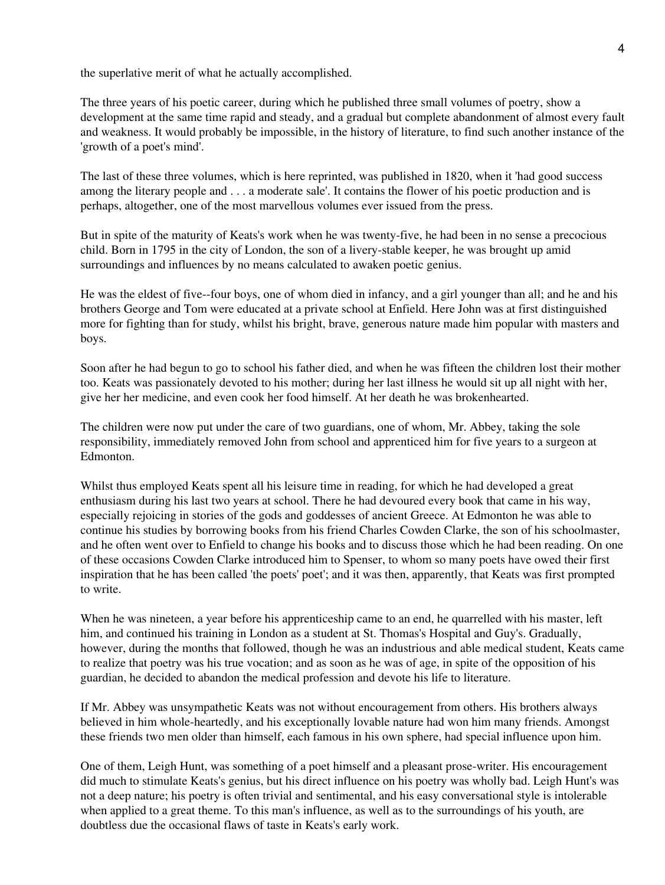the superlative merit of what he actually accomplished.

The three years of his poetic career, during which he published three small volumes of poetry, show a development at the same time rapid and steady, and a gradual but complete abandonment of almost every fault and weakness. It would probably be impossible, in the history of literature, to find such another instance of the 'growth of a poet's mind'.

The last of these three volumes, which is here reprinted, was published in 1820, when it 'had good success among the literary people and . . . a moderate sale'. It contains the flower of his poetic production and is perhaps, altogether, one of the most marvellous volumes ever issued from the press.

But in spite of the maturity of Keats's work when he was twenty-five, he had been in no sense a precocious child. Born in 1795 in the city of London, the son of a livery-stable keeper, he was brought up amid surroundings and influences by no means calculated to awaken poetic genius.

He was the eldest of five--four boys, one of whom died in infancy, and a girl younger than all; and he and his brothers George and Tom were educated at a private school at Enfield. Here John was at first distinguished more for fighting than for study, whilst his bright, brave, generous nature made him popular with masters and boys.

Soon after he had begun to go to school his father died, and when he was fifteen the children lost their mother too. Keats was passionately devoted to his mother; during her last illness he would sit up all night with her, give her her medicine, and even cook her food himself. At her death he was brokenhearted.

The children were now put under the care of two guardians, one of whom, Mr. Abbey, taking the sole responsibility, immediately removed John from school and apprenticed him for five years to a surgeon at Edmonton.

Whilst thus employed Keats spent all his leisure time in reading, for which he had developed a great enthusiasm during his last two years at school. There he had devoured every book that came in his way, especially rejoicing in stories of the gods and goddesses of ancient Greece. At Edmonton he was able to continue his studies by borrowing books from his friend Charles Cowden Clarke, the son of his schoolmaster, and he often went over to Enfield to change his books and to discuss those which he had been reading. On one of these occasions Cowden Clarke introduced him to Spenser, to whom so many poets have owed their first inspiration that he has been called 'the poets' poet'; and it was then, apparently, that Keats was first prompted to write.

When he was nineteen, a year before his apprenticeship came to an end, he quarrelled with his master, left him, and continued his training in London as a student at St. Thomas's Hospital and Guy's. Gradually, however, during the months that followed, though he was an industrious and able medical student, Keats came to realize that poetry was his true vocation; and as soon as he was of age, in spite of the opposition of his guardian, he decided to abandon the medical profession and devote his life to literature.

If Mr. Abbey was unsympathetic Keats was not without encouragement from others. His brothers always believed in him whole-heartedly, and his exceptionally lovable nature had won him many friends. Amongst these friends two men older than himself, each famous in his own sphere, had special influence upon him.

One of them, Leigh Hunt, was something of a poet himself and a pleasant prose-writer. His encouragement did much to stimulate Keats's genius, but his direct influence on his poetry was wholly bad. Leigh Hunt's was not a deep nature; his poetry is often trivial and sentimental, and his easy conversational style is intolerable when applied to a great theme. To this man's influence, as well as to the surroundings of his youth, are doubtless due the occasional flaws of taste in Keats's early work.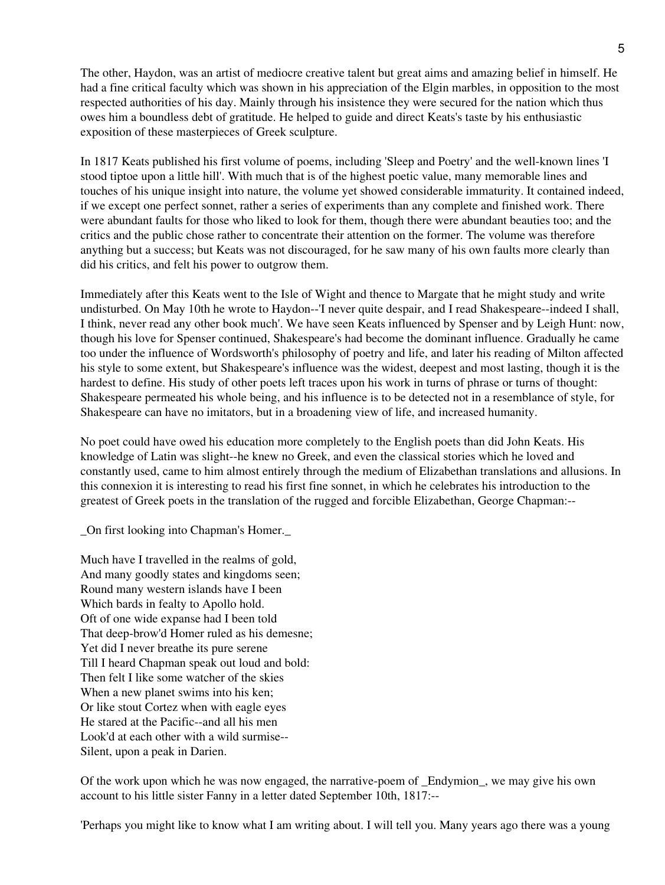The other, Haydon, was an artist of mediocre creative talent but great aims and amazing belief in himself. He had a fine critical faculty which was shown in his appreciation of the Elgin marbles, in opposition to the most respected authorities of his day. Mainly through his insistence they were secured for the nation which thus owes him a boundless debt of gratitude. He helped to guide and direct Keats's taste by his enthusiastic exposition of these masterpieces of Greek sculpture.

In 1817 Keats published his first volume of poems, including 'Sleep and Poetry' and the well-known lines 'I stood tiptoe upon a little hill'. With much that is of the highest poetic value, many memorable lines and touches of his unique insight into nature, the volume yet showed considerable immaturity. It contained indeed, if we except one perfect sonnet, rather a series of experiments than any complete and finished work. There were abundant faults for those who liked to look for them, though there were abundant beauties too; and the critics and the public chose rather to concentrate their attention on the former. The volume was therefore anything but a success; but Keats was not discouraged, for he saw many of his own faults more clearly than did his critics, and felt his power to outgrow them.

Immediately after this Keats went to the Isle of Wight and thence to Margate that he might study and write undisturbed. On May 10th he wrote to Haydon--'I never quite despair, and I read Shakespeare--indeed I shall, I think, never read any other book much'. We have seen Keats influenced by Spenser and by Leigh Hunt: now, though his love for Spenser continued, Shakespeare's had become the dominant influence. Gradually he came too under the influence of Wordsworth's philosophy of poetry and life, and later his reading of Milton affected his style to some extent, but Shakespeare's influence was the widest, deepest and most lasting, though it is the hardest to define. His study of other poets left traces upon his work in turns of phrase or turns of thought: Shakespeare permeated his whole being, and his influence is to be detected not in a resemblance of style, for Shakespeare can have no imitators, but in a broadening view of life, and increased humanity.

No poet could have owed his education more completely to the English poets than did John Keats. His knowledge of Latin was slight--he knew no Greek, and even the classical stories which he loved and constantly used, came to him almost entirely through the medium of Elizabethan translations and allusions. In this connexion it is interesting to read his first fine sonnet, in which he celebrates his introduction to the greatest of Greek poets in the translation of the rugged and forcible Elizabethan, George Chapman:--

\_On first looking into Chapman's Homer.\_

Much have I travelled in the realms of gold, And many goodly states and kingdoms seen; Round many western islands have I been Which bards in fealty to Apollo hold. Oft of one wide expanse had I been told That deep-brow'd Homer ruled as his demesne; Yet did I never breathe its pure serene Till I heard Chapman speak out loud and bold: Then felt I like some watcher of the skies When a new planet swims into his ken; Or like stout Cortez when with eagle eyes He stared at the Pacific--and all his men Look'd at each other with a wild surmise-- Silent, upon a peak in Darien.

Of the work upon which he was now engaged, the narrative-poem of \_Endymion\_, we may give his own account to his little sister Fanny in a letter dated September 10th, 1817:--

'Perhaps you might like to know what I am writing about. I will tell you. Many years ago there was a young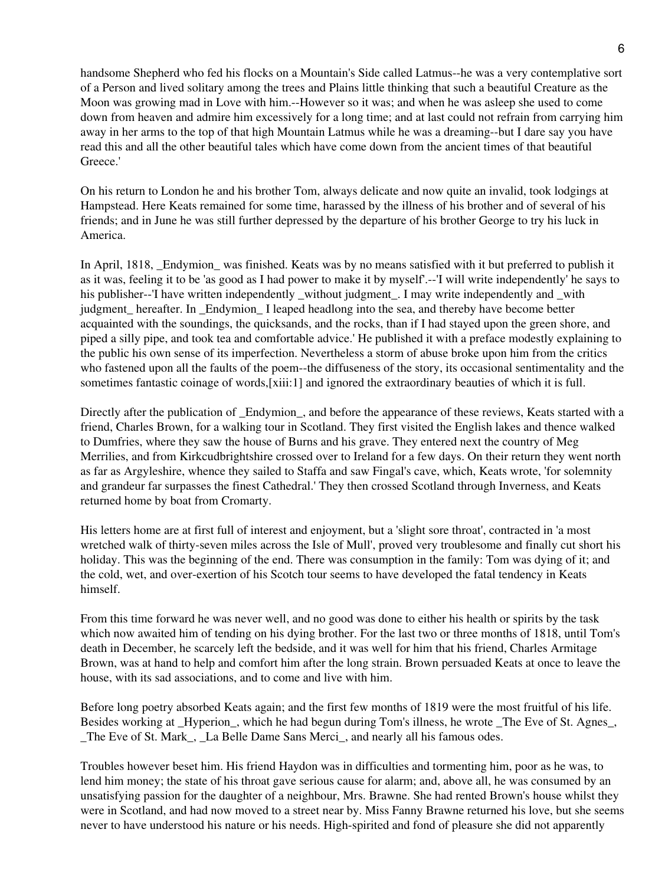handsome Shepherd who fed his flocks on a Mountain's Side called Latmus--he was a very contemplative sort of a Person and lived solitary among the trees and Plains little thinking that such a beautiful Creature as the Moon was growing mad in Love with him.--However so it was; and when he was asleep she used to come down from heaven and admire him excessively for a long time; and at last could not refrain from carrying him away in her arms to the top of that high Mountain Latmus while he was a dreaming--but I dare say you have read this and all the other beautiful tales which have come down from the ancient times of that beautiful Greece.'

On his return to London he and his brother Tom, always delicate and now quite an invalid, took lodgings at Hampstead. Here Keats remained for some time, harassed by the illness of his brother and of several of his friends; and in June he was still further depressed by the departure of his brother George to try his luck in America.

In April, 1818, Endymion was finished. Keats was by no means satisfied with it but preferred to publish it as it was, feeling it to be 'as good as I had power to make it by myself'.--'I will write independently' he says to his publisher--'I have written independently without judgment. I may write independently and with judgment hereafter. In Endymion I leaped headlong into the sea, and thereby have become better acquainted with the soundings, the quicksands, and the rocks, than if I had stayed upon the green shore, and piped a silly pipe, and took tea and comfortable advice.' He published it with a preface modestly explaining to the public his own sense of its imperfection. Nevertheless a storm of abuse broke upon him from the critics who fastened upon all the faults of the poem--the diffuseness of the story, its occasional sentimentality and the sometimes fantastic coinage of words,[xiii:1] and ignored the extraordinary beauties of which it is full.

Directly after the publication of Endymion, and before the appearance of these reviews, Keats started with a friend, Charles Brown, for a walking tour in Scotland. They first visited the English lakes and thence walked to Dumfries, where they saw the house of Burns and his grave. They entered next the country of Meg Merrilies, and from Kirkcudbrightshire crossed over to Ireland for a few days. On their return they went north as far as Argyleshire, whence they sailed to Staffa and saw Fingal's cave, which, Keats wrote, 'for solemnity and grandeur far surpasses the finest Cathedral.' They then crossed Scotland through Inverness, and Keats returned home by boat from Cromarty.

His letters home are at first full of interest and enjoyment, but a 'slight sore throat', contracted in 'a most wretched walk of thirty-seven miles across the Isle of Mull', proved very troublesome and finally cut short his holiday. This was the beginning of the end. There was consumption in the family: Tom was dying of it; and the cold, wet, and over-exertion of his Scotch tour seems to have developed the fatal tendency in Keats himself.

From this time forward he was never well, and no good was done to either his health or spirits by the task which now awaited him of tending on his dying brother. For the last two or three months of 1818, until Tom's death in December, he scarcely left the bedside, and it was well for him that his friend, Charles Armitage Brown, was at hand to help and comfort him after the long strain. Brown persuaded Keats at once to leave the house, with its sad associations, and to come and live with him.

Before long poetry absorbed Keats again; and the first few months of 1819 were the most fruitful of his life. Besides working at Hyperion, which he had begun during Tom's illness, he wrote The Eve of St. Agnes, \_The Eve of St. Mark\_, \_La Belle Dame Sans Merci\_, and nearly all his famous odes.

Troubles however beset him. His friend Haydon was in difficulties and tormenting him, poor as he was, to lend him money; the state of his throat gave serious cause for alarm; and, above all, he was consumed by an unsatisfying passion for the daughter of a neighbour, Mrs. Brawne. She had rented Brown's house whilst they were in Scotland, and had now moved to a street near by. Miss Fanny Brawne returned his love, but she seems never to have understood his nature or his needs. High-spirited and fond of pleasure she did not apparently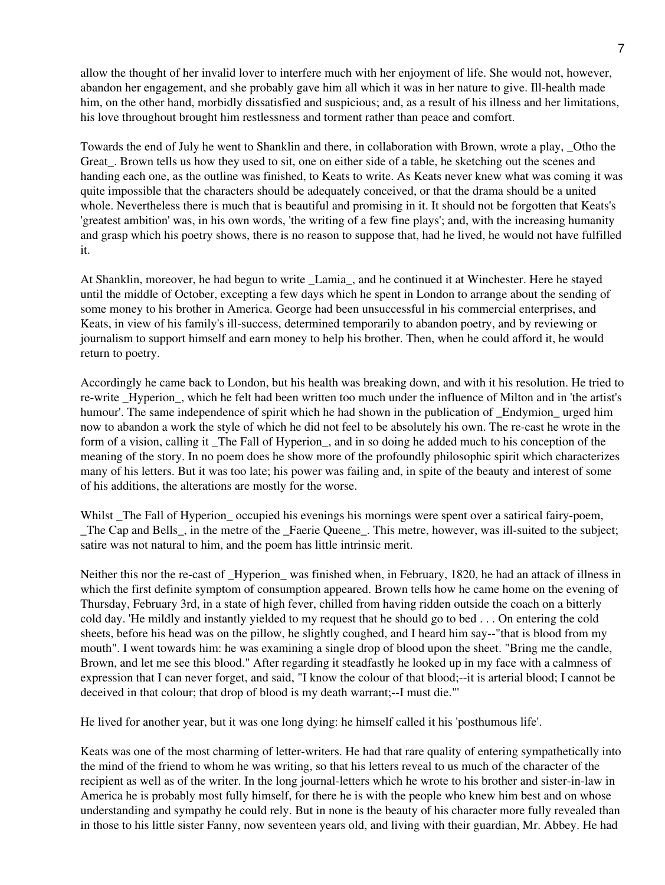allow the thought of her invalid lover to interfere much with her enjoyment of life. She would not, however, abandon her engagement, and she probably gave him all which it was in her nature to give. Ill-health made him, on the other hand, morbidly dissatisfied and suspicious; and, as a result of his illness and her limitations, his love throughout brought him restlessness and torment rather than peace and comfort.

Towards the end of July he went to Shanklin and there, in collaboration with Brown, wrote a play, \_Otho the Great. Brown tells us how they used to sit, one on either side of a table, he sketching out the scenes and handing each one, as the outline was finished, to Keats to write. As Keats never knew what was coming it was quite impossible that the characters should be adequately conceived, or that the drama should be a united whole. Nevertheless there is much that is beautiful and promising in it. It should not be forgotten that Keats's 'greatest ambition' was, in his own words, 'the writing of a few fine plays'; and, with the increasing humanity and grasp which his poetry shows, there is no reason to suppose that, had he lived, he would not have fulfilled it.

At Shanklin, moreover, he had begun to write \_Lamia\_, and he continued it at Winchester. Here he stayed until the middle of October, excepting a few days which he spent in London to arrange about the sending of some money to his brother in America. George had been unsuccessful in his commercial enterprises, and Keats, in view of his family's ill-success, determined temporarily to abandon poetry, and by reviewing or journalism to support himself and earn money to help his brother. Then, when he could afford it, he would return to poetry.

Accordingly he came back to London, but his health was breaking down, and with it his resolution. He tried to re-write Hyperion, which he felt had been written too much under the influence of Milton and in 'the artist's humour'. The same independence of spirit which he had shown in the publication of Endymion urged him now to abandon a work the style of which he did not feel to be absolutely his own. The re-cast he wrote in the form of a vision, calling it \_The Fall of Hyperion\_, and in so doing he added much to his conception of the meaning of the story. In no poem does he show more of the profoundly philosophic spirit which characterizes many of his letters. But it was too late; his power was failing and, in spite of the beauty and interest of some of his additions, the alterations are mostly for the worse.

Whilst \_The Fall of Hyperion\_ occupied his evenings his mornings were spent over a satirical fairy-poem, \_The Cap and Bells\_, in the metre of the \_Faerie Queene\_. This metre, however, was ill-suited to the subject; satire was not natural to him, and the poem has little intrinsic merit.

Neither this nor the re-cast of \_Hyperion\_ was finished when, in February, 1820, he had an attack of illness in which the first definite symptom of consumption appeared. Brown tells how he came home on the evening of Thursday, February 3rd, in a state of high fever, chilled from having ridden outside the coach on a bitterly cold day. 'He mildly and instantly yielded to my request that he should go to bed . . . On entering the cold sheets, before his head was on the pillow, he slightly coughed, and I heard him say--"that is blood from my mouth". I went towards him: he was examining a single drop of blood upon the sheet. "Bring me the candle, Brown, and let me see this blood." After regarding it steadfastly he looked up in my face with a calmness of expression that I can never forget, and said, "I know the colour of that blood;--it is arterial blood; I cannot be deceived in that colour; that drop of blood is my death warrant;--I must die."'

He lived for another year, but it was one long dying: he himself called it his 'posthumous life'.

Keats was one of the most charming of letter-writers. He had that rare quality of entering sympathetically into the mind of the friend to whom he was writing, so that his letters reveal to us much of the character of the recipient as well as of the writer. In the long journal-letters which he wrote to his brother and sister-in-law in America he is probably most fully himself, for there he is with the people who knew him best and on whose understanding and sympathy he could rely. But in none is the beauty of his character more fully revealed than in those to his little sister Fanny, now seventeen years old, and living with their guardian, Mr. Abbey. He had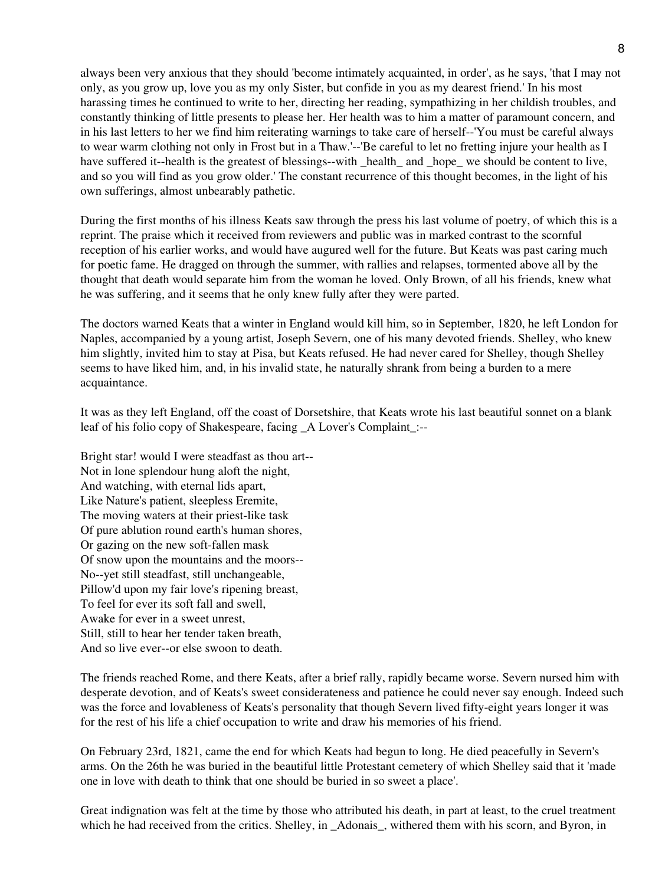always been very anxious that they should 'become intimately acquainted, in order', as he says, 'that I may not only, as you grow up, love you as my only Sister, but confide in you as my dearest friend.' In his most harassing times he continued to write to her, directing her reading, sympathizing in her childish troubles, and constantly thinking of little presents to please her. Her health was to him a matter of paramount concern, and in his last letters to her we find him reiterating warnings to take care of herself--'You must be careful always to wear warm clothing not only in Frost but in a Thaw.'--'Be careful to let no fretting injure your health as I have suffered it--health is the greatest of blessings--with health and hope we should be content to live, and so you will find as you grow older.' The constant recurrence of this thought becomes, in the light of his own sufferings, almost unbearably pathetic.

During the first months of his illness Keats saw through the press his last volume of poetry, of which this is a reprint. The praise which it received from reviewers and public was in marked contrast to the scornful reception of his earlier works, and would have augured well for the future. But Keats was past caring much for poetic fame. He dragged on through the summer, with rallies and relapses, tormented above all by the thought that death would separate him from the woman he loved. Only Brown, of all his friends, knew what he was suffering, and it seems that he only knew fully after they were parted.

The doctors warned Keats that a winter in England would kill him, so in September, 1820, he left London for Naples, accompanied by a young artist, Joseph Severn, one of his many devoted friends. Shelley, who knew him slightly, invited him to stay at Pisa, but Keats refused. He had never cared for Shelley, though Shelley seems to have liked him, and, in his invalid state, he naturally shrank from being a burden to a mere acquaintance.

It was as they left England, off the coast of Dorsetshire, that Keats wrote his last beautiful sonnet on a blank leaf of his folio copy of Shakespeare, facing A Lover's Complaint :--

Bright star! would I were steadfast as thou art-- Not in lone splendour hung aloft the night, And watching, with eternal lids apart, Like Nature's patient, sleepless Eremite, The moving waters at their priest-like task Of pure ablution round earth's human shores, Or gazing on the new soft-fallen mask Of snow upon the mountains and the moors-- No--yet still steadfast, still unchangeable, Pillow'd upon my fair love's ripening breast, To feel for ever its soft fall and swell, Awake for ever in a sweet unrest, Still, still to hear her tender taken breath, And so live ever--or else swoon to death.

The friends reached Rome, and there Keats, after a brief rally, rapidly became worse. Severn nursed him with desperate devotion, and of Keats's sweet considerateness and patience he could never say enough. Indeed such was the force and lovableness of Keats's personality that though Severn lived fifty-eight years longer it was for the rest of his life a chief occupation to write and draw his memories of his friend.

On February 23rd, 1821, came the end for which Keats had begun to long. He died peacefully in Severn's arms. On the 26th he was buried in the beautiful little Protestant cemetery of which Shelley said that it 'made one in love with death to think that one should be buried in so sweet a place'.

Great indignation was felt at the time by those who attributed his death, in part at least, to the cruel treatment which he had received from the critics. Shelley, in \_Adonais\_, withered them with his scorn, and Byron, in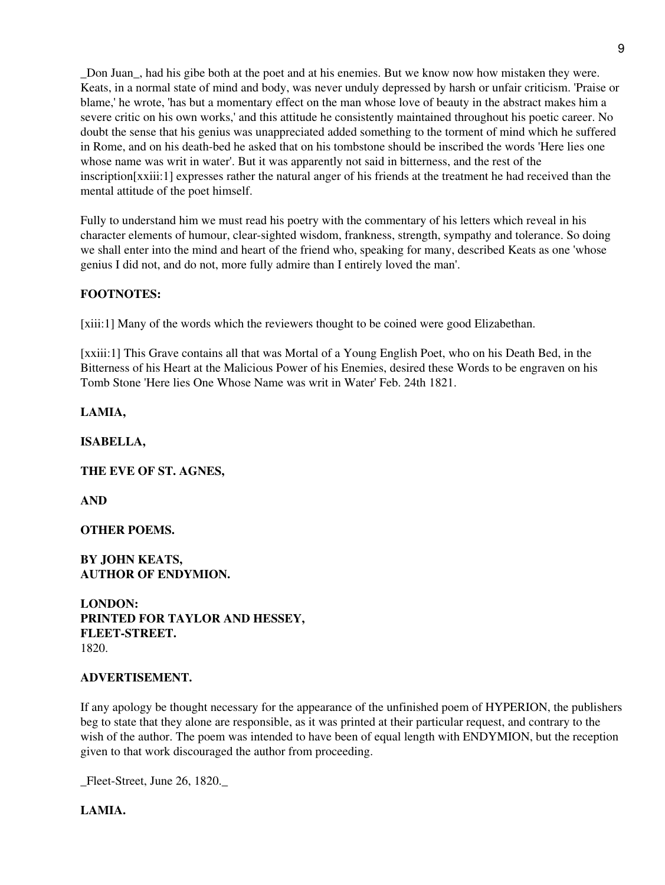\_Don Juan\_, had his gibe both at the poet and at his enemies. But we know now how mistaken they were. Keats, in a normal state of mind and body, was never unduly depressed by harsh or unfair criticism. 'Praise or blame,' he wrote, 'has but a momentary effect on the man whose love of beauty in the abstract makes him a severe critic on his own works,' and this attitude he consistently maintained throughout his poetic career. No doubt the sense that his genius was unappreciated added something to the torment of mind which he suffered in Rome, and on his death-bed he asked that on his tombstone should be inscribed the words 'Here lies one whose name was writ in water'. But it was apparently not said in bitterness, and the rest of the inscription[xxiii:1] expresses rather the natural anger of his friends at the treatment he had received than the mental attitude of the poet himself.

Fully to understand him we must read his poetry with the commentary of his letters which reveal in his character elements of humour, clear-sighted wisdom, frankness, strength, sympathy and tolerance. So doing we shall enter into the mind and heart of the friend who, speaking for many, described Keats as one 'whose genius I did not, and do not, more fully admire than I entirely loved the man'.

## **FOOTNOTES:**

[xiii:1] Many of the words which the reviewers thought to be coined were good Elizabethan.

[xxiii:1] This Grave contains all that was Mortal of a Young English Poet, who on his Death Bed, in the Bitterness of his Heart at the Malicious Power of his Enemies, desired these Words to be engraven on his Tomb Stone 'Here lies One Whose Name was writ in Water' Feb. 24th 1821.

**LAMIA,**

**ISABELLA,**

**THE EVE OF ST. AGNES,**

**AND**

**OTHER POEMS.**

**BY JOHN KEATS, AUTHOR OF ENDYMION.**

**LONDON: PRINTED FOR TAYLOR AND HESSEY, FLEET-STREET.** 1820.

#### **ADVERTISEMENT.**

If any apology be thought necessary for the appearance of the unfinished poem of HYPERION, the publishers beg to state that they alone are responsible, as it was printed at their particular request, and contrary to the wish of the author. The poem was intended to have been of equal length with ENDYMION, but the reception given to that work discouraged the author from proceeding.

Fleet-Street, June 26, 1820.

**LAMIA.**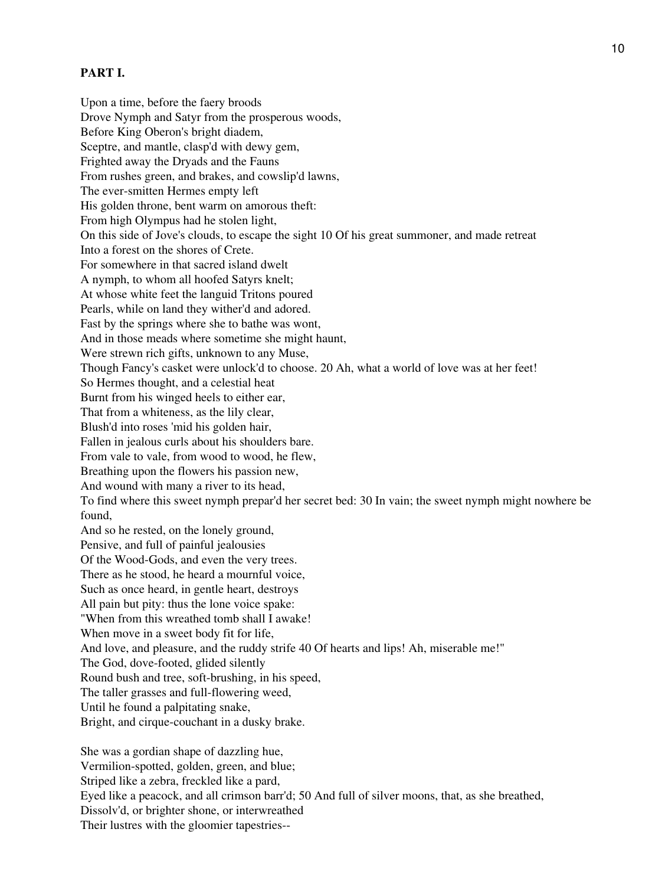# **PART I.**

Upon a time, before the faery broods Drove Nymph and Satyr from the prosperous woods, Before King Oberon's bright diadem, Sceptre, and mantle, clasp'd with dewy gem, Frighted away the Dryads and the Fauns From rushes green, and brakes, and cowslip'd lawns, The ever-smitten Hermes empty left His golden throne, bent warm on amorous theft: From high Olympus had he stolen light, On this side of Jove's clouds, to escape the sight 10 Of his great summoner, and made retreat Into a forest on the shores of Crete. For somewhere in that sacred island dwelt A nymph, to whom all hoofed Satyrs knelt; At whose white feet the languid Tritons poured Pearls, while on land they wither'd and adored. Fast by the springs where she to bathe was wont, And in those meads where sometime she might haunt, Were strewn rich gifts, unknown to any Muse, Though Fancy's casket were unlock'd to choose. 20 Ah, what a world of love was at her feet! So Hermes thought, and a celestial heat Burnt from his winged heels to either ear, That from a whiteness, as the lily clear, Blush'd into roses 'mid his golden hair, Fallen in jealous curls about his shoulders bare. From vale to vale, from wood to wood, he flew, Breathing upon the flowers his passion new, And wound with many a river to its head, To find where this sweet nymph prepar'd her secret bed: 30 In vain; the sweet nymph might nowhere be found, And so he rested, on the lonely ground, Pensive, and full of painful jealousies Of the Wood-Gods, and even the very trees. There as he stood, he heard a mournful voice, Such as once heard, in gentle heart, destroys All pain but pity: thus the lone voice spake: "When from this wreathed tomb shall I awake! When move in a sweet body fit for life, And love, and pleasure, and the ruddy strife 40 Of hearts and lips! Ah, miserable me!" The God, dove-footed, glided silently Round bush and tree, soft-brushing, in his speed, The taller grasses and full-flowering weed, Until he found a palpitating snake, Bright, and cirque-couchant in a dusky brake.

She was a gordian shape of dazzling hue, Vermilion-spotted, golden, green, and blue; Striped like a zebra, freckled like a pard, Eyed like a peacock, and all crimson barr'd; 50 And full of silver moons, that, as she breathed, Dissolv'd, or brighter shone, or interwreathed Their lustres with the gloomier tapestries--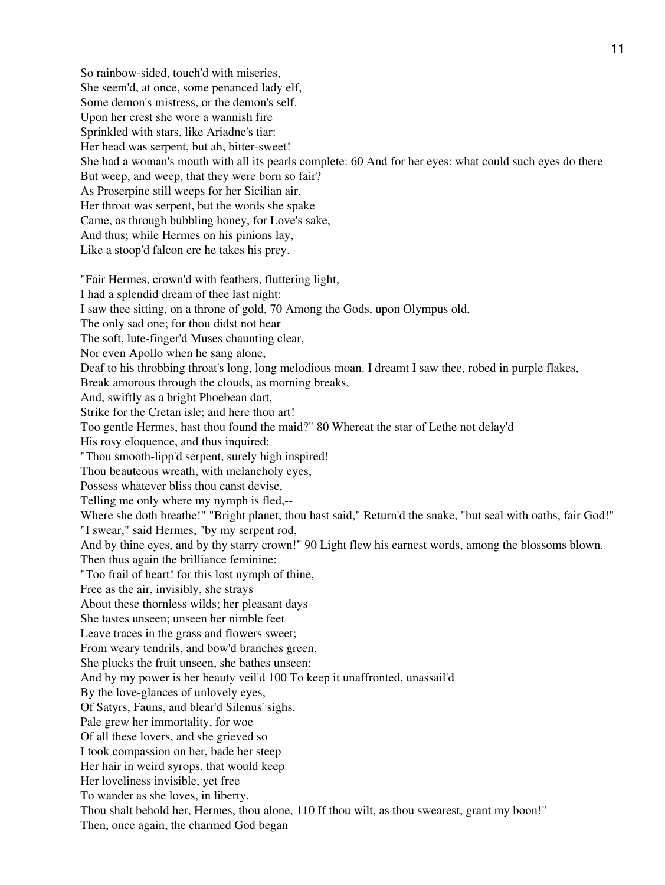So rainbow-sided, touch'd with miseries, She seem'd, at once, some penanced lady elf, Some demon's mistress, or the demon's self. Upon her crest she wore a wannish fire Sprinkled with stars, like Ariadne's tiar: Her head was serpent, but ah, bitter-sweet! She had a woman's mouth with all its pearls complete: 60 And for her eyes: what could such eyes do there But weep, and weep, that they were born so fair? As Proserpine still weeps for her Sicilian air. Her throat was serpent, but the words she spake Came, as through bubbling honey, for Love's sake, And thus; while Hermes on his pinions lay, Like a stoop'd falcon ere he takes his prey. "Fair Hermes, crown'd with feathers, fluttering light, I had a splendid dream of thee last night: I saw thee sitting, on a throne of gold, 70 Among the Gods, upon Olympus old, The only sad one; for thou didst not hear The soft, lute-finger'd Muses chaunting clear, Nor even Apollo when he sang alone, Deaf to his throbbing throat's long, long melodious moan. I dreamt I saw thee, robed in purple flakes, Break amorous through the clouds, as morning breaks, And, swiftly as a bright Phoebean dart, Strike for the Cretan isle; and here thou art! Too gentle Hermes, hast thou found the maid?" 80 Whereat the star of Lethe not delay'd His rosy eloquence, and thus inquired: "Thou smooth-lipp'd serpent, surely high inspired! Thou beauteous wreath, with melancholy eyes, Possess whatever bliss thou canst devise, Telling me only where my nymph is fled,-- Where she doth breathe!" "Bright planet, thou hast said," Return'd the snake, "but seal with oaths, fair God!" "I swear," said Hermes, "by my serpent rod, And by thine eyes, and by thy starry crown!" 90 Light flew his earnest words, among the blossoms blown. Then thus again the brilliance feminine: "Too frail of heart! for this lost nymph of thine, Free as the air, invisibly, she strays About these thornless wilds; her pleasant days She tastes unseen; unseen her nimble feet Leave traces in the grass and flowers sweet; From weary tendrils, and bow'd branches green, She plucks the fruit unseen, she bathes unseen: And by my power is her beauty veil'd 100 To keep it unaffronted, unassail'd By the love-glances of unlovely eyes, Of Satyrs, Fauns, and blear'd Silenus' sighs. Pale grew her immortality, for woe Of all these lovers, and she grieved so I took compassion on her, bade her steep Her hair in weird syrops, that would keep Her loveliness invisible, yet free To wander as she loves, in liberty. Thou shalt behold her, Hermes, thou alone, 110 If thou wilt, as thou swearest, grant my boon!" Then, once again, the charmed God began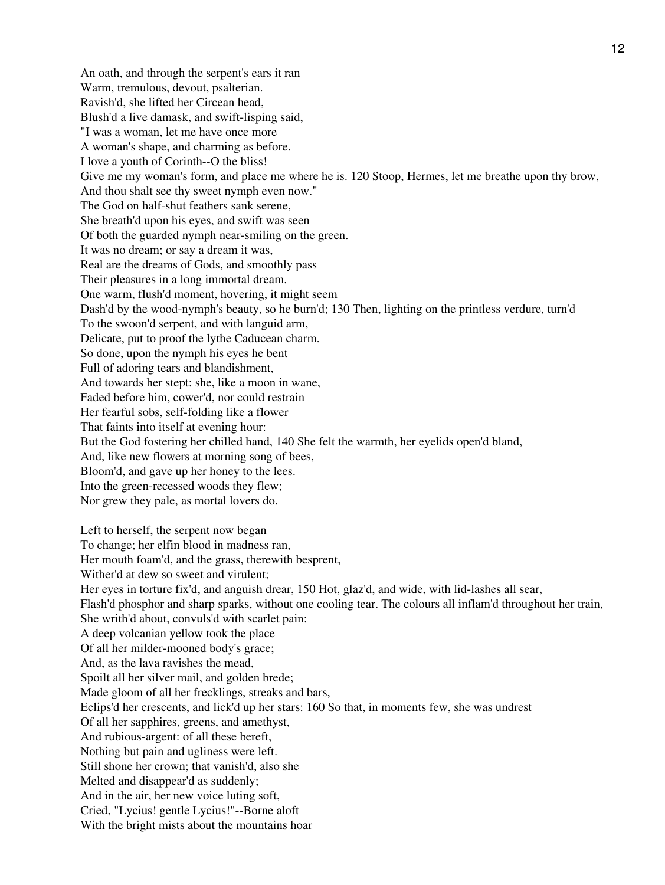An oath, and through the serpent's ears it ran Warm, tremulous, devout, psalterian. Ravish'd, she lifted her Circean head, Blush'd a live damask, and swift-lisping said, "I was a woman, let me have once more A woman's shape, and charming as before. I love a youth of Corinth--O the bliss! Give me my woman's form, and place me where he is. 120 Stoop, Hermes, let me breathe upon thy brow, And thou shalt see thy sweet nymph even now." The God on half-shut feathers sank serene, She breath'd upon his eyes, and swift was seen Of both the guarded nymph near-smiling on the green. It was no dream; or say a dream it was, Real are the dreams of Gods, and smoothly pass Their pleasures in a long immortal dream. One warm, flush'd moment, hovering, it might seem Dash'd by the wood-nymph's beauty, so he burn'd; 130 Then, lighting on the printless verdure, turn'd To the swoon'd serpent, and with languid arm, Delicate, put to proof the lythe Caducean charm. So done, upon the nymph his eyes he bent Full of adoring tears and blandishment, And towards her stept: she, like a moon in wane, Faded before him, cower'd, nor could restrain Her fearful sobs, self-folding like a flower That faints into itself at evening hour: But the God fostering her chilled hand, 140 She felt the warmth, her eyelids open'd bland, And, like new flowers at morning song of bees, Bloom'd, and gave up her honey to the lees. Into the green-recessed woods they flew; Nor grew they pale, as mortal lovers do. Left to herself, the serpent now began To change; her elfin blood in madness ran, Her mouth foam'd, and the grass, therewith besprent, Wither'd at dew so sweet and virulent; Her eyes in torture fix'd, and anguish drear, 150 Hot, glaz'd, and wide, with lid-lashes all sear, Flash'd phosphor and sharp sparks, without one cooling tear. The colours all inflam'd throughout her train, She writh'd about, convuls'd with scarlet pain: A deep volcanian yellow took the place Of all her milder-mooned body's grace; And, as the lava ravishes the mead, Spoilt all her silver mail, and golden brede; Made gloom of all her frecklings, streaks and bars, Eclips'd her crescents, and lick'd up her stars: 160 So that, in moments few, she was undrest Of all her sapphires, greens, and amethyst, And rubious-argent: of all these bereft, Nothing but pain and ugliness were left. Still shone her crown; that vanish'd, also she Melted and disappear'd as suddenly; And in the air, her new voice luting soft,

Cried, "Lycius! gentle Lycius!"--Borne aloft

With the bright mists about the mountains hoar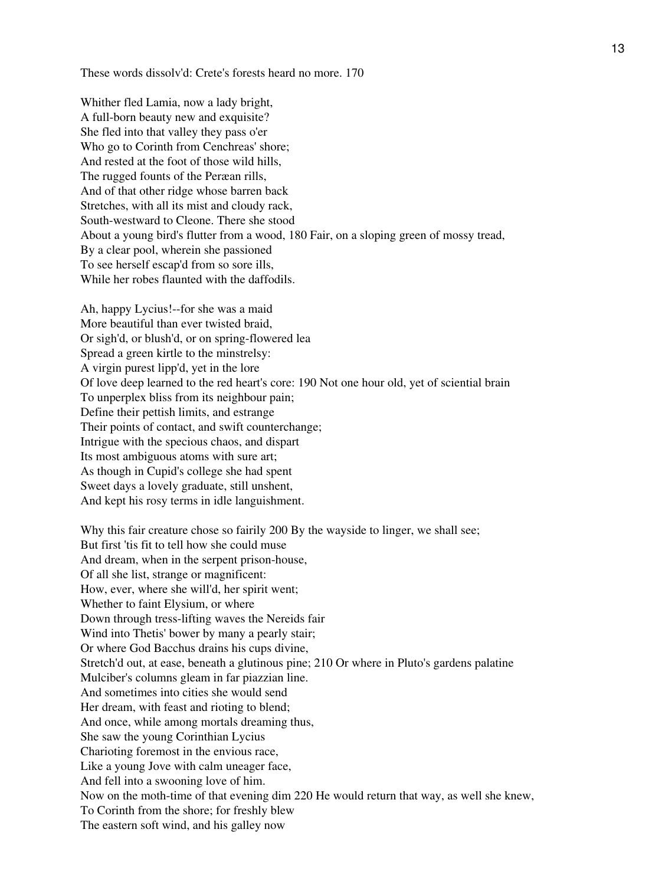These words dissolv'd: Crete's forests heard no more. 170

Whither fled Lamia, now a lady bright, A full-born beauty new and exquisite? She fled into that valley they pass o'er Who go to Corinth from Cenchreas' shore; And rested at the foot of those wild hills, The rugged founts of the Peræan rills, And of that other ridge whose barren back Stretches, with all its mist and cloudy rack, South-westward to Cleone. There she stood About a young bird's flutter from a wood, 180 Fair, on a sloping green of mossy tread, By a clear pool, wherein she passioned To see herself escap'd from so sore ills, While her robes flaunted with the daffodils.

Ah, happy Lycius!--for she was a maid More beautiful than ever twisted braid, Or sigh'd, or blush'd, or on spring-flowered lea Spread a green kirtle to the minstrelsy: A virgin purest lipp'd, yet in the lore Of love deep learned to the red heart's core: 190 Not one hour old, yet of sciential brain To unperplex bliss from its neighbour pain; Define their pettish limits, and estrange Their points of contact, and swift counterchange; Intrigue with the specious chaos, and dispart Its most ambiguous atoms with sure art; As though in Cupid's college she had spent Sweet days a lovely graduate, still unshent, And kept his rosy terms in idle languishment.

Why this fair creature chose so fairily 200 By the wayside to linger, we shall see; But first 'tis fit to tell how she could muse And dream, when in the serpent prison-house, Of all she list, strange or magnificent: How, ever, where she will'd, her spirit went; Whether to faint Elysium, or where Down through tress-lifting waves the Nereids fair Wind into Thetis' bower by many a pearly stair; Or where God Bacchus drains his cups divine, Stretch'd out, at ease, beneath a glutinous pine; 210 Or where in Pluto's gardens palatine Mulciber's columns gleam in far piazzian line. And sometimes into cities she would send Her dream, with feast and rioting to blend; And once, while among mortals dreaming thus, She saw the young Corinthian Lycius Charioting foremost in the envious race, Like a young Jove with calm uneager face, And fell into a swooning love of him. Now on the moth-time of that evening dim 220 He would return that way, as well she knew, To Corinth from the shore; for freshly blew The eastern soft wind, and his galley now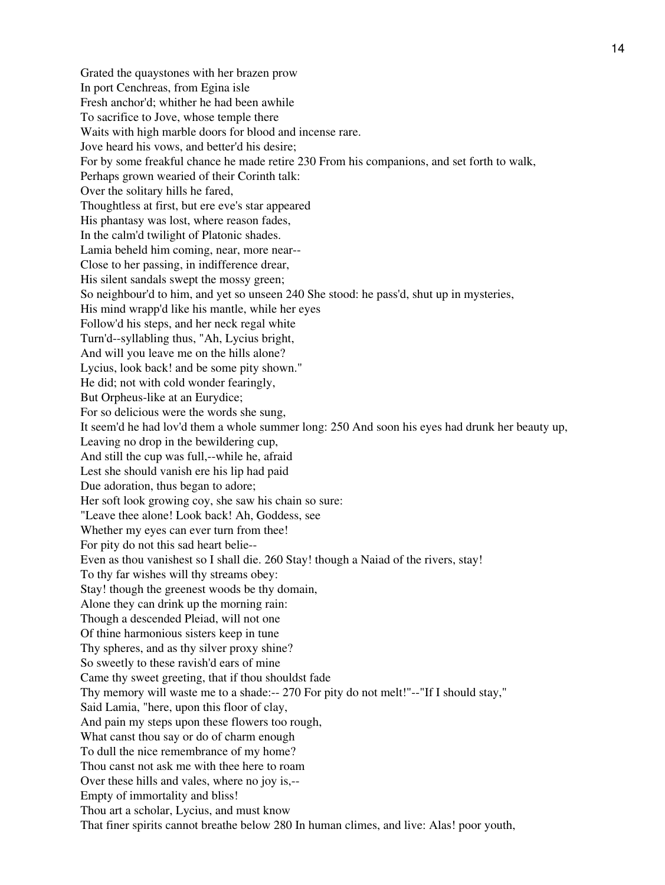Grated the quaystones with her brazen prow In port Cenchreas, from Egina isle Fresh anchor'd; whither he had been awhile To sacrifice to Jove, whose temple there Waits with high marble doors for blood and incense rare. Jove heard his vows, and better'd his desire; For by some freakful chance he made retire 230 From his companions, and set forth to walk, Perhaps grown wearied of their Corinth talk: Over the solitary hills he fared, Thoughtless at first, but ere eve's star appeared His phantasy was lost, where reason fades, In the calm'd twilight of Platonic shades. Lamia beheld him coming, near, more near-- Close to her passing, in indifference drear, His silent sandals swept the mossy green; So neighbour'd to him, and yet so unseen 240 She stood: he pass'd, shut up in mysteries, His mind wrapp'd like his mantle, while her eyes Follow'd his steps, and her neck regal white Turn'd--syllabling thus, "Ah, Lycius bright, And will you leave me on the hills alone? Lycius, look back! and be some pity shown." He did; not with cold wonder fearingly, But Orpheus-like at an Eurydice; For so delicious were the words she sung, It seem'd he had lov'd them a whole summer long: 250 And soon his eyes had drunk her beauty up, Leaving no drop in the bewildering cup, And still the cup was full,--while he, afraid Lest she should vanish ere his lip had paid Due adoration, thus began to adore; Her soft look growing coy, she saw his chain so sure: "Leave thee alone! Look back! Ah, Goddess, see Whether my eyes can ever turn from thee! For pity do not this sad heart belie-- Even as thou vanishest so I shall die. 260 Stay! though a Naiad of the rivers, stay! To thy far wishes will thy streams obey: Stay! though the greenest woods be thy domain, Alone they can drink up the morning rain: Though a descended Pleiad, will not one Of thine harmonious sisters keep in tune Thy spheres, and as thy silver proxy shine? So sweetly to these ravish'd ears of mine Came thy sweet greeting, that if thou shouldst fade Thy memory will waste me to a shade:-- 270 For pity do not melt!"--"If I should stay," Said Lamia, "here, upon this floor of clay, And pain my steps upon these flowers too rough, What canst thou say or do of charm enough To dull the nice remembrance of my home? Thou canst not ask me with thee here to roam Over these hills and vales, where no joy is,-- Empty of immortality and bliss! Thou art a scholar, Lycius, and must know That finer spirits cannot breathe below 280 In human climes, and live: Alas! poor youth,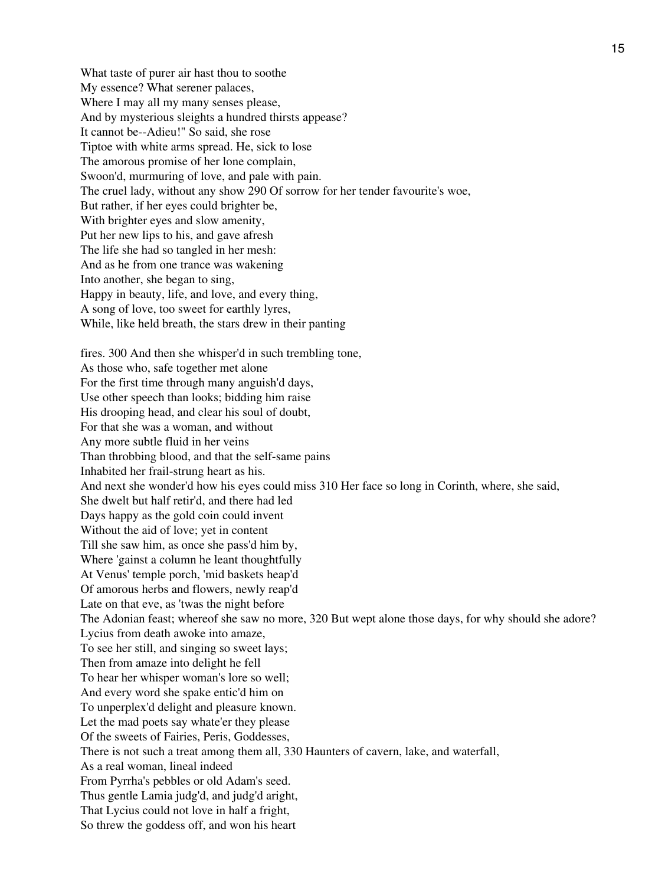What taste of purer air hast thou to soothe My essence? What serener palaces, Where I may all my many senses please, And by mysterious sleights a hundred thirsts appease? It cannot be--Adieu!" So said, she rose Tiptoe with white arms spread. He, sick to lose The amorous promise of her lone complain, Swoon'd, murmuring of love, and pale with pain. The cruel lady, without any show 290 Of sorrow for her tender favourite's woe, But rather, if her eyes could brighter be, With brighter eyes and slow amenity, Put her new lips to his, and gave afresh The life she had so tangled in her mesh: And as he from one trance was wakening Into another, she began to sing, Happy in beauty, life, and love, and every thing, A song of love, too sweet for earthly lyres, While, like held breath, the stars drew in their panting fires. 300 And then she whisper'd in such trembling tone, As those who, safe together met alone For the first time through many anguish'd days, Use other speech than looks; bidding him raise His drooping head, and clear his soul of doubt, For that she was a woman, and without Any more subtle fluid in her veins Than throbbing blood, and that the self-same pains Inhabited her frail-strung heart as his. And next she wonder'd how his eyes could miss 310 Her face so long in Corinth, where, she said, She dwelt but half retir'd, and there had led Days happy as the gold coin could invent Without the aid of love; yet in content Till she saw him, as once she pass'd him by, Where 'gainst a column he leant thoughtfully At Venus' temple porch, 'mid baskets heap'd Of amorous herbs and flowers, newly reap'd Late on that eve, as 'twas the night before The Adonian feast; whereof she saw no more, 320 But wept alone those days, for why should she adore? Lycius from death awoke into amaze, To see her still, and singing so sweet lays; Then from amaze into delight he fell To hear her whisper woman's lore so well; And every word she spake entic'd him on To unperplex'd delight and pleasure known. Let the mad poets say whate'er they please

There is not such a treat among them all, 330 Haunters of cavern, lake, and waterfall,

Of the sweets of Fairies, Peris, Goddesses,

From Pyrrha's pebbles or old Adam's seed. Thus gentle Lamia judg'd, and judg'd aright, That Lycius could not love in half a fright, So threw the goddess off, and won his heart

As a real woman, lineal indeed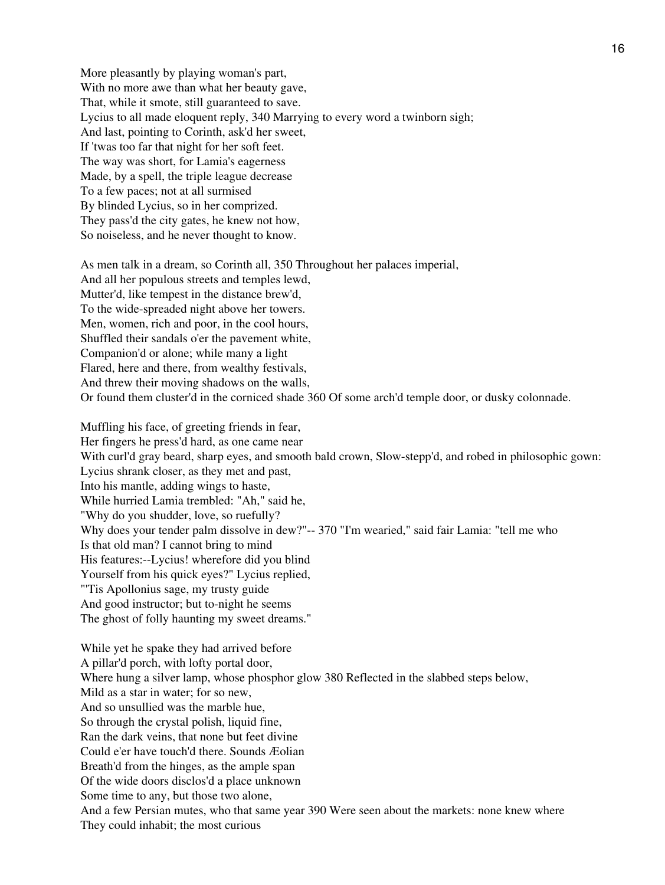More pleasantly by playing woman's part, With no more awe than what her beauty gave, That, while it smote, still guaranteed to save. Lycius to all made eloquent reply, 340 Marrying to every word a twinborn sigh; And last, pointing to Corinth, ask'd her sweet, If 'twas too far that night for her soft feet. The way was short, for Lamia's eagerness Made, by a spell, the triple league decrease To a few paces; not at all surmised By blinded Lycius, so in her comprized. They pass'd the city gates, he knew not how, So noiseless, and he never thought to know.

As men talk in a dream, so Corinth all, 350 Throughout her palaces imperial, And all her populous streets and temples lewd, Mutter'd, like tempest in the distance brew'd, To the wide-spreaded night above her towers. Men, women, rich and poor, in the cool hours, Shuffled their sandals o'er the pavement white, Companion'd or alone; while many a light Flared, here and there, from wealthy festivals, And threw their moving shadows on the walls, Or found them cluster'd in the corniced shade 360 Of some arch'd temple door, or dusky colonnade.

Muffling his face, of greeting friends in fear, Her fingers he press'd hard, as one came near With curl'd gray beard, sharp eyes, and smooth bald crown, Slow-stepp'd, and robed in philosophic gown: Lycius shrank closer, as they met and past, Into his mantle, adding wings to haste, While hurried Lamia trembled: "Ah," said he, "Why do you shudder, love, so ruefully? Why does your tender palm dissolve in dew?"-- 370 "I'm wearied," said fair Lamia: "tell me who Is that old man? I cannot bring to mind His features:--Lycius! wherefore did you blind Yourself from his quick eyes?" Lycius replied, "'Tis Apollonius sage, my trusty guide And good instructor; but to-night he seems The ghost of folly haunting my sweet dreams."

While yet he spake they had arrived before A pillar'd porch, with lofty portal door, Where hung a silver lamp, whose phosphor glow 380 Reflected in the slabbed steps below, Mild as a star in water; for so new, And so unsullied was the marble hue, So through the crystal polish, liquid fine, Ran the dark veins, that none but feet divine Could e'er have touch'd there. Sounds Æolian Breath'd from the hinges, as the ample span Of the wide doors disclos'd a place unknown Some time to any, but those two alone, And a few Persian mutes, who that same year 390 Were seen about the markets: none knew where They could inhabit; the most curious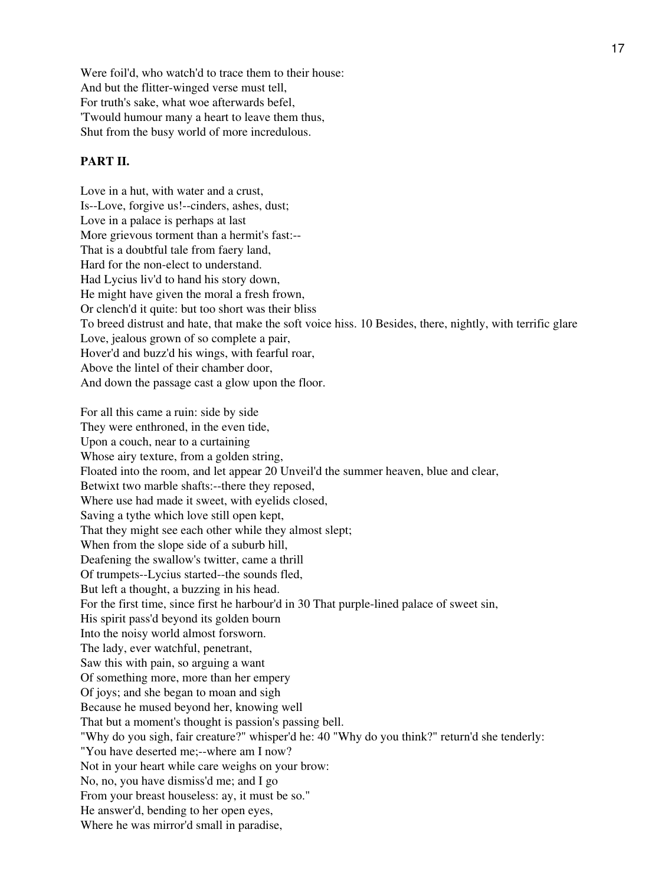Were foil'd, who watch'd to trace them to their house: And but the flitter-winged verse must tell, For truth's sake, what woe afterwards befel, 'Twould humour many a heart to leave them thus, Shut from the busy world of more incredulous.

### **PART II.**

Love in a hut, with water and a crust, Is--Love, forgive us!--cinders, ashes, dust; Love in a palace is perhaps at last More grievous torment than a hermit's fast:-- That is a doubtful tale from faery land, Hard for the non-elect to understand. Had Lycius liv'd to hand his story down, He might have given the moral a fresh frown, Or clench'd it quite: but too short was their bliss To breed distrust and hate, that make the soft voice hiss. 10 Besides, there, nightly, with terrific glare Love, jealous grown of so complete a pair, Hover'd and buzz'd his wings, with fearful roar, Above the lintel of their chamber door, And down the passage cast a glow upon the floor.

For all this came a ruin: side by side They were enthroned, in the even tide, Upon a couch, near to a curtaining Whose airy texture, from a golden string, Floated into the room, and let appear 20 Unveil'd the summer heaven, blue and clear, Betwixt two marble shafts:--there they reposed, Where use had made it sweet, with eyelids closed, Saving a tythe which love still open kept, That they might see each other while they almost slept; When from the slope side of a suburb hill, Deafening the swallow's twitter, came a thrill Of trumpets--Lycius started--the sounds fled, But left a thought, a buzzing in his head. For the first time, since first he harbour'd in 30 That purple-lined palace of sweet sin, His spirit pass'd beyond its golden bourn Into the noisy world almost forsworn. The lady, ever watchful, penetrant, Saw this with pain, so arguing a want Of something more, more than her empery Of joys; and she began to moan and sigh Because he mused beyond her, knowing well That but a moment's thought is passion's passing bell. "Why do you sigh, fair creature?" whisper'd he: 40 "Why do you think?" return'd she tenderly: "You have deserted me;--where am I now? Not in your heart while care weighs on your brow: No, no, you have dismiss'd me; and I go From your breast houseless: ay, it must be so." He answer'd, bending to her open eyes, Where he was mirror'd small in paradise,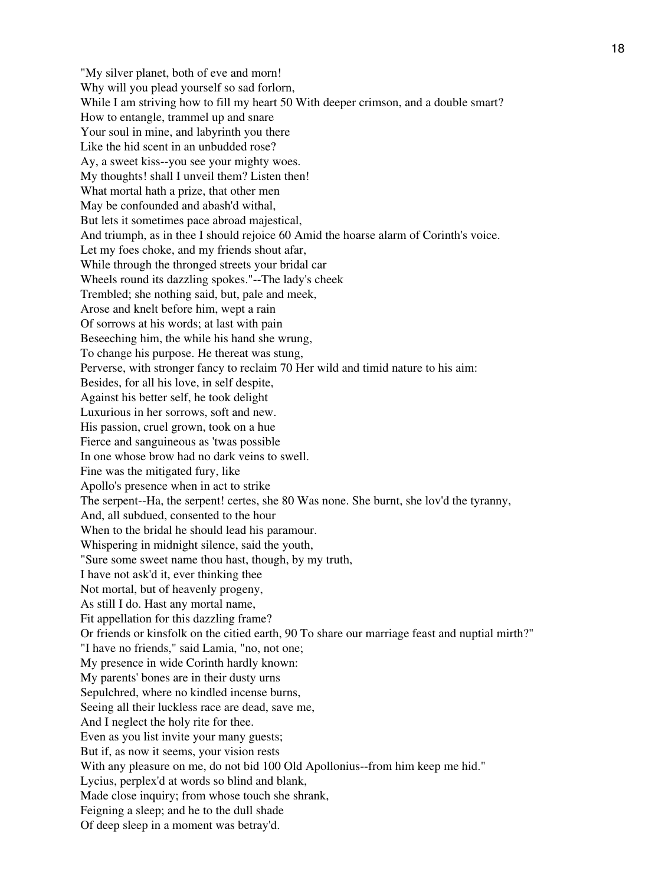"My silver planet, both of eve and morn! Why will you plead yourself so sad forlorn, While I am striving how to fill my heart 50 With deeper crimson, and a double smart? How to entangle, trammel up and snare Your soul in mine, and labyrinth you there Like the hid scent in an unbudded rose? Ay, a sweet kiss--you see your mighty woes. My thoughts! shall I unveil them? Listen then! What mortal hath a prize, that other men May be confounded and abash'd withal, But lets it sometimes pace abroad majestical, And triumph, as in thee I should rejoice 60 Amid the hoarse alarm of Corinth's voice. Let my foes choke, and my friends shout afar, While through the thronged streets your bridal car Wheels round its dazzling spokes."--The lady's cheek Trembled; she nothing said, but, pale and meek, Arose and knelt before him, wept a rain Of sorrows at his words; at last with pain Beseeching him, the while his hand she wrung, To change his purpose. He thereat was stung, Perverse, with stronger fancy to reclaim 70 Her wild and timid nature to his aim: Besides, for all his love, in self despite, Against his better self, he took delight Luxurious in her sorrows, soft and new. His passion, cruel grown, took on a hue Fierce and sanguineous as 'twas possible In one whose brow had no dark veins to swell. Fine was the mitigated fury, like Apollo's presence when in act to strike The serpent--Ha, the serpent! certes, she 80 Was none. She burnt, she lov'd the tyranny, And, all subdued, consented to the hour When to the bridal he should lead his paramour. Whispering in midnight silence, said the youth, "Sure some sweet name thou hast, though, by my truth, I have not ask'd it, ever thinking thee Not mortal, but of heavenly progeny, As still I do. Hast any mortal name, Fit appellation for this dazzling frame? Or friends or kinsfolk on the citied earth, 90 To share our marriage feast and nuptial mirth?" "I have no friends," said Lamia, "no, not one; My presence in wide Corinth hardly known: My parents' bones are in their dusty urns Sepulchred, where no kindled incense burns, Seeing all their luckless race are dead, save me, And I neglect the holy rite for thee. Even as you list invite your many guests; But if, as now it seems, your vision rests With any pleasure on me, do not bid 100 Old Apollonius--from him keep me hid." Lycius, perplex'd at words so blind and blank, Made close inquiry; from whose touch she shrank, Feigning a sleep; and he to the dull shade Of deep sleep in a moment was betray'd.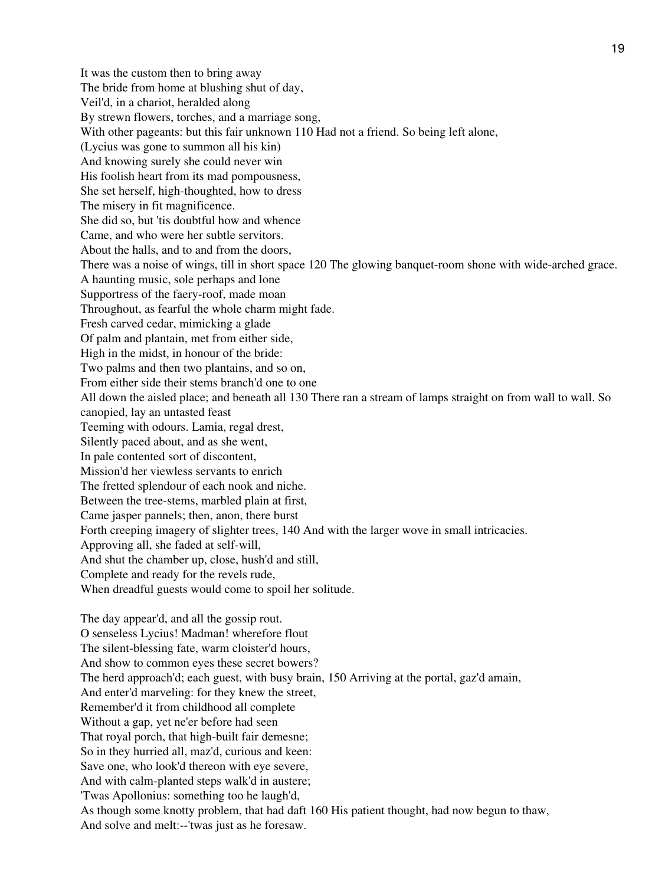It was the custom then to bring away The bride from home at blushing shut of day, Veil'd, in a chariot, heralded along By strewn flowers, torches, and a marriage song, With other pageants: but this fair unknown 110 Had not a friend. So being left alone, (Lycius was gone to summon all his kin) And knowing surely she could never win His foolish heart from its mad pompousness, She set herself, high-thoughted, how to dress The misery in fit magnificence. She did so, but 'tis doubtful how and whence Came, and who were her subtle servitors. About the halls, and to and from the doors, There was a noise of wings, till in short space 120 The glowing banquet-room shone with wide-arched grace. A haunting music, sole perhaps and lone Supportress of the faery-roof, made moan Throughout, as fearful the whole charm might fade. Fresh carved cedar, mimicking a glade Of palm and plantain, met from either side, High in the midst, in honour of the bride: Two palms and then two plantains, and so on, From either side their stems branch'd one to one All down the aisled place; and beneath all 130 There ran a stream of lamps straight on from wall to wall. So canopied, lay an untasted feast Teeming with odours. Lamia, regal drest, Silently paced about, and as she went, In pale contented sort of discontent, Mission'd her viewless servants to enrich The fretted splendour of each nook and niche. Between the tree-stems, marbled plain at first, Came jasper pannels; then, anon, there burst Forth creeping imagery of slighter trees, 140 And with the larger wove in small intricacies. Approving all, she faded at self-will, And shut the chamber up, close, hush'd and still, Complete and ready for the revels rude, When dreadful guests would come to spoil her solitude. The day appear'd, and all the gossip rout. O senseless Lycius! Madman! wherefore flout The silent-blessing fate, warm cloister'd hours, And show to common eyes these secret bowers? The herd approach'd; each guest, with busy brain, 150 Arriving at the portal, gaz'd amain, And enter'd marveling: for they knew the street, Remember'd it from childhood all complete Without a gap, yet ne'er before had seen That royal porch, that high-built fair demesne; So in they hurried all, maz'd, curious and keen: Save one, who look'd thereon with eye severe, And with calm-planted steps walk'd in austere; 'Twas Apollonius: something too he laugh'd, As though some knotty problem, that had daft 160 His patient thought, had now begun to thaw, And solve and melt:--'twas just as he foresaw.

19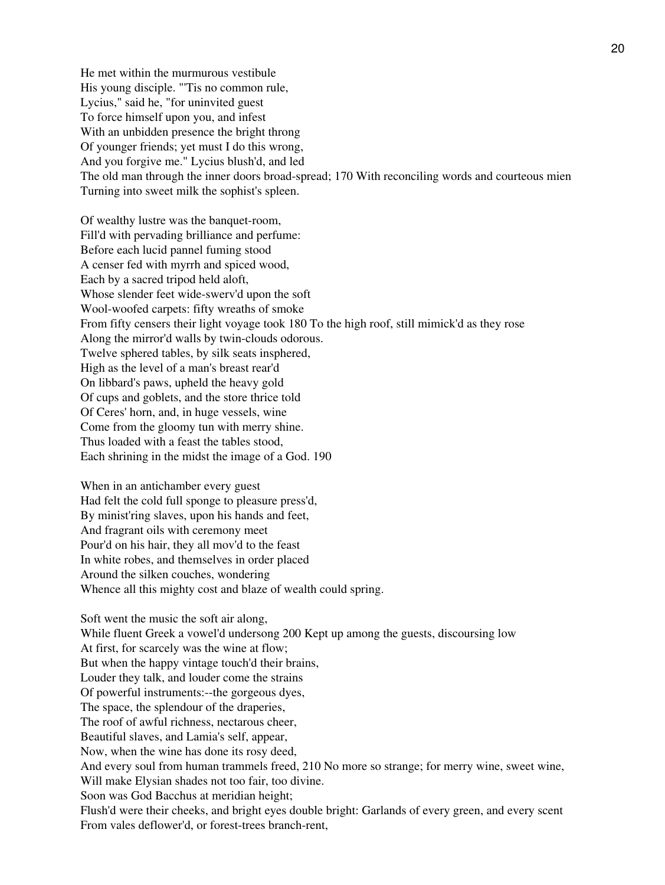He met within the murmurous vestibule His young disciple. "'Tis no common rule, Lycius," said he, "for uninvited guest To force himself upon you, and infest With an unbidden presence the bright throng Of younger friends; yet must I do this wrong, And you forgive me." Lycius blush'd, and led The old man through the inner doors broad-spread; 170 With reconciling words and courteous mien Turning into sweet milk the sophist's spleen.

Of wealthy lustre was the banquet-room, Fill'd with pervading brilliance and perfume: Before each lucid pannel fuming stood A censer fed with myrrh and spiced wood, Each by a sacred tripod held aloft, Whose slender feet wide-swerv'd upon the soft Wool-woofed carpets: fifty wreaths of smoke From fifty censers their light voyage took 180 To the high roof, still mimick'd as they rose Along the mirror'd walls by twin-clouds odorous. Twelve sphered tables, by silk seats insphered, High as the level of a man's breast rear'd On libbard's paws, upheld the heavy gold Of cups and goblets, and the store thrice told Of Ceres' horn, and, in huge vessels, wine Come from the gloomy tun with merry shine. Thus loaded with a feast the tables stood, Each shrining in the midst the image of a God. 190

When in an antichamber every guest Had felt the cold full sponge to pleasure press'd, By minist'ring slaves, upon his hands and feet, And fragrant oils with ceremony meet Pour'd on his hair, they all mov'd to the feast In white robes, and themselves in order placed Around the silken couches, wondering Whence all this mighty cost and blaze of wealth could spring.

Soft went the music the soft air along, While fluent Greek a vowel'd undersong 200 Kept up among the guests, discoursing low At first, for scarcely was the wine at flow; But when the happy vintage touch'd their brains, Louder they talk, and louder come the strains Of powerful instruments:--the gorgeous dyes, The space, the splendour of the draperies, The roof of awful richness, nectarous cheer, Beautiful slaves, and Lamia's self, appear, Now, when the wine has done its rosy deed, And every soul from human trammels freed, 210 No more so strange; for merry wine, sweet wine, Will make Elysian shades not too fair, too divine. Soon was God Bacchus at meridian height; Flush'd were their cheeks, and bright eyes double bright: Garlands of every green, and every scent From vales deflower'd, or forest-trees branch-rent,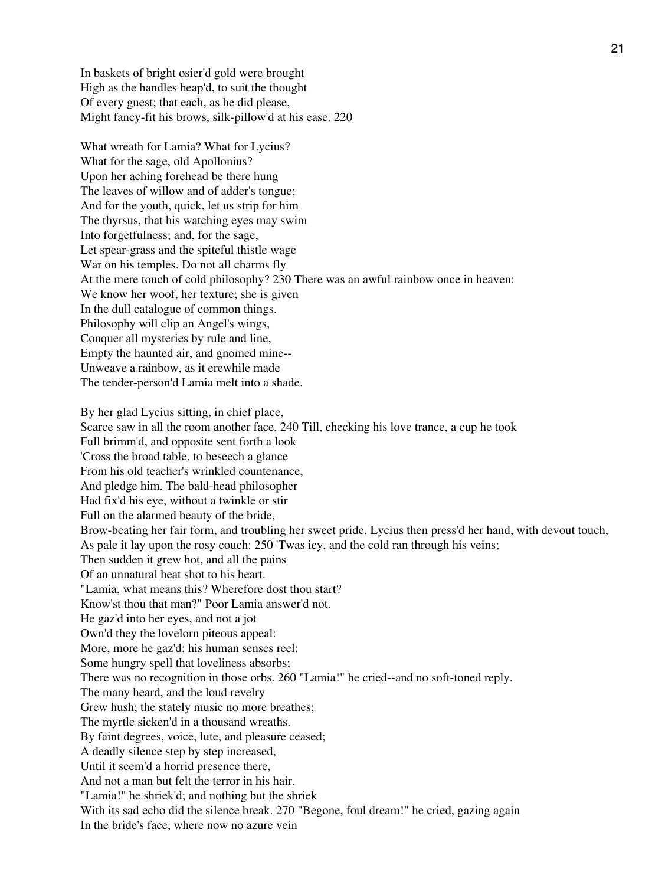In baskets of bright osier'd gold were brought High as the handles heap'd, to suit the thought Of every guest; that each, as he did please, Might fancy-fit his brows, silk-pillow'd at his ease. 220

What wreath for Lamia? What for Lycius? What for the sage, old Apollonius? Upon her aching forehead be there hung The leaves of willow and of adder's tongue; And for the youth, quick, let us strip for him The thyrsus, that his watching eyes may swim Into forgetfulness; and, for the sage, Let spear-grass and the spiteful thistle wage War on his temples. Do not all charms fly At the mere touch of cold philosophy? 230 There was an awful rainbow once in heaven: We know her woof, her texture; she is given In the dull catalogue of common things. Philosophy will clip an Angel's wings, Conquer all mysteries by rule and line, Empty the haunted air, and gnomed mine-- Unweave a rainbow, as it erewhile made The tender-person'd Lamia melt into a shade.

By her glad Lycius sitting, in chief place, Scarce saw in all the room another face, 240 Till, checking his love trance, a cup he took Full brimm'd, and opposite sent forth a look 'Cross the broad table, to beseech a glance From his old teacher's wrinkled countenance, And pledge him. The bald-head philosopher Had fix'd his eye, without a twinkle or stir Full on the alarmed beauty of the bride, Brow-beating her fair form, and troubling her sweet pride. Lycius then press'd her hand, with devout touch, As pale it lay upon the rosy couch: 250 'Twas icy, and the cold ran through his veins; Then sudden it grew hot, and all the pains Of an unnatural heat shot to his heart. "Lamia, what means this? Wherefore dost thou start? Know'st thou that man?" Poor Lamia answer'd not. He gaz'd into her eyes, and not a jot Own'd they the lovelorn piteous appeal: More, more he gaz'd: his human senses reel: Some hungry spell that loveliness absorbs; There was no recognition in those orbs. 260 "Lamia!" he cried--and no soft-toned reply. The many heard, and the loud revelry Grew hush; the stately music no more breathes; The myrtle sicken'd in a thousand wreaths. By faint degrees, voice, lute, and pleasure ceased; A deadly silence step by step increased, Until it seem'd a horrid presence there, And not a man but felt the terror in his hair. "Lamia!" he shriek'd; and nothing but the shriek With its sad echo did the silence break. 270 "Begone, foul dream!" he cried, gazing again In the bride's face, where now no azure vein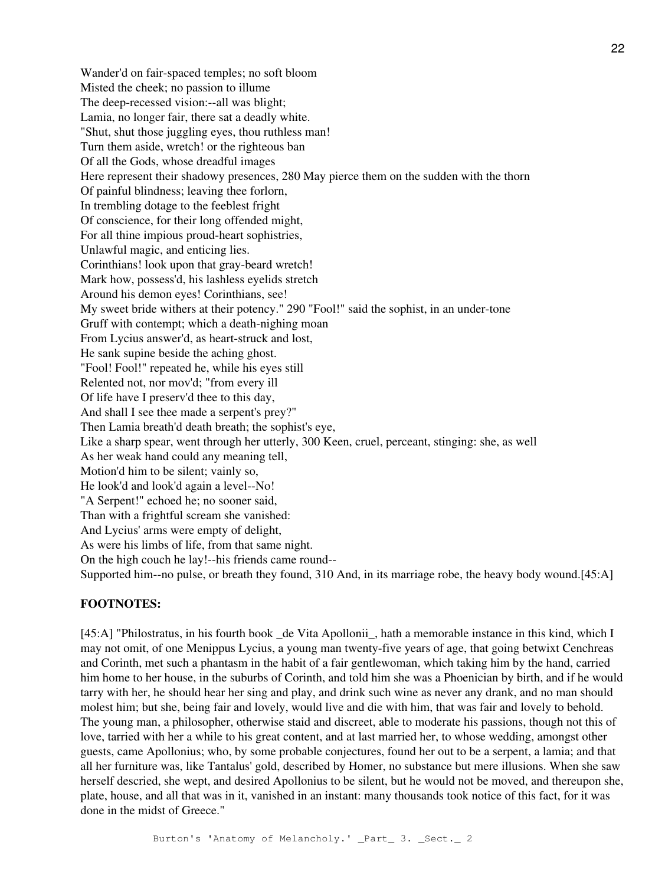Wander'd on fair-spaced temples; no soft bloom Misted the cheek; no passion to illume The deep-recessed vision:--all was blight; Lamia, no longer fair, there sat a deadly white. "Shut, shut those juggling eyes, thou ruthless man! Turn them aside, wretch! or the righteous ban Of all the Gods, whose dreadful images Here represent their shadowy presences, 280 May pierce them on the sudden with the thorn Of painful blindness; leaving thee forlorn, In trembling dotage to the feeblest fright Of conscience, for their long offended might, For all thine impious proud-heart sophistries, Unlawful magic, and enticing lies. Corinthians! look upon that gray-beard wretch! Mark how, possess'd, his lashless eyelids stretch Around his demon eyes! Corinthians, see! My sweet bride withers at their potency." 290 "Fool!" said the sophist, in an under-tone Gruff with contempt; which a death-nighing moan From Lycius answer'd, as heart-struck and lost, He sank supine beside the aching ghost. "Fool! Fool!" repeated he, while his eyes still Relented not, nor mov'd; "from every ill Of life have I preserv'd thee to this day, And shall I see thee made a serpent's prey?" Then Lamia breath'd death breath; the sophist's eye, Like a sharp spear, went through her utterly, 300 Keen, cruel, perceant, stinging: she, as well As her weak hand could any meaning tell, Motion'd him to be silent; vainly so, He look'd and look'd again a level--No! "A Serpent!" echoed he; no sooner said, Than with a frightful scream she vanished: And Lycius' arms were empty of delight, As were his limbs of life, from that same night. On the high couch he lay!--his friends came round-- Supported him--no pulse, or breath they found, 310 And, in its marriage robe, the heavy body wound.[45:A]

#### **FOOTNOTES:**

[45:A] "Philostratus, in his fourth book de Vita Apollonii, hath a memorable instance in this kind, which I may not omit, of one Menippus Lycius, a young man twenty-five years of age, that going betwixt Cenchreas and Corinth, met such a phantasm in the habit of a fair gentlewoman, which taking him by the hand, carried him home to her house, in the suburbs of Corinth, and told him she was a Phoenician by birth, and if he would tarry with her, he should hear her sing and play, and drink such wine as never any drank, and no man should molest him; but she, being fair and lovely, would live and die with him, that was fair and lovely to behold. The young man, a philosopher, otherwise staid and discreet, able to moderate his passions, though not this of love, tarried with her a while to his great content, and at last married her, to whose wedding, amongst other guests, came Apollonius; who, by some probable conjectures, found her out to be a serpent, a lamia; and that all her furniture was, like Tantalus' gold, described by Homer, no substance but mere illusions. When she saw herself descried, she wept, and desired Apollonius to be silent, but he would not be moved, and thereupon she, plate, house, and all that was in it, vanished in an instant: many thousands took notice of this fact, for it was done in the midst of Greece."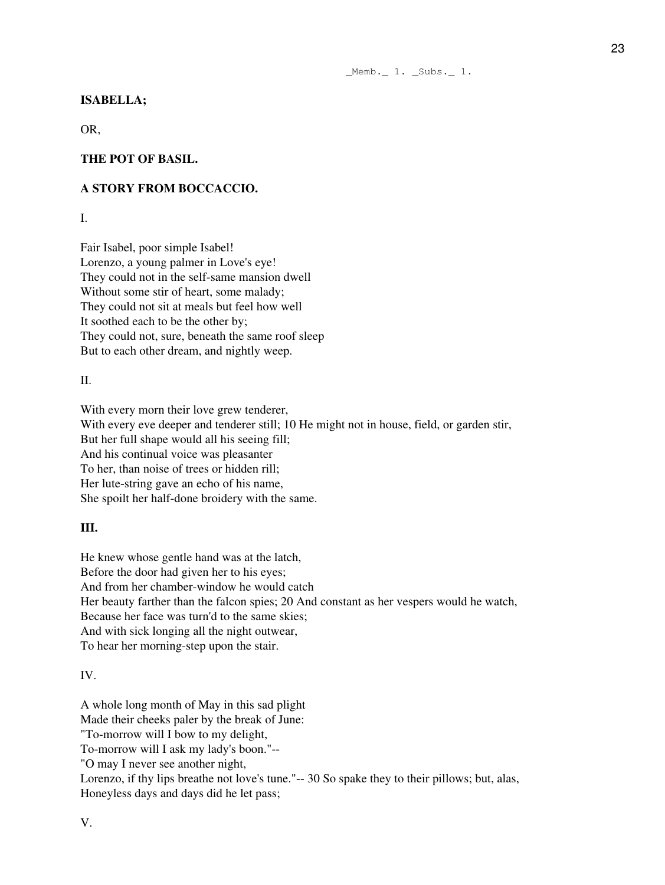\_Memb.\_ 1. \_Subs.\_ 1.

## **ISABELLA;**

OR,

## **THE POT OF BASIL.**

### **A STORY FROM BOCCACCIO.**

I.

Fair Isabel, poor simple Isabel! Lorenzo, a young palmer in Love's eye! They could not in the self-same mansion dwell Without some stir of heart, some malady; They could not sit at meals but feel how well It soothed each to be the other by; They could not, sure, beneath the same roof sleep But to each other dream, and nightly weep.

II.

With every morn their love grew tenderer, With every eve deeper and tenderer still; 10 He might not in house, field, or garden stir, But her full shape would all his seeing fill; And his continual voice was pleasanter To her, than noise of trees or hidden rill; Her lute-string gave an echo of his name, She spoilt her half-done broidery with the same.

#### **III.**

He knew whose gentle hand was at the latch, Before the door had given her to his eyes; And from her chamber-window he would catch Her beauty farther than the falcon spies; 20 And constant as her vespers would he watch, Because her face was turn'd to the same skies; And with sick longing all the night outwear, To hear her morning-step upon the stair.

## IV.

A whole long month of May in this sad plight Made their cheeks paler by the break of June: "To-morrow will I bow to my delight, To-morrow will I ask my lady's boon."-- "O may I never see another night, Lorenzo, if thy lips breathe not love's tune."-- 30 So spake they to their pillows; but, alas, Honeyless days and days did he let pass;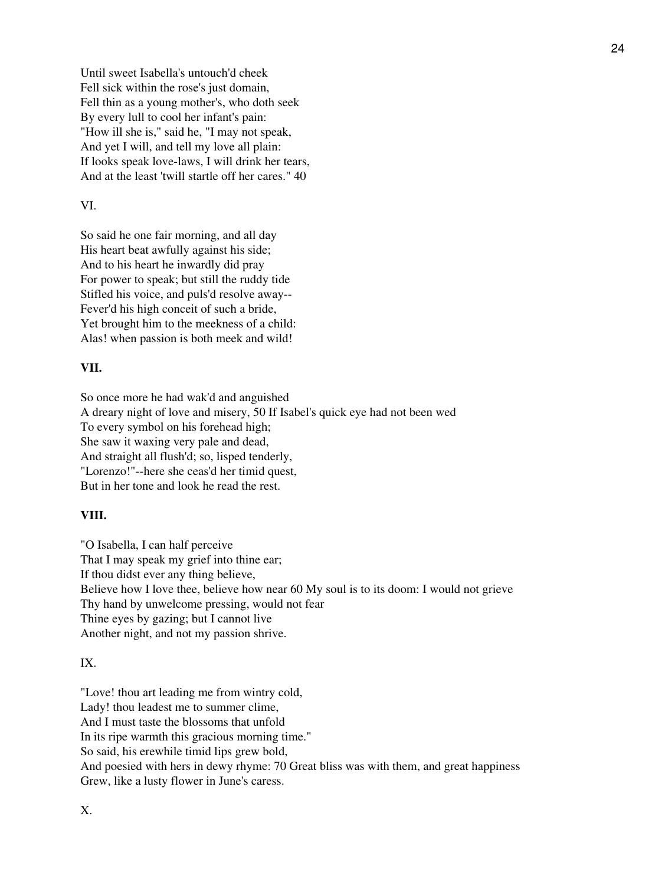Until sweet Isabella's untouch'd cheek Fell sick within the rose's just domain, Fell thin as a young mother's, who doth seek By every lull to cool her infant's pain: "How ill she is," said he, "I may not speak, And yet I will, and tell my love all plain: If looks speak love-laws, I will drink her tears, And at the least 'twill startle off her cares." 40

#### VI.

So said he one fair morning, and all day His heart beat awfully against his side; And to his heart he inwardly did pray For power to speak; but still the ruddy tide Stifled his voice, and puls'd resolve away-- Fever'd his high conceit of such a bride, Yet brought him to the meekness of a child: Alas! when passion is both meek and wild!

## **VII.**

So once more he had wak'd and anguished A dreary night of love and misery, 50 If Isabel's quick eye had not been wed To every symbol on his forehead high; She saw it waxing very pale and dead, And straight all flush'd; so, lisped tenderly, "Lorenzo!"--here she ceas'd her timid quest, But in her tone and look he read the rest.

## **VIII.**

"O Isabella, I can half perceive That I may speak my grief into thine ear; If thou didst ever any thing believe, Believe how I love thee, believe how near 60 My soul is to its doom: I would not grieve Thy hand by unwelcome pressing, would not fear Thine eyes by gazing; but I cannot live Another night, and not my passion shrive.

## IX.

"Love! thou art leading me from wintry cold, Lady! thou leadest me to summer clime, And I must taste the blossoms that unfold In its ripe warmth this gracious morning time." So said, his erewhile timid lips grew bold, And poesied with hers in dewy rhyme: 70 Great bliss was with them, and great happiness Grew, like a lusty flower in June's caress.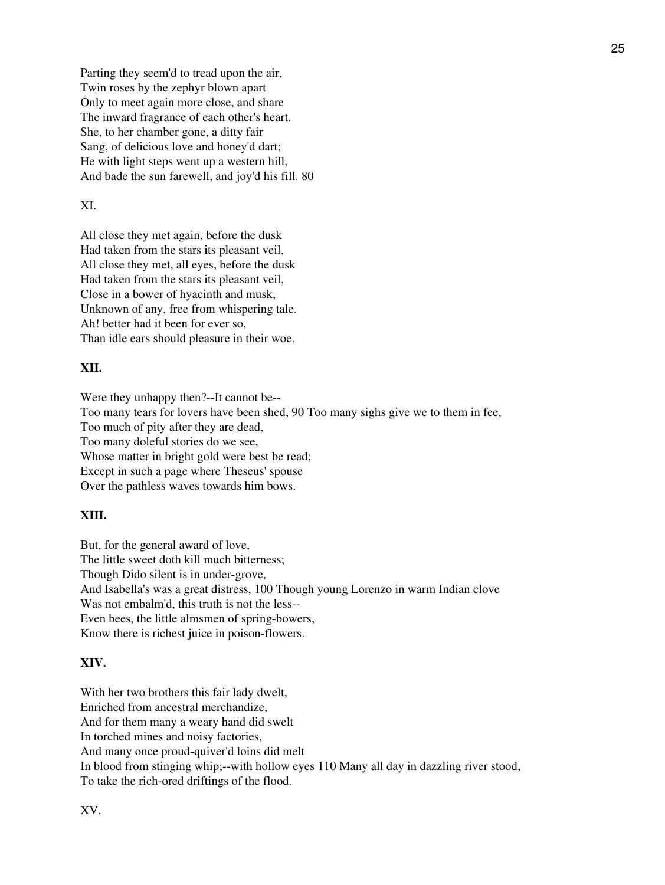Parting they seem'd to tread upon the air, Twin roses by the zephyr blown apart Only to meet again more close, and share The inward fragrance of each other's heart. She, to her chamber gone, a ditty fair Sang, of delicious love and honey'd dart; He with light steps went up a western hill, And bade the sun farewell, and joy'd his fill. 80

### XI.

All close they met again, before the dusk Had taken from the stars its pleasant veil, All close they met, all eyes, before the dusk Had taken from the stars its pleasant veil, Close in a bower of hyacinth and musk, Unknown of any, free from whispering tale. Ah! better had it been for ever so, Than idle ears should pleasure in their woe.

# **XII.**

Were they unhappy then?--It cannot be-- Too many tears for lovers have been shed, 90 Too many sighs give we to them in fee, Too much of pity after they are dead, Too many doleful stories do we see, Whose matter in bright gold were best be read; Except in such a page where Theseus' spouse Over the pathless waves towards him bows.

## **XIII.**

But, for the general award of love, The little sweet doth kill much bitterness; Though Dido silent is in under-grove, And Isabella's was a great distress, 100 Though young Lorenzo in warm Indian clove Was not embalm'd, this truth is not the less-- Even bees, the little almsmen of spring-bowers, Know there is richest juice in poison-flowers.

## **XIV.**

With her two brothers this fair lady dwelt, Enriched from ancestral merchandize, And for them many a weary hand did swelt In torched mines and noisy factories, And many once proud-quiver'd loins did melt In blood from stinging whip;--with hollow eyes 110 Many all day in dazzling river stood, To take the rich-ored driftings of the flood.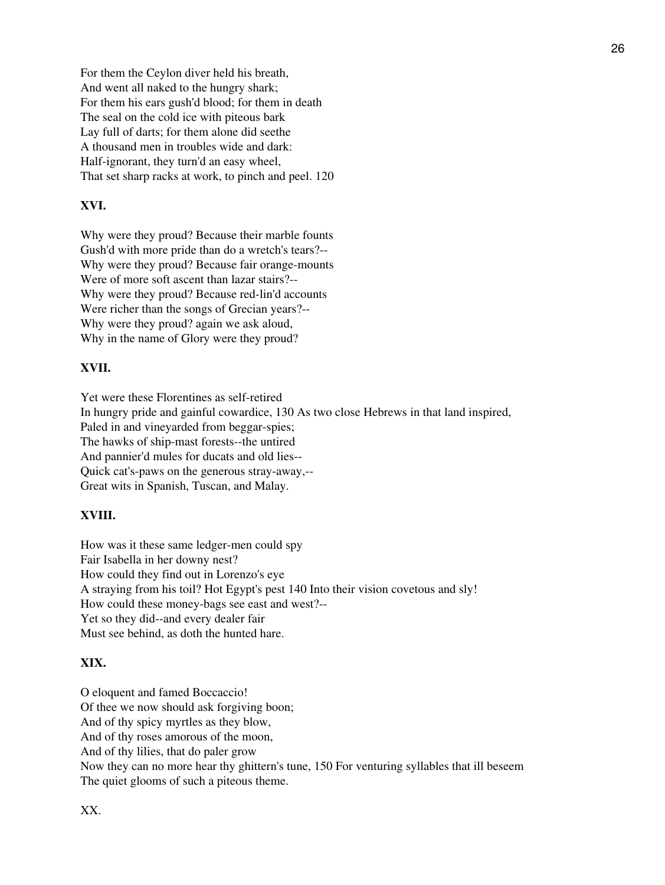For them the Ceylon diver held his breath, And went all naked to the hungry shark; For them his ears gush'd blood; for them in death The seal on the cold ice with piteous bark Lay full of darts; for them alone did seethe A thousand men in troubles wide and dark: Half-ignorant, they turn'd an easy wheel, That set sharp racks at work, to pinch and peel. 120

# **XVI.**

Why were they proud? Because their marble founts Gush'd with more pride than do a wretch's tears?-- Why were they proud? Because fair orange-mounts Were of more soft ascent than lazar stairs?-- Why were they proud? Because red-lin'd accounts Were richer than the songs of Grecian years?-- Why were they proud? again we ask aloud, Why in the name of Glory were they proud?

### **XVII.**

Yet were these Florentines as self-retired In hungry pride and gainful cowardice, 130 As two close Hebrews in that land inspired, Paled in and vineyarded from beggar-spies; The hawks of ship-mast forests--the untired And pannier'd mules for ducats and old lies-- Quick cat's-paws on the generous stray-away,-- Great wits in Spanish, Tuscan, and Malay.

#### **XVIII.**

How was it these same ledger-men could spy Fair Isabella in her downy nest? How could they find out in Lorenzo's eye A straying from his toil? Hot Egypt's pest 140 Into their vision covetous and sly! How could these money-bags see east and west?-- Yet so they did--and every dealer fair Must see behind, as doth the hunted hare.

### **XIX.**

O eloquent and famed Boccaccio! Of thee we now should ask forgiving boon; And of thy spicy myrtles as they blow, And of thy roses amorous of the moon, And of thy lilies, that do paler grow Now they can no more hear thy ghittern's tune, 150 For venturing syllables that ill beseem The quiet glooms of such a piteous theme.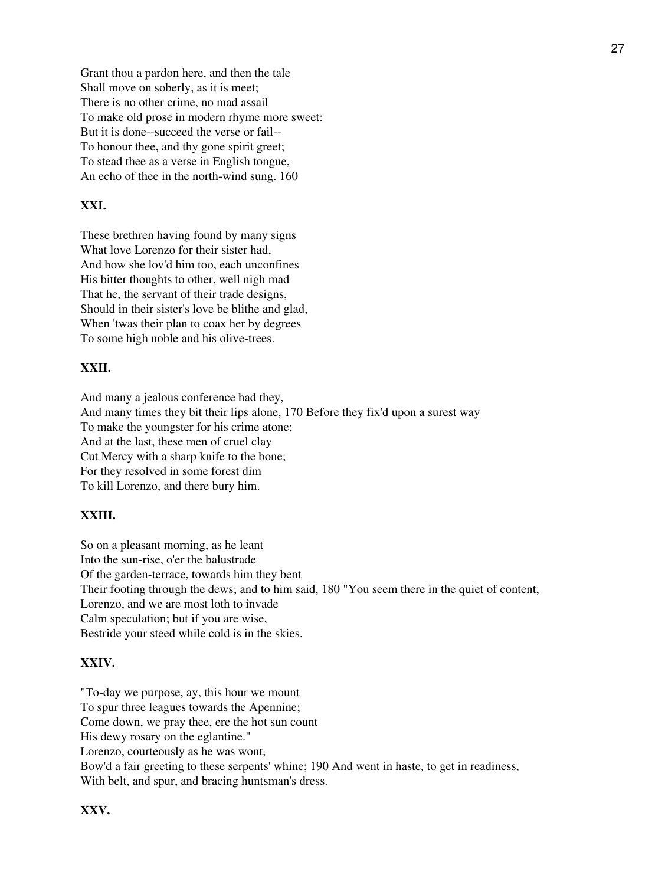Grant thou a pardon here, and then the tale Shall move on soberly, as it is meet; There is no other crime, no mad assail To make old prose in modern rhyme more sweet: But it is done--succeed the verse or fail-- To honour thee, and thy gone spirit greet; To stead thee as a verse in English tongue, An echo of thee in the north-wind sung. 160

## **XXI.**

These brethren having found by many signs What love Lorenzo for their sister had, And how she lov'd him too, each unconfines His bitter thoughts to other, well nigh mad That he, the servant of their trade designs, Should in their sister's love be blithe and glad, When 'twas their plan to coax her by degrees To some high noble and his olive-trees.

# **XXII.**

And many a jealous conference had they, And many times they bit their lips alone, 170 Before they fix'd upon a surest way To make the youngster for his crime atone; And at the last, these men of cruel clay Cut Mercy with a sharp knife to the bone; For they resolved in some forest dim To kill Lorenzo, and there bury him.

### **XXIII.**

So on a pleasant morning, as he leant Into the sun-rise, o'er the balustrade Of the garden-terrace, towards him they bent Their footing through the dews; and to him said, 180 "You seem there in the quiet of content, Lorenzo, and we are most loth to invade Calm speculation; but if you are wise, Bestride your steed while cold is in the skies.

### **XXIV.**

"To-day we purpose, ay, this hour we mount To spur three leagues towards the Apennine; Come down, we pray thee, ere the hot sun count His dewy rosary on the eglantine." Lorenzo, courteously as he was wont, Bow'd a fair greeting to these serpents' whine; 190 And went in haste, to get in readiness, With belt, and spur, and bracing huntsman's dress.

## **XXV.**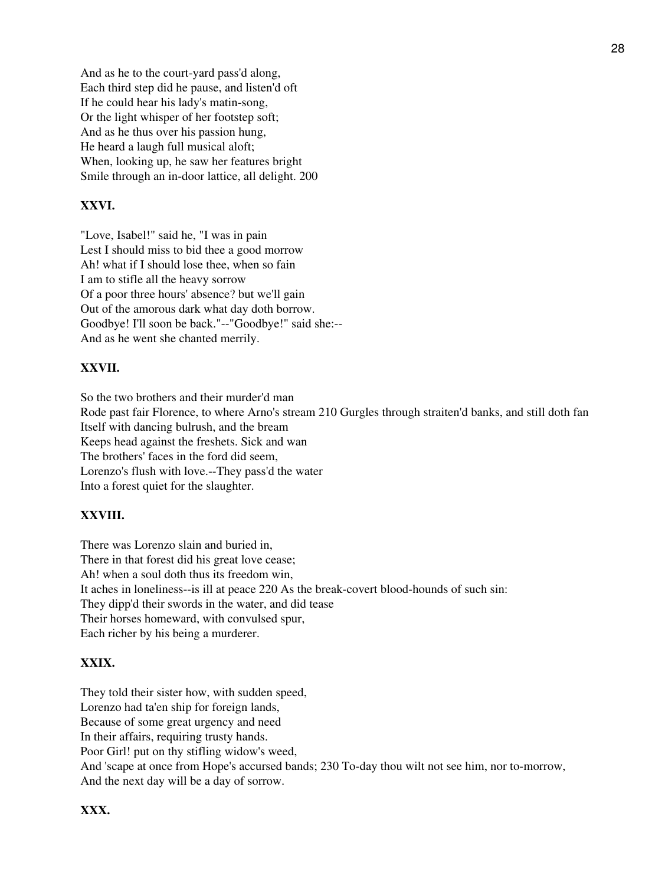And as he to the court-yard pass'd along, Each third step did he pause, and listen'd oft If he could hear his lady's matin-song, Or the light whisper of her footstep soft; And as he thus over his passion hung, He heard a laugh full musical aloft; When, looking up, he saw her features bright Smile through an in-door lattice, all delight. 200

# **XXVI.**

"Love, Isabel!" said he, "I was in pain Lest I should miss to bid thee a good morrow Ah! what if I should lose thee, when so fain I am to stifle all the heavy sorrow Of a poor three hours' absence? but we'll gain Out of the amorous dark what day doth borrow. Goodbye! I'll soon be back."--"Goodbye!" said she:-- And as he went she chanted merrily.

# **XXVII.**

So the two brothers and their murder'd man Rode past fair Florence, to where Arno's stream 210 Gurgles through straiten'd banks, and still doth fan Itself with dancing bulrush, and the bream Keeps head against the freshets. Sick and wan The brothers' faces in the ford did seem, Lorenzo's flush with love.--They pass'd the water Into a forest quiet for the slaughter.

### **XXVIII.**

There was Lorenzo slain and buried in, There in that forest did his great love cease; Ah! when a soul doth thus its freedom win, It aches in loneliness--is ill at peace 220 As the break-covert blood-hounds of such sin: They dipp'd their swords in the water, and did tease Their horses homeward, with convulsed spur, Each richer by his being a murderer.

### **XXIX.**

They told their sister how, with sudden speed, Lorenzo had ta'en ship for foreign lands, Because of some great urgency and need In their affairs, requiring trusty hands. Poor Girl! put on thy stifling widow's weed, And 'scape at once from Hope's accursed bands; 230 To-day thou wilt not see him, nor to-morrow, And the next day will be a day of sorrow.

# **XXX.**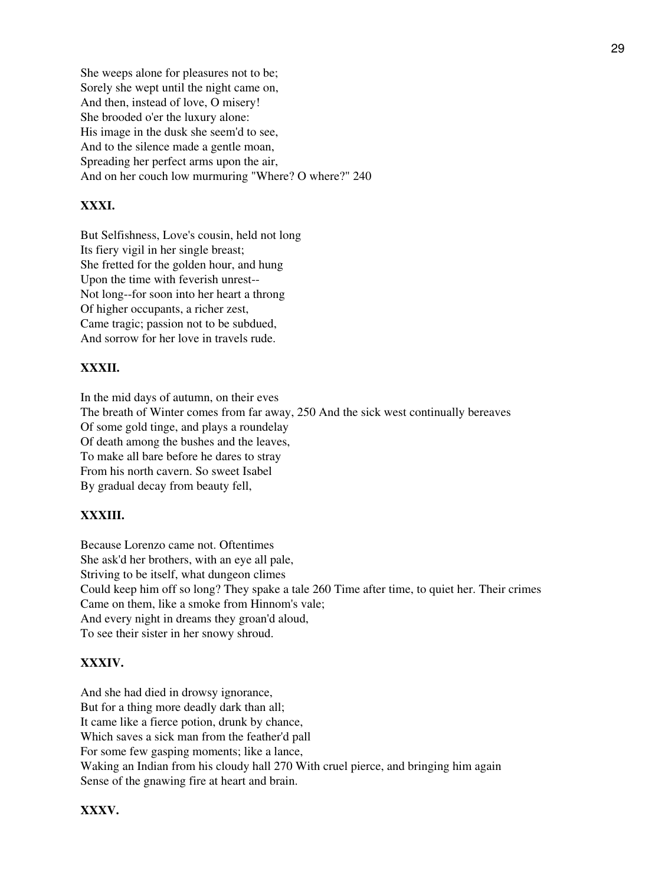She weeps alone for pleasures not to be; Sorely she wept until the night came on, And then, instead of love, O misery! She brooded o'er the luxury alone: His image in the dusk she seem'd to see, And to the silence made a gentle moan, Spreading her perfect arms upon the air, And on her couch low murmuring "Where? O where?" 240

# **XXXI.**

But Selfishness, Love's cousin, held not long Its fiery vigil in her single breast; She fretted for the golden hour, and hung Upon the time with feverish unrest-- Not long--for soon into her heart a throng Of higher occupants, a richer zest, Came tragic; passion not to be subdued, And sorrow for her love in travels rude.

# **XXXII.**

In the mid days of autumn, on their eves The breath of Winter comes from far away, 250 And the sick west continually bereaves Of some gold tinge, and plays a roundelay Of death among the bushes and the leaves, To make all bare before he dares to stray From his north cavern. So sweet Isabel By gradual decay from beauty fell,

## **XXXIII.**

Because Lorenzo came not. Oftentimes She ask'd her brothers, with an eye all pale, Striving to be itself, what dungeon climes Could keep him off so long? They spake a tale 260 Time after time, to quiet her. Their crimes Came on them, like a smoke from Hinnom's vale; And every night in dreams they groan'd aloud, To see their sister in her snowy shroud.

## **XXXIV.**

And she had died in drowsy ignorance, But for a thing more deadly dark than all; It came like a fierce potion, drunk by chance, Which saves a sick man from the feather'd pall For some few gasping moments; like a lance, Waking an Indian from his cloudy hall 270 With cruel pierce, and bringing him again Sense of the gnawing fire at heart and brain.

## **XXXV.**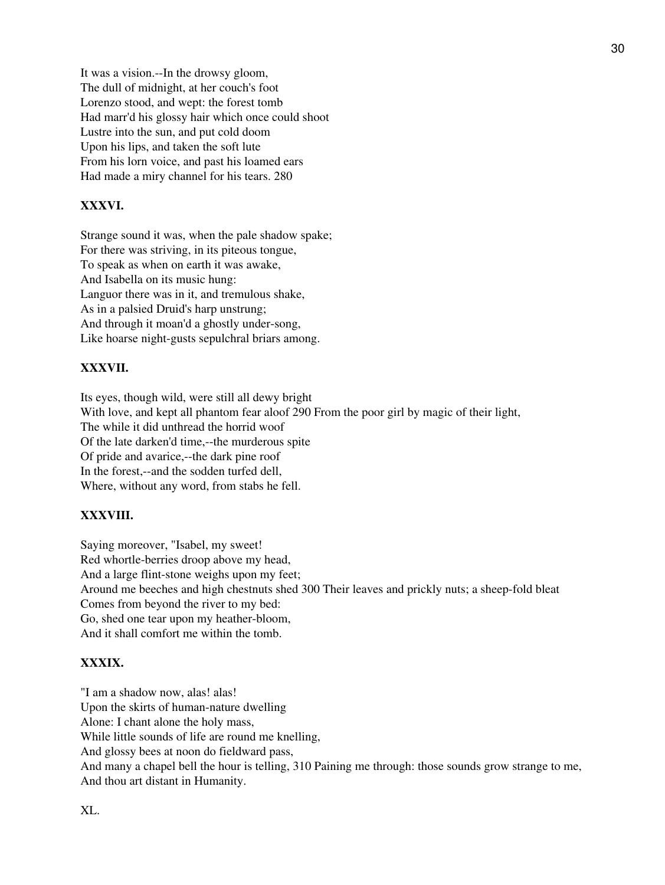It was a vision.--In the drowsy gloom, The dull of midnight, at her couch's foot Lorenzo stood, and wept: the forest tomb Had marr'd his glossy hair which once could shoot Lustre into the sun, and put cold doom Upon his lips, and taken the soft lute From his lorn voice, and past his loamed ears Had made a miry channel for his tears. 280

# **XXXVI.**

Strange sound it was, when the pale shadow spake; For there was striving, in its piteous tongue, To speak as when on earth it was awake, And Isabella on its music hung: Languor there was in it, and tremulous shake, As in a palsied Druid's harp unstrung; And through it moan'd a ghostly under-song, Like hoarse night-gusts sepulchral briars among.

# **XXXVII.**

Its eyes, though wild, were still all dewy bright With love, and kept all phantom fear aloof 290 From the poor girl by magic of their light, The while it did unthread the horrid woof Of the late darken'd time,--the murderous spite Of pride and avarice,--the dark pine roof In the forest,--and the sodden turfed dell, Where, without any word, from stabs he fell.

# **XXXVIII.**

Saying moreover, "Isabel, my sweet! Red whortle-berries droop above my head, And a large flint-stone weighs upon my feet; Around me beeches and high chestnuts shed 300 Their leaves and prickly nuts; a sheep-fold bleat Comes from beyond the river to my bed: Go, shed one tear upon my heather-bloom, And it shall comfort me within the tomb.

# **XXXIX.**

"I am a shadow now, alas! alas! Upon the skirts of human-nature dwelling Alone: I chant alone the holy mass, While little sounds of life are round me knelling, And glossy bees at noon do fieldward pass, And many a chapel bell the hour is telling, 310 Paining me through: those sounds grow strange to me, And thou art distant in Humanity.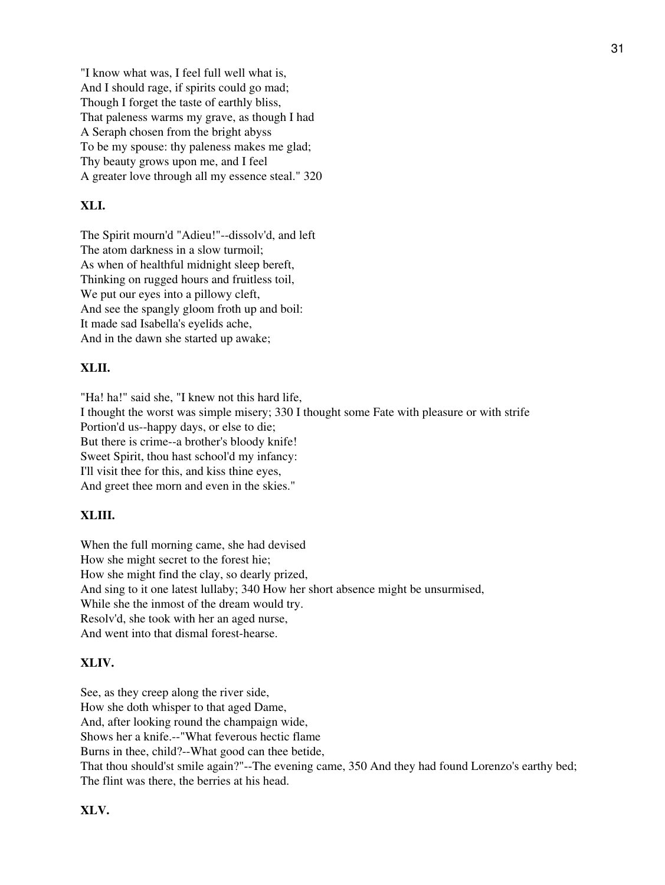"I know what was, I feel full well what is, And I should rage, if spirits could go mad; Though I forget the taste of earthly bliss, That paleness warms my grave, as though I had A Seraph chosen from the bright abyss To be my spouse: thy paleness makes me glad; Thy beauty grows upon me, and I feel A greater love through all my essence steal." 320

## **XLI.**

The Spirit mourn'd "Adieu!"--dissolv'd, and left The atom darkness in a slow turmoil; As when of healthful midnight sleep bereft, Thinking on rugged hours and fruitless toil, We put our eyes into a pillowy cleft, And see the spangly gloom froth up and boil: It made sad Isabella's eyelids ache, And in the dawn she started up awake;

## **XLII.**

"Ha! ha!" said she, "I knew not this hard life, I thought the worst was simple misery; 330 I thought some Fate with pleasure or with strife Portion'd us--happy days, or else to die; But there is crime--a brother's bloody knife! Sweet Spirit, thou hast school'd my infancy: I'll visit thee for this, and kiss thine eyes, And greet thee morn and even in the skies."

## **XLIII.**

When the full morning came, she had devised How she might secret to the forest hie; How she might find the clay, so dearly prized, And sing to it one latest lullaby; 340 How her short absence might be unsurmised, While she the inmost of the dream would try. Resolv'd, she took with her an aged nurse, And went into that dismal forest-hearse.

## **XLIV.**

See, as they creep along the river side, How she doth whisper to that aged Dame, And, after looking round the champaign wide, Shows her a knife.--"What feverous hectic flame Burns in thee, child?--What good can thee betide, That thou should'st smile again?"--The evening came, 350 And they had found Lorenzo's earthy bed; The flint was there, the berries at his head.

### **XLV.**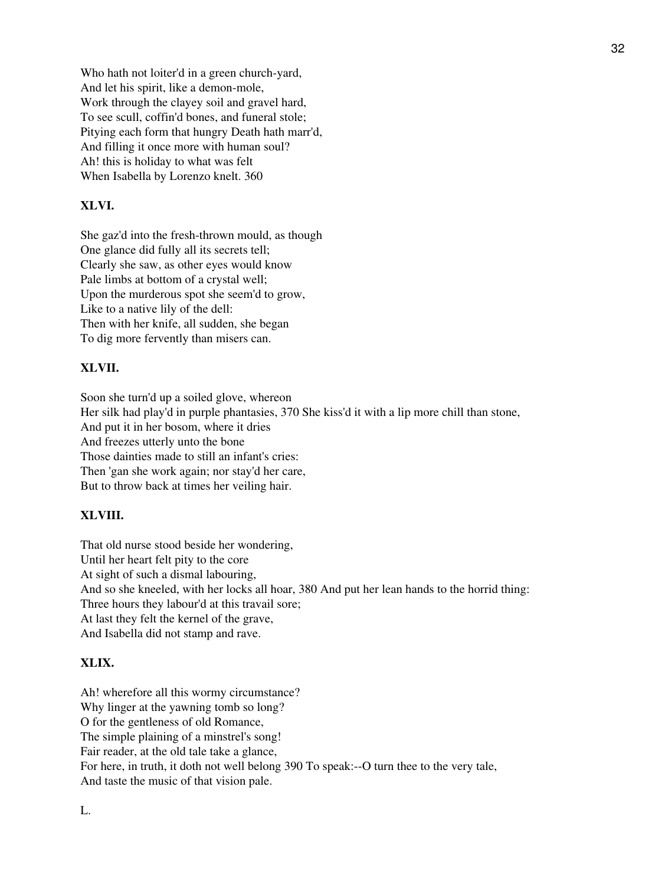Who hath not loiter'd in a green church-yard, And let his spirit, like a demon-mole, Work through the clayey soil and gravel hard, To see scull, coffin'd bones, and funeral stole; Pitying each form that hungry Death hath marr'd, And filling it once more with human soul? Ah! this is holiday to what was felt When Isabella by Lorenzo knelt. 360

# **XLVI.**

She gaz'd into the fresh-thrown mould, as though One glance did fully all its secrets tell; Clearly she saw, as other eyes would know Pale limbs at bottom of a crystal well; Upon the murderous spot she seem'd to grow, Like to a native lily of the dell: Then with her knife, all sudden, she began To dig more fervently than misers can.

### **XLVII.**

Soon she turn'd up a soiled glove, whereon Her silk had play'd in purple phantasies, 370 She kiss'd it with a lip more chill than stone, And put it in her bosom, where it dries And freezes utterly unto the bone Those dainties made to still an infant's cries: Then 'gan she work again; nor stay'd her care, But to throw back at times her veiling hair.

### **XLVIII.**

That old nurse stood beside her wondering, Until her heart felt pity to the core At sight of such a dismal labouring, And so she kneeled, with her locks all hoar, 380 And put her lean hands to the horrid thing: Three hours they labour'd at this travail sore; At last they felt the kernel of the grave, And Isabella did not stamp and rave.

### **XLIX.**

Ah! wherefore all this wormy circumstance? Why linger at the yawning tomb so long? O for the gentleness of old Romance, The simple plaining of a minstrel's song! Fair reader, at the old tale take a glance, For here, in truth, it doth not well belong 390 To speak:--O turn thee to the very tale, And taste the music of that vision pale.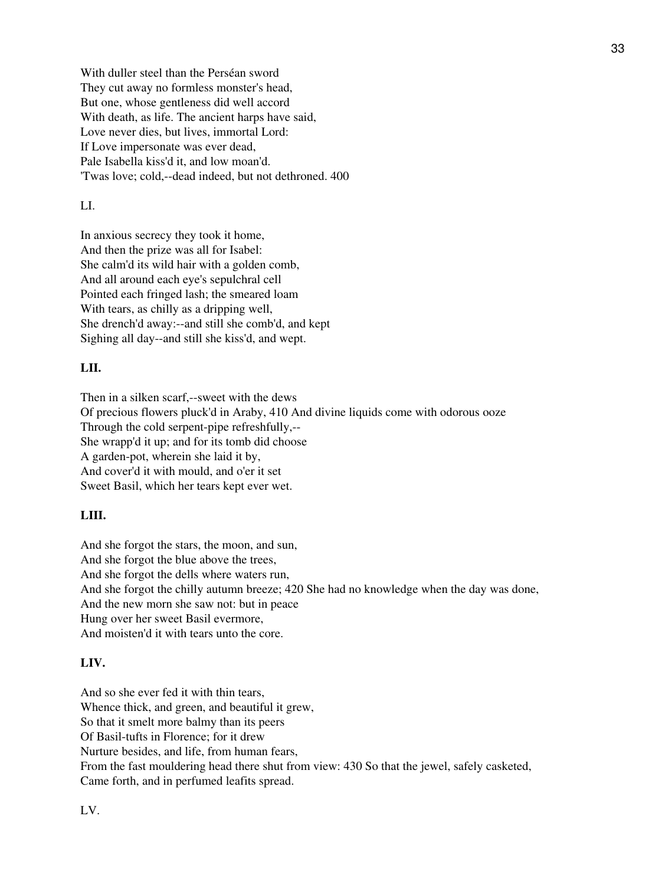With duller steel than the Perséan sword They cut away no formless monster's head, But one, whose gentleness did well accord With death, as life. The ancient harps have said, Love never dies, but lives, immortal Lord: If Love impersonate was ever dead, Pale Isabella kiss'd it, and low moan'd. 'Twas love; cold,--dead indeed, but not dethroned. 400

## LI.

In anxious secrecy they took it home, And then the prize was all for Isabel: She calm'd its wild hair with a golden comb, And all around each eye's sepulchral cell Pointed each fringed lash; the smeared loam With tears, as chilly as a dripping well, She drench'd away:--and still she comb'd, and kept Sighing all day--and still she kiss'd, and wept.

## **LII.**

Then in a silken scarf,--sweet with the dews Of precious flowers pluck'd in Araby, 410 And divine liquids come with odorous ooze Through the cold serpent-pipe refreshfully,-- She wrapp'd it up; and for its tomb did choose A garden-pot, wherein she laid it by, And cover'd it with mould, and o'er it set Sweet Basil, which her tears kept ever wet.

#### **LIII.**

And she forgot the stars, the moon, and sun, And she forgot the blue above the trees, And she forgot the dells where waters run, And she forgot the chilly autumn breeze; 420 She had no knowledge when the day was done, And the new morn she saw not: but in peace Hung over her sweet Basil evermore, And moisten'd it with tears unto the core.

## **LIV.**

And so she ever fed it with thin tears, Whence thick, and green, and beautiful it grew, So that it smelt more balmy than its peers Of Basil-tufts in Florence; for it drew Nurture besides, and life, from human fears, From the fast mouldering head there shut from view: 430 So that the jewel, safely casketed, Came forth, and in perfumed leafits spread.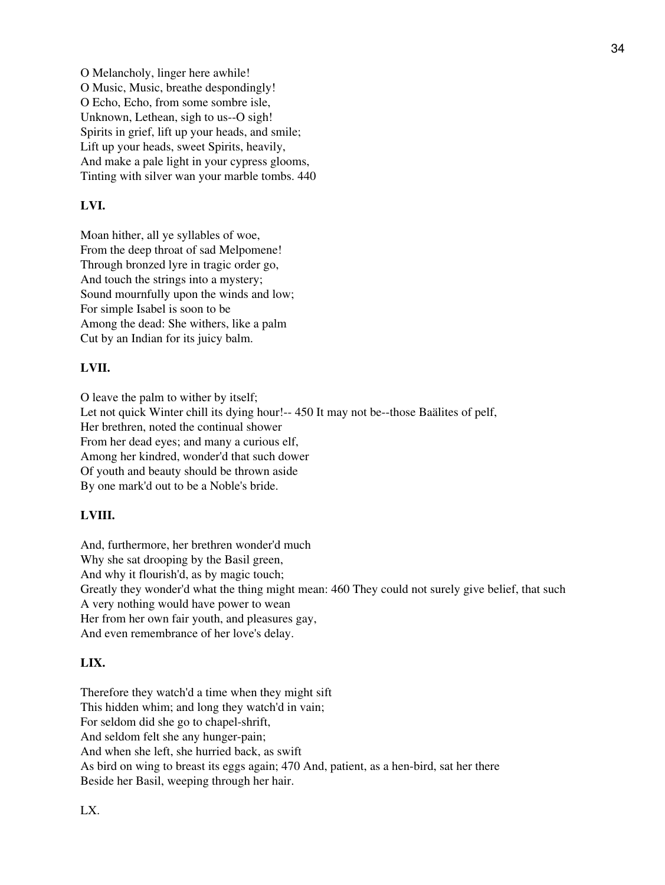O Melancholy, linger here awhile! O Music, Music, breathe despondingly! O Echo, Echo, from some sombre isle, Unknown, Lethean, sigh to us--O sigh! Spirits in grief, lift up your heads, and smile; Lift up your heads, sweet Spirits, heavily, And make a pale light in your cypress glooms, Tinting with silver wan your marble tombs. 440

## **LVI.**

Moan hither, all ye syllables of woe, From the deep throat of sad Melpomene! Through bronzed lyre in tragic order go, And touch the strings into a mystery; Sound mournfully upon the winds and low; For simple Isabel is soon to be Among the dead: She withers, like a palm Cut by an Indian for its juicy balm.

## **LVII.**

O leave the palm to wither by itself; Let not quick Winter chill its dying hour!-- 450 It may not be--those Baälites of pelf, Her brethren, noted the continual shower From her dead eyes; and many a curious elf, Among her kindred, wonder'd that such dower Of youth and beauty should be thrown aside By one mark'd out to be a Noble's bride.

## **LVIII.**

And, furthermore, her brethren wonder'd much Why she sat drooping by the Basil green, And why it flourish'd, as by magic touch; Greatly they wonder'd what the thing might mean: 460 They could not surely give belief, that such A very nothing would have power to wean Her from her own fair youth, and pleasures gay,

And even remembrance of her love's delay.

## **LIX.**

Therefore they watch'd a time when they might sift This hidden whim; and long they watch'd in vain; For seldom did she go to chapel-shrift, And seldom felt she any hunger-pain; And when she left, she hurried back, as swift As bird on wing to breast its eggs again; 470 And, patient, as a hen-bird, sat her there Beside her Basil, weeping through her hair.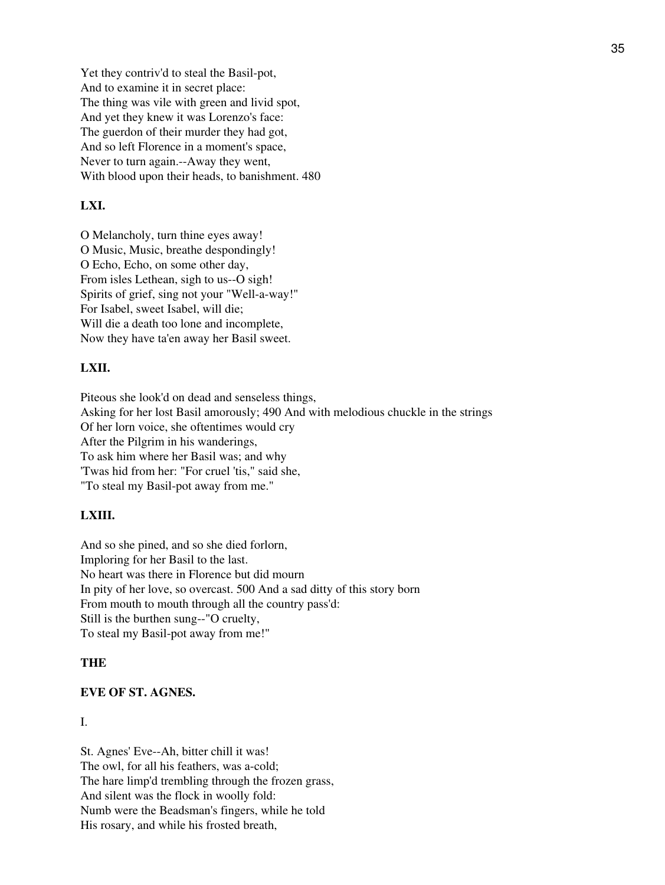Yet they contriv'd to steal the Basil-pot, And to examine it in secret place: The thing was vile with green and livid spot, And yet they knew it was Lorenzo's face: The guerdon of their murder they had got, And so left Florence in a moment's space, Never to turn again.--Away they went, With blood upon their heads, to banishment. 480

## **LXI.**

O Melancholy, turn thine eyes away! O Music, Music, breathe despondingly! O Echo, Echo, on some other day, From isles Lethean, sigh to us--O sigh! Spirits of grief, sing not your "Well-a-way!" For Isabel, sweet Isabel, will die; Will die a death too lone and incomplete, Now they have ta'en away her Basil sweet.

### **LXII.**

Piteous she look'd on dead and senseless things, Asking for her lost Basil amorously; 490 And with melodious chuckle in the strings Of her lorn voice, she oftentimes would cry After the Pilgrim in his wanderings, To ask him where her Basil was; and why 'Twas hid from her: "For cruel 'tis," said she, "To steal my Basil-pot away from me."

### **LXIII.**

And so she pined, and so she died forlorn, Imploring for her Basil to the last. No heart was there in Florence but did mourn In pity of her love, so overcast. 500 And a sad ditty of this story born From mouth to mouth through all the country pass'd: Still is the burthen sung--"O cruelty, To steal my Basil-pot away from me!"

#### **THE**

#### **EVE OF ST. AGNES.**

## I.

St. Agnes' Eve--Ah, bitter chill it was! The owl, for all his feathers, was a-cold; The hare limp'd trembling through the frozen grass, And silent was the flock in woolly fold: Numb were the Beadsman's fingers, while he told His rosary, and while his frosted breath,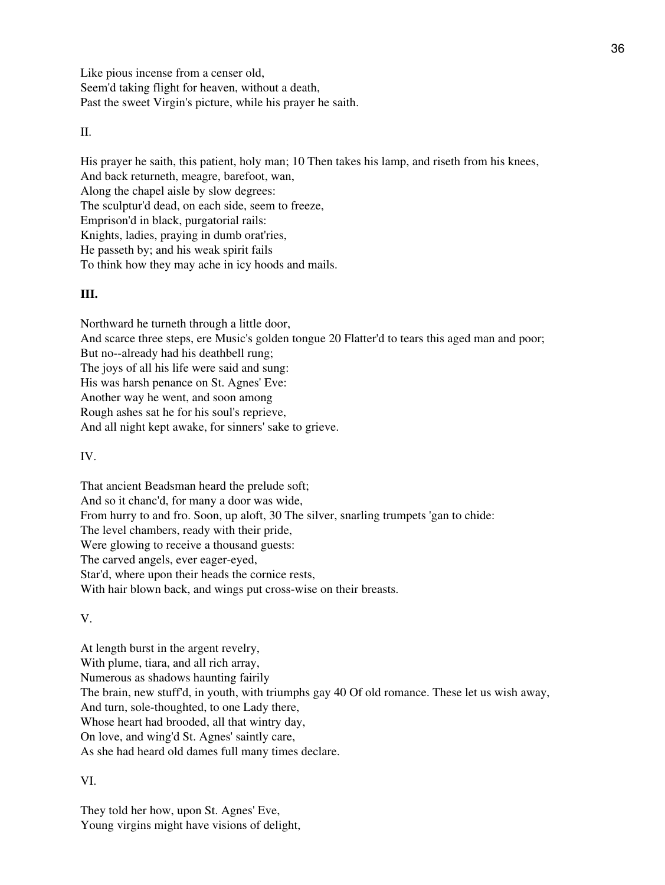Like pious incense from a censer old, Seem'd taking flight for heaven, without a death, Past the sweet Virgin's picture, while his prayer he saith.

 $II$ .

His prayer he saith, this patient, holy man; 10 Then takes his lamp, and riseth from his knees, And back returneth, meagre, barefoot, wan, Along the chapel aisle by slow degrees: The sculptur'd dead, on each side, seem to freeze, Emprison'd in black, purgatorial rails: Knights, ladies, praying in dumb orat'ries, He passeth by; and his weak spirit fails To think how they may ache in icy hoods and mails.

# **III.**

Northward he turneth through a little door, And scarce three steps, ere Music's golden tongue 20 Flatter'd to tears this aged man and poor; But no--already had his deathbell rung; The joys of all his life were said and sung: His was harsh penance on St. Agnes' Eve: Another way he went, and soon among Rough ashes sat he for his soul's reprieve, And all night kept awake, for sinners' sake to grieve.

IV.

That ancient Beadsman heard the prelude soft; And so it chanc'd, for many a door was wide, From hurry to and fro. Soon, up aloft, 30 The silver, snarling trumpets 'gan to chide: The level chambers, ready with their pride, Were glowing to receive a thousand guests: The carved angels, ever eager-eyed, Star'd, where upon their heads the cornice rests, With hair blown back, and wings put cross-wise on their breasts.

V.

At length burst in the argent revelry, With plume, tiara, and all rich array, Numerous as shadows haunting fairily The brain, new stuff'd, in youth, with triumphs gay 40 Of old romance. These let us wish away, And turn, sole-thoughted, to one Lady there, Whose heart had brooded, all that wintry day, On love, and wing'd St. Agnes' saintly care, As she had heard old dames full many times declare.

VI.

They told her how, upon St. Agnes' Eve, Young virgins might have visions of delight,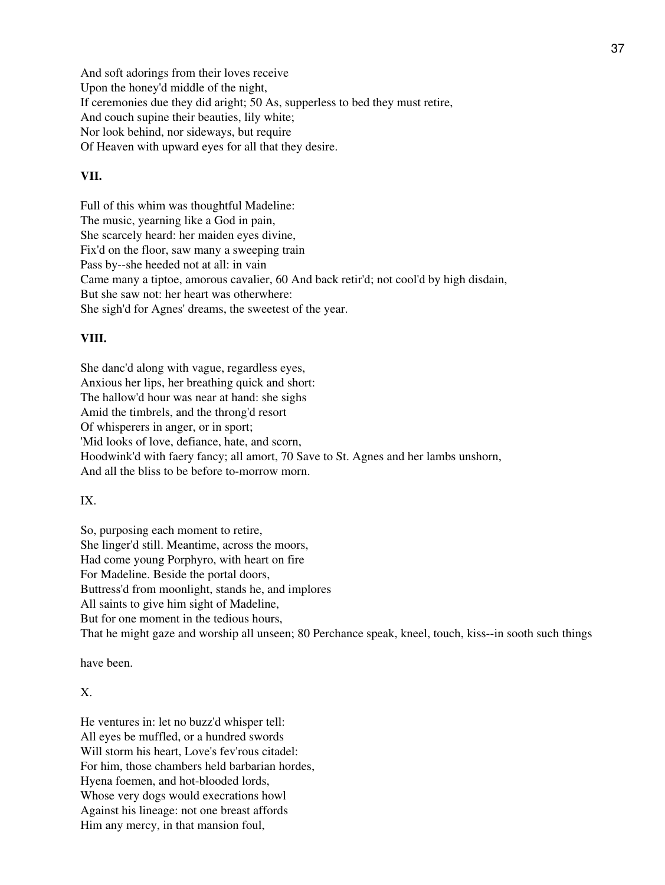And soft adorings from their loves receive Upon the honey'd middle of the night, If ceremonies due they did aright; 50 As, supperless to bed they must retire, And couch supine their beauties, lily white; Nor look behind, nor sideways, but require Of Heaven with upward eyes for all that they desire.

### **VII.**

Full of this whim was thoughtful Madeline: The music, yearning like a God in pain, She scarcely heard: her maiden eyes divine, Fix'd on the floor, saw many a sweeping train Pass by--she heeded not at all: in vain Came many a tiptoe, amorous cavalier, 60 And back retir'd; not cool'd by high disdain, But she saw not: her heart was otherwhere: She sigh'd for Agnes' dreams, the sweetest of the year.

## **VIII.**

She danc'd along with vague, regardless eyes, Anxious her lips, her breathing quick and short: The hallow'd hour was near at hand: she sighs Amid the timbrels, and the throng'd resort Of whisperers in anger, or in sport; 'Mid looks of love, defiance, hate, and scorn, Hoodwink'd with faery fancy; all amort, 70 Save to St. Agnes and her lambs unshorn, And all the bliss to be before to-morrow morn.

### IX.

So, purposing each moment to retire, She linger'd still. Meantime, across the moors, Had come young Porphyro, with heart on fire For Madeline. Beside the portal doors, Buttress'd from moonlight, stands he, and implores All saints to give him sight of Madeline, But for one moment in the tedious hours, That he might gaze and worship all unseen; 80 Perchance speak, kneel, touch, kiss--in sooth such things

have been.

#### X.

He ventures in: let no buzz'd whisper tell: All eyes be muffled, or a hundred swords Will storm his heart, Love's fev'rous citadel: For him, those chambers held barbarian hordes, Hyena foemen, and hot-blooded lords, Whose very dogs would execrations howl Against his lineage: not one breast affords Him any mercy, in that mansion foul,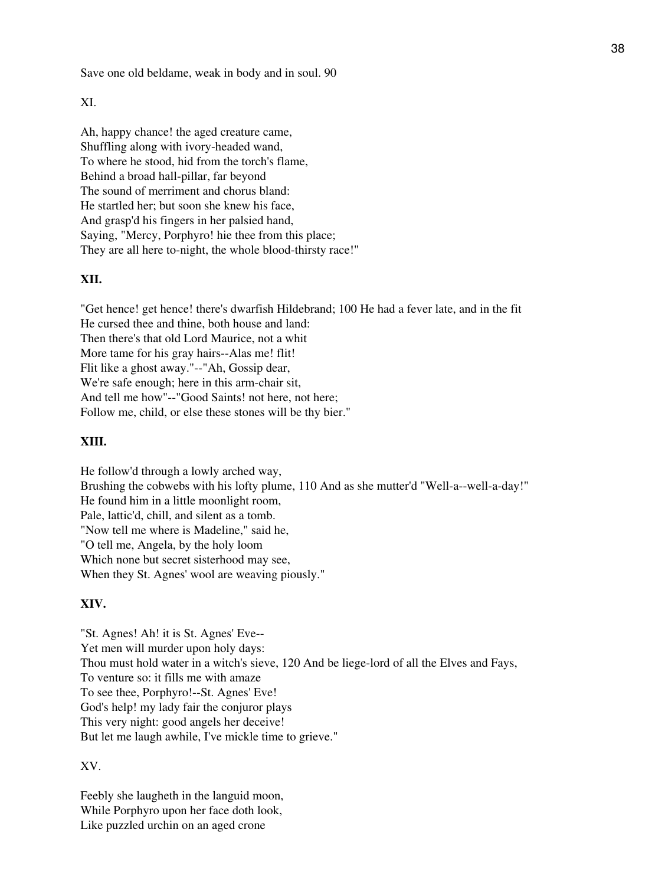Save one old beldame, weak in body and in soul. 90

## XI.

Ah, happy chance! the aged creature came, Shuffling along with ivory-headed wand, To where he stood, hid from the torch's flame, Behind a broad hall-pillar, far beyond The sound of merriment and chorus bland: He startled her; but soon she knew his face, And grasp'd his fingers in her palsied hand, Saying, "Mercy, Porphyro! hie thee from this place; They are all here to-night, the whole blood-thirsty race!"

## **XII.**

"Get hence! get hence! there's dwarfish Hildebrand; 100 He had a fever late, and in the fit He cursed thee and thine, both house and land: Then there's that old Lord Maurice, not a whit More tame for his gray hairs--Alas me! flit! Flit like a ghost away."--"Ah, Gossip dear, We're safe enough; here in this arm-chair sit, And tell me how"--"Good Saints! not here, not here; Follow me, child, or else these stones will be thy bier."

## **XIII.**

He follow'd through a lowly arched way, Brushing the cobwebs with his lofty plume, 110 And as she mutter'd "Well-a--well-a-day!" He found him in a little moonlight room, Pale, lattic'd, chill, and silent as a tomb. "Now tell me where is Madeline," said he, "O tell me, Angela, by the holy loom Which none but secret sisterhood may see, When they St. Agnes' wool are weaving piously."

### **XIV.**

"St. Agnes! Ah! it is St. Agnes' Eve-- Yet men will murder upon holy days: Thou must hold water in a witch's sieve, 120 And be liege-lord of all the Elves and Fays, To venture so: it fills me with amaze To see thee, Porphyro!--St. Agnes' Eve! God's help! my lady fair the conjuror plays This very night: good angels her deceive! But let me laugh awhile, I've mickle time to grieve."

### XV.

Feebly she laugheth in the languid moon, While Porphyro upon her face doth look, Like puzzled urchin on an aged crone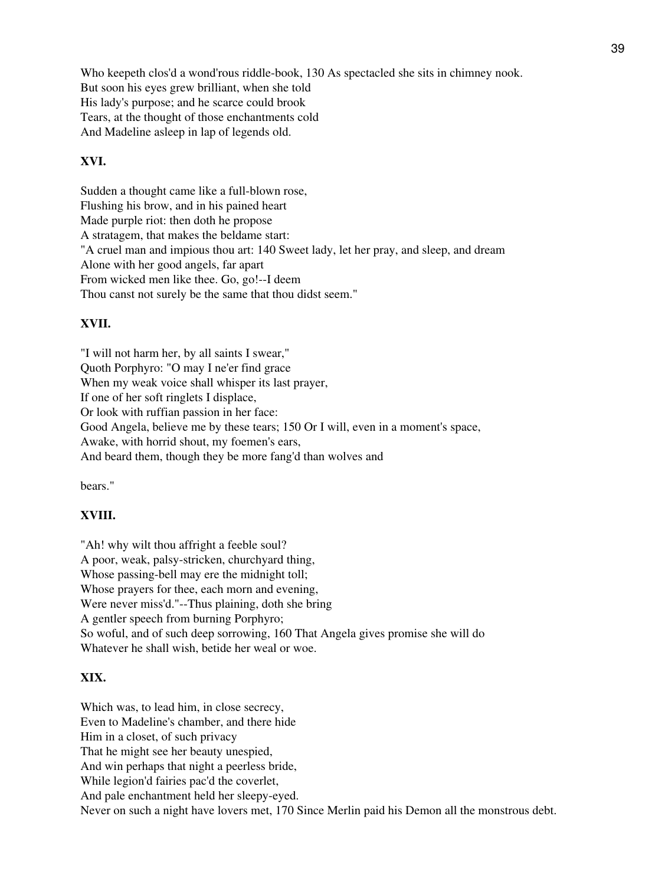Who keepeth clos'd a wond'rous riddle-book, 130 As spectacled she sits in chimney nook. But soon his eyes grew brilliant, when she told His lady's purpose; and he scarce could brook Tears, at the thought of those enchantments cold And Madeline asleep in lap of legends old.

### **XVI.**

Sudden a thought came like a full-blown rose, Flushing his brow, and in his pained heart Made purple riot: then doth he propose A stratagem, that makes the beldame start: "A cruel man and impious thou art: 140 Sweet lady, let her pray, and sleep, and dream Alone with her good angels, far apart From wicked men like thee. Go, go!--I deem Thou canst not surely be the same that thou didst seem."

#### **XVII.**

"I will not harm her, by all saints I swear," Quoth Porphyro: "O may I ne'er find grace When my weak voice shall whisper its last prayer, If one of her soft ringlets I displace, Or look with ruffian passion in her face: Good Angela, believe me by these tears; 150 Or I will, even in a moment's space, Awake, with horrid shout, my foemen's ears, And beard them, though they be more fang'd than wolves and

bears."

## **XVIII.**

"Ah! why wilt thou affright a feeble soul? A poor, weak, palsy-stricken, churchyard thing, Whose passing-bell may ere the midnight toll; Whose prayers for thee, each morn and evening, Were never miss'd."--Thus plaining, doth she bring A gentler speech from burning Porphyro; So woful, and of such deep sorrowing, 160 That Angela gives promise she will do Whatever he shall wish, betide her weal or woe.

### **XIX.**

Which was, to lead him, in close secrecy, Even to Madeline's chamber, and there hide Him in a closet, of such privacy That he might see her beauty unespied, And win perhaps that night a peerless bride, While legion'd fairies pac'd the coverlet, And pale enchantment held her sleepy-eyed. Never on such a night have lovers met, 170 Since Merlin paid his Demon all the monstrous debt.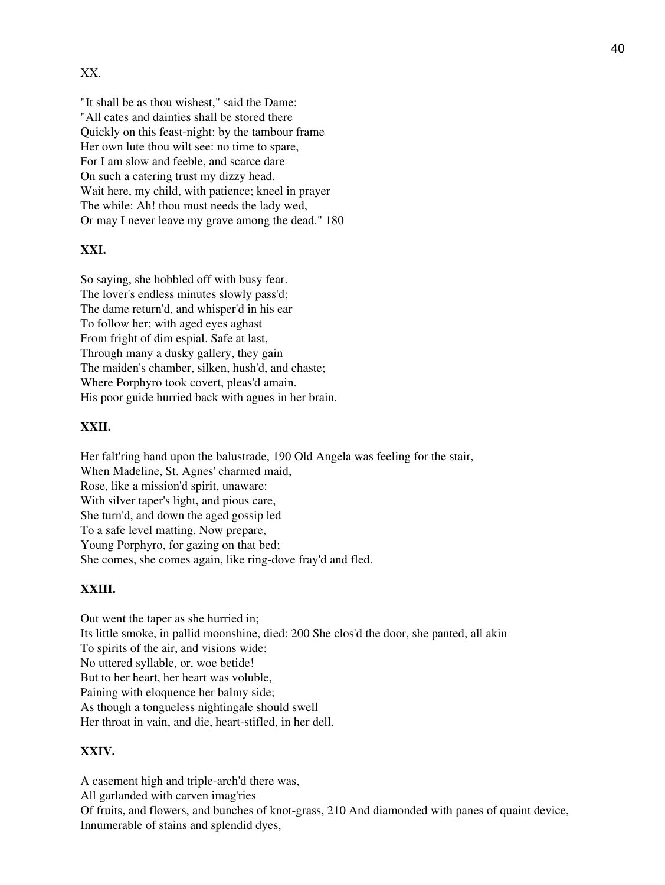## XX.

"It shall be as thou wishest," said the Dame: "All cates and dainties shall be stored there Quickly on this feast-night: by the tambour frame Her own lute thou wilt see: no time to spare, For I am slow and feeble, and scarce dare On such a catering trust my dizzy head. Wait here, my child, with patience; kneel in prayer The while: Ah! thou must needs the lady wed, Or may I never leave my grave among the dead." 180

### **XXI.**

So saying, she hobbled off with busy fear. The lover's endless minutes slowly pass'd; The dame return'd, and whisper'd in his ear To follow her; with aged eyes aghast From fright of dim espial. Safe at last, Through many a dusky gallery, they gain The maiden's chamber, silken, hush'd, and chaste; Where Porphyro took covert, pleas'd amain. His poor guide hurried back with agues in her brain.

### **XXII.**

Her falt'ring hand upon the balustrade, 190 Old Angela was feeling for the stair, When Madeline, St. Agnes' charmed maid, Rose, like a mission'd spirit, unaware: With silver taper's light, and pious care, She turn'd, and down the aged gossip led To a safe level matting. Now prepare, Young Porphyro, for gazing on that bed; She comes, she comes again, like ring-dove fray'd and fled.

## **XXIII.**

Out went the taper as she hurried in; Its little smoke, in pallid moonshine, died: 200 She clos'd the door, she panted, all akin To spirits of the air, and visions wide: No uttered syllable, or, woe betide! But to her heart, her heart was voluble, Paining with eloquence her balmy side; As though a tongueless nightingale should swell Her throat in vain, and die, heart-stifled, in her dell.

#### **XXIV.**

A casement high and triple-arch'd there was, All garlanded with carven imag'ries Of fruits, and flowers, and bunches of knot-grass, 210 And diamonded with panes of quaint device, Innumerable of stains and splendid dyes,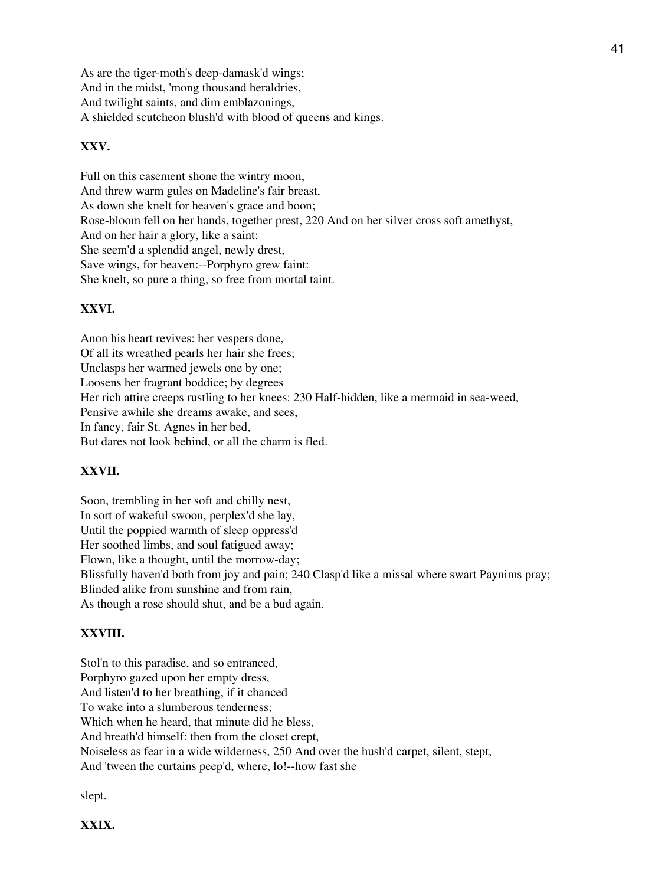As are the tiger-moth's deep-damask'd wings; And in the midst, 'mong thousand heraldries, And twilight saints, and dim emblazonings, A shielded scutcheon blush'd with blood of queens and kings.

## **XXV.**

Full on this casement shone the wintry moon, And threw warm gules on Madeline's fair breast, As down she knelt for heaven's grace and boon; Rose-bloom fell on her hands, together prest, 220 And on her silver cross soft amethyst, And on her hair a glory, like a saint: She seem'd a splendid angel, newly drest, Save wings, for heaven:--Porphyro grew faint: She knelt, so pure a thing, so free from mortal taint.

## **XXVI.**

Anon his heart revives: her vespers done, Of all its wreathed pearls her hair she frees; Unclasps her warmed jewels one by one; Loosens her fragrant boddice; by degrees Her rich attire creeps rustling to her knees: 230 Half-hidden, like a mermaid in sea-weed, Pensive awhile she dreams awake, and sees, In fancy, fair St. Agnes in her bed, But dares not look behind, or all the charm is fled.

## **XXVII.**

Soon, trembling in her soft and chilly nest, In sort of wakeful swoon, perplex'd she lay, Until the poppied warmth of sleep oppress'd Her soothed limbs, and soul fatigued away; Flown, like a thought, until the morrow-day; Blissfully haven'd both from joy and pain; 240 Clasp'd like a missal where swart Paynims pray; Blinded alike from sunshine and from rain, As though a rose should shut, and be a bud again.

### **XXVIII.**

Stol'n to this paradise, and so entranced, Porphyro gazed upon her empty dress, And listen'd to her breathing, if it chanced To wake into a slumberous tenderness; Which when he heard, that minute did he bless, And breath'd himself: then from the closet crept, Noiseless as fear in a wide wilderness, 250 And over the hush'd carpet, silent, stept, And 'tween the curtains peep'd, where, lo!--how fast she

slept.

**XXIX.**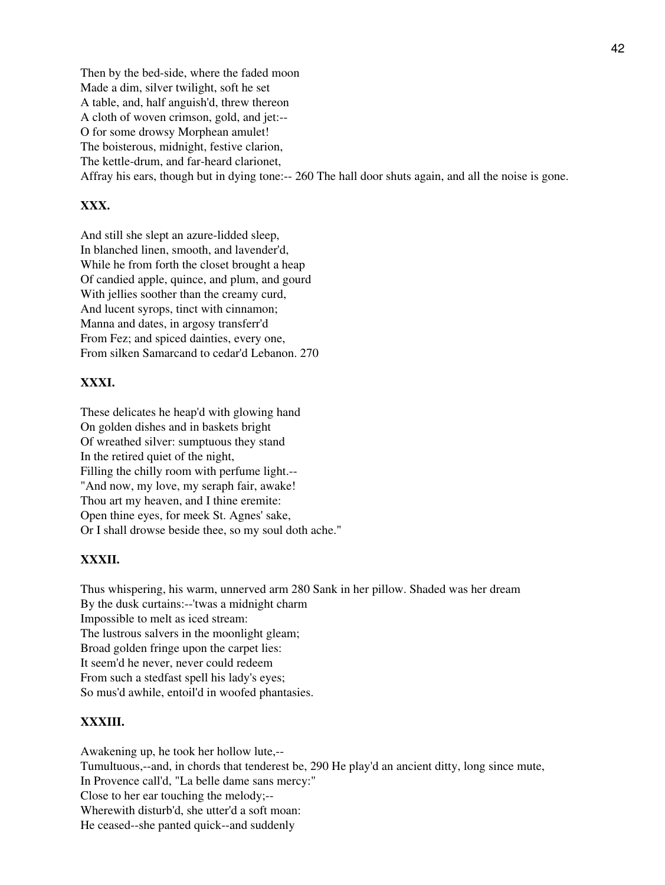Then by the bed-side, where the faded moon Made a dim, silver twilight, soft he set A table, and, half anguish'd, threw thereon A cloth of woven crimson, gold, and jet:-- O for some drowsy Morphean amulet! The boisterous, midnight, festive clarion, The kettle-drum, and far-heard clarionet, Affray his ears, though but in dying tone:-- 260 The hall door shuts again, and all the noise is gone.

## **XXX.**

And still she slept an azure-lidded sleep, In blanched linen, smooth, and lavender'd, While he from forth the closet brought a heap Of candied apple, quince, and plum, and gourd With jellies soother than the creamy curd, And lucent syrops, tinct with cinnamon; Manna and dates, in argosy transferr'd From Fez; and spiced dainties, every one, From silken Samarcand to cedar'd Lebanon. 270

## **XXXI.**

These delicates he heap'd with glowing hand On golden dishes and in baskets bright Of wreathed silver: sumptuous they stand In the retired quiet of the night, Filling the chilly room with perfume light.-- "And now, my love, my seraph fair, awake! Thou art my heaven, and I thine eremite: Open thine eyes, for meek St. Agnes' sake, Or I shall drowse beside thee, so my soul doth ache."

## **XXXII.**

Thus whispering, his warm, unnerved arm 280 Sank in her pillow. Shaded was her dream By the dusk curtains:--'twas a midnight charm Impossible to melt as iced stream: The lustrous salvers in the moonlight gleam; Broad golden fringe upon the carpet lies: It seem'd he never, never could redeem From such a stedfast spell his lady's eyes; So mus'd awhile, entoil'd in woofed phantasies.

## **XXXIII.**

Awakening up, he took her hollow lute,-- Tumultuous,--and, in chords that tenderest be, 290 He play'd an ancient ditty, long since mute, In Provence call'd, "La belle dame sans mercy:" Close to her ear touching the melody;-- Wherewith disturb'd, she utter'd a soft moan: He ceased--she panted quick--and suddenly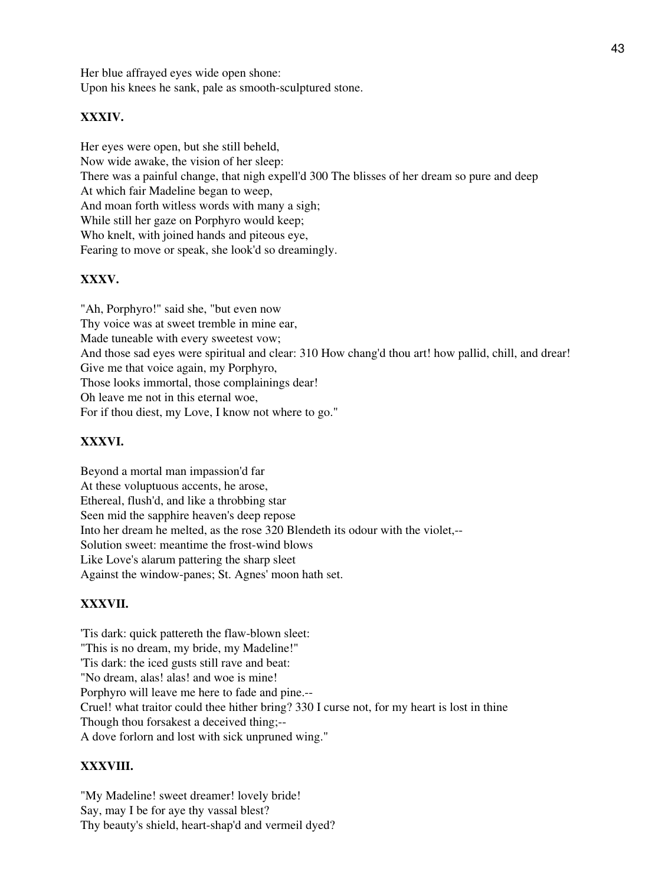Her blue affrayed eyes wide open shone: Upon his knees he sank, pale as smooth-sculptured stone.

## **XXXIV.**

Her eyes were open, but she still beheld, Now wide awake, the vision of her sleep: There was a painful change, that nigh expell'd 300 The blisses of her dream so pure and deep At which fair Madeline began to weep, And moan forth witless words with many a sigh; While still her gaze on Porphyro would keep; Who knelt, with joined hands and piteous eye, Fearing to move or speak, she look'd so dreamingly.

# **XXXV.**

"Ah, Porphyro!" said she, "but even now Thy voice was at sweet tremble in mine ear, Made tuneable with every sweetest vow; And those sad eyes were spiritual and clear: 310 How chang'd thou art! how pallid, chill, and drear! Give me that voice again, my Porphyro, Those looks immortal, those complainings dear! Oh leave me not in this eternal woe, For if thou diest, my Love, I know not where to go."

# **XXXVI.**

Beyond a mortal man impassion'd far At these voluptuous accents, he arose, Ethereal, flush'd, and like a throbbing star Seen mid the sapphire heaven's deep repose Into her dream he melted, as the rose 320 Blendeth its odour with the violet,-- Solution sweet: meantime the frost-wind blows Like Love's alarum pattering the sharp sleet Against the window-panes; St. Agnes' moon hath set.

## **XXXVII.**

'Tis dark: quick pattereth the flaw-blown sleet: "This is no dream, my bride, my Madeline!" 'Tis dark: the iced gusts still rave and beat: "No dream, alas! alas! and woe is mine! Porphyro will leave me here to fade and pine.-- Cruel! what traitor could thee hither bring? 330 I curse not, for my heart is lost in thine Though thou forsakest a deceived thing;-- A dove forlorn and lost with sick unpruned wing."

## **XXXVIII.**

"My Madeline! sweet dreamer! lovely bride! Say, may I be for aye thy vassal blest? Thy beauty's shield, heart-shap'd and vermeil dyed?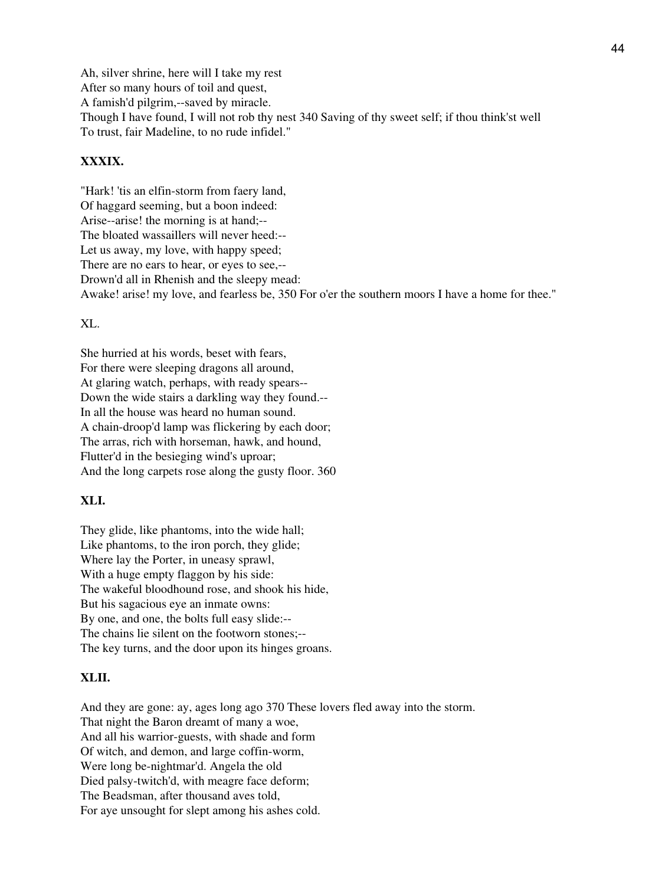Ah, silver shrine, here will I take my rest After so many hours of toil and quest, A famish'd pilgrim,--saved by miracle. Though I have found, I will not rob thy nest 340 Saving of thy sweet self; if thou think'st well To trust, fair Madeline, to no rude infidel."

## **XXXIX.**

"Hark! 'tis an elfin-storm from faery land, Of haggard seeming, but a boon indeed: Arise--arise! the morning is at hand;-- The bloated wassaillers will never heed:-- Let us away, my love, with happy speed; There are no ears to hear, or eyes to see,-- Drown'd all in Rhenish and the sleepy mead: Awake! arise! my love, and fearless be, 350 For o'er the southern moors I have a home for thee."

XL.

She hurried at his words, beset with fears, For there were sleeping dragons all around, At glaring watch, perhaps, with ready spears-- Down the wide stairs a darkling way they found.-- In all the house was heard no human sound. A chain-droop'd lamp was flickering by each door; The arras, rich with horseman, hawk, and hound, Flutter'd in the besieging wind's uproar; And the long carpets rose along the gusty floor. 360

### **XLI.**

They glide, like phantoms, into the wide hall; Like phantoms, to the iron porch, they glide; Where lay the Porter, in uneasy sprawl, With a huge empty flaggon by his side: The wakeful bloodhound rose, and shook his hide, But his sagacious eye an inmate owns: By one, and one, the bolts full easy slide:-- The chains lie silent on the footworn stones;-- The key turns, and the door upon its hinges groans.

#### **XLII.**

And they are gone: ay, ages long ago 370 These lovers fled away into the storm. That night the Baron dreamt of many a woe, And all his warrior-guests, with shade and form Of witch, and demon, and large coffin-worm, Were long be-nightmar'd. Angela the old Died palsy-twitch'd, with meagre face deform; The Beadsman, after thousand aves told, For aye unsought for slept among his ashes cold.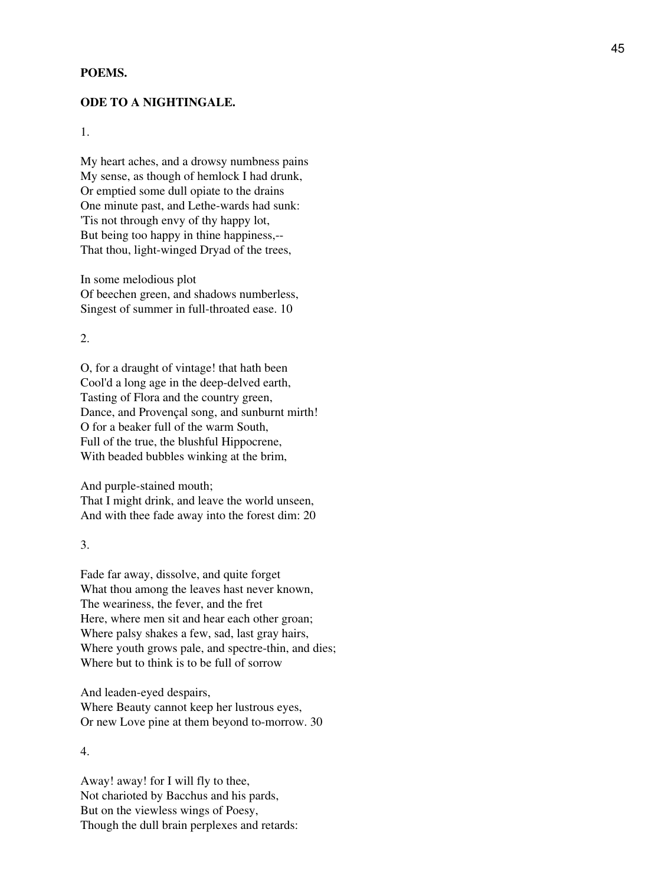#### **POEMS.**

#### **ODE TO A NIGHTINGALE.**

1.

My heart aches, and a drowsy numbness pains My sense, as though of hemlock I had drunk, Or emptied some dull opiate to the drains One minute past, and Lethe-wards had sunk: 'Tis not through envy of thy happy lot, But being too happy in thine happiness,-- That thou, light-winged Dryad of the trees,

In some melodious plot Of beechen green, and shadows numberless, Singest of summer in full-throated ease. 10

2.

O, for a draught of vintage! that hath been Cool'd a long age in the deep-delved earth, Tasting of Flora and the country green, Dance, and Provençal song, and sunburnt mirth! O for a beaker full of the warm South, Full of the true, the blushful Hippocrene, With beaded bubbles winking at the brim,

And purple-stained mouth; That I might drink, and leave the world unseen, And with thee fade away into the forest dim: 20

3.

Fade far away, dissolve, and quite forget What thou among the leaves hast never known, The weariness, the fever, and the fret Here, where men sit and hear each other groan; Where palsy shakes a few, sad, last gray hairs, Where youth grows pale, and spectre-thin, and dies; Where but to think is to be full of sorrow

And leaden-eyed despairs, Where Beauty cannot keep her lustrous eyes, Or new Love pine at them beyond to-morrow. 30

4.

Away! away! for I will fly to thee, Not charioted by Bacchus and his pards, But on the viewless wings of Poesy, Though the dull brain perplexes and retards: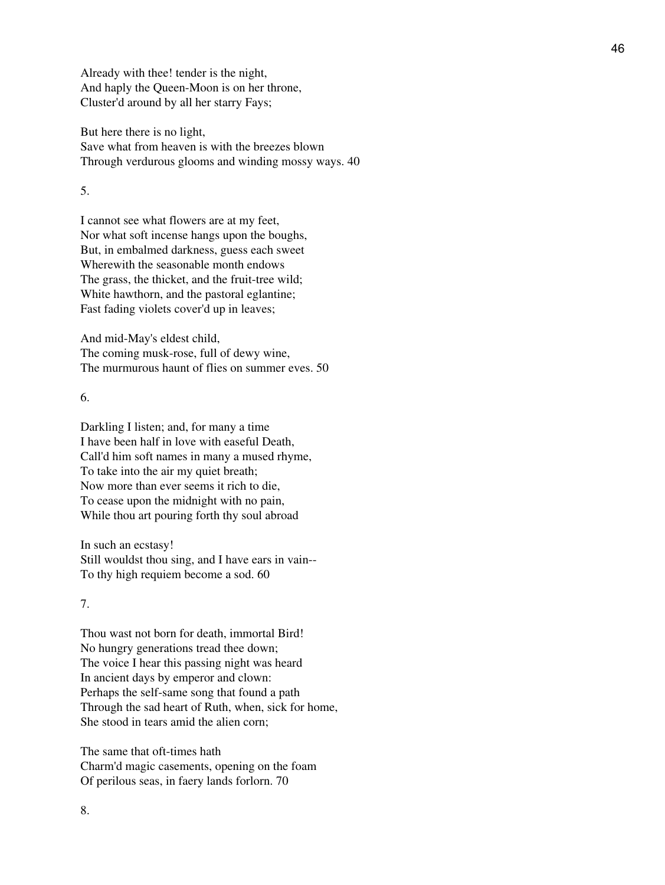Already with thee! tender is the night, And haply the Queen-Moon is on her throne, Cluster'd around by all her starry Fays;

But here there is no light, Save what from heaven is with the breezes blown Through verdurous glooms and winding mossy ways. 40

5.

I cannot see what flowers are at my feet, Nor what soft incense hangs upon the boughs, But, in embalmed darkness, guess each sweet Wherewith the seasonable month endows The grass, the thicket, and the fruit-tree wild; White hawthorn, and the pastoral eglantine; Fast fading violets cover'd up in leaves;

And mid-May's eldest child, The coming musk-rose, full of dewy wine, The murmurous haunt of flies on summer eves. 50

6.

Darkling I listen; and, for many a time I have been half in love with easeful Death, Call'd him soft names in many a mused rhyme, To take into the air my quiet breath; Now more than ever seems it rich to die, To cease upon the midnight with no pain, While thou art pouring forth thy soul abroad

In such an ecstasy! Still wouldst thou sing, and I have ears in vain-- To thy high requiem become a sod. 60

7.

Thou wast not born for death, immortal Bird! No hungry generations tread thee down; The voice I hear this passing night was heard In ancient days by emperor and clown: Perhaps the self-same song that found a path Through the sad heart of Ruth, when, sick for home, She stood in tears amid the alien corn;

The same that oft-times hath Charm'd magic casements, opening on the foam Of perilous seas, in faery lands forlorn. 70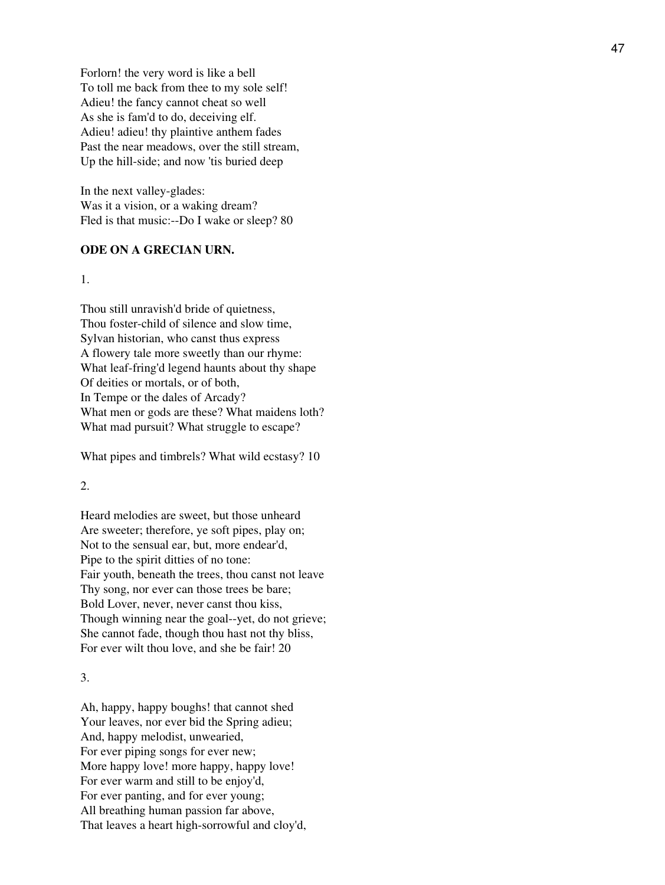Forlorn! the very word is like a bell To toll me back from thee to my sole self! Adieu! the fancy cannot cheat so well As she is fam'd to do, deceiving elf. Adieu! adieu! thy plaintive anthem fades Past the near meadows, over the still stream, Up the hill-side; and now 'tis buried deep

In the next valley-glades: Was it a vision, or a waking dream? Fled is that music:--Do I wake or sleep? 80

#### **ODE ON A GRECIAN URN.**

1.

Thou still unravish'd bride of quietness, Thou foster-child of silence and slow time, Sylvan historian, who canst thus express A flowery tale more sweetly than our rhyme: What leaf-fring'd legend haunts about thy shape Of deities or mortals, or of both, In Tempe or the dales of Arcady? What men or gods are these? What maidens loth? What mad pursuit? What struggle to escape?

What pipes and timbrels? What wild ecstasy? 10

### 2.

Heard melodies are sweet, but those unheard Are sweeter; therefore, ye soft pipes, play on; Not to the sensual ear, but, more endear'd, Pipe to the spirit ditties of no tone: Fair youth, beneath the trees, thou canst not leave Thy song, nor ever can those trees be bare; Bold Lover, never, never canst thou kiss, Though winning near the goal--yet, do not grieve; She cannot fade, though thou hast not thy bliss, For ever wilt thou love, and she be fair! 20

#### 3.

Ah, happy, happy boughs! that cannot shed Your leaves, nor ever bid the Spring adieu; And, happy melodist, unwearied, For ever piping songs for ever new; More happy love! more happy, happy love! For ever warm and still to be enjoy'd, For ever panting, and for ever young; All breathing human passion far above, That leaves a heart high-sorrowful and cloy'd,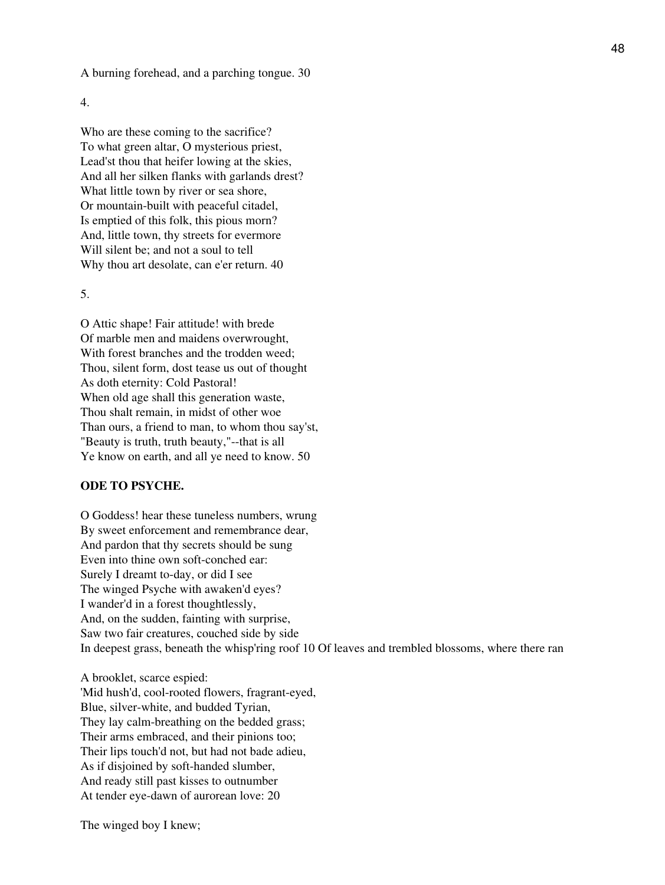A burning forehead, and a parching tongue. 30

4.

Who are these coming to the sacrifice? To what green altar, O mysterious priest, Lead'st thou that heifer lowing at the skies, And all her silken flanks with garlands drest? What little town by river or sea shore, Or mountain-built with peaceful citadel, Is emptied of this folk, this pious morn? And, little town, thy streets for evermore Will silent be; and not a soul to tell Why thou art desolate, can e'er return. 40

5.

O Attic shape! Fair attitude! with brede Of marble men and maidens overwrought, With forest branches and the trodden weed; Thou, silent form, dost tease us out of thought As doth eternity: Cold Pastoral! When old age shall this generation waste, Thou shalt remain, in midst of other woe Than ours, a friend to man, to whom thou say'st, "Beauty is truth, truth beauty,"--that is all Ye know on earth, and all ye need to know. 50

### **ODE TO PSYCHE.**

O Goddess! hear these tuneless numbers, wrung By sweet enforcement and remembrance dear, And pardon that thy secrets should be sung Even into thine own soft-conched ear: Surely I dreamt to-day, or did I see The winged Psyche with awaken'd eyes? I wander'd in a forest thoughtlessly, And, on the sudden, fainting with surprise, Saw two fair creatures, couched side by side In deepest grass, beneath the whisp'ring roof 10 Of leaves and trembled blossoms, where there ran

A brooklet, scarce espied: 'Mid hush'd, cool-rooted flowers, fragrant-eyed, Blue, silver-white, and budded Tyrian, They lay calm-breathing on the bedded grass; Their arms embraced, and their pinions too; Their lips touch'd not, but had not bade adieu, As if disjoined by soft-handed slumber, And ready still past kisses to outnumber At tender eye-dawn of aurorean love: 20

The winged boy I knew;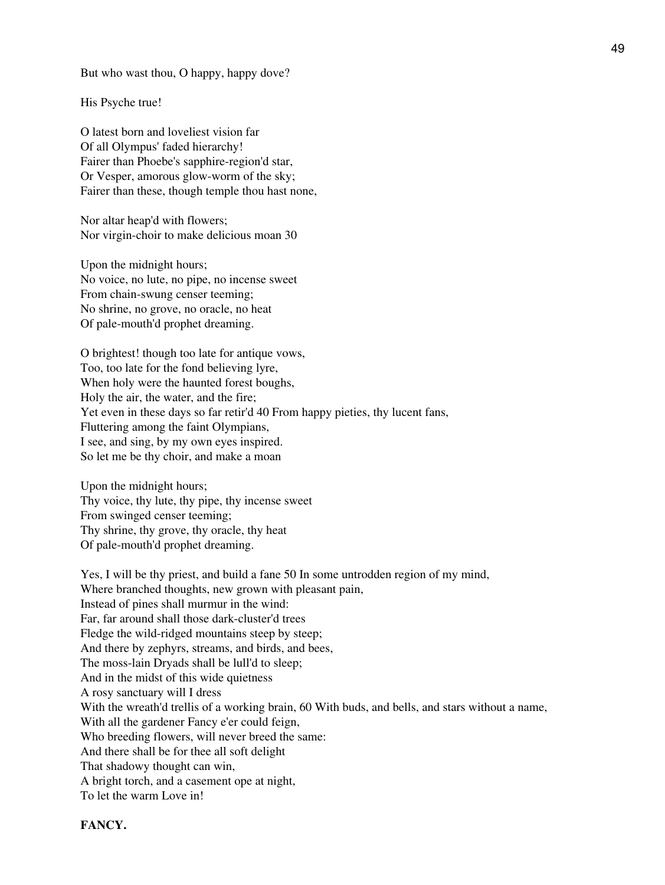But who wast thou, O happy, happy dove?

His Psyche true!

O latest born and loveliest vision far Of all Olympus' faded hierarchy! Fairer than Phoebe's sapphire-region'd star, Or Vesper, amorous glow-worm of the sky; Fairer than these, though temple thou hast none,

Nor altar heap'd with flowers; Nor virgin-choir to make delicious moan 30

Upon the midnight hours; No voice, no lute, no pipe, no incense sweet From chain-swung censer teeming; No shrine, no grove, no oracle, no heat Of pale-mouth'd prophet dreaming.

O brightest! though too late for antique vows, Too, too late for the fond believing lyre, When holy were the haunted forest boughs, Holy the air, the water, and the fire; Yet even in these days so far retir'd 40 From happy pieties, thy lucent fans, Fluttering among the faint Olympians, I see, and sing, by my own eyes inspired. So let me be thy choir, and make a moan

Upon the midnight hours; Thy voice, thy lute, thy pipe, thy incense sweet From swinged censer teeming; Thy shrine, thy grove, thy oracle, thy heat Of pale-mouth'd prophet dreaming.

Yes, I will be thy priest, and build a fane 50 In some untrodden region of my mind, Where branched thoughts, new grown with pleasant pain, Instead of pines shall murmur in the wind: Far, far around shall those dark-cluster'd trees Fledge the wild-ridged mountains steep by steep; And there by zephyrs, streams, and birds, and bees, The moss-lain Dryads shall be lull'd to sleep; And in the midst of this wide quietness A rosy sanctuary will I dress With the wreath'd trellis of a working brain, 60 With buds, and bells, and stars without a name, With all the gardener Fancy e'er could feign, Who breeding flowers, will never breed the same: And there shall be for thee all soft delight That shadowy thought can win, A bright torch, and a casement ope at night, To let the warm Love in!

**FANCY.**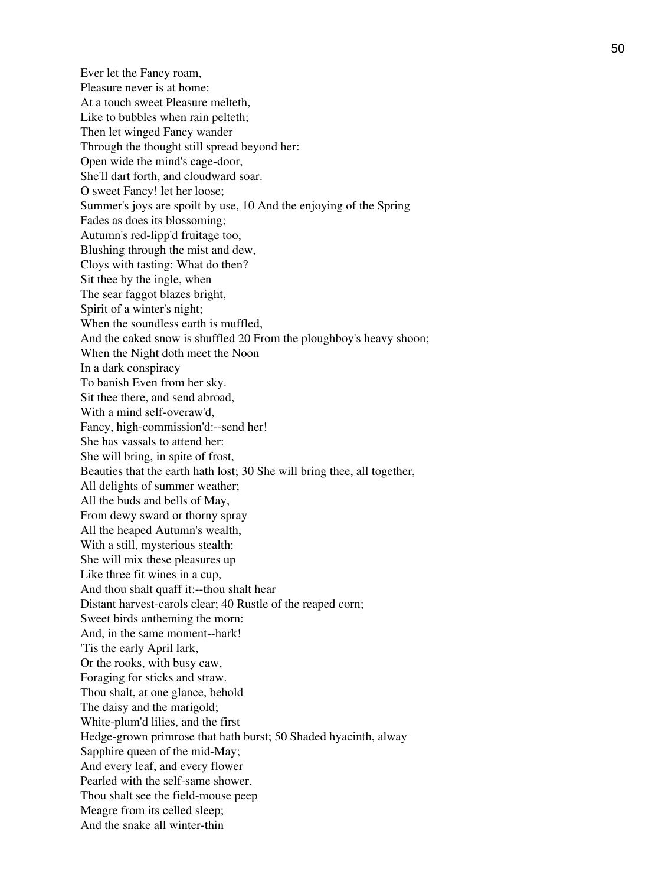Ever let the Fancy roam, Pleasure never is at home: At a touch sweet Pleasure melteth, Like to bubbles when rain pelteth; Then let winged Fancy wander Through the thought still spread beyond her: Open wide the mind's cage-door, She'll dart forth, and cloudward soar. O sweet Fancy! let her loose; Summer's joys are spoilt by use, 10 And the enjoying of the Spring Fades as does its blossoming; Autumn's red-lipp'd fruitage too, Blushing through the mist and dew, Cloys with tasting: What do then? Sit thee by the ingle, when The sear faggot blazes bright, Spirit of a winter's night; When the soundless earth is muffled, And the caked snow is shuffled 20 From the ploughboy's heavy shoon; When the Night doth meet the Noon In a dark conspiracy To banish Even from her sky. Sit thee there, and send abroad, With a mind self-overaw'd, Fancy, high-commission'd:--send her! She has vassals to attend her: She will bring, in spite of frost, Beauties that the earth hath lost; 30 She will bring thee, all together, All delights of summer weather; All the buds and bells of May, From dewy sward or thorny spray All the heaped Autumn's wealth, With a still, mysterious stealth: She will mix these pleasures up Like three fit wines in a cup, And thou shalt quaff it:--thou shalt hear Distant harvest-carols clear; 40 Rustle of the reaped corn; Sweet birds antheming the morn: And, in the same moment--hark! 'Tis the early April lark, Or the rooks, with busy caw, Foraging for sticks and straw. Thou shalt, at one glance, behold The daisy and the marigold; White-plum'd lilies, and the first Hedge-grown primrose that hath burst; 50 Shaded hyacinth, alway Sapphire queen of the mid-May; And every leaf, and every flower Pearled with the self-same shower. Thou shalt see the field-mouse peep Meagre from its celled sleep; And the snake all winter-thin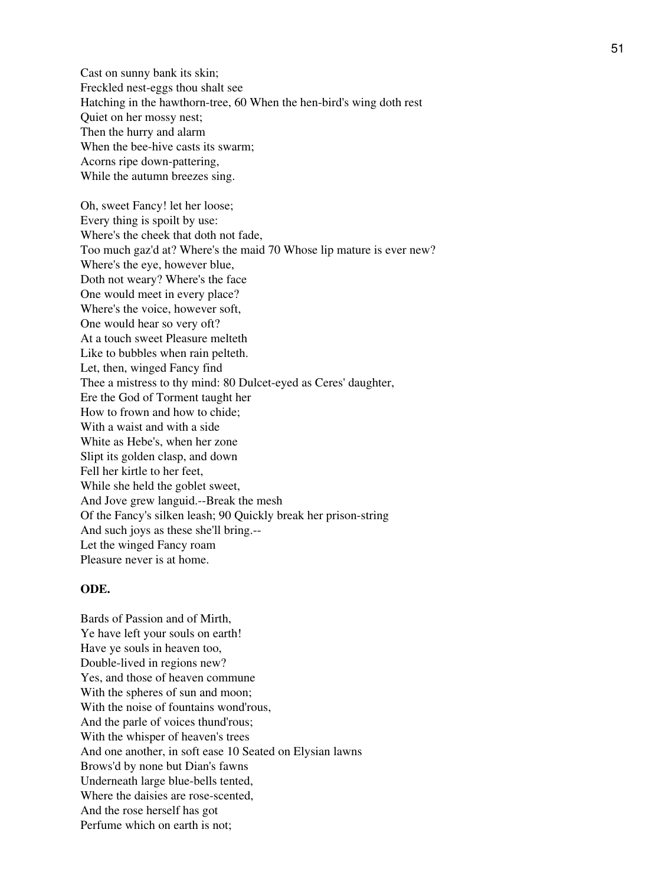Cast on sunny bank its skin; Freckled nest-eggs thou shalt see Hatching in the hawthorn-tree, 60 When the hen-bird's wing doth rest Quiet on her mossy nest; Then the hurry and alarm When the bee-hive casts its swarm; Acorns ripe down-pattering, While the autumn breezes sing. Oh, sweet Fancy! let her loose; Every thing is spoilt by use: Where's the cheek that doth not fade, Too much gaz'd at? Where's the maid 70 Whose lip mature is ever new? Where's the eye, however blue, Doth not weary? Where's the face One would meet in every place? Where's the voice, however soft, One would hear so very oft? At a touch sweet Pleasure melteth Like to bubbles when rain pelteth. Let, then, winged Fancy find Thee a mistress to thy mind: 80 Dulcet-eyed as Ceres' daughter, Ere the God of Torment taught her How to frown and how to chide; With a waist and with a side White as Hebe's, when her zone Slipt its golden clasp, and down Fell her kirtle to her feet, While she held the goblet sweet, And Jove grew languid.--Break the mesh Of the Fancy's silken leash; 90 Quickly break her prison-string And such joys as these she'll bring.-- Let the winged Fancy roam Pleasure never is at home.

### **ODE.**

Bards of Passion and of Mirth, Ye have left your souls on earth! Have ye souls in heaven too, Double-lived in regions new? Yes, and those of heaven commune With the spheres of sun and moon; With the noise of fountains wond'rous, And the parle of voices thund'rous; With the whisper of heaven's trees And one another, in soft ease 10 Seated on Elysian lawns Brows'd by none but Dian's fawns Underneath large blue-bells tented, Where the daisies are rose-scented, And the rose herself has got Perfume which on earth is not;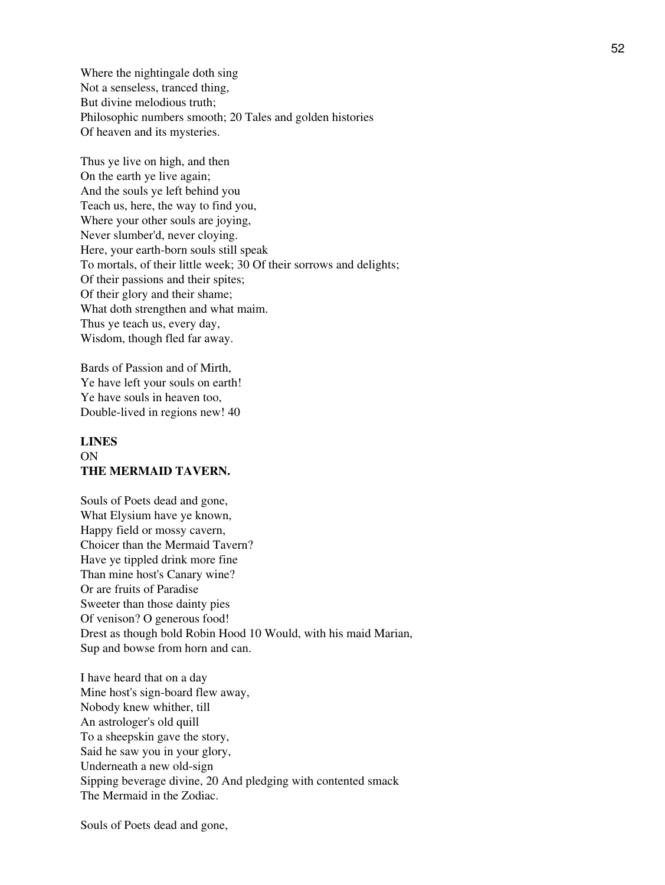Where the nightingale doth sing Not a senseless, tranced thing, But divine melodious truth; Philosophic numbers smooth; 20 Tales and golden histories Of heaven and its mysteries.

Thus ye live on high, and then On the earth ye live again; And the souls ye left behind you Teach us, here, the way to find you, Where your other souls are joying, Never slumber'd, never cloying. Here, your earth-born souls still speak To mortals, of their little week; 30 Of their sorrows and delights; Of their passions and their spites; Of their glory and their shame; What doth strengthen and what maim. Thus ye teach us, every day, Wisdom, though fled far away.

Bards of Passion and of Mirth, Ye have left your souls on earth! Ye have souls in heaven too, Double-lived in regions new! 40

## **LINES** ON **THE MERMAID TAVERN.**

Souls of Poets dead and gone, What Elysium have ye known, Happy field or mossy cavern, Choicer than the Mermaid Tavern? Have ye tippled drink more fine Than mine host's Canary wine? Or are fruits of Paradise Sweeter than those dainty pies Of venison? O generous food! Drest as though bold Robin Hood 10 Would, with his maid Marian, Sup and bowse from horn and can.

I have heard that on a day Mine host's sign-board flew away, Nobody knew whither, till An astrologer's old quill To a sheepskin gave the story, Said he saw you in your glory, Underneath a new old-sign Sipping beverage divine, 20 And pledging with contented smack The Mermaid in the Zodiac.

Souls of Poets dead and gone,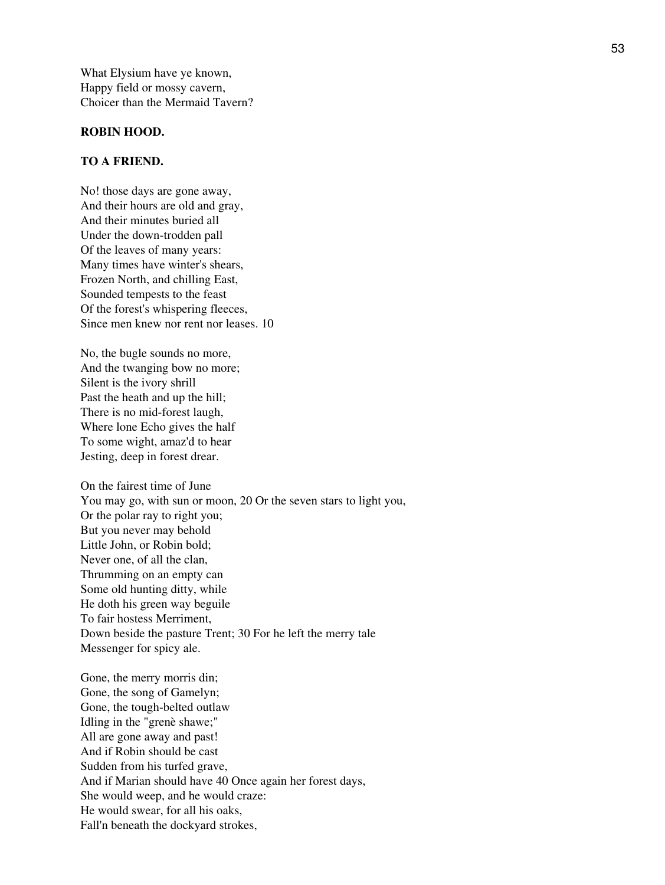What Elysium have ye known, Happy field or mossy cavern, Choicer than the Mermaid Tavern?

#### **ROBIN HOOD.**

#### **TO A FRIEND.**

No! those days are gone away, And their hours are old and gray, And their minutes buried all Under the down-trodden pall Of the leaves of many years: Many times have winter's shears, Frozen North, and chilling East, Sounded tempests to the feast Of the forest's whispering fleeces, Since men knew nor rent nor leases. 10

No, the bugle sounds no more, And the twanging bow no more; Silent is the ivory shrill Past the heath and up the hill; There is no mid-forest laugh, Where lone Echo gives the half To some wight, amaz'd to hear Jesting, deep in forest drear.

On the fairest time of June You may go, with sun or moon, 20 Or the seven stars to light you, Or the polar ray to right you; But you never may behold Little John, or Robin bold; Never one, of all the clan, Thrumming on an empty can Some old hunting ditty, while He doth his green way beguile To fair hostess Merriment, Down beside the pasture Trent; 30 For he left the merry tale Messenger for spicy ale.

Gone, the merry morris din; Gone, the song of Gamelyn; Gone, the tough-belted outlaw Idling in the "grenè shawe;" All are gone away and past! And if Robin should be cast Sudden from his turfed grave, And if Marian should have 40 Once again her forest days, She would weep, and he would craze: He would swear, for all his oaks, Fall'n beneath the dockyard strokes,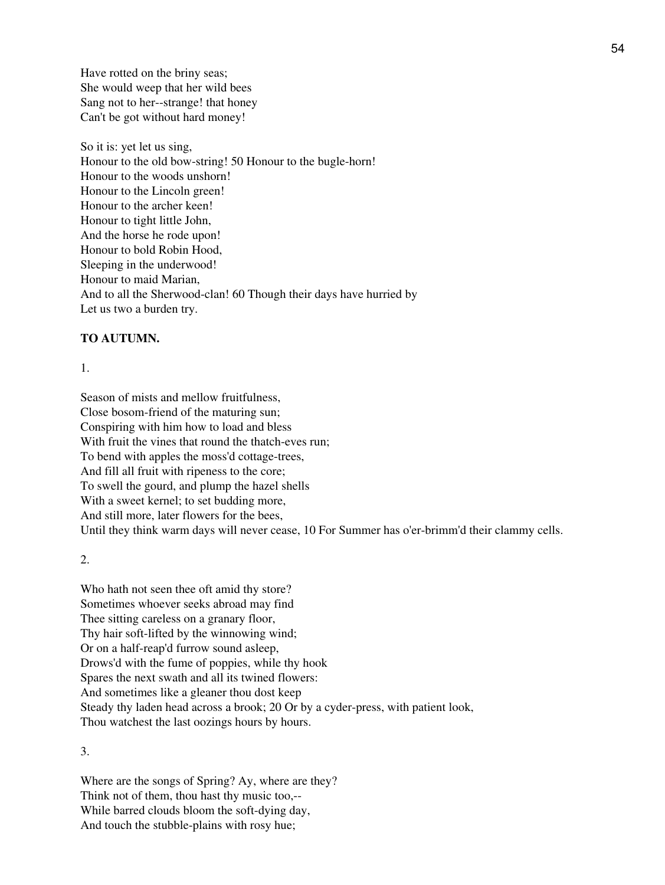Have rotted on the briny seas; She would weep that her wild bees Sang not to her--strange! that honey Can't be got without hard money!

So it is: yet let us sing, Honour to the old bow-string! 50 Honour to the bugle-horn! Honour to the woods unshorn! Honour to the Lincoln green! Honour to the archer keen! Honour to tight little John, And the horse he rode upon! Honour to bold Robin Hood, Sleeping in the underwood! Honour to maid Marian, And to all the Sherwood-clan! 60 Though their days have hurried by Let us two a burden try.

#### **TO AUTUMN.**

1.

Season of mists and mellow fruitfulness, Close bosom-friend of the maturing sun; Conspiring with him how to load and bless With fruit the vines that round the thatch-eves run; To bend with apples the moss'd cottage-trees, And fill all fruit with ripeness to the core; To swell the gourd, and plump the hazel shells With a sweet kernel; to set budding more, And still more, later flowers for the bees, Until they think warm days will never cease, 10 For Summer has o'er-brimm'd their clammy cells.

2.

Who hath not seen thee oft amid thy store? Sometimes whoever seeks abroad may find Thee sitting careless on a granary floor, Thy hair soft-lifted by the winnowing wind; Or on a half-reap'd furrow sound asleep, Drows'd with the fume of poppies, while thy hook Spares the next swath and all its twined flowers: And sometimes like a gleaner thou dost keep Steady thy laden head across a brook; 20 Or by a cyder-press, with patient look, Thou watchest the last oozings hours by hours.

3.

Where are the songs of Spring? Ay, where are they? Think not of them, thou hast thy music too,-- While barred clouds bloom the soft-dying day, And touch the stubble-plains with rosy hue;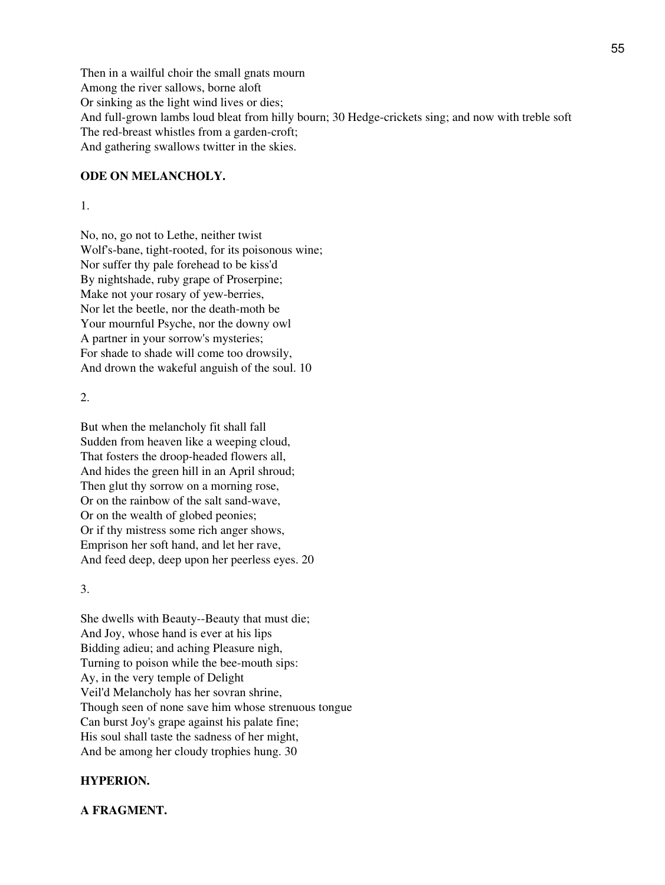Then in a wailful choir the small gnats mourn Among the river sallows, borne aloft Or sinking as the light wind lives or dies; And full-grown lambs loud bleat from hilly bourn; 30 Hedge-crickets sing; and now with treble soft The red-breast whistles from a garden-croft; And gathering swallows twitter in the skies.

### **ODE ON MELANCHOLY.**

#### 1.

No, no, go not to Lethe, neither twist Wolf's-bane, tight-rooted, for its poisonous wine; Nor suffer thy pale forehead to be kiss'd By nightshade, ruby grape of Proserpine; Make not your rosary of yew-berries, Nor let the beetle, nor the death-moth be Your mournful Psyche, nor the downy owl A partner in your sorrow's mysteries; For shade to shade will come too drowsily, And drown the wakeful anguish of the soul. 10

### 2.

But when the melancholy fit shall fall Sudden from heaven like a weeping cloud, That fosters the droop-headed flowers all, And hides the green hill in an April shroud; Then glut thy sorrow on a morning rose, Or on the rainbow of the salt sand-wave, Or on the wealth of globed peonies; Or if thy mistress some rich anger shows, Emprison her soft hand, and let her rave, And feed deep, deep upon her peerless eyes. 20

### 3.

She dwells with Beauty--Beauty that must die; And Joy, whose hand is ever at his lips Bidding adieu; and aching Pleasure nigh, Turning to poison while the bee-mouth sips: Ay, in the very temple of Delight Veil'd Melancholy has her sovran shrine, Though seen of none save him whose strenuous tongue Can burst Joy's grape against his palate fine; His soul shall taste the sadness of her might, And be among her cloudy trophies hung. 30

### **HYPERION.**

#### **A FRAGMENT.**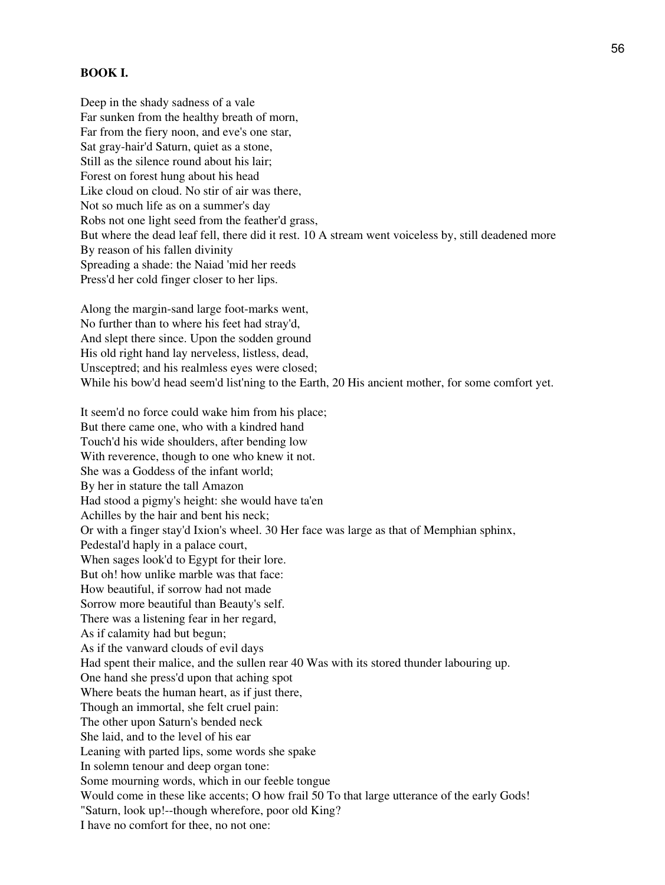### **BOOK I.**

Deep in the shady sadness of a vale Far sunken from the healthy breath of morn, Far from the fiery noon, and eve's one star, Sat gray-hair'd Saturn, quiet as a stone, Still as the silence round about his lair; Forest on forest hung about his head Like cloud on cloud. No stir of air was there, Not so much life as on a summer's day Robs not one light seed from the feather'd grass, But where the dead leaf fell, there did it rest. 10 A stream went voiceless by, still deadened more By reason of his fallen divinity Spreading a shade: the Naiad 'mid her reeds Press'd her cold finger closer to her lips.

Along the margin-sand large foot-marks went, No further than to where his feet had stray'd, And slept there since. Upon the sodden ground His old right hand lay nerveless, listless, dead, Unsceptred; and his realmless eyes were closed; While his bow'd head seem'd list'ning to the Earth, 20 His ancient mother, for some comfort yet.

It seem'd no force could wake him from his place; But there came one, who with a kindred hand Touch'd his wide shoulders, after bending low With reverence, though to one who knew it not. She was a Goddess of the infant world; By her in stature the tall Amazon Had stood a pigmy's height: she would have ta'en Achilles by the hair and bent his neck; Or with a finger stay'd Ixion's wheel. 30 Her face was large as that of Memphian sphinx, Pedestal'd haply in a palace court, When sages look'd to Egypt for their lore. But oh! how unlike marble was that face: How beautiful, if sorrow had not made Sorrow more beautiful than Beauty's self. There was a listening fear in her regard, As if calamity had but begun; As if the vanward clouds of evil days Had spent their malice, and the sullen rear 40 Was with its stored thunder labouring up. One hand she press'd upon that aching spot Where beats the human heart, as if just there, Though an immortal, she felt cruel pain: The other upon Saturn's bended neck She laid, and to the level of his ear Leaning with parted lips, some words she spake In solemn tenour and deep organ tone: Some mourning words, which in our feeble tongue Would come in these like accents; O how frail 50 To that large utterance of the early Gods! "Saturn, look up!--though wherefore, poor old King? I have no comfort for thee, no not one: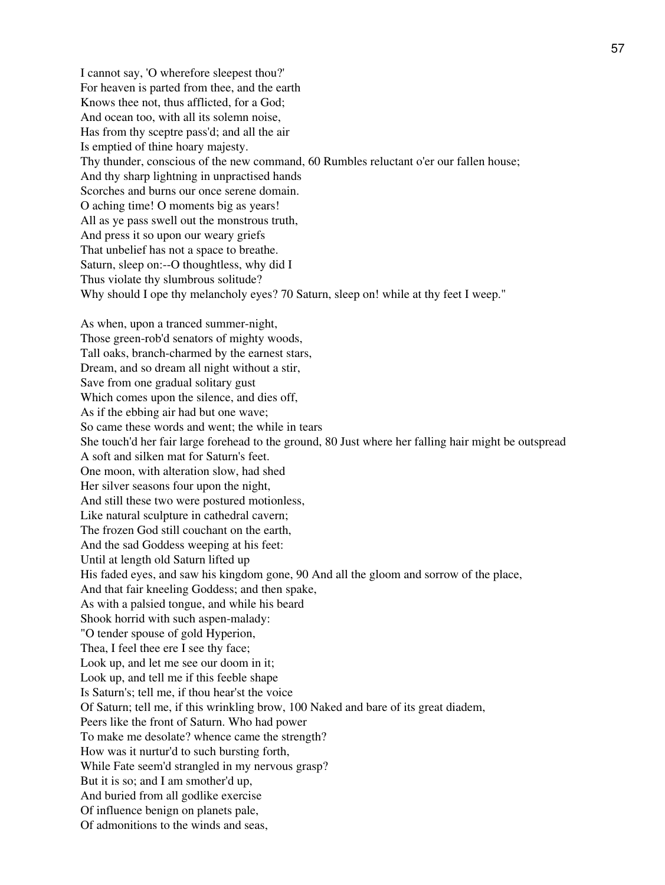I cannot say, 'O wherefore sleepest thou?' For heaven is parted from thee, and the earth Knows thee not, thus afflicted, for a God; And ocean too, with all its solemn noise, Has from thy sceptre pass'd; and all the air Is emptied of thine hoary majesty. Thy thunder, conscious of the new command, 60 Rumbles reluctant o'er our fallen house; And thy sharp lightning in unpractised hands Scorches and burns our once serene domain. O aching time! O moments big as years! All as ye pass swell out the monstrous truth, And press it so upon our weary griefs That unbelief has not a space to breathe. Saturn, sleep on:--O thoughtless, why did I Thus violate thy slumbrous solitude? Why should I ope thy melancholy eyes? 70 Saturn, sleep on! while at thy feet I weep." As when, upon a tranced summer-night, Those green-rob'd senators of mighty woods, Tall oaks, branch-charmed by the earnest stars, Dream, and so dream all night without a stir, Save from one gradual solitary gust Which comes upon the silence, and dies off, As if the ebbing air had but one wave; So came these words and went; the while in tears She touch'd her fair large forehead to the ground, 80 Just where her falling hair might be outspread A soft and silken mat for Saturn's feet. One moon, with alteration slow, had shed Her silver seasons four upon the night, And still these two were postured motionless, Like natural sculpture in cathedral cavern; The frozen God still couchant on the earth, And the sad Goddess weeping at his feet: Until at length old Saturn lifted up His faded eyes, and saw his kingdom gone, 90 And all the gloom and sorrow of the place, And that fair kneeling Goddess; and then spake, As with a palsied tongue, and while his beard Shook horrid with such aspen-malady: "O tender spouse of gold Hyperion, Thea, I feel thee ere I see thy face; Look up, and let me see our doom in it; Look up, and tell me if this feeble shape Is Saturn's; tell me, if thou hear'st the voice Of Saturn; tell me, if this wrinkling brow, 100 Naked and bare of its great diadem, Peers like the front of Saturn. Who had power To make me desolate? whence came the strength? How was it nurtur'd to such bursting forth, While Fate seem'd strangled in my nervous grasp? But it is so; and I am smother'd up, And buried from all godlike exercise Of influence benign on planets pale, Of admonitions to the winds and seas,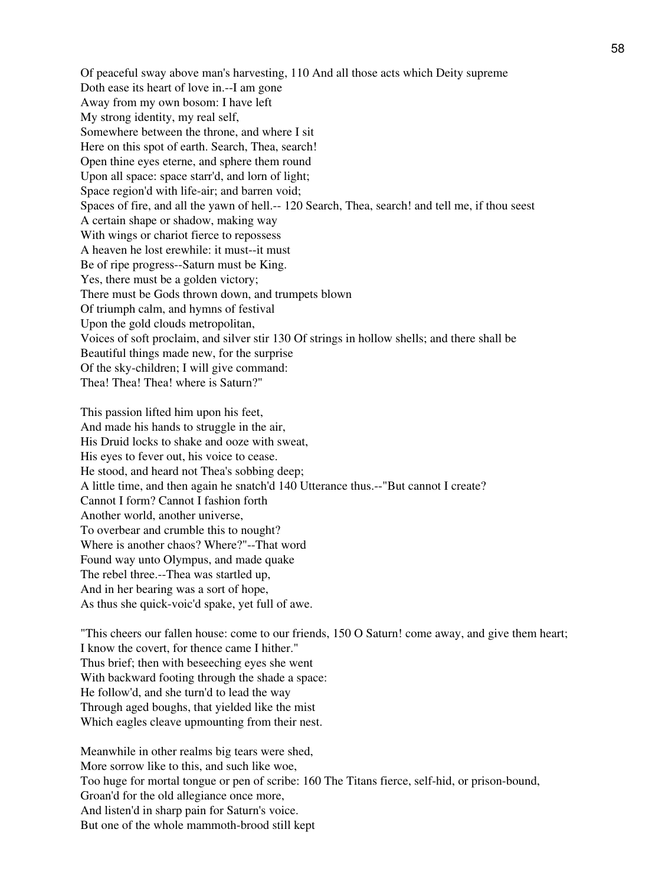Of peaceful sway above man's harvesting, 110 And all those acts which Deity supreme Doth ease its heart of love in.--I am gone Away from my own bosom: I have left My strong identity, my real self, Somewhere between the throne, and where I sit Here on this spot of earth. Search, Thea, search! Open thine eyes eterne, and sphere them round Upon all space: space starr'd, and lorn of light; Space region'd with life-air; and barren void; Spaces of fire, and all the yawn of hell.-- 120 Search, Thea, search! and tell me, if thou seest A certain shape or shadow, making way With wings or chariot fierce to repossess A heaven he lost erewhile: it must--it must Be of ripe progress--Saturn must be King. Yes, there must be a golden victory; There must be Gods thrown down, and trumpets blown Of triumph calm, and hymns of festival Upon the gold clouds metropolitan, Voices of soft proclaim, and silver stir 130 Of strings in hollow shells; and there shall be Beautiful things made new, for the surprise Of the sky-children; I will give command: Thea! Thea! Thea! where is Saturn?"

This passion lifted him upon his feet, And made his hands to struggle in the air, His Druid locks to shake and ooze with sweat, His eyes to fever out, his voice to cease. He stood, and heard not Thea's sobbing deep; A little time, and then again he snatch'd 140 Utterance thus.--"But cannot I create? Cannot I form? Cannot I fashion forth Another world, another universe, To overbear and crumble this to nought? Where is another chaos? Where?"--That word Found way unto Olympus, and made quake The rebel three.--Thea was startled up, And in her bearing was a sort of hope, As thus she quick-voic'd spake, yet full of awe.

"This cheers our fallen house: come to our friends, 150 O Saturn! come away, and give them heart; I know the covert, for thence came I hither." Thus brief; then with beseeching eyes she went With backward footing through the shade a space: He follow'd, and she turn'd to lead the way Through aged boughs, that yielded like the mist Which eagles cleave upmounting from their nest.

Meanwhile in other realms big tears were shed, More sorrow like to this, and such like woe, Too huge for mortal tongue or pen of scribe: 160 The Titans fierce, self-hid, or prison-bound, Groan'd for the old allegiance once more, And listen'd in sharp pain for Saturn's voice. But one of the whole mammoth-brood still kept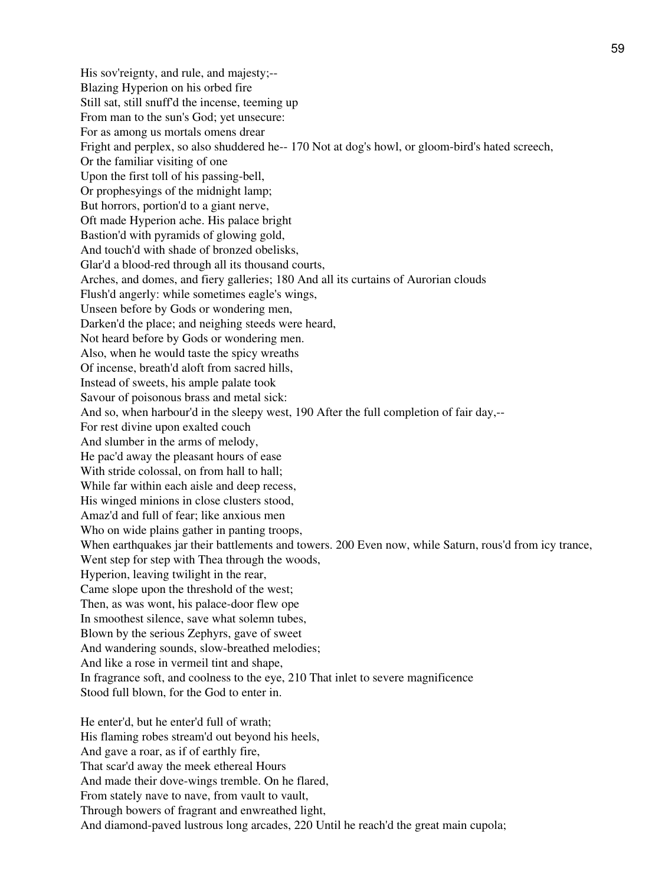His sov'reignty, and rule, and majesty;-- Blazing Hyperion on his orbed fire Still sat, still snuff'd the incense, teeming up From man to the sun's God; yet unsecure: For as among us mortals omens drear Fright and perplex, so also shuddered he-- 170 Not at dog's howl, or gloom-bird's hated screech, Or the familiar visiting of one Upon the first toll of his passing-bell, Or prophesyings of the midnight lamp; But horrors, portion'd to a giant nerve, Oft made Hyperion ache. His palace bright Bastion'd with pyramids of glowing gold, And touch'd with shade of bronzed obelisks, Glar'd a blood-red through all its thousand courts, Arches, and domes, and fiery galleries; 180 And all its curtains of Aurorian clouds Flush'd angerly: while sometimes eagle's wings, Unseen before by Gods or wondering men, Darken'd the place; and neighing steeds were heard, Not heard before by Gods or wondering men. Also, when he would taste the spicy wreaths Of incense, breath'd aloft from sacred hills, Instead of sweets, his ample palate took Savour of poisonous brass and metal sick: And so, when harbour'd in the sleepy west, 190 After the full completion of fair day,-- For rest divine upon exalted couch And slumber in the arms of melody, He pac'd away the pleasant hours of ease With stride colossal, on from hall to hall; While far within each aisle and deep recess, His winged minions in close clusters stood, Amaz'd and full of fear; like anxious men Who on wide plains gather in panting troops, When earthquakes jar their battlements and towers. 200 Even now, while Saturn, rous'd from icy trance, Went step for step with Thea through the woods, Hyperion, leaving twilight in the rear, Came slope upon the threshold of the west; Then, as was wont, his palace-door flew ope In smoothest silence, save what solemn tubes, Blown by the serious Zephyrs, gave of sweet And wandering sounds, slow-breathed melodies; And like a rose in vermeil tint and shape, In fragrance soft, and coolness to the eye, 210 That inlet to severe magnificence Stood full blown, for the God to enter in. He enter'd, but he enter'd full of wrath; His flaming robes stream'd out beyond his heels, And gave a roar, as if of earthly fire,

That scar'd away the meek ethereal Hours

And made their dove-wings tremble. On he flared,

From stately nave to nave, from vault to vault,

Through bowers of fragrant and enwreathed light,

And diamond-paved lustrous long arcades, 220 Until he reach'd the great main cupola;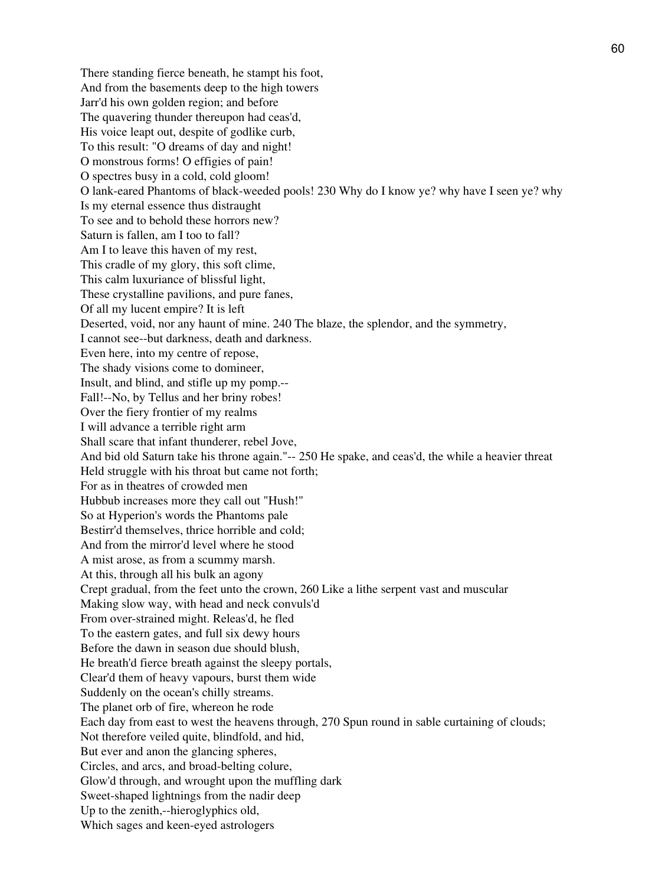There standing fierce beneath, he stampt his foot, And from the basements deep to the high towers Jarr'd his own golden region; and before The quavering thunder thereupon had ceas'd, His voice leapt out, despite of godlike curb, To this result: "O dreams of day and night! O monstrous forms! O effigies of pain! O spectres busy in a cold, cold gloom! O lank-eared Phantoms of black-weeded pools! 230 Why do I know ye? why have I seen ye? why Is my eternal essence thus distraught To see and to behold these horrors new? Saturn is fallen, am I too to fall? Am I to leave this haven of my rest, This cradle of my glory, this soft clime, This calm luxuriance of blissful light, These crystalline pavilions, and pure fanes, Of all my lucent empire? It is left Deserted, void, nor any haunt of mine. 240 The blaze, the splendor, and the symmetry, I cannot see--but darkness, death and darkness. Even here, into my centre of repose, The shady visions come to domineer, Insult, and blind, and stifle up my pomp.-- Fall!--No, by Tellus and her briny robes! Over the fiery frontier of my realms I will advance a terrible right arm Shall scare that infant thunderer, rebel Jove, And bid old Saturn take his throne again."-- 250 He spake, and ceas'd, the while a heavier threat Held struggle with his throat but came not forth; For as in theatres of crowded men Hubbub increases more they call out "Hush!" So at Hyperion's words the Phantoms pale Bestirr'd themselves, thrice horrible and cold; And from the mirror'd level where he stood A mist arose, as from a scummy marsh. At this, through all his bulk an agony Crept gradual, from the feet unto the crown, 260 Like a lithe serpent vast and muscular Making slow way, with head and neck convuls'd From over-strained might. Releas'd, he fled To the eastern gates, and full six dewy hours Before the dawn in season due should blush, He breath'd fierce breath against the sleepy portals, Clear'd them of heavy vapours, burst them wide Suddenly on the ocean's chilly streams. The planet orb of fire, whereon he rode Each day from east to west the heavens through, 270 Spun round in sable curtaining of clouds; Not therefore veiled quite, blindfold, and hid, But ever and anon the glancing spheres, Circles, and arcs, and broad-belting colure, Glow'd through, and wrought upon the muffling dark Sweet-shaped lightnings from the nadir deep Up to the zenith,--hieroglyphics old, Which sages and keen-eyed astrologers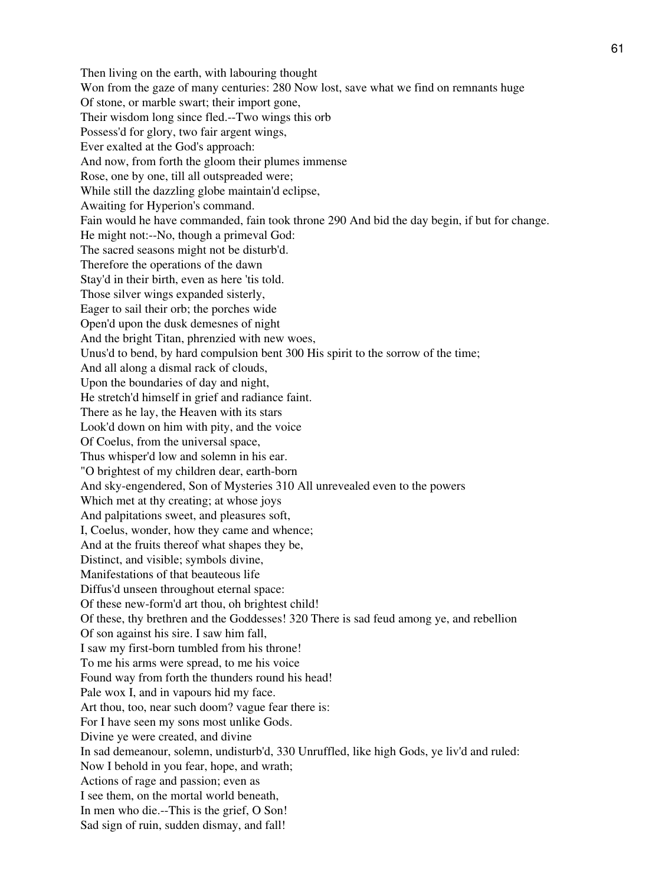Then living on the earth, with labouring thought Won from the gaze of many centuries: 280 Now lost, save what we find on remnants huge Of stone, or marble swart; their import gone, Their wisdom long since fled.--Two wings this orb Possess'd for glory, two fair argent wings, Ever exalted at the God's approach: And now, from forth the gloom their plumes immense Rose, one by one, till all outspreaded were; While still the dazzling globe maintain'd eclipse, Awaiting for Hyperion's command. Fain would he have commanded, fain took throne 290 And bid the day begin, if but for change. He might not:--No, though a primeval God: The sacred seasons might not be disturb'd. Therefore the operations of the dawn Stay'd in their birth, even as here 'tis told. Those silver wings expanded sisterly, Eager to sail their orb; the porches wide Open'd upon the dusk demesnes of night And the bright Titan, phrenzied with new woes, Unus'd to bend, by hard compulsion bent 300 His spirit to the sorrow of the time; And all along a dismal rack of clouds, Upon the boundaries of day and night, He stretch'd himself in grief and radiance faint. There as he lay, the Heaven with its stars Look'd down on him with pity, and the voice Of Coelus, from the universal space, Thus whisper'd low and solemn in his ear. "O brightest of my children dear, earth-born And sky-engendered, Son of Mysteries 310 All unrevealed even to the powers Which met at thy creating; at whose joys And palpitations sweet, and pleasures soft, I, Coelus, wonder, how they came and whence; And at the fruits thereof what shapes they be, Distinct, and visible; symbols divine, Manifestations of that beauteous life Diffus'd unseen throughout eternal space: Of these new-form'd art thou, oh brightest child! Of these, thy brethren and the Goddesses! 320 There is sad feud among ye, and rebellion Of son against his sire. I saw him fall, I saw my first-born tumbled from his throne! To me his arms were spread, to me his voice Found way from forth the thunders round his head! Pale wox I, and in vapours hid my face. Art thou, too, near such doom? vague fear there is: For I have seen my sons most unlike Gods. Divine ye were created, and divine In sad demeanour, solemn, undisturb'd, 330 Unruffled, like high Gods, ye liv'd and ruled: Now I behold in you fear, hope, and wrath; Actions of rage and passion; even as I see them, on the mortal world beneath, In men who die.--This is the grief, O Son! Sad sign of ruin, sudden dismay, and fall!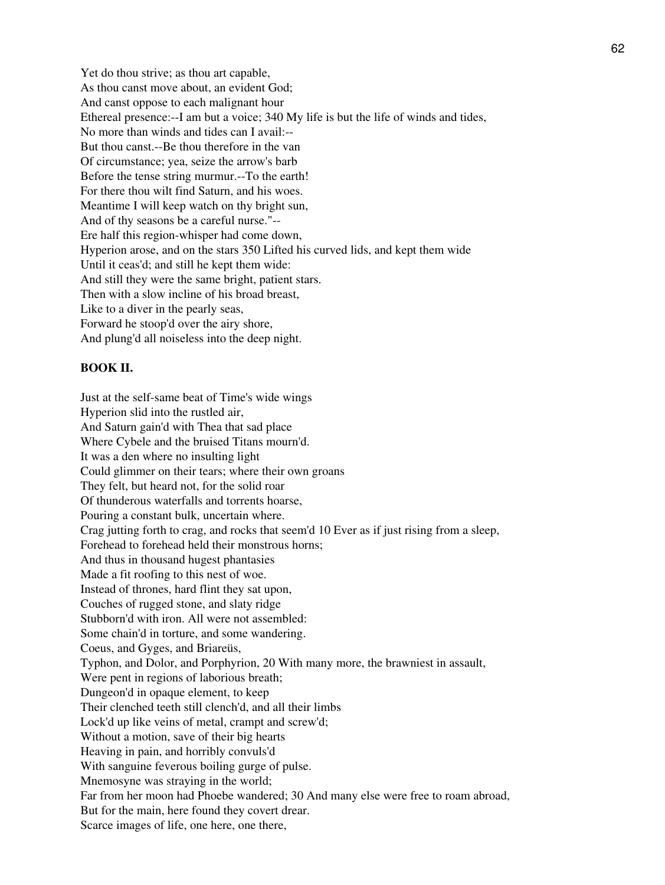Yet do thou strive; as thou art capable, As thou canst move about, an evident God; And canst oppose to each malignant hour Ethereal presence:--I am but a voice; 340 My life is but the life of winds and tides, No more than winds and tides can I avail:-- But thou canst.--Be thou therefore in the van Of circumstance; yea, seize the arrow's barb Before the tense string murmur.--To the earth! For there thou wilt find Saturn, and his woes. Meantime I will keep watch on thy bright sun, And of thy seasons be a careful nurse."-- Ere half this region-whisper had come down, Hyperion arose, and on the stars 350 Lifted his curved lids, and kept them wide Until it ceas'd; and still he kept them wide: And still they were the same bright, patient stars. Then with a slow incline of his broad breast, Like to a diver in the pearly seas, Forward he stoop'd over the airy shore, And plung'd all noiseless into the deep night.

## **BOOK II.**

Just at the self-same beat of Time's wide wings Hyperion slid into the rustled air, And Saturn gain'd with Thea that sad place Where Cybele and the bruised Titans mourn'd. It was a den where no insulting light Could glimmer on their tears; where their own groans They felt, but heard not, for the solid roar Of thunderous waterfalls and torrents hoarse, Pouring a constant bulk, uncertain where. Crag jutting forth to crag, and rocks that seem'd 10 Ever as if just rising from a sleep, Forehead to forehead held their monstrous horns; And thus in thousand hugest phantasies Made a fit roofing to this nest of woe. Instead of thrones, hard flint they sat upon, Couches of rugged stone, and slaty ridge Stubborn'd with iron. All were not assembled: Some chain'd in torture, and some wandering. Coeus, and Gyges, and Briareüs, Typhon, and Dolor, and Porphyrion, 20 With many more, the brawniest in assault, Were pent in regions of laborious breath; Dungeon'd in opaque element, to keep Their clenched teeth still clench'd, and all their limbs Lock'd up like veins of metal, crampt and screw'd; Without a motion, save of their big hearts Heaving in pain, and horribly convuls'd With sanguine feverous boiling gurge of pulse. Mnemosyne was straying in the world; Far from her moon had Phoebe wandered; 30 And many else were free to roam abroad, But for the main, here found they covert drear. Scarce images of life, one here, one there,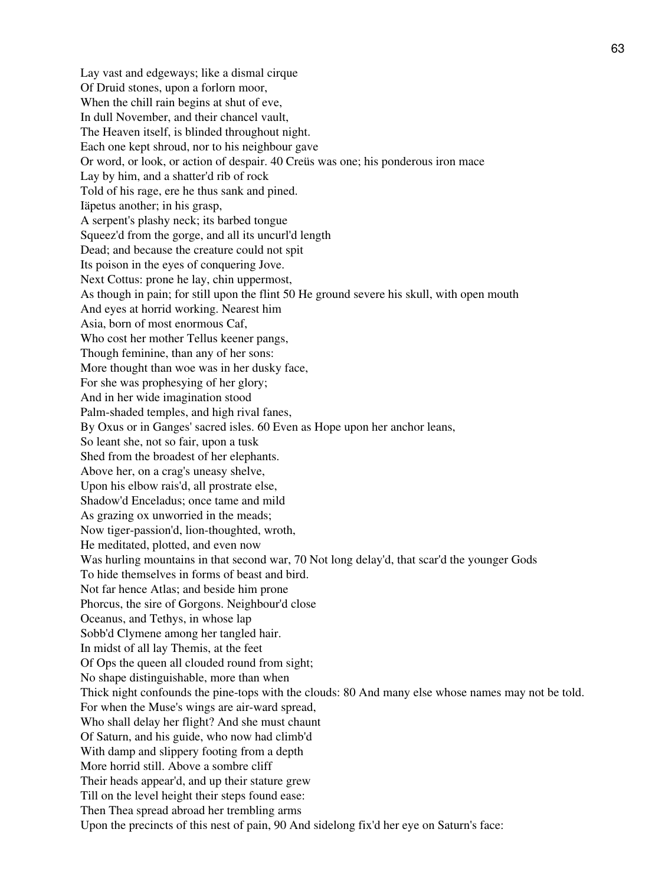Lay vast and edgeways; like a dismal cirque Of Druid stones, upon a forlorn moor, When the chill rain begins at shut of eve, In dull November, and their chancel vault, The Heaven itself, is blinded throughout night. Each one kept shroud, nor to his neighbour gave Or word, or look, or action of despair. 40 Creüs was one; his ponderous iron mace Lay by him, and a shatter'd rib of rock Told of his rage, ere he thus sank and pined. Iäpetus another; in his grasp, A serpent's plashy neck; its barbed tongue Squeez'd from the gorge, and all its uncurl'd length Dead; and because the creature could not spit Its poison in the eyes of conquering Jove. Next Cottus: prone he lay, chin uppermost, As though in pain; for still upon the flint 50 He ground severe his skull, with open mouth And eyes at horrid working. Nearest him Asia, born of most enormous Caf, Who cost her mother Tellus keener pangs, Though feminine, than any of her sons: More thought than woe was in her dusky face, For she was prophesying of her glory; And in her wide imagination stood Palm-shaded temples, and high rival fanes, By Oxus or in Ganges' sacred isles. 60 Even as Hope upon her anchor leans, So leant she, not so fair, upon a tusk Shed from the broadest of her elephants. Above her, on a crag's uneasy shelve, Upon his elbow rais'd, all prostrate else, Shadow'd Enceladus; once tame and mild As grazing ox unworried in the meads; Now tiger-passion'd, lion-thoughted, wroth, He meditated, plotted, and even now Was hurling mountains in that second war, 70 Not long delay'd, that scar'd the younger Gods To hide themselves in forms of beast and bird. Not far hence Atlas; and beside him prone Phorcus, the sire of Gorgons. Neighbour'd close Oceanus, and Tethys, in whose lap Sobb'd Clymene among her tangled hair. In midst of all lay Themis, at the feet Of Ops the queen all clouded round from sight; No shape distinguishable, more than when Thick night confounds the pine-tops with the clouds: 80 And many else whose names may not be told. For when the Muse's wings are air-ward spread, Who shall delay her flight? And she must chaunt Of Saturn, and his guide, who now had climb'd With damp and slippery footing from a depth More horrid still. Above a sombre cliff Their heads appear'd, and up their stature grew Till on the level height their steps found ease: Then Thea spread abroad her trembling arms Upon the precincts of this nest of pain, 90 And sidelong fix'd her eye on Saturn's face: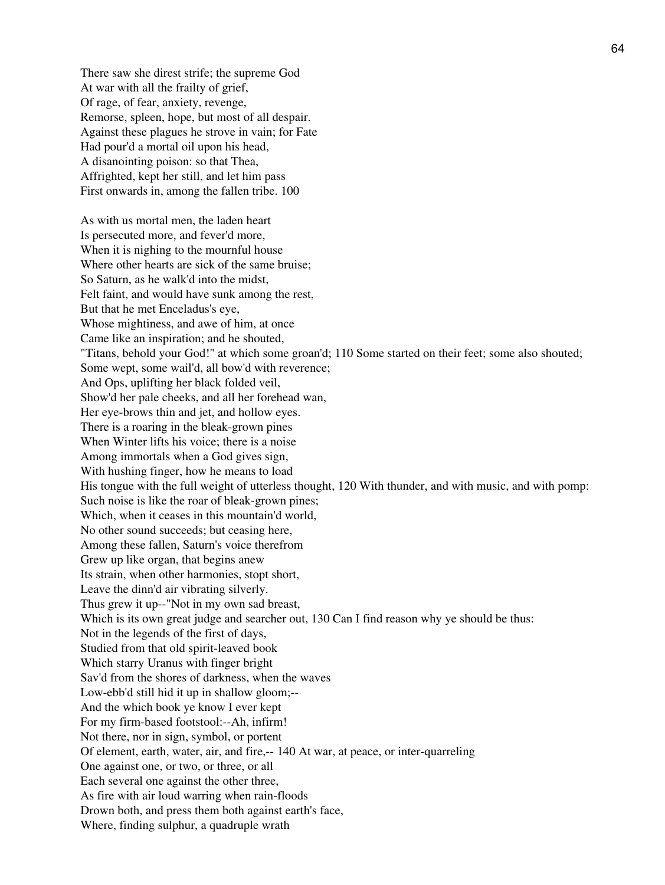There saw she direst strife; the supreme God At war with all the frailty of grief, Of rage, of fear, anxiety, revenge, Remorse, spleen, hope, but most of all despair. Against these plagues he strove in vain; for Fate Had pour'd a mortal oil upon his head, A disanointing poison: so that Thea, Affrighted, kept her still, and let him pass First onwards in, among the fallen tribe. 100

As with us mortal men, the laden heart Is persecuted more, and fever'd more, When it is nighing to the mournful house Where other hearts are sick of the same bruise; So Saturn, as he walk'd into the midst, Felt faint, and would have sunk among the rest, But that he met Enceladus's eye, Whose mightiness, and awe of him, at once Came like an inspiration; and he shouted, "Titans, behold your God!" at which some groan'd; 110 Some started on their feet; some also shouted; Some wept, some wail'd, all bow'd with reverence; And Ops, uplifting her black folded veil, Show'd her pale cheeks, and all her forehead wan, Her eye-brows thin and jet, and hollow eyes. There is a roaring in the bleak-grown pines When Winter lifts his voice; there is a noise Among immortals when a God gives sign, With hushing finger, how he means to load His tongue with the full weight of utterless thought, 120 With thunder, and with music, and with pomp: Such noise is like the roar of bleak-grown pines; Which, when it ceases in this mountain'd world, No other sound succeeds; but ceasing here, Among these fallen, Saturn's voice therefrom Grew up like organ, that begins anew Its strain, when other harmonies, stopt short, Leave the dinn'd air vibrating silverly. Thus grew it up--"Not in my own sad breast, Which is its own great judge and searcher out, 130 Can I find reason why ye should be thus: Not in the legends of the first of days, Studied from that old spirit-leaved book Which starry Uranus with finger bright Sav'd from the shores of darkness, when the waves Low-ebb'd still hid it up in shallow gloom;-- And the which book ye know I ever kept For my firm-based footstool:--Ah, infirm! Not there, nor in sign, symbol, or portent Of element, earth, water, air, and fire,-- 140 At war, at peace, or inter-quarreling One against one, or two, or three, or all Each several one against the other three, As fire with air loud warring when rain-floods Drown both, and press them both against earth's face, Where, finding sulphur, a quadruple wrath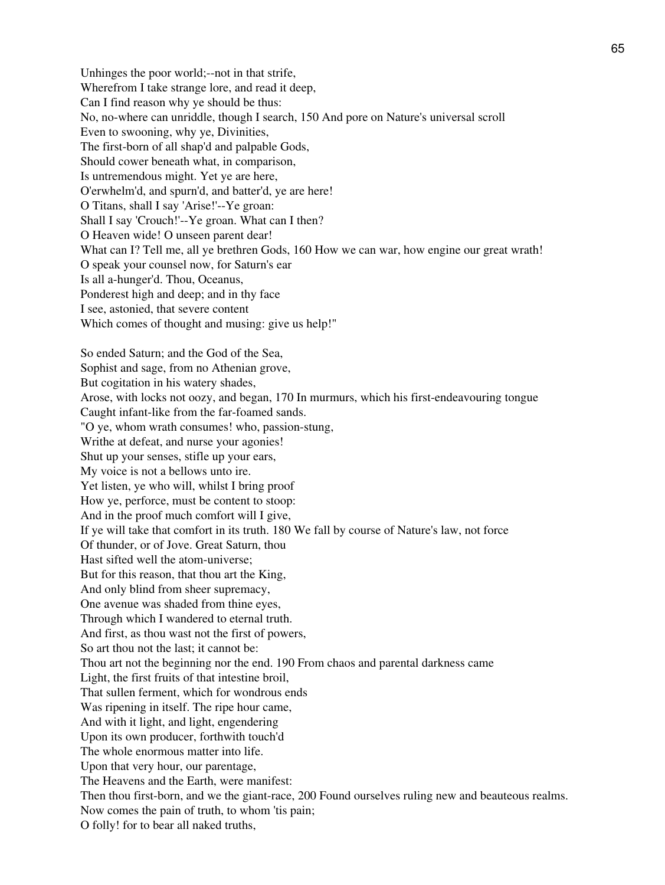Unhinges the poor world;--not in that strife, Wherefrom I take strange lore, and read it deep, Can I find reason why ye should be thus: No, no-where can unriddle, though I search, 150 And pore on Nature's universal scroll Even to swooning, why ye, Divinities, The first-born of all shap'd and palpable Gods, Should cower beneath what, in comparison, Is untremendous might. Yet ye are here, O'erwhelm'd, and spurn'd, and batter'd, ye are here! O Titans, shall I say 'Arise!'--Ye groan: Shall I say 'Crouch!'--Ye groan. What can I then? O Heaven wide! O unseen parent dear! What can I? Tell me, all ye brethren Gods, 160 How we can war, how engine our great wrath! O speak your counsel now, for Saturn's ear Is all a-hunger'd. Thou, Oceanus, Ponderest high and deep; and in thy face I see, astonied, that severe content Which comes of thought and musing: give us help!" So ended Saturn; and the God of the Sea, Sophist and sage, from no Athenian grove, But cogitation in his watery shades, Arose, with locks not oozy, and began, 170 In murmurs, which his first-endeavouring tongue Caught infant-like from the far-foamed sands. "O ye, whom wrath consumes! who, passion-stung, Writhe at defeat, and nurse your agonies! Shut up your senses, stifle up your ears, My voice is not a bellows unto ire. Yet listen, ye who will, whilst I bring proof How ye, perforce, must be content to stoop: And in the proof much comfort will I give, If ye will take that comfort in its truth. 180 We fall by course of Nature's law, not force Of thunder, or of Jove. Great Saturn, thou Hast sifted well the atom-universe; But for this reason, that thou art the King, And only blind from sheer supremacy, One avenue was shaded from thine eyes, Through which I wandered to eternal truth. And first, as thou wast not the first of powers, So art thou not the last; it cannot be: Thou art not the beginning nor the end. 190 From chaos and parental darkness came Light, the first fruits of that intestine broil, That sullen ferment, which for wondrous ends Was ripening in itself. The ripe hour came, And with it light, and light, engendering Upon its own producer, forthwith touch'd The whole enormous matter into life. Upon that very hour, our parentage, The Heavens and the Earth, were manifest: Then thou first-born, and we the giant-race, 200 Found ourselves ruling new and beauteous realms. Now comes the pain of truth, to whom 'tis pain; O folly! for to bear all naked truths,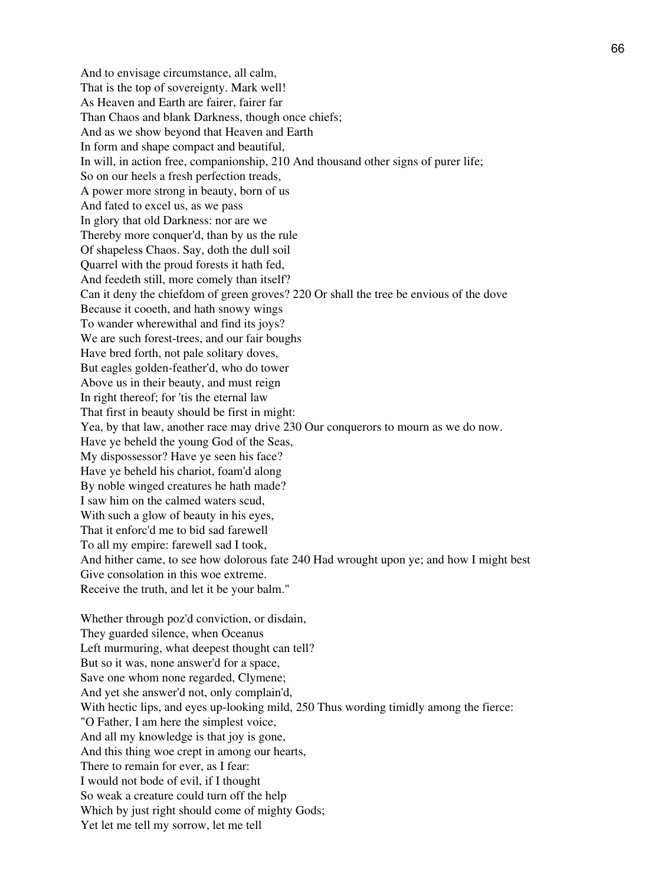And to envisage circumstance, all calm, That is the top of sovereignty. Mark well! As Heaven and Earth are fairer, fairer far Than Chaos and blank Darkness, though once chiefs; And as we show beyond that Heaven and Earth In form and shape compact and beautiful, In will, in action free, companionship, 210 And thousand other signs of purer life; So on our heels a fresh perfection treads, A power more strong in beauty, born of us And fated to excel us, as we pass In glory that old Darkness: nor are we Thereby more conquer'd, than by us the rule Of shapeless Chaos. Say, doth the dull soil Quarrel with the proud forests it hath fed, And feedeth still, more comely than itself? Can it deny the chiefdom of green groves? 220 Or shall the tree be envious of the dove Because it cooeth, and hath snowy wings To wander wherewithal and find its joys? We are such forest-trees, and our fair boughs Have bred forth, not pale solitary doves, But eagles golden-feather'd, who do tower Above us in their beauty, and must reign In right thereof; for 'tis the eternal law That first in beauty should be first in might: Yea, by that law, another race may drive 230 Our conquerors to mourn as we do now. Have ye beheld the young God of the Seas, My dispossessor? Have ye seen his face? Have ye beheld his chariot, foam'd along By noble winged creatures he hath made? I saw him on the calmed waters scud, With such a glow of beauty in his eyes, That it enforc'd me to bid sad farewell To all my empire: farewell sad I took, And hither came, to see how dolorous fate 240 Had wrought upon ye; and how I might best Give consolation in this woe extreme. Receive the truth, and let it be your balm." Whether through poz'd conviction, or disdain, They guarded silence, when Oceanus Left murmuring, what deepest thought can tell? But so it was, none answer'd for a space, Save one whom none regarded, Clymene; And yet she answer'd not, only complain'd, With hectic lips, and eyes up-looking mild, 250 Thus wording timidly among the fierce: "O Father, I am here the simplest voice, And all my knowledge is that joy is gone,

And this thing woe crept in among our hearts,

There to remain for ever, as I fear:

I would not bode of evil, if I thought

So weak a creature could turn off the help

Which by just right should come of mighty Gods;

Yet let me tell my sorrow, let me tell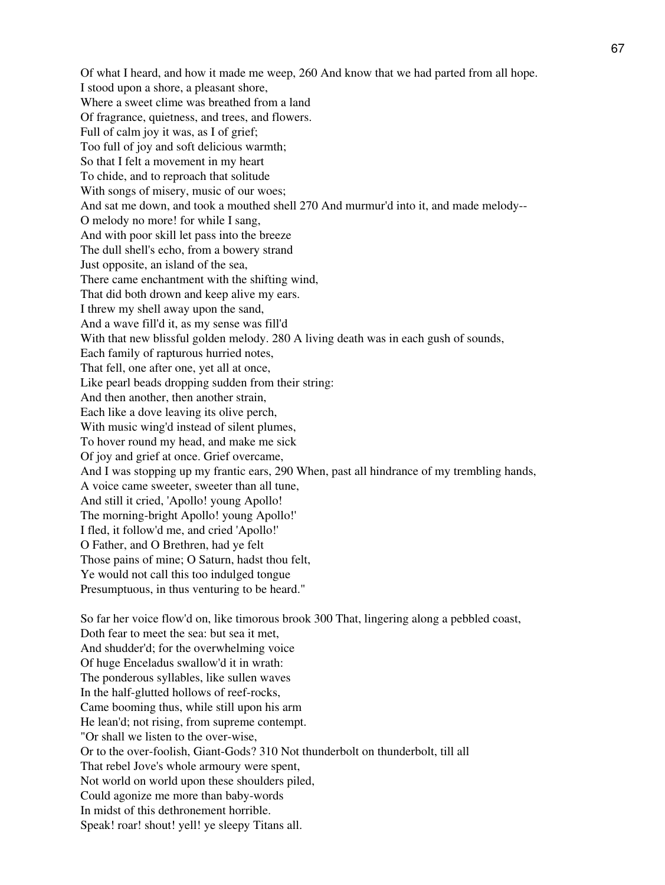Of what I heard, and how it made me weep, 260 And know that we had parted from all hope. I stood upon a shore, a pleasant shore, Where a sweet clime was breathed from a land Of fragrance, quietness, and trees, and flowers. Full of calm joy it was, as I of grief; Too full of joy and soft delicious warmth; So that I felt a movement in my heart To chide, and to reproach that solitude With songs of misery, music of our woes; And sat me down, and took a mouthed shell 270 And murmur'd into it, and made melody-- O melody no more! for while I sang, And with poor skill let pass into the breeze The dull shell's echo, from a bowery strand Just opposite, an island of the sea, There came enchantment with the shifting wind, That did both drown and keep alive my ears. I threw my shell away upon the sand, And a wave fill'd it, as my sense was fill'd With that new blissful golden melody. 280 A living death was in each gush of sounds, Each family of rapturous hurried notes, That fell, one after one, yet all at once, Like pearl beads dropping sudden from their string: And then another, then another strain, Each like a dove leaving its olive perch, With music wing'd instead of silent plumes, To hover round my head, and make me sick Of joy and grief at once. Grief overcame, And I was stopping up my frantic ears, 290 When, past all hindrance of my trembling hands, A voice came sweeter, sweeter than all tune, And still it cried, 'Apollo! young Apollo! The morning-bright Apollo! young Apollo!' I fled, it follow'd me, and cried 'Apollo!' O Father, and O Brethren, had ye felt Those pains of mine; O Saturn, hadst thou felt, Ye would not call this too indulged tongue Presumptuous, in thus venturing to be heard." So far her voice flow'd on, like timorous brook 300 That, lingering along a pebbled coast,

Doth fear to meet the sea: but sea it met, And shudder'd; for the overwhelming voice Of huge Enceladus swallow'd it in wrath: The ponderous syllables, like sullen waves In the half-glutted hollows of reef-rocks, Came booming thus, while still upon his arm He lean'd; not rising, from supreme contempt. "Or shall we listen to the over-wise, Or to the over-foolish, Giant-Gods? 310 Not thunderbolt on thunderbolt, till all That rebel Jove's whole armoury were spent, Not world on world upon these shoulders piled, Could agonize me more than baby-words In midst of this dethronement horrible. Speak! roar! shout! yell! ye sleepy Titans all.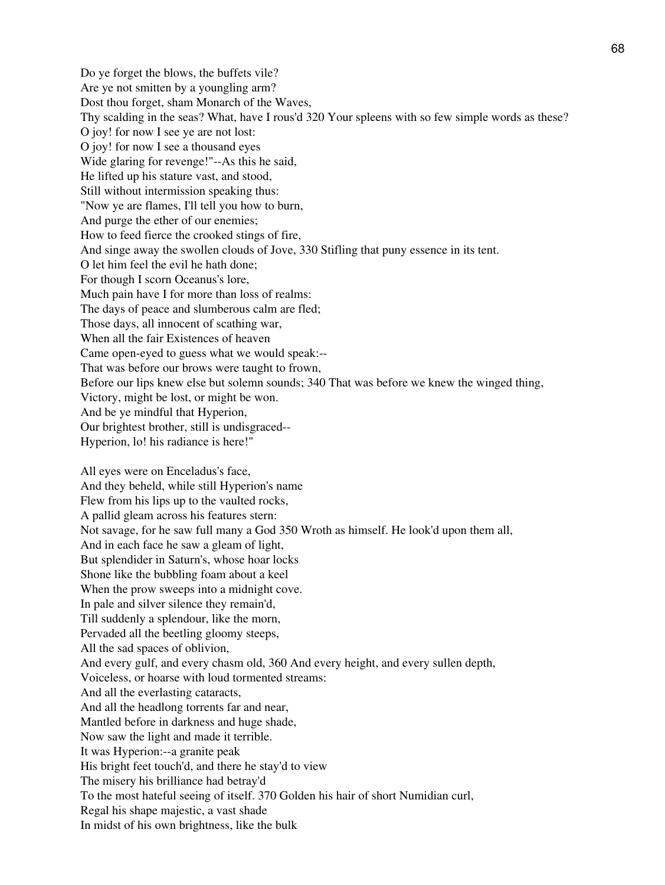Do ye forget the blows, the buffets vile? Are ye not smitten by a youngling arm? Dost thou forget, sham Monarch of the Waves, Thy scalding in the seas? What, have I rous'd 320 Your spleens with so few simple words as these? O joy! for now I see ye are not lost: O joy! for now I see a thousand eyes Wide glaring for revenge!"--As this he said, He lifted up his stature vast, and stood, Still without intermission speaking thus: "Now ye are flames, I'll tell you how to burn, And purge the ether of our enemies; How to feed fierce the crooked stings of fire, And singe away the swollen clouds of Jove, 330 Stifling that puny essence in its tent. O let him feel the evil he hath done; For though I scorn Oceanus's lore, Much pain have I for more than loss of realms: The days of peace and slumberous calm are fled; Those days, all innocent of scathing war, When all the fair Existences of heaven Came open-eyed to guess what we would speak:-- That was before our brows were taught to frown, Before our lips knew else but solemn sounds; 340 That was before we knew the winged thing, Victory, might be lost, or might be won. And be ye mindful that Hyperion, Our brightest brother, still is undisgraced-- Hyperion, lo! his radiance is here!" All eyes were on Enceladus's face, And they beheld, while still Hyperion's name Flew from his lips up to the vaulted rocks, A pallid gleam across his features stern: Not savage, for he saw full many a God 350 Wroth as himself. He look'd upon them all, And in each face he saw a gleam of light, But splendider in Saturn's, whose hoar locks Shone like the bubbling foam about a keel When the prow sweeps into a midnight cove. In pale and silver silence they remain'd, Till suddenly a splendour, like the morn, Pervaded all the beetling gloomy steeps, All the sad spaces of oblivion, And every gulf, and every chasm old, 360 And every height, and every sullen depth, Voiceless, or hoarse with loud tormented streams: And all the everlasting cataracts, And all the headlong torrents far and near, Mantled before in darkness and huge shade, Now saw the light and made it terrible. It was Hyperion:--a granite peak His bright feet touch'd, and there he stay'd to view The misery his brilliance had betray'd To the most hateful seeing of itself. 370 Golden his hair of short Numidian curl, Regal his shape majestic, a vast shade

In midst of his own brightness, like the bulk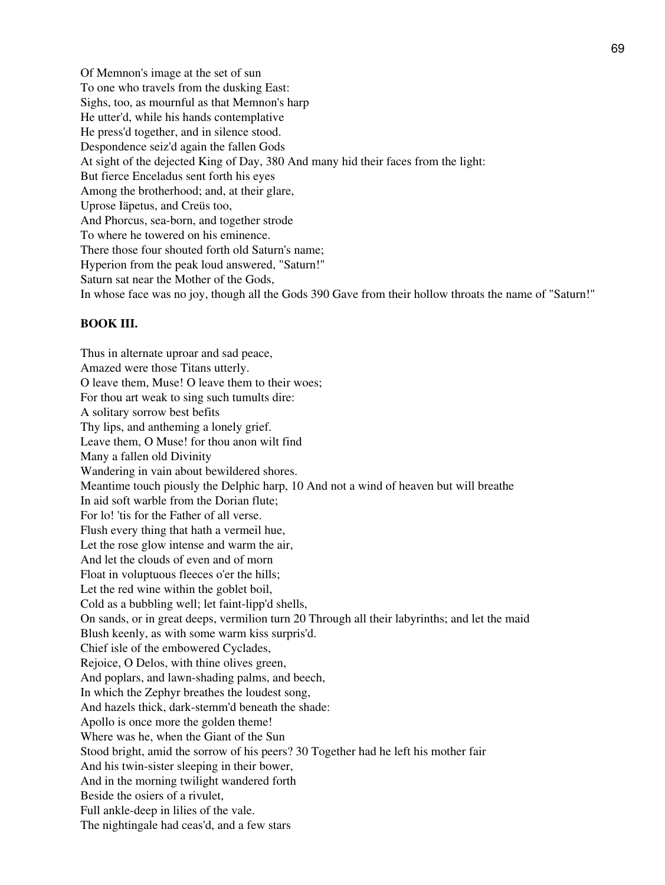Of Memnon's image at the set of sun To one who travels from the dusking East: Sighs, too, as mournful as that Memnon's harp He utter'd, while his hands contemplative He press'd together, and in silence stood. Despondence seiz'd again the fallen Gods At sight of the dejected King of Day, 380 And many hid their faces from the light: But fierce Enceladus sent forth his eyes Among the brotherhood; and, at their glare, Uprose Iäpetus, and Creüs too, And Phorcus, sea-born, and together strode To where he towered on his eminence. There those four shouted forth old Saturn's name; Hyperion from the peak loud answered, "Saturn!" Saturn sat near the Mother of the Gods, In whose face was no joy, though all the Gods 390 Gave from their hollow throats the name of "Saturn!"

### **BOOK III.**

Thus in alternate uproar and sad peace, Amazed were those Titans utterly. O leave them, Muse! O leave them to their woes; For thou art weak to sing such tumults dire: A solitary sorrow best befits Thy lips, and antheming a lonely grief. Leave them, O Muse! for thou anon wilt find Many a fallen old Divinity Wandering in vain about bewildered shores. Meantime touch piously the Delphic harp, 10 And not a wind of heaven but will breathe In aid soft warble from the Dorian flute; For lo! 'tis for the Father of all verse. Flush every thing that hath a vermeil hue, Let the rose glow intense and warm the air, And let the clouds of even and of morn Float in voluptuous fleeces o'er the hills; Let the red wine within the goblet boil, Cold as a bubbling well; let faint-lipp'd shells, On sands, or in great deeps, vermilion turn 20 Through all their labyrinths; and let the maid Blush keenly, as with some warm kiss surpris'd. Chief isle of the embowered Cyclades, Rejoice, O Delos, with thine olives green, And poplars, and lawn-shading palms, and beech, In which the Zephyr breathes the loudest song, And hazels thick, dark-stemm'd beneath the shade: Apollo is once more the golden theme! Where was he, when the Giant of the Sun Stood bright, amid the sorrow of his peers? 30 Together had he left his mother fair And his twin-sister sleeping in their bower, And in the morning twilight wandered forth Beside the osiers of a rivulet, Full ankle-deep in lilies of the vale. The nightingale had ceas'd, and a few stars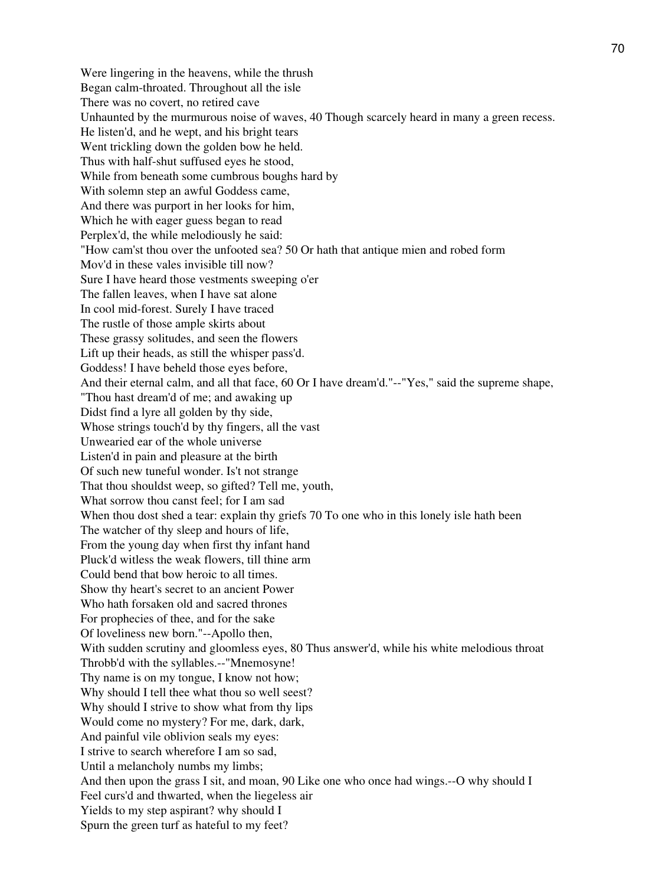Were lingering in the heavens, while the thrush Began calm-throated. Throughout all the isle There was no covert, no retired cave Unhaunted by the murmurous noise of waves, 40 Though scarcely heard in many a green recess. He listen'd, and he wept, and his bright tears Went trickling down the golden bow he held. Thus with half-shut suffused eyes he stood, While from beneath some cumbrous boughs hard by With solemn step an awful Goddess came, And there was purport in her looks for him, Which he with eager guess began to read Perplex'd, the while melodiously he said: "How cam'st thou over the unfooted sea? 50 Or hath that antique mien and robed form Mov'd in these vales invisible till now? Sure I have heard those vestments sweeping o'er The fallen leaves, when I have sat alone In cool mid-forest. Surely I have traced The rustle of those ample skirts about These grassy solitudes, and seen the flowers Lift up their heads, as still the whisper pass'd. Goddess! I have beheld those eyes before, And their eternal calm, and all that face, 60 Or I have dream'd."--"Yes," said the supreme shape, "Thou hast dream'd of me; and awaking up Didst find a lyre all golden by thy side, Whose strings touch'd by thy fingers, all the vast Unwearied ear of the whole universe Listen'd in pain and pleasure at the birth Of such new tuneful wonder. Is't not strange That thou shouldst weep, so gifted? Tell me, youth, What sorrow thou canst feel; for I am sad When thou dost shed a tear: explain thy griefs 70 To one who in this lonely isle hath been The watcher of thy sleep and hours of life, From the young day when first thy infant hand Pluck'd witless the weak flowers, till thine arm Could bend that bow heroic to all times. Show thy heart's secret to an ancient Power Who hath forsaken old and sacred thrones For prophecies of thee, and for the sake Of loveliness new born."--Apollo then, With sudden scrutiny and gloomless eyes, 80 Thus answer'd, while his white melodious throat Throbb'd with the syllables.--"Mnemosyne! Thy name is on my tongue, I know not how; Why should I tell thee what thou so well seest? Why should I strive to show what from thy lips Would come no mystery? For me, dark, dark, And painful vile oblivion seals my eyes: I strive to search wherefore I am so sad, Until a melancholy numbs my limbs; And then upon the grass I sit, and moan, 90 Like one who once had wings.--O why should I Feel curs'd and thwarted, when the liegeless air Yields to my step aspirant? why should I Spurn the green turf as hateful to my feet?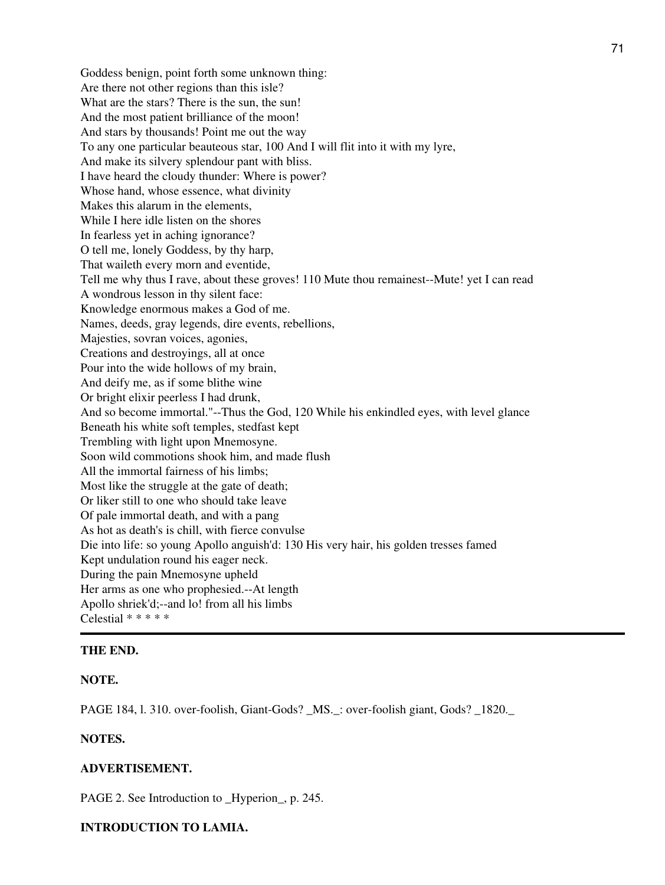Goddess benign, point forth some unknown thing: Are there not other regions than this isle? What are the stars? There is the sun, the sun! And the most patient brilliance of the moon! And stars by thousands! Point me out the way To any one particular beauteous star, 100 And I will flit into it with my lyre, And make its silvery splendour pant with bliss. I have heard the cloudy thunder: Where is power? Whose hand, whose essence, what divinity Makes this alarum in the elements, While I here idle listen on the shores In fearless yet in aching ignorance? O tell me, lonely Goddess, by thy harp, That waileth every morn and eventide, Tell me why thus I rave, about these groves! 110 Mute thou remainest--Mute! yet I can read A wondrous lesson in thy silent face: Knowledge enormous makes a God of me. Names, deeds, gray legends, dire events, rebellions, Majesties, sovran voices, agonies, Creations and destroyings, all at once Pour into the wide hollows of my brain, And deify me, as if some blithe wine Or bright elixir peerless I had drunk, And so become immortal."--Thus the God, 120 While his enkindled eyes, with level glance Beneath his white soft temples, stedfast kept Trembling with light upon Mnemosyne. Soon wild commotions shook him, and made flush All the immortal fairness of his limbs; Most like the struggle at the gate of death; Or liker still to one who should take leave Of pale immortal death, and with a pang As hot as death's is chill, with fierce convulse Die into life: so young Apollo anguish'd: 130 His very hair, his golden tresses famed Kept undulation round his eager neck. During the pain Mnemosyne upheld Her arms as one who prophesied.--At length Apollo shriek'd;--and lo! from all his limbs Celestial \* \* \* \* \*

#### **THE END.**

#### **NOTE.**

PAGE 184, l. 310. over-foolish, Giant-Gods? \_MS.\_: over-foolish giant, Gods? \_1820.\_

### **NOTES.**

### **ADVERTISEMENT.**

PAGE 2. See Introduction to \_Hyperion\_, p. 245.

### **INTRODUCTION TO LAMIA.**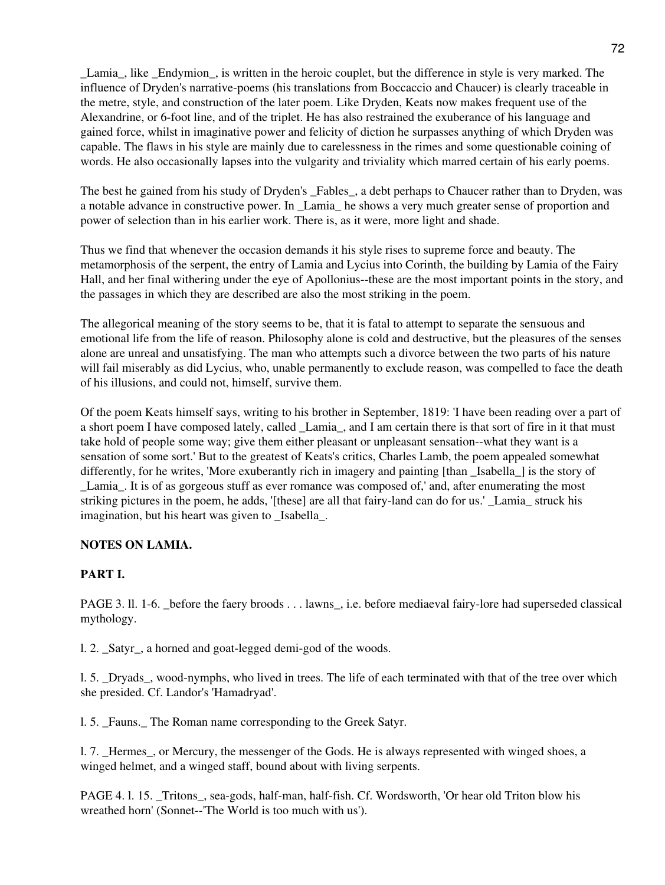Lamia, like Endymion, is written in the heroic couplet, but the difference in style is very marked. The influence of Dryden's narrative-poems (his translations from Boccaccio and Chaucer) is clearly traceable in the metre, style, and construction of the later poem. Like Dryden, Keats now makes frequent use of the Alexandrine, or 6-foot line, and of the triplet. He has also restrained the exuberance of his language and gained force, whilst in imaginative power and felicity of diction he surpasses anything of which Dryden was capable. The flaws in his style are mainly due to carelessness in the rimes and some questionable coining of words. He also occasionally lapses into the vulgarity and triviality which marred certain of his early poems.

The best he gained from his study of Dryden's Fables, a debt perhaps to Chaucer rather than to Dryden, was a notable advance in constructive power. In \_Lamia\_ he shows a very much greater sense of proportion and power of selection than in his earlier work. There is, as it were, more light and shade.

Thus we find that whenever the occasion demands it his style rises to supreme force and beauty. The metamorphosis of the serpent, the entry of Lamia and Lycius into Corinth, the building by Lamia of the Fairy Hall, and her final withering under the eye of Apollonius--these are the most important points in the story, and the passages in which they are described are also the most striking in the poem.

The allegorical meaning of the story seems to be, that it is fatal to attempt to separate the sensuous and emotional life from the life of reason. Philosophy alone is cold and destructive, but the pleasures of the senses alone are unreal and unsatisfying. The man who attempts such a divorce between the two parts of his nature will fail miserably as did Lycius, who, unable permanently to exclude reason, was compelled to face the death of his illusions, and could not, himself, survive them.

Of the poem Keats himself says, writing to his brother in September, 1819: 'I have been reading over a part of a short poem I have composed lately, called Lamia, and I am certain there is that sort of fire in it that must take hold of people some way; give them either pleasant or unpleasant sensation--what they want is a sensation of some sort.' But to the greatest of Keats's critics, Charles Lamb, the poem appealed somewhat differently, for he writes, 'More exuberantly rich in imagery and painting [than Isabella ] is the story of Lamia. It is of as gorgeous stuff as ever romance was composed of,' and, after enumerating the most striking pictures in the poem, he adds, '[these] are all that fairy-land can do for us.' Lamia struck his imagination, but his heart was given to \_Isabella\_.

## **NOTES ON LAMIA.**

## **PART I.**

PAGE 3. ll. 1-6. \_before the faery broods . . . lawns\_, i.e. before mediaeval fairy-lore had superseded classical mythology.

1. 2. Satyr, a horned and goat-legged demi-god of the woods.

l. 5. \_Dryads\_, wood-nymphs, who lived in trees. The life of each terminated with that of the tree over which she presided. Cf. Landor's 'Hamadryad'.

1. 5. Fauns. The Roman name corresponding to the Greek Satyr.

1. 7. Hermes, or Mercury, the messenger of the Gods. He is always represented with winged shoes, a winged helmet, and a winged staff, bound about with living serpents.

PAGE 4. l. 15. \_Tritons\_, sea-gods, half-man, half-fish. Cf. Wordsworth, 'Or hear old Triton blow his wreathed horn' (Sonnet--'The World is too much with us').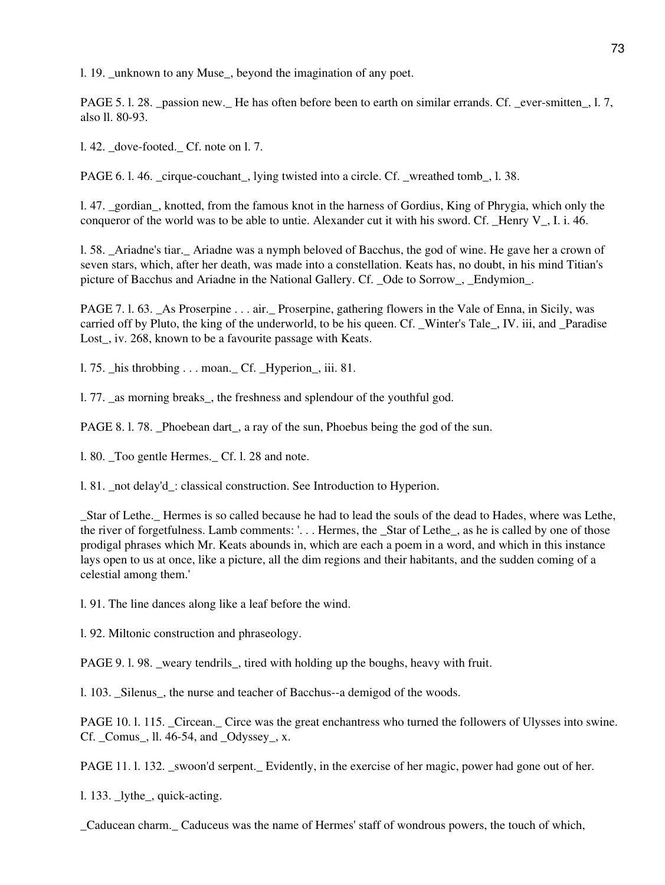l. 19. \_unknown to any Muse\_, beyond the imagination of any poet.

PAGE 5. l. 28. passion new. He has often before been to earth on similar errands. Cf. ever-smitten, l. 7, also ll. 80-93.

l. 42. \_dove-footed.\_ Cf. note on l. 7.

PAGE 6. l. 46. \_cirque-couchant\_, lying twisted into a circle. Cf. \_wreathed tomb\_, l. 38.

l. 47. \_gordian\_, knotted, from the famous knot in the harness of Gordius, King of Phrygia, which only the conqueror of the world was to be able to untie. Alexander cut it with his sword. Cf.  $\,$  Henry V $\,$ , I. i. 46.

l. 58. \_Ariadne's tiar.\_ Ariadne was a nymph beloved of Bacchus, the god of wine. He gave her a crown of seven stars, which, after her death, was made into a constellation. Keats has, no doubt, in his mind Titian's picture of Bacchus and Ariadne in the National Gallery. Cf. Ode to Sorrow, Endymion.

PAGE 7. l. 63. \_As Proserpine . . . air.\_ Proserpine, gathering flowers in the Vale of Enna, in Sicily, was carried off by Pluto, the king of the underworld, to be his queen. Cf. \_Winter's Tale\_, IV. iii, and \_Paradise Lost, iv. 268, known to be a favourite passage with Keats.

l. 75. \_his throbbing . . . moan.\_ Cf. \_Hyperion\_, iii. 81.

l. 77. \_as morning breaks\_, the freshness and splendour of the youthful god.

PAGE 8. 1. 78. Phoebean dart, a ray of the sun, Phoebus being the god of the sun.

l. 80. \_Too gentle Hermes.\_ Cf. l. 28 and note.

l. 81. \_not delay'd\_: classical construction. See Introduction to Hyperion.

\_Star of Lethe.\_ Hermes is so called because he had to lead the souls of the dead to Hades, where was Lethe, the river of forgetfulness. Lamb comments: '. . . Hermes, the \_Star of Lethe\_, as he is called by one of those prodigal phrases which Mr. Keats abounds in, which are each a poem in a word, and which in this instance lays open to us at once, like a picture, all the dim regions and their habitants, and the sudden coming of a celestial among them.'

l. 91. The line dances along like a leaf before the wind.

l. 92. Miltonic construction and phraseology.

PAGE 9.1.98. \_weary tendrils\_, tired with holding up the boughs, heavy with fruit.

l. 103. \_Silenus\_, the nurse and teacher of Bacchus--a demigod of the woods.

PAGE 10. 1. 115. Circean. Circe was the great enchantress who turned the followers of Ulysses into swine. Cf. \_Comus\_, ll. 46-54, and \_Odyssey\_, x.

PAGE 11. l. 132. \_swoon'd serpent.\_ Evidently, in the exercise of her magic, power had gone out of her.

l. 133. \_lythe\_, quick-acting.

\_Caducean charm.\_ Caduceus was the name of Hermes' staff of wondrous powers, the touch of which,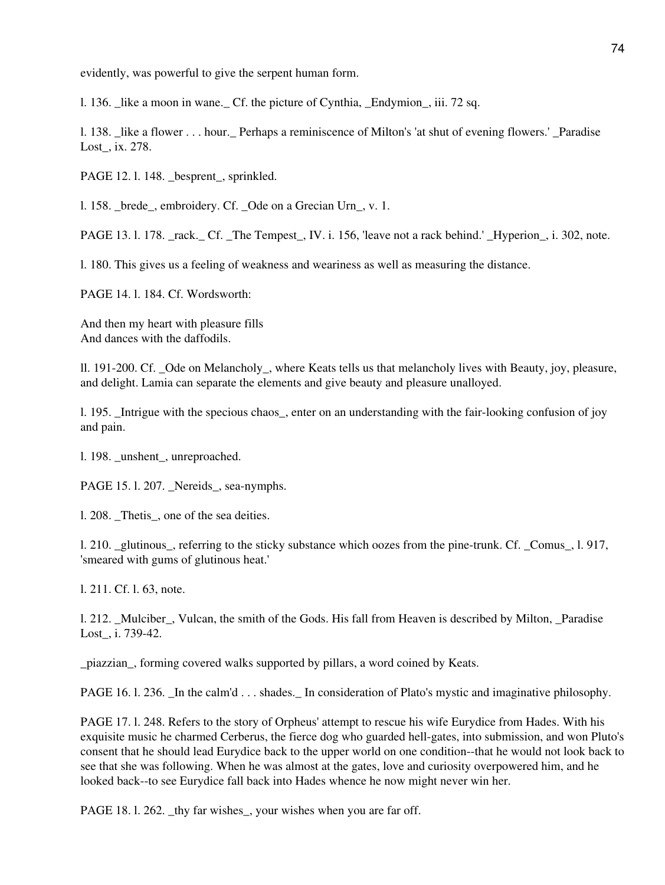evidently, was powerful to give the serpent human form.

l. 136. \_like a moon in wane.\_ Cf. the picture of Cynthia, \_Endymion\_, iii. 72 sq.

1. 138. like a flower . . . hour. Perhaps a reminiscence of Milton's 'at shut of evening flowers.' Paradise Lost\_, ix. 278.

PAGE 12.1.148. \_besprent\_, sprinkled.

1. 158. brede, embroidery. Cf. Ode on a Grecian Urn, v. 1.

PAGE 13. l. 178. \_rack.\_ Cf. \_The Tempest\_, IV. i. 156, 'leave not a rack behind.' \_Hyperion\_, i. 302, note.

l. 180. This gives us a feeling of weakness and weariness as well as measuring the distance.

PAGE 14. l. 184. Cf. Wordsworth:

And then my heart with pleasure fills And dances with the daffodils.

ll. 191-200. Cf. \_Ode on Melancholy\_, where Keats tells us that melancholy lives with Beauty, joy, pleasure, and delight. Lamia can separate the elements and give beauty and pleasure unalloyed.

l. 195. \_Intrigue with the specious chaos\_, enter on an understanding with the fair-looking confusion of joy and pain.

l. 198. \_unshent\_, unreproached.

PAGE 15. l. 207. Nereids, sea-nymphs.

l. 208. \_Thetis\_, one of the sea deities.

l. 210. \_glutinous\_, referring to the sticky substance which oozes from the pine-trunk. Cf. \_Comus\_, l. 917, 'smeared with gums of glutinous heat.'

l. 211. Cf. l. 63, note.

l. 212. \_Mulciber\_, Vulcan, the smith of the Gods. His fall from Heaven is described by Milton, \_Paradise Lost\_, i. 739-42.

\_piazzian\_, forming covered walks supported by pillars, a word coined by Keats.

PAGE 16. l. 236. Let the calm'd . . . shades. In consideration of Plato's mystic and imaginative philosophy.

PAGE 17. l. 248. Refers to the story of Orpheus' attempt to rescue his wife Eurydice from Hades. With his exquisite music he charmed Cerberus, the fierce dog who guarded hell-gates, into submission, and won Pluto's consent that he should lead Eurydice back to the upper world on one condition--that he would not look back to see that she was following. When he was almost at the gates, love and curiosity overpowered him, and he looked back--to see Eurydice fall back into Hades whence he now might never win her.

PAGE 18. l. 262. \_thy far wishes\_, your wishes when you are far off.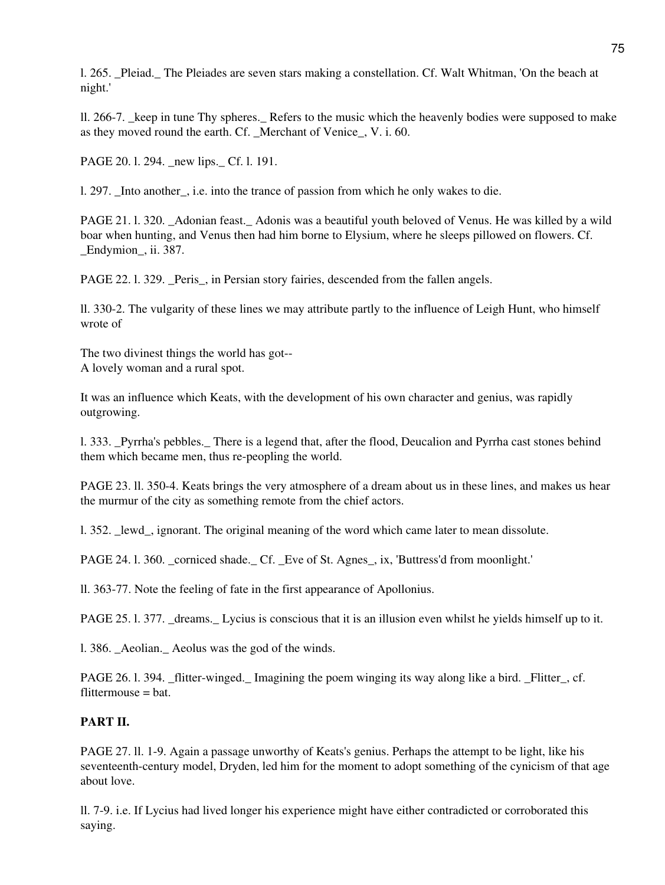l. 265. \_Pleiad.\_ The Pleiades are seven stars making a constellation. Cf. Walt Whitman, 'On the beach at night.'

ll. 266-7. \_keep in tune Thy spheres.\_ Refers to the music which the heavenly bodies were supposed to make as they moved round the earth. Cf. Merchant of Venice, V. i. 60.

PAGE 20. l. 294. \_new lips.\_ Cf. l. 191.

l. 297. Into another, i.e. into the trance of passion from which he only wakes to die.

PAGE 21. l. 320. \_Adonian feast.\_ Adonis was a beautiful youth beloved of Venus. He was killed by a wild boar when hunting, and Venus then had him borne to Elysium, where he sleeps pillowed on flowers. Cf. \_Endymion\_, ii. 387.

PAGE 22. l. 329. Peris, in Persian story fairies, descended from the fallen angels.

ll. 330-2. The vulgarity of these lines we may attribute partly to the influence of Leigh Hunt, who himself wrote of

The two divinest things the world has got-- A lovely woman and a rural spot.

It was an influence which Keats, with the development of his own character and genius, was rapidly outgrowing.

l. 333. \_Pyrrha's pebbles.\_ There is a legend that, after the flood, Deucalion and Pyrrha cast stones behind them which became men, thus re-peopling the world.

PAGE 23. ll. 350-4. Keats brings the very atmosphere of a dream about us in these lines, and makes us hear the murmur of the city as something remote from the chief actors.

l. 352. \_lewd\_, ignorant. The original meaning of the word which came later to mean dissolute.

PAGE 24. l. 360. corniced shade. Cf. Eve of St. Agnes, ix, 'Buttress'd from moonlight.'

ll. 363-77. Note the feeling of fate in the first appearance of Apollonius.

PAGE 25. l. 377. dreams. Lycius is conscious that it is an illusion even whilst he yields himself up to it.

1. 386. Aeolian. Aeolus was the god of the winds.

PAGE 26. l. 394. \_flitter-winged.\_ Imagining the poem winging its way along like a bird. \_Flitter\_, cf. flittermouse = bat.

## **PART II.**

PAGE 27. ll. 1-9. Again a passage unworthy of Keats's genius. Perhaps the attempt to be light, like his seventeenth-century model, Dryden, led him for the moment to adopt something of the cynicism of that age about love.

ll. 7-9. i.e. If Lycius had lived longer his experience might have either contradicted or corroborated this saying.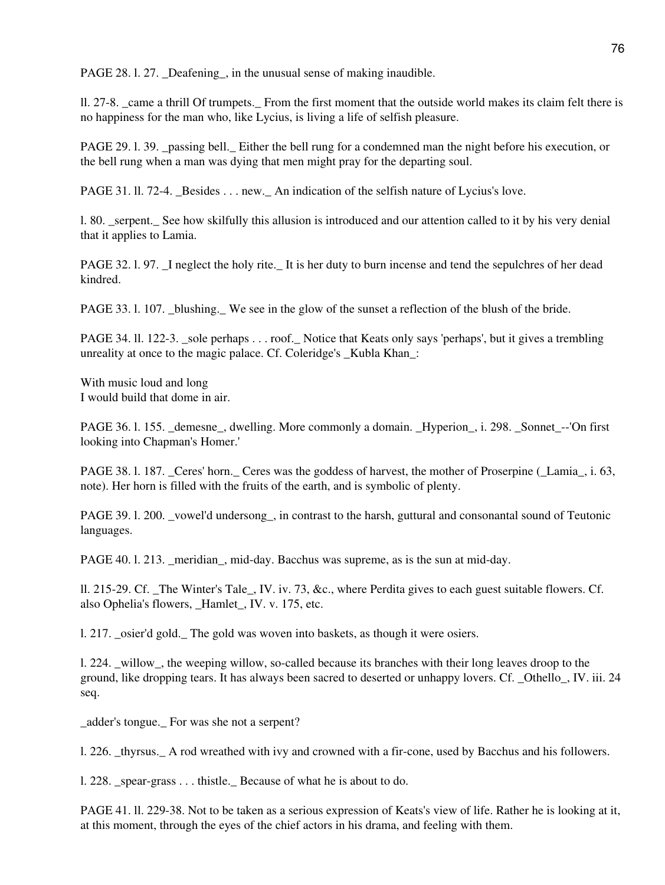PAGE 28. l. 27. \_Deafening\_, in the unusual sense of making inaudible.

ll. 27-8. \_came a thrill Of trumpets.\_ From the first moment that the outside world makes its claim felt there is no happiness for the man who, like Lycius, is living a life of selfish pleasure.

PAGE 29. l. 39. \_passing bell.\_ Either the bell rung for a condemned man the night before his execution, or the bell rung when a man was dying that men might pray for the departing soul.

PAGE 31. 11. 72-4. Besides . . . new. An indication of the selfish nature of Lycius's love.

l. 80. \_serpent.\_ See how skilfully this allusion is introduced and our attention called to it by his very denial that it applies to Lamia.

PAGE 32. 1. 97. I neglect the holy rite. It is her duty to burn incense and tend the sepulchres of her dead kindred.

PAGE 33. l. 107. \_blushing.\_ We see in the glow of the sunset a reflection of the blush of the bride.

PAGE 34. II. 122-3. sole perhaps . . . roof. Notice that Keats only says 'perhaps', but it gives a trembling unreality at once to the magic palace. Cf. Coleridge's \_Kubla Khan\_:

With music loud and long I would build that dome in air.

PAGE 36. l. 155. demesne, dwelling. More commonly a domain. Hyperion, i. 298. Sonnet --'On first looking into Chapman's Homer.'

PAGE 38. l. 187. Ceres' horn. Ceres was the goddess of harvest, the mother of Proserpine (Lamia, i. 63, note). Her horn is filled with the fruits of the earth, and is symbolic of plenty.

PAGE 39. l. 200. \_vowel'd undersong\_, in contrast to the harsh, guttural and consonantal sound of Teutonic languages.

PAGE 40. l. 213. meridian, mid-day. Bacchus was supreme, as is the sun at mid-day.

ll. 215-29. Cf. \_The Winter's Tale\_, IV. iv. 73, &c., where Perdita gives to each guest suitable flowers. Cf. also Ophelia's flowers, \_Hamlet\_, IV. v. 175, etc.

l. 217. \_osier'd gold.\_ The gold was woven into baskets, as though it were osiers.

l. 224. \_willow\_, the weeping willow, so-called because its branches with their long leaves droop to the ground, like dropping tears. It has always been sacred to deserted or unhappy lovers. Cf. \_Othello\_, IV. iii. 24 seq.

\_adder's tongue.\_ For was she not a serpent?

l. 226. \_thyrsus.\_ A rod wreathed with ivy and crowned with a fir-cone, used by Bacchus and his followers.

1. 228. spear-grass . . . thistle. Because of what he is about to do.

PAGE 41. ll. 229-38. Not to be taken as a serious expression of Keats's view of life. Rather he is looking at it, at this moment, through the eyes of the chief actors in his drama, and feeling with them.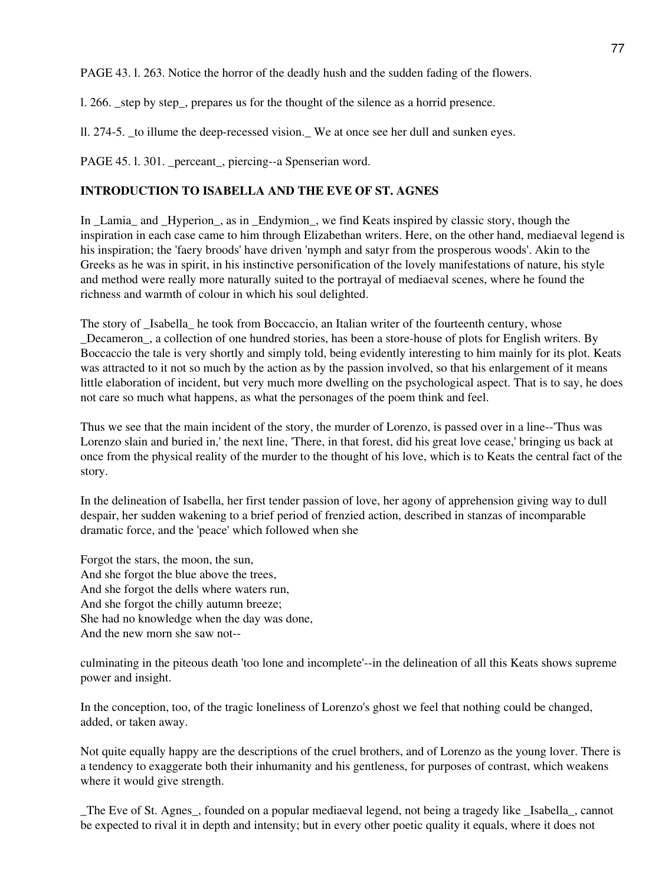PAGE 43. l. 263. Notice the horror of the deadly hush and the sudden fading of the flowers.

l. 266. \_step by step\_, prepares us for the thought of the silence as a horrid presence.

ll. 274-5. \_to illume the deep-recessed vision.\_ We at once see her dull and sunken eyes.

PAGE 45. l. 301. \_perceant\_, piercing--a Spenserian word.

# **INTRODUCTION TO ISABELLA AND THE EVE OF ST. AGNES**

In \_Lamia\_ and \_Hyperion\_, as in \_Endymion\_, we find Keats inspired by classic story, though the inspiration in each case came to him through Elizabethan writers. Here, on the other hand, mediaeval legend is his inspiration; the 'faery broods' have driven 'nymph and satyr from the prosperous woods'. Akin to the Greeks as he was in spirit, in his instinctive personification of the lovely manifestations of nature, his style and method were really more naturally suited to the portrayal of mediaeval scenes, where he found the richness and warmth of colour in which his soul delighted.

The story of \_Isabella\_ he took from Boccaccio, an Italian writer of the fourteenth century, whose Decameron, a collection of one hundred stories, has been a store-house of plots for English writers. By Boccaccio the tale is very shortly and simply told, being evidently interesting to him mainly for its plot. Keats was attracted to it not so much by the action as by the passion involved, so that his enlargement of it means little elaboration of incident, but very much more dwelling on the psychological aspect. That is to say, he does not care so much what happens, as what the personages of the poem think and feel.

Thus we see that the main incident of the story, the murder of Lorenzo, is passed over in a line--'Thus was Lorenzo slain and buried in,' the next line, 'There, in that forest, did his great love cease,' bringing us back at once from the physical reality of the murder to the thought of his love, which is to Keats the central fact of the story.

In the delineation of Isabella, her first tender passion of love, her agony of apprehension giving way to dull despair, her sudden wakening to a brief period of frenzied action, described in stanzas of incomparable dramatic force, and the 'peace' which followed when she

Forgot the stars, the moon, the sun, And she forgot the blue above the trees, And she forgot the dells where waters run, And she forgot the chilly autumn breeze; She had no knowledge when the day was done, And the new morn she saw not--

culminating in the piteous death 'too lone and incomplete'--in the delineation of all this Keats shows supreme power and insight.

In the conception, too, of the tragic loneliness of Lorenzo's ghost we feel that nothing could be changed, added, or taken away.

Not quite equally happy are the descriptions of the cruel brothers, and of Lorenzo as the young lover. There is a tendency to exaggerate both their inhumanity and his gentleness, for purposes of contrast, which weakens where it would give strength.

\_The Eve of St. Agnes\_, founded on a popular mediaeval legend, not being a tragedy like \_Isabella\_, cannot be expected to rival it in depth and intensity; but in every other poetic quality it equals, where it does not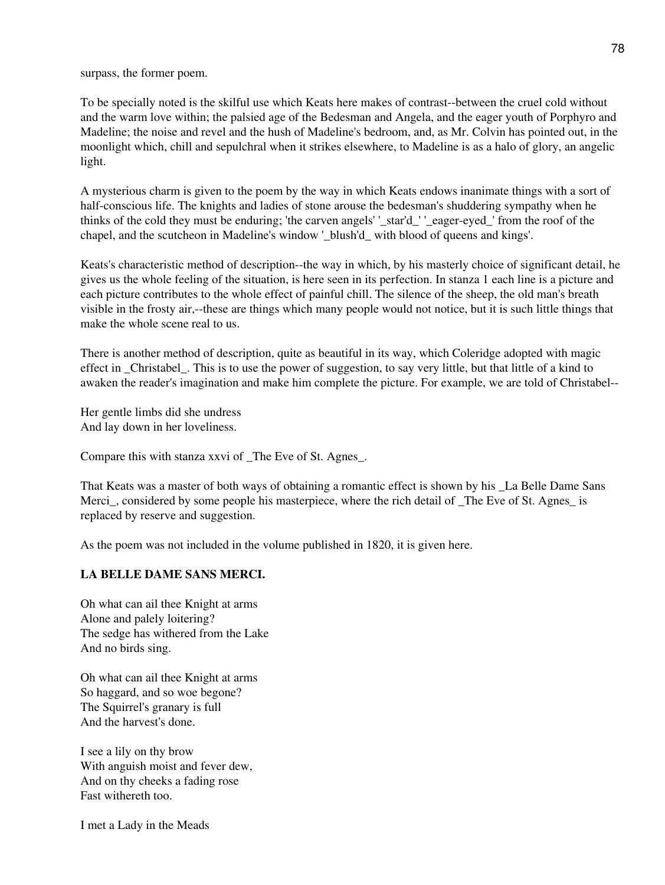surpass, the former poem.

To be specially noted is the skilful use which Keats here makes of contrast--between the cruel cold without and the warm love within; the palsied age of the Bedesman and Angela, and the eager youth of Porphyro and Madeline; the noise and revel and the hush of Madeline's bedroom, and, as Mr. Colvin has pointed out, in the moonlight which, chill and sepulchral when it strikes elsewhere, to Madeline is as a halo of glory, an angelic light.

A mysterious charm is given to the poem by the way in which Keats endows inanimate things with a sort of half-conscious life. The knights and ladies of stone arouse the bedesman's shuddering sympathy when he thinks of the cold they must be enduring; 'the carven angels' '\_star'd\_' '\_eager-eyed\_' from the roof of the chapel, and the scutcheon in Madeline's window '\_blush'd\_ with blood of queens and kings'.

Keats's characteristic method of description--the way in which, by his masterly choice of significant detail, he gives us the whole feeling of the situation, is here seen in its perfection. In stanza 1 each line is a picture and each picture contributes to the whole effect of painful chill. The silence of the sheep, the old man's breath visible in the frosty air,--these are things which many people would not notice, but it is such little things that make the whole scene real to us.

There is another method of description, quite as beautiful in its way, which Coleridge adopted with magic effect in \_Christabel\_. This is to use the power of suggestion, to say very little, but that little of a kind to awaken the reader's imagination and make him complete the picture. For example, we are told of Christabel--

Her gentle limbs did she undress And lay down in her loveliness.

Compare this with stanza xxvi of \_The Eve of St. Agnes\_.

That Keats was a master of both ways of obtaining a romantic effect is shown by his \_La Belle Dame Sans Merci, considered by some people his masterpiece, where the rich detail of The Eve of St. Agnes is replaced by reserve and suggestion.

As the poem was not included in the volume published in 1820, it is given here.

## **LA BELLE DAME SANS MERCI.**

Oh what can ail thee Knight at arms Alone and palely loitering? The sedge has withered from the Lake And no birds sing.

Oh what can ail thee Knight at arms So haggard, and so woe begone? The Squirrel's granary is full And the harvest's done.

I see a lily on thy brow With anguish moist and fever dew, And on thy cheeks a fading rose Fast withereth too.

I met a Lady in the Meads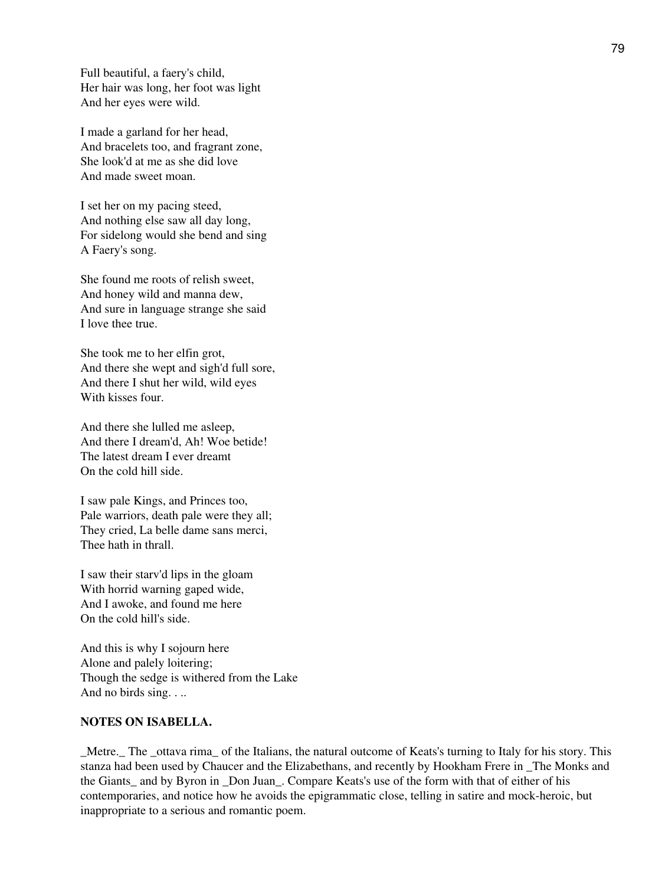Full beautiful, a faery's child, Her hair was long, her foot was light And her eyes were wild.

I made a garland for her head, And bracelets too, and fragrant zone, She look'd at me as she did love And made sweet moan.

I set her on my pacing steed, And nothing else saw all day long, For sidelong would she bend and sing A Faery's song.

She found me roots of relish sweet, And honey wild and manna dew, And sure in language strange she said I love thee true.

She took me to her elfin grot, And there she wept and sigh'd full sore, And there I shut her wild, wild eyes With kisses four.

And there she lulled me asleep, And there I dream'd, Ah! Woe betide! The latest dream I ever dreamt On the cold hill side.

I saw pale Kings, and Princes too, Pale warriors, death pale were they all; They cried, La belle dame sans merci, Thee hath in thrall.

I saw their starv'd lips in the gloam With horrid warning gaped wide, And I awoke, and found me here On the cold hill's side.

And this is why I sojourn here Alone and palely loitering; Though the sedge is withered from the Lake And no birds sing. . ..

## **NOTES ON ISABELLA.**

\_Metre.\_ The \_ottava rima\_ of the Italians, the natural outcome of Keats's turning to Italy for his story. This stanza had been used by Chaucer and the Elizabethans, and recently by Hookham Frere in \_The Monks and the Giants and by Byron in Don Juan. Compare Keats's use of the form with that of either of his contemporaries, and notice how he avoids the epigrammatic close, telling in satire and mock-heroic, but inappropriate to a serious and romantic poem.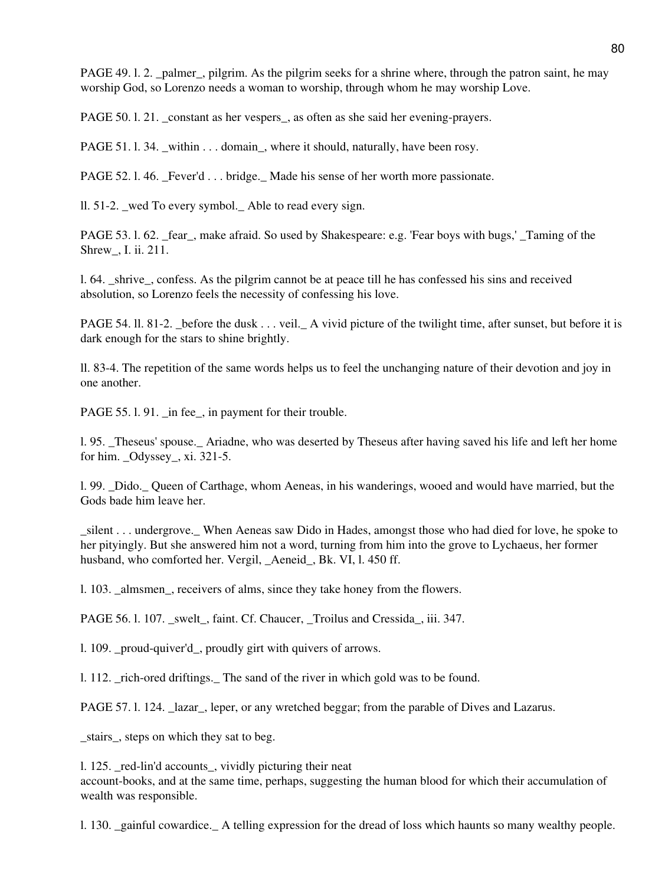PAGE 49. l. 2. \_palmer\_, pilgrim. As the pilgrim seeks for a shrine where, through the patron saint, he may worship God, so Lorenzo needs a woman to worship, through whom he may worship Love.

PAGE 50. l. 21. constant as her vespers, as often as she said her evening-prayers.

PAGE 51. 1. 34. \_within . . . domain\_, where it should, naturally, have been rosy.

PAGE 52. l. 46. Fever'd . . . bridge. Made his sense of her worth more passionate.

ll. 51-2. wed To every symbol. Able to read every sign.

PAGE 53. l. 62. \_fear\_, make afraid. So used by Shakespeare: e.g. 'Fear boys with bugs,' \_Taming of the Shrew\_, I. ii. 211.

l. 64. \_shrive\_, confess. As the pilgrim cannot be at peace till he has confessed his sins and received absolution, so Lorenzo feels the necessity of confessing his love.

PAGE 54. II. 81-2. Lefore the dusk . . . veil. A vivid picture of the twilight time, after sunset, but before it is dark enough for the stars to shine brightly.

ll. 83-4. The repetition of the same words helps us to feel the unchanging nature of their devotion and joy in one another.

PAGE 55. l. 91. in fee, in payment for their trouble.

l. 95. \_Theseus' spouse.\_ Ariadne, who was deserted by Theseus after having saved his life and left her home for him. \_Odyssey\_, xi. 321-5.

l. 99. \_Dido.\_ Queen of Carthage, whom Aeneas, in his wanderings, wooed and would have married, but the Gods bade him leave her.

\_silent . . . undergrove.\_ When Aeneas saw Dido in Hades, amongst those who had died for love, he spoke to her pityingly. But she answered him not a word, turning from him into the grove to Lychaeus, her former husband, who comforted her. Vergil, Aeneid, Bk. VI, l. 450 ff.

l. 103. \_almsmen\_, receivers of alms, since they take honey from the flowers.

PAGE 56. l. 107. swelt, faint. Cf. Chaucer, Troilus and Cressida, iii. 347.

l. 109. \_proud-quiver'd\_, proudly girt with quivers of arrows.

l. 112. \_rich-ored driftings.\_ The sand of the river in which gold was to be found.

PAGE 57. l. 124. Lazar, leper, or any wretched beggar; from the parable of Dives and Lazarus.

\_stairs\_, steps on which they sat to beg.

1. 125. red-lin'd accounts, vividly picturing their neat account-books, and at the same time, perhaps, suggesting the human blood for which their accumulation of wealth was responsible.

l. 130. \_gainful cowardice.\_ A telling expression for the dread of loss which haunts so many wealthy people.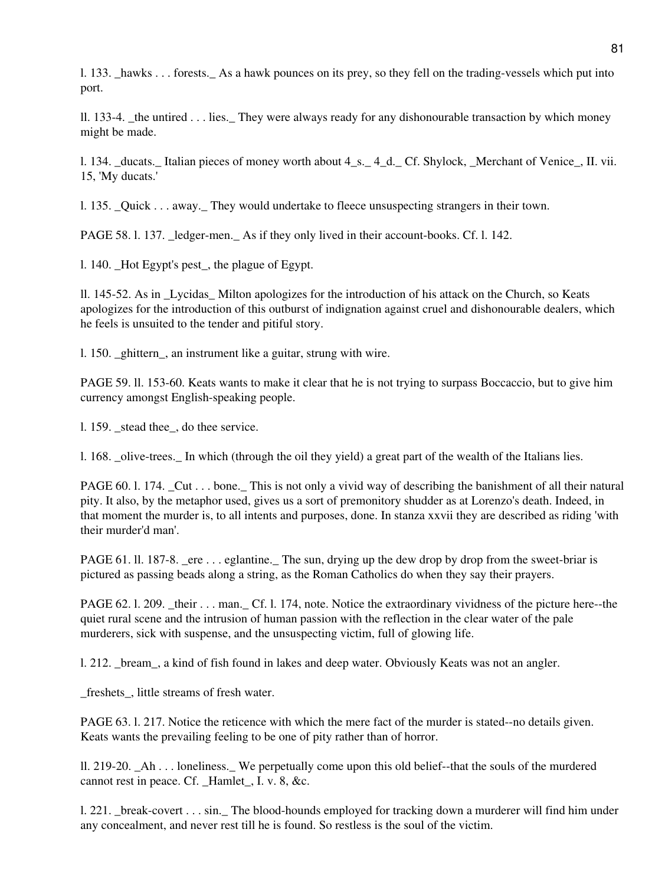l. 133. \_hawks . . . forests.\_ As a hawk pounces on its prey, so they fell on the trading-vessels which put into port.

ll. 133-4. the untired  $\ldots$  lies. They were always ready for any dishonourable transaction by which money might be made.

l. 134. \_ducats.\_ Italian pieces of money worth about 4\_s.\_ 4\_d.\_ Cf. Shylock, \_Merchant of Venice\_, II. vii. 15, 'My ducats.'

l. 135. \_Quick . . . away.\_ They would undertake to fleece unsuspecting strangers in their town.

PAGE 58. l. 137. \_ledger-men.\_ As if they only lived in their account-books. Cf. l. 142.

l. 140. \_Hot Egypt's pest\_, the plague of Egypt.

ll. 145-52. As in \_Lycidas\_ Milton apologizes for the introduction of his attack on the Church, so Keats apologizes for the introduction of this outburst of indignation against cruel and dishonourable dealers, which he feels is unsuited to the tender and pitiful story.

l. 150. \_ghittern\_, an instrument like a guitar, strung with wire.

PAGE 59. ll. 153-60. Keats wants to make it clear that he is not trying to surpass Boccaccio, but to give him currency amongst English-speaking people.

1. 159. stead thee, do thee service.

l. 168. \_olive-trees.\_ In which (through the oil they yield) a great part of the wealth of the Italians lies.

PAGE 60. l. 174. Cut . . . bone. This is not only a vivid way of describing the banishment of all their natural pity. It also, by the metaphor used, gives us a sort of premonitory shudder as at Lorenzo's death. Indeed, in that moment the murder is, to all intents and purposes, done. In stanza xxvii they are described as riding 'with their murder'd man'.

PAGE 61. ll. 187-8. ere  $\ldots$  eglantine. The sun, drying up the dew drop by drop from the sweet-briar is pictured as passing beads along a string, as the Roman Catholics do when they say their prayers.

PAGE 62. l. 209. \_their . . . man. Cf. l. 174, note. Notice the extraordinary vividness of the picture here--the quiet rural scene and the intrusion of human passion with the reflection in the clear water of the pale murderers, sick with suspense, and the unsuspecting victim, full of glowing life.

l. 212. \_bream\_, a kind of fish found in lakes and deep water. Obviously Keats was not an angler.

freshets, little streams of fresh water.

PAGE 63. l. 217. Notice the reticence with which the mere fact of the murder is stated--no details given. Keats wants the prevailing feeling to be one of pity rather than of horror.

ll. 219-20. \_Ah . . . loneliness.\_ We perpetually come upon this old belief--that the souls of the murdered cannot rest in peace. Cf. Hamlet, I. v. 8, &c.

l. 221. \_break-covert . . . sin.\_ The blood-hounds employed for tracking down a murderer will find him under any concealment, and never rest till he is found. So restless is the soul of the victim.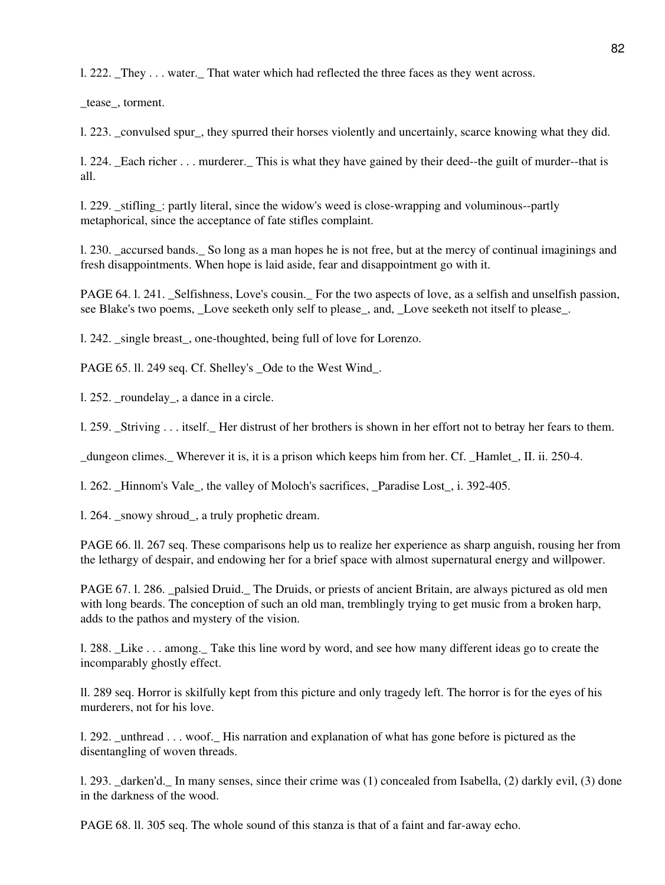l. 222. \_They . . . water.\_ That water which had reflected the three faces as they went across.

\_tease\_, torment.

l. 223. \_convulsed spur\_, they spurred their horses violently and uncertainly, scarce knowing what they did.

l. 224. \_Each richer . . . murderer.\_ This is what they have gained by their deed--the guilt of murder--that is all.

l. 229. \_stifling\_: partly literal, since the widow's weed is close-wrapping and voluminous--partly metaphorical, since the acceptance of fate stifles complaint.

l. 230. \_accursed bands.\_ So long as a man hopes he is not free, but at the mercy of continual imaginings and fresh disappointments. When hope is laid aside, fear and disappointment go with it.

PAGE 64. 1. 241. \_Selfishness, Love's cousin. \_ For the two aspects of love, as a selfish and unselfish passion, see Blake's two poems, \_Love seeketh only self to please\_, and, \_Love seeketh not itself to please\_.

l. 242. \_single breast\_, one-thoughted, being full of love for Lorenzo.

PAGE 65. ll. 249 seq. Cf. Shelley's \_Ode to the West Wind\_.

1. 252. roundelay, a dance in a circle.

l. 259. \_Striving . . . itself.\_ Her distrust of her brothers is shown in her effort not to betray her fears to them.

\_dungeon climes.\_ Wherever it is, it is a prison which keeps him from her. Cf. \_Hamlet\_, II. ii. 250-4.

l. 262. Hinnom's Vale, the valley of Moloch's sacrifices, Paradise Lost, i. 392-405.

l. 264. \_snowy shroud\_, a truly prophetic dream.

PAGE 66. ll. 267 seq. These comparisons help us to realize her experience as sharp anguish, rousing her from the lethargy of despair, and endowing her for a brief space with almost supernatural energy and willpower.

PAGE 67. l. 286. \_palsied Druid.\_ The Druids, or priests of ancient Britain, are always pictured as old men with long beards. The conception of such an old man, tremblingly trying to get music from a broken harp, adds to the pathos and mystery of the vision.

l. 288. \_Like . . . among.\_ Take this line word by word, and see how many different ideas go to create the incomparably ghostly effect.

ll. 289 seq. Horror is skilfully kept from this picture and only tragedy left. The horror is for the eyes of his murderers, not for his love.

l. 292. \_unthread . . . woof.\_ His narration and explanation of what has gone before is pictured as the disentangling of woven threads.

l. 293. \_darken'd.\_ In many senses, since their crime was (1) concealed from Isabella, (2) darkly evil, (3) done in the darkness of the wood.

PAGE 68. ll. 305 seq. The whole sound of this stanza is that of a faint and far-away echo.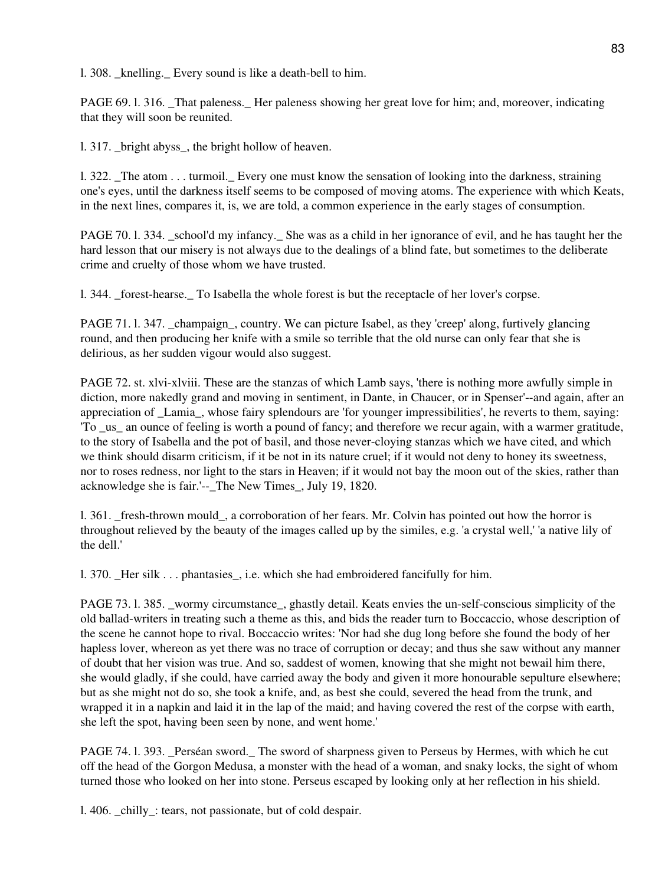l. 308. \_knelling.\_ Every sound is like a death-bell to him.

PAGE 69. 1. 316. That paleness. Her paleness showing her great love for him; and, moreover, indicating that they will soon be reunited.

l. 317. \_bright abyss\_, the bright hollow of heaven.

l. 322. \_The atom . . . turmoil.\_ Every one must know the sensation of looking into the darkness, straining one's eyes, until the darkness itself seems to be composed of moving atoms. The experience with which Keats, in the next lines, compares it, is, we are told, a common experience in the early stages of consumption.

PAGE 70. l. 334. \_school'd my infancy.\_ She was as a child in her ignorance of evil, and he has taught her the hard lesson that our misery is not always due to the dealings of a blind fate, but sometimes to the deliberate crime and cruelty of those whom we have trusted.

l. 344. \_forest-hearse.\_ To Isabella the whole forest is but the receptacle of her lover's corpse.

PAGE 71. 1. 347. champaign, country. We can picture Isabel, as they 'creep' along, furtively glancing round, and then producing her knife with a smile so terrible that the old nurse can only fear that she is delirious, as her sudden vigour would also suggest.

PAGE 72. st. xlvi-xlviii. These are the stanzas of which Lamb says, 'there is nothing more awfully simple in diction, more nakedly grand and moving in sentiment, in Dante, in Chaucer, or in Spenser'--and again, after an appreciation of Lamia, whose fairy splendours are 'for younger impressibilities', he reverts to them, saying: 'To \_us\_ an ounce of feeling is worth a pound of fancy; and therefore we recur again, with a warmer gratitude, to the story of Isabella and the pot of basil, and those never-cloying stanzas which we have cited, and which we think should disarm criticism, if it be not in its nature cruel; if it would not deny to honey its sweetness, nor to roses redness, nor light to the stars in Heaven; if it would not bay the moon out of the skies, rather than acknowledge she is fair.'-- The New Times, July 19, 1820.

l. 361. \_fresh-thrown mould\_, a corroboration of her fears. Mr. Colvin has pointed out how the horror is throughout relieved by the beauty of the images called up by the similes, e.g. 'a crystal well,' 'a native lily of the dell.'

l. 370. Her silk . . . phantasies, i.e. which she had embroidered fancifully for him.

PAGE 73. l. 385. \_wormy circumstance\_, ghastly detail. Keats envies the un-self-conscious simplicity of the old ballad-writers in treating such a theme as this, and bids the reader turn to Boccaccio, whose description of the scene he cannot hope to rival. Boccaccio writes: 'Nor had she dug long before she found the body of her hapless lover, whereon as yet there was no trace of corruption or decay; and thus she saw without any manner of doubt that her vision was true. And so, saddest of women, knowing that she might not bewail him there, she would gladly, if she could, have carried away the body and given it more honourable sepulture elsewhere; but as she might not do so, she took a knife, and, as best she could, severed the head from the trunk, and wrapped it in a napkin and laid it in the lap of the maid; and having covered the rest of the corpse with earth, she left the spot, having been seen by none, and went home.'

PAGE 74. l. 393. \_Perséan sword.\_ The sword of sharpness given to Perseus by Hermes, with which he cut off the head of the Gorgon Medusa, a monster with the head of a woman, and snaky locks, the sight of whom turned those who looked on her into stone. Perseus escaped by looking only at her reflection in his shield.

l. 406. \_chilly\_: tears, not passionate, but of cold despair.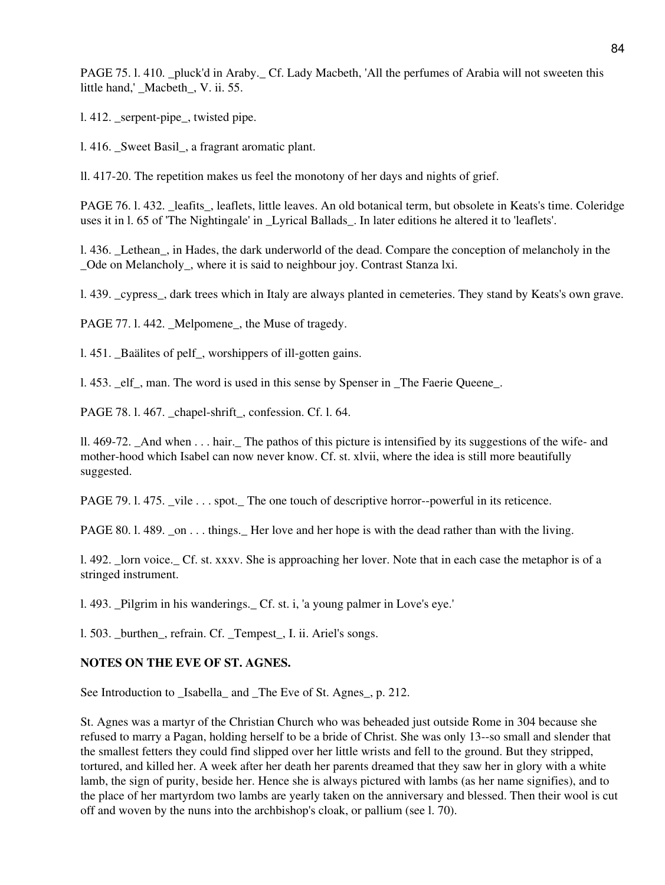PAGE 75. l. 410. \_pluck'd in Araby.\_ Cf. Lady Macbeth, 'All the perfumes of Arabia will not sweeten this little hand,' \_Macbeth\_, V. ii. 55.

l. 412. serpent-pipe, twisted pipe.

l. 416. \_Sweet Basil\_, a fragrant aromatic plant.

ll. 417-20. The repetition makes us feel the monotony of her days and nights of grief.

PAGE 76. l. 432. leafits, leaflets, little leaves. An old botanical term, but obsolete in Keats's time. Coleridge uses it in l. 65 of 'The Nightingale' in \_Lyrical Ballads\_. In later editions he altered it to 'leaflets'.

l. 436. \_Lethean\_, in Hades, the dark underworld of the dead. Compare the conception of melancholy in the Ode on Melancholy, where it is said to neighbour joy. Contrast Stanza lxi.

l. 439. \_cypress\_, dark trees which in Italy are always planted in cemeteries. They stand by Keats's own grave.

PAGE 77. l. 442. \_Melpomene\_, the Muse of tragedy.

1.451. Baälites of pelf, worshippers of ill-gotten gains.

l. 453. \_elf\_, man. The word is used in this sense by Spenser in \_The Faerie Queene\_.

PAGE 78. l. 467. chapel-shrift, confession. Cf. l. 64.

ll. 469-72. \_And when . . . hair.\_ The pathos of this picture is intensified by its suggestions of the wife- and mother-hood which Isabel can now never know. Cf. st. xlvii, where the idea is still more beautifully suggested.

PAGE 79. l. 475. vile . . . spot. The one touch of descriptive horror--powerful in its reticence.

PAGE 80. l. 489. \_on . . . things. Her love and her hope is with the dead rather than with the living.

l. 492. \_lorn voice.\_ Cf. st. xxxv. She is approaching her lover. Note that in each case the metaphor is of a stringed instrument.

l. 493. \_Pilgrim in his wanderings.\_ Cf. st. i, 'a young palmer in Love's eye.'

1. 503. burthen, refrain. Cf. Tempest, I. ii. Ariel's songs.

## **NOTES ON THE EVE OF ST. AGNES.**

See Introduction to \_Isabella\_ and \_The Eve of St. Agnes\_, p. 212.

St. Agnes was a martyr of the Christian Church who was beheaded just outside Rome in 304 because she refused to marry a Pagan, holding herself to be a bride of Christ. She was only 13--so small and slender that the smallest fetters they could find slipped over her little wrists and fell to the ground. But they stripped, tortured, and killed her. A week after her death her parents dreamed that they saw her in glory with a white lamb, the sign of purity, beside her. Hence she is always pictured with lambs (as her name signifies), and to the place of her martyrdom two lambs are yearly taken on the anniversary and blessed. Then their wool is cut off and woven by the nuns into the archbishop's cloak, or pallium (see l. 70).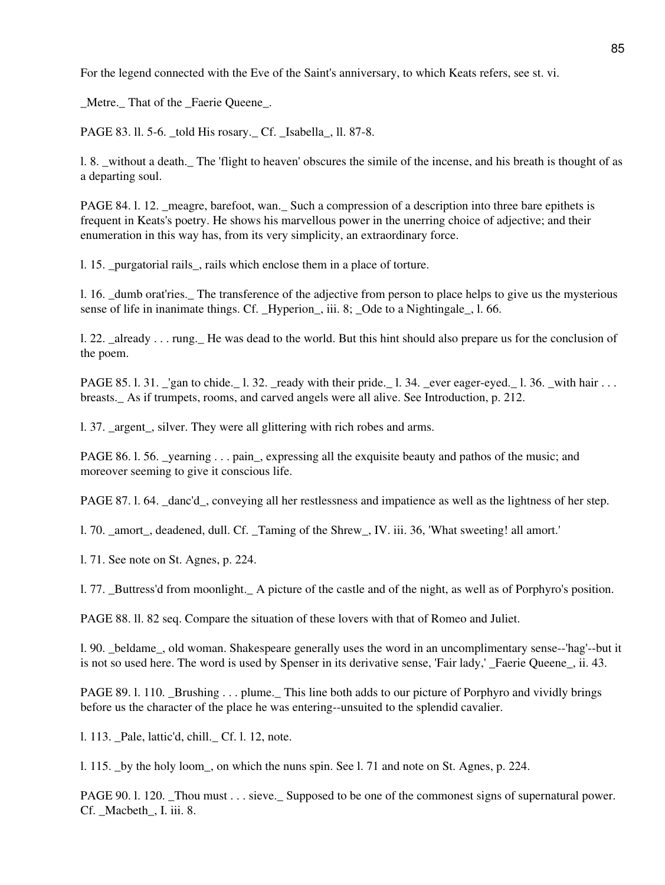For the legend connected with the Eve of the Saint's anniversary, to which Keats refers, see st. vi.

\_Metre.\_ That of the \_Faerie Queene\_.

PAGE 83. ll. 5-6. told His rosary. Cf. Isabella, ll. 87-8.

l. 8. \_without a death.\_ The 'flight to heaven' obscures the simile of the incense, and his breath is thought of as a departing soul.

PAGE 84. 1. 12. meagre, barefoot, wan. Such a compression of a description into three bare epithets is frequent in Keats's poetry. He shows his marvellous power in the unerring choice of adjective; and their enumeration in this way has, from its very simplicity, an extraordinary force.

l. 15. \_purgatorial rails\_, rails which enclose them in a place of torture.

l. 16. \_dumb orat'ries.\_ The transference of the adjective from person to place helps to give us the mysterious sense of life in inanimate things. Cf. \_Hyperion\_, iii. 8; \_Ode to a Nightingale\_, l. 66.

1. 22. already  $\ldots$  rung. He was dead to the world. But this hint should also prepare us for the conclusion of the poem.

PAGE 85. l. 31.  $\text{\_}$ gan to chide. 1. 32.  $\text{\_}$ ready with their pride. 1. 34.  $\text{\_}$ ever eager-eyed. 1. 36.  $\text{\_}$ with hair . . . breasts.\_ As if trumpets, rooms, and carved angels were all alive. See Introduction, p. 212.

1. 37. argent, silver. They were all glittering with rich robes and arms.

PAGE 86. 1. 56. \_yearning . . . pain\_, expressing all the exquisite beauty and pathos of the music; and moreover seeming to give it conscious life.

PAGE 87. l. 64. danc'd, conveying all her restlessness and impatience as well as the lightness of her step.

l. 70. \_amort\_, deadened, dull. Cf. \_Taming of the Shrew\_, IV. iii. 36, 'What sweeting! all amort.'

l. 71. See note on St. Agnes, p. 224.

l. 77. \_Buttress'd from moonlight.\_ A picture of the castle and of the night, as well as of Porphyro's position.

PAGE 88. ll. 82 seq. Compare the situation of these lovers with that of Romeo and Juliet.

l. 90. beldame, old woman. Shakespeare generally uses the word in an uncomplimentary sense--'hag'--but it is not so used here. The word is used by Spenser in its derivative sense, 'Fair lady,' Faerie Queene, ii. 43.

PAGE 89. l. 110. \_Brushing . . . plume.\_ This line both adds to our picture of Porphyro and vividly brings before us the character of the place he was entering--unsuited to the splendid cavalier.

l. 113. \_Pale, lattic'd, chill.\_ Cf. l. 12, note.

l. 115. \_by the holy loom\_, on which the nuns spin. See l. 71 and note on St. Agnes, p. 224.

PAGE 90. 1. 120. Thou must . . . sieve. Supposed to be one of the commonest signs of supernatural power. Cf. Macbeth, I. iii. 8.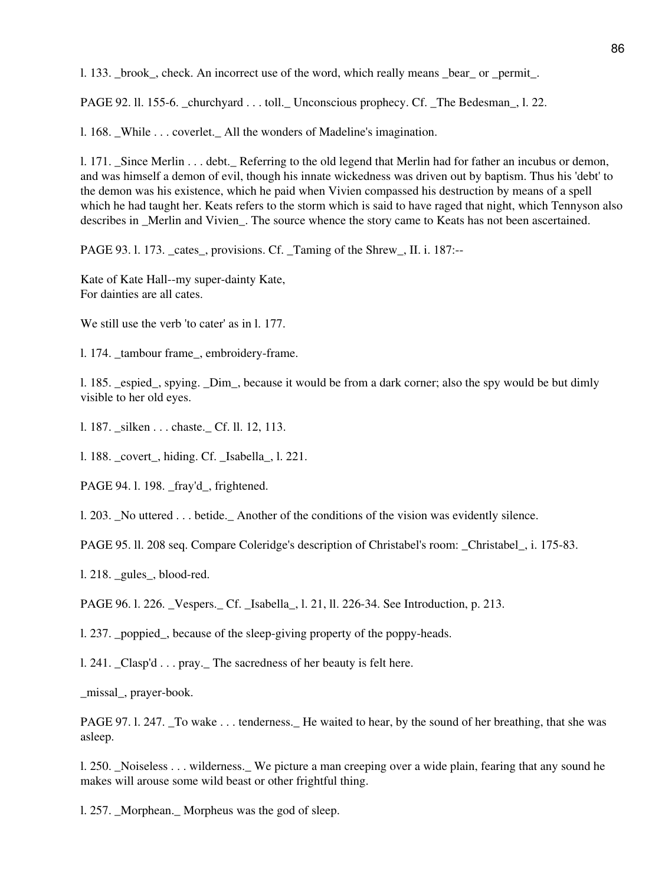l. 133. \_brook\_, check. An incorrect use of the word, which really means \_bear\_ or \_permit\_.

PAGE 92. 11. 155-6. churchyard . . . toll. Unconscious prophecy. Cf. The Bedesman, l. 22.

1. 168. While . . . coverlet. All the wonders of Madeline's imagination.

l. 171. \_Since Merlin . . . debt.\_ Referring to the old legend that Merlin had for father an incubus or demon, and was himself a demon of evil, though his innate wickedness was driven out by baptism. Thus his 'debt' to the demon was his existence, which he paid when Vivien compassed his destruction by means of a spell which he had taught her. Keats refers to the storm which is said to have raged that night, which Tennyson also describes in Merlin and Vivien. The source whence the story came to Keats has not been ascertained.

PAGE 93. l. 173. cates, provisions. Cf. Taming of the Shrew, II. i. 187:--

Kate of Kate Hall--my super-dainty Kate, For dainties are all cates.

We still use the verb 'to cater' as in 1, 177.

l. 174. tambour frame, embroidery-frame.

l. 185. \_espied\_, spying. \_Dim\_, because it would be from a dark corner; also the spy would be but dimly visible to her old eyes.

l. 187. \_silken . . . chaste.\_ Cf. ll. 12, 113.

l. 188. \_covert\_, hiding. Cf. \_Isabella\_, l. 221.

PAGE 94.1.198. fray'd, frightened.

l. 203. \_No uttered . . . betide.\_ Another of the conditions of the vision was evidently silence.

PAGE 95. ll. 208 seq. Compare Coleridge's description of Christabel's room: \_Christabel\_, i. 175-83.

l. 218. \_gules\_, blood-red.

PAGE 96. l. 226. \_Vespers.\_ Cf. \_Isabella\_, l. 21, ll. 226-34. See Introduction, p. 213.

l. 237. \_poppied\_, because of the sleep-giving property of the poppy-heads.

l. 241. \_Clasp'd . . . pray.\_ The sacredness of her beauty is felt here.

\_missal\_, prayer-book.

PAGE 97. 1. 247. To wake . . . tenderness. He waited to hear, by the sound of her breathing, that she was asleep.

l. 250. \_Noiseless . . . wilderness.\_ We picture a man creeping over a wide plain, fearing that any sound he makes will arouse some wild beast or other frightful thing.

l. 257. \_Morphean.\_ Morpheus was the god of sleep.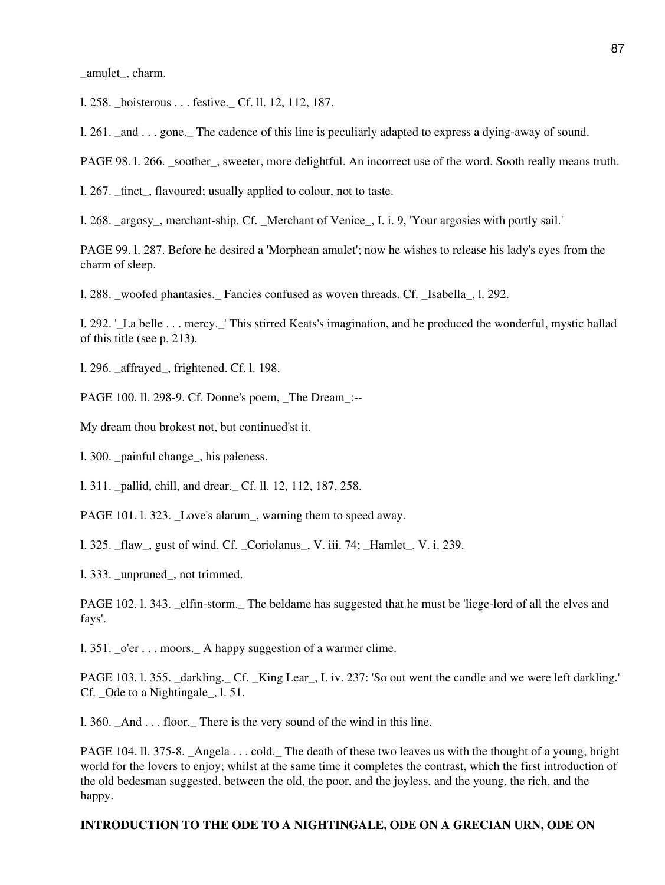\_amulet\_, charm.

l. 258. \_boisterous . . . festive.\_ Cf. ll. 12, 112, 187.

1. 261. and  $\ldots$  gone. The cadence of this line is peculiarly adapted to express a dying-away of sound.

PAGE 98. l. 266. \_soother\_, sweeter, more delightful. An incorrect use of the word. Sooth really means truth.

1. 267. tinct, flavoured; usually applied to colour, not to taste.

l. 268. \_argosy\_, merchant-ship. Cf. \_Merchant of Venice\_, I. i. 9, 'Your argosies with portly sail.'

PAGE 99. l. 287. Before he desired a 'Morphean amulet'; now he wishes to release his lady's eyes from the charm of sleep.

l. 288. woofed phantasies. Fancies confused as woven threads. Cf. Isabella, l. 292.

l. 292. '\_La belle . . . mercy.\_' This stirred Keats's imagination, and he produced the wonderful, mystic ballad of this title (see p. 213).

l. 296. \_affrayed\_, frightened. Cf. l. 198.

PAGE 100. ll. 298-9. Cf. Donne's poem, \_The Dream\_:--

My dream thou brokest not, but continued'st it.

l. 300. \_painful change\_, his paleness.

l. 311. \_pallid, chill, and drear.\_ Cf. ll. 12, 112, 187, 258.

PAGE 101. 1. 323. Love's alarum<sub>\_</sub>, warning them to speed away.

l. 325. \_flaw\_, gust of wind. Cf. \_Coriolanus\_, V. iii. 74; \_Hamlet\_, V. i. 239.

l. 333. \_unpruned\_, not trimmed.

PAGE 102. l. 343. \_elfin-storm.\_ The beldame has suggested that he must be 'liege-lord of all the elves and fays'.

1. 351.  $o'$ er  $\dots$  moors. A happy suggestion of a warmer clime.

PAGE 103. l. 355. \_darkling. Cf. \_King Lear\_, I. iv. 237: 'So out went the candle and we were left darkling.' Cf. Ode to a Nightingale, 1.51.

1. 360. And . . . floor. There is the very sound of the wind in this line.

PAGE 104. ll. 375-8. \_Angela . . . cold. The death of these two leaves us with the thought of a young, bright world for the lovers to enjoy; whilst at the same time it completes the contrast, which the first introduction of the old bedesman suggested, between the old, the poor, and the joyless, and the young, the rich, and the happy.

#### **INTRODUCTION TO THE ODE TO A NIGHTINGALE, ODE ON A GRECIAN URN, ODE ON**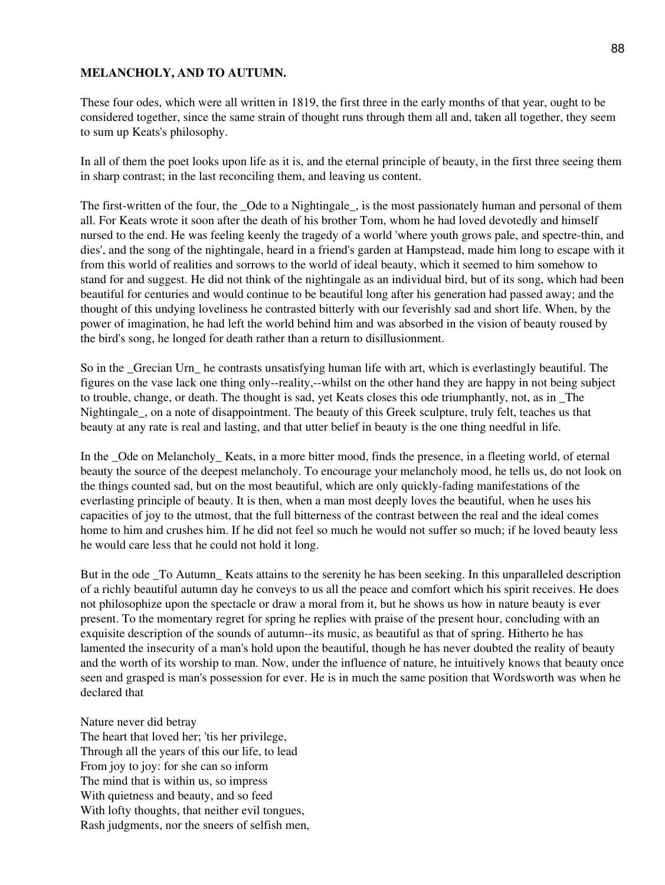#### **MELANCHOLY, AND TO AUTUMN.**

These four odes, which were all written in 1819, the first three in the early months of that year, ought to be considered together, since the same strain of thought runs through them all and, taken all together, they seem to sum up Keats's philosophy.

In all of them the poet looks upon life as it is, and the eternal principle of beauty, in the first three seeing them in sharp contrast; in the last reconciling them, and leaving us content.

The first-written of the four, the \_Ode to a Nightingale\_, is the most passionately human and personal of them all. For Keats wrote it soon after the death of his brother Tom, whom he had loved devotedly and himself nursed to the end. He was feeling keenly the tragedy of a world 'where youth grows pale, and spectre-thin, and dies', and the song of the nightingale, heard in a friend's garden at Hampstead, made him long to escape with it from this world of realities and sorrows to the world of ideal beauty, which it seemed to him somehow to stand for and suggest. He did not think of the nightingale as an individual bird, but of its song, which had been beautiful for centuries and would continue to be beautiful long after his generation had passed away; and the thought of this undying loveliness he contrasted bitterly with our feverishly sad and short life. When, by the power of imagination, he had left the world behind him and was absorbed in the vision of beauty roused by the bird's song, he longed for death rather than a return to disillusionment.

So in the \_Grecian Urn\_ he contrasts unsatisfying human life with art, which is everlastingly beautiful. The figures on the vase lack one thing only--reality,--whilst on the other hand they are happy in not being subject to trouble, change, or death. The thought is sad, yet Keats closes this ode triumphantly, not, as in \_The Nightingale, on a note of disappointment. The beauty of this Greek sculpture, truly felt, teaches us that beauty at any rate is real and lasting, and that utter belief in beauty is the one thing needful in life.

In the \_Ode on Melancholy\_ Keats, in a more bitter mood, finds the presence, in a fleeting world, of eternal beauty the source of the deepest melancholy. To encourage your melancholy mood, he tells us, do not look on the things counted sad, but on the most beautiful, which are only quickly-fading manifestations of the everlasting principle of beauty. It is then, when a man most deeply loves the beautiful, when he uses his capacities of joy to the utmost, that the full bitterness of the contrast between the real and the ideal comes home to him and crushes him. If he did not feel so much he would not suffer so much; if he loved beauty less he would care less that he could not hold it long.

But in the ode To Autumn Keats attains to the serenity he has been seeking. In this unparalleled description of a richly beautiful autumn day he conveys to us all the peace and comfort which his spirit receives. He does not philosophize upon the spectacle or draw a moral from it, but he shows us how in nature beauty is ever present. To the momentary regret for spring he replies with praise of the present hour, concluding with an exquisite description of the sounds of autumn--its music, as beautiful as that of spring. Hitherto he has lamented the insecurity of a man's hold upon the beautiful, though he has never doubted the reality of beauty and the worth of its worship to man. Now, under the influence of nature, he intuitively knows that beauty once seen and grasped is man's possession for ever. He is in much the same position that Wordsworth was when he declared that

#### Nature never did betray

The heart that loved her; 'tis her privilege, Through all the years of this our life, to lead From joy to joy: for she can so inform The mind that is within us, so impress With quietness and beauty, and so feed With lofty thoughts, that neither evil tongues, Rash judgments, nor the sneers of selfish men,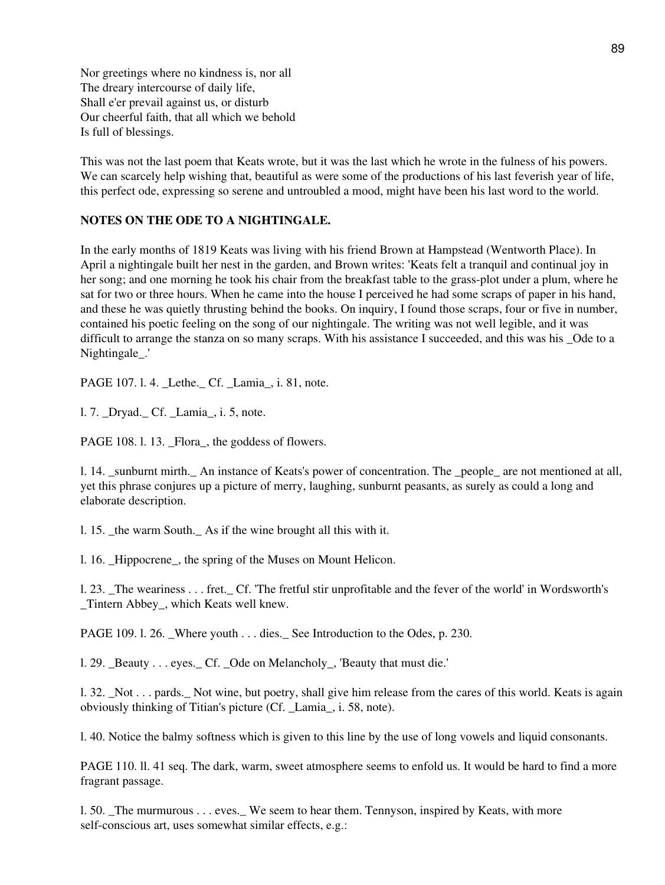Nor greetings where no kindness is, nor all The dreary intercourse of daily life, Shall e'er prevail against us, or disturb Our cheerful faith, that all which we behold Is full of blessings.

This was not the last poem that Keats wrote, but it was the last which he wrote in the fulness of his powers. We can scarcely help wishing that, beautiful as were some of the productions of his last feverish year of life, this perfect ode, expressing so serene and untroubled a mood, might have been his last word to the world.

#### **NOTES ON THE ODE TO A NIGHTINGALE.**

In the early months of 1819 Keats was living with his friend Brown at Hampstead (Wentworth Place). In April a nightingale built her nest in the garden, and Brown writes: 'Keats felt a tranquil and continual joy in her song; and one morning he took his chair from the breakfast table to the grass-plot under a plum, where he sat for two or three hours. When he came into the house I perceived he had some scraps of paper in his hand, and these he was quietly thrusting behind the books. On inquiry, I found those scraps, four or five in number, contained his poetic feeling on the song of our nightingale. The writing was not well legible, and it was difficult to arrange the stanza on so many scraps. With his assistance I succeeded, and this was his Ode to a Nightingale\_.'

PAGE 107. l. 4. \_Lethe.\_ Cf. \_Lamia\_, i. 81, note.

1. 7. Dryad. Cf. Lamia, i. 5, note.

PAGE 108. l. 13. \_Flora\_, the goddess of flowers.

l. 14. \_sunburnt mirth.\_ An instance of Keats's power of concentration. The \_people\_ are not mentioned at all, yet this phrase conjures up a picture of merry, laughing, sunburnt peasants, as surely as could a long and elaborate description.

l. 15. \_the warm South.\_ As if the wine brought all this with it.

1. 16. Hippocrene, the spring of the Muses on Mount Helicon.

l. 23. \_The weariness . . . fret.\_ Cf. 'The fretful stir unprofitable and the fever of the world' in Wordsworth's \_Tintern Abbey\_, which Keats well knew.

PAGE 109. l. 26. Where youth  $\ldots$  dies. See Introduction to the Odes, p. 230.

l. 29. \_Beauty . . . eyes.\_ Cf. \_Ode on Melancholy\_, 'Beauty that must die.'

l. 32. \_Not . . . pards.\_ Not wine, but poetry, shall give him release from the cares of this world. Keats is again obviously thinking of Titian's picture (Cf. \_Lamia\_, i. 58, note).

l. 40. Notice the balmy softness which is given to this line by the use of long vowels and liquid consonants.

PAGE 110. ll. 41 seq. The dark, warm, sweet atmosphere seems to enfold us. It would be hard to find a more fragrant passage.

l. 50. \_The murmurous . . . eves.\_ We seem to hear them. Tennyson, inspired by Keats, with more self-conscious art, uses somewhat similar effects, e.g.: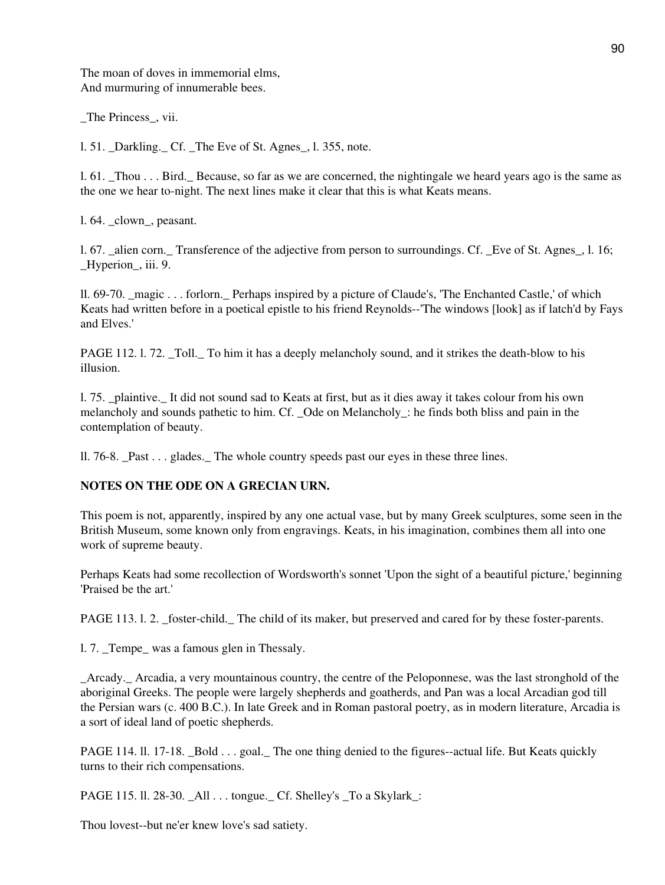The moan of doves in immemorial elms, And murmuring of innumerable bees.

\_The Princess\_, vii.

l. 51. \_Darkling.\_ Cf. \_The Eve of St. Agnes\_, l. 355, note.

l. 61. \_Thou . . . Bird.\_ Because, so far as we are concerned, the nightingale we heard years ago is the same as the one we hear to-night. The next lines make it clear that this is what Keats means.

l. 64. \_clown\_, peasant.

l. 67. \_alien corn.\_ Transference of the adjective from person to surroundings. Cf. \_Eve of St. Agnes\_, l. 16; Hyperion, iii. 9.

ll. 69-70. \_magic . . . forlorn.\_ Perhaps inspired by a picture of Claude's, 'The Enchanted Castle,' of which Keats had written before in a poetical epistle to his friend Reynolds--'The windows [look] as if latch'd by Fays and Elves.'

PAGE 112. 1. 72. Toll. To him it has a deeply melancholy sound, and it strikes the death-blow to his illusion.

l. 75. \_plaintive.\_ It did not sound sad to Keats at first, but as it dies away it takes colour from his own melancholy and sounds pathetic to him. Cf. \_Ode on Melancholy : he finds both bliss and pain in the contemplation of beauty.

ll. 76-8. \_Past . . . glades.\_ The whole country speeds past our eyes in these three lines.

## **NOTES ON THE ODE ON A GRECIAN URN.**

This poem is not, apparently, inspired by any one actual vase, but by many Greek sculptures, some seen in the British Museum, some known only from engravings. Keats, in his imagination, combines them all into one work of supreme beauty.

Perhaps Keats had some recollection of Wordsworth's sonnet 'Upon the sight of a beautiful picture,' beginning 'Praised be the art.'

PAGE 113. l. 2. \_foster-child.\_ The child of its maker, but preserved and cared for by these foster-parents.

l. 7. Tempe\_ was a famous glen in Thessaly.

\_Arcady.\_ Arcadia, a very mountainous country, the centre of the Peloponnese, was the last stronghold of the aboriginal Greeks. The people were largely shepherds and goatherds, and Pan was a local Arcadian god till the Persian wars (c. 400 B.C.). In late Greek and in Roman pastoral poetry, as in modern literature, Arcadia is a sort of ideal land of poetic shepherds.

PAGE 114. ll. 17-18. Bold . . . goal. The one thing denied to the figures--actual life. But Keats quickly turns to their rich compensations.

PAGE 115. ll. 28-30. \_All . . . tongue.\_ Cf. Shelley's \_To a Skylark\_:

Thou lovest--but ne'er knew love's sad satiety.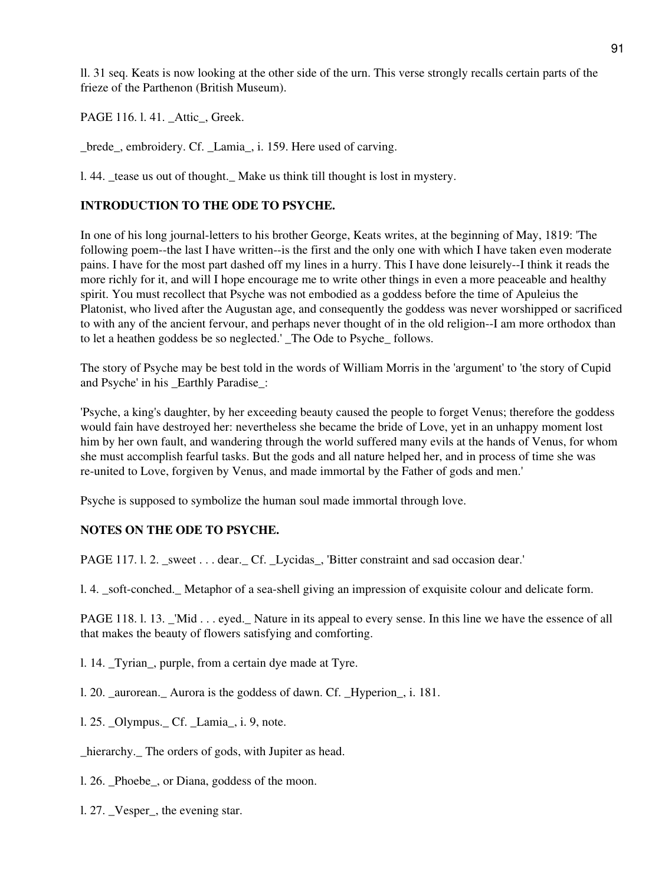ll. 31 seq. Keats is now looking at the other side of the urn. This verse strongly recalls certain parts of the frieze of the Parthenon (British Museum).

PAGE 116. l. 41. Attic, Greek.

\_brede\_, embroidery. Cf. \_Lamia\_, i. 159. Here used of carving.

l. 44. \_tease us out of thought.\_ Make us think till thought is lost in mystery.

## **INTRODUCTION TO THE ODE TO PSYCHE.**

In one of his long journal-letters to his brother George, Keats writes, at the beginning of May, 1819: 'The following poem--the last I have written--is the first and the only one with which I have taken even moderate pains. I have for the most part dashed off my lines in a hurry. This I have done leisurely--I think it reads the more richly for it, and will I hope encourage me to write other things in even a more peaceable and healthy spirit. You must recollect that Psyche was not embodied as a goddess before the time of Apuleius the Platonist, who lived after the Augustan age, and consequently the goddess was never worshipped or sacrificed to with any of the ancient fervour, and perhaps never thought of in the old religion--I am more orthodox than to let a heathen goddess be so neglected.' \_The Ode to Psyche\_ follows.

The story of Psyche may be best told in the words of William Morris in the 'argument' to 'the story of Cupid and Psyche' in his \_Earthly Paradise\_:

'Psyche, a king's daughter, by her exceeding beauty caused the people to forget Venus; therefore the goddess would fain have destroyed her: nevertheless she became the bride of Love, yet in an unhappy moment lost him by her own fault, and wandering through the world suffered many evils at the hands of Venus, for whom she must accomplish fearful tasks. But the gods and all nature helped her, and in process of time she was re-united to Love, forgiven by Venus, and made immortal by the Father of gods and men.'

Psyche is supposed to symbolize the human soul made immortal through love.

## **NOTES ON THE ODE TO PSYCHE.**

PAGE 117. l. 2. sweet . . . dear. Cf. Lycidas, 'Bitter constraint and sad occasion dear.'

l. 4. \_soft-conched.\_ Metaphor of a sea-shell giving an impression of exquisite colour and delicate form.

PAGE 118. l. 13. \_'Mid . . . eyed.\_ Nature in its appeal to every sense. In this line we have the essence of all that makes the beauty of flowers satisfying and comforting.

- l. 14. \_Tyrian\_, purple, from a certain dye made at Tyre.
- l. 20. \_aurorean.\_ Aurora is the goddess of dawn. Cf. \_Hyperion\_, i. 181.
- 1. 25. Olympus. Cf. Lamia, i. 9, note.
- \_hierarchy.\_ The orders of gods, with Jupiter as head.
- l. 26. \_Phoebe\_, or Diana, goddess of the moon.
- l. 27. \_Vesper\_, the evening star.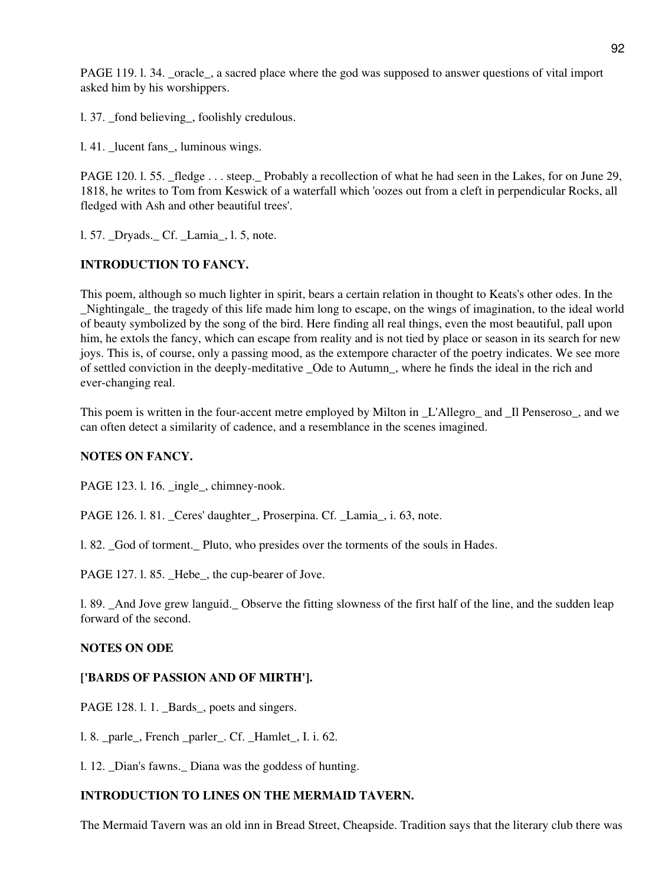PAGE 119. l. 34. \_oracle\_, a sacred place where the god was supposed to answer questions of vital import asked him by his worshippers.

l. 37. \_fond believing\_, foolishly credulous.

1.41. lucent fans, luminous wings.

PAGE 120. l. 55. \_fledge . . . steep. Probably a recollection of what he had seen in the Lakes, for on June 29, 1818, he writes to Tom from Keswick of a waterfall which 'oozes out from a cleft in perpendicular Rocks, all fledged with Ash and other beautiful trees'.

l. 57. \_Dryads.\_ Cf. \_Lamia\_, l. 5, note.

#### **INTRODUCTION TO FANCY.**

This poem, although so much lighter in spirit, bears a certain relation in thought to Keats's other odes. In the \_Nightingale\_ the tragedy of this life made him long to escape, on the wings of imagination, to the ideal world of beauty symbolized by the song of the bird. Here finding all real things, even the most beautiful, pall upon him, he extols the fancy, which can escape from reality and is not tied by place or season in its search for new joys. This is, of course, only a passing mood, as the extempore character of the poetry indicates. We see more of settled conviction in the deeply-meditative \_Ode to Autumn\_, where he finds the ideal in the rich and ever-changing real.

This poem is written in the four-accent metre employed by Milton in L'Allegro and Il Penseroso, and we can often detect a similarity of cadence, and a resemblance in the scenes imagined.

#### **NOTES ON FANCY.**

PAGE 123. l. 16. ingle, chimney-nook.

PAGE 126. l. 81. \_Ceres' daughter\_, Proserpina. Cf. \_Lamia\_, i. 63, note.

l. 82. \_God of torment.\_ Pluto, who presides over the torments of the souls in Hades.

PAGE 127. l. 85. Hebe, the cup-bearer of Jove.

l. 89. \_And Jove grew languid.\_ Observe the fitting slowness of the first half of the line, and the sudden leap forward of the second.

#### **NOTES ON ODE**

#### **['BARDS OF PASSION AND OF MIRTH'].**

PAGE 128. l. 1. Bards, poets and singers.

l. 8. \_parle\_, French \_parler\_. Cf. \_Hamlet\_, I. i. 62.

l. 12. \_Dian's fawns.\_ Diana was the goddess of hunting.

## **INTRODUCTION TO LINES ON THE MERMAID TAVERN.**

The Mermaid Tavern was an old inn in Bread Street, Cheapside. Tradition says that the literary club there was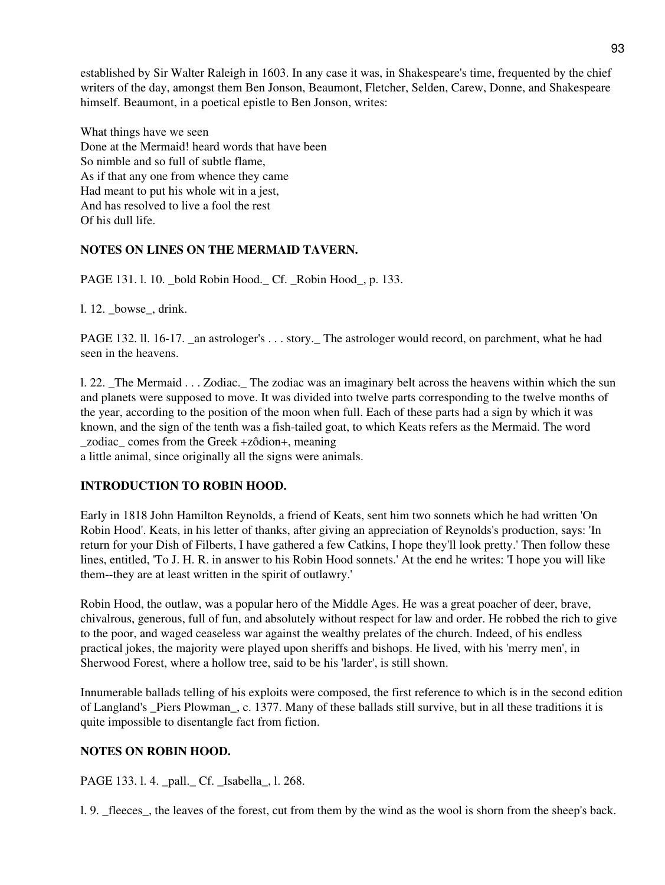established by Sir Walter Raleigh in 1603. In any case it was, in Shakespeare's time, frequented by the chief writers of the day, amongst them Ben Jonson, Beaumont, Fletcher, Selden, Carew, Donne, and Shakespeare himself. Beaumont, in a poetical epistle to Ben Jonson, writes:

What things have we seen Done at the Mermaid! heard words that have been So nimble and so full of subtle flame, As if that any one from whence they came Had meant to put his whole wit in a jest, And has resolved to live a fool the rest Of his dull life.

## **NOTES ON LINES ON THE MERMAID TAVERN.**

PAGE 131. 1. 10. bold Robin Hood. Cf. Robin Hood., p. 133.

l. 12. \_bowse\_, drink.

PAGE 132. ll. 16-17. an astrologer's . . . story. The astrologer would record, on parchment, what he had seen in the heavens.

l. 22. \_The Mermaid . . . Zodiac.\_ The zodiac was an imaginary belt across the heavens within which the sun and planets were supposed to move. It was divided into twelve parts corresponding to the twelve months of the year, according to the position of the moon when full. Each of these parts had a sign by which it was known, and the sign of the tenth was a fish-tailed goat, to which Keats refers as the Mermaid. The word \_zodiac\_ comes from the Greek +zôdion+, meaning

a little animal, since originally all the signs were animals.

## **INTRODUCTION TO ROBIN HOOD.**

Early in 1818 John Hamilton Reynolds, a friend of Keats, sent him two sonnets which he had written 'On Robin Hood'. Keats, in his letter of thanks, after giving an appreciation of Reynolds's production, says: 'In return for your Dish of Filberts, I have gathered a few Catkins, I hope they'll look pretty.' Then follow these lines, entitled, 'To J. H. R. in answer to his Robin Hood sonnets.' At the end he writes: 'I hope you will like them--they are at least written in the spirit of outlawry.'

Robin Hood, the outlaw, was a popular hero of the Middle Ages. He was a great poacher of deer, brave, chivalrous, generous, full of fun, and absolutely without respect for law and order. He robbed the rich to give to the poor, and waged ceaseless war against the wealthy prelates of the church. Indeed, of his endless practical jokes, the majority were played upon sheriffs and bishops. He lived, with his 'merry men', in Sherwood Forest, where a hollow tree, said to be his 'larder', is still shown.

Innumerable ballads telling of his exploits were composed, the first reference to which is in the second edition of Langland's \_Piers Plowman\_, c. 1377. Many of these ballads still survive, but in all these traditions it is quite impossible to disentangle fact from fiction.

## **NOTES ON ROBIN HOOD.**

PAGE 133. 1. 4. pall. Cf. Isabella, 1. 268.

l. 9. \_fleeces\_, the leaves of the forest, cut from them by the wind as the wool is shorn from the sheep's back.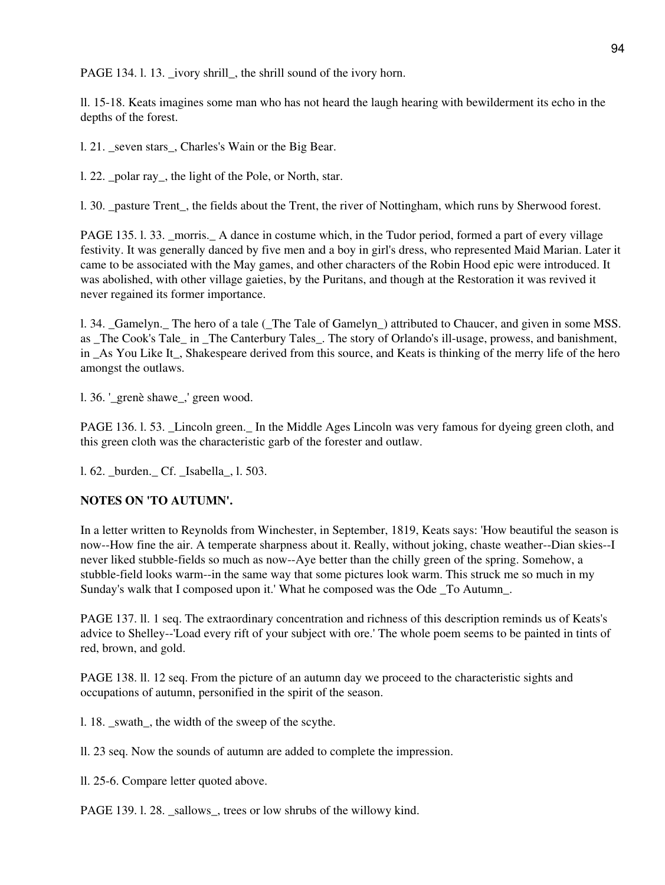PAGE 134. 1. 13. \_ivory shrill\_, the shrill sound of the ivory horn.

ll. 15-18. Keats imagines some man who has not heard the laugh hearing with bewilderment its echo in the depths of the forest.

l. 21. \_seven stars\_, Charles's Wain or the Big Bear.

l. 22. \_polar ray\_, the light of the Pole, or North, star.

l. 30. \_pasture Trent\_, the fields about the Trent, the river of Nottingham, which runs by Sherwood forest.

PAGE 135. l. 33. \_morris.\_ A dance in costume which, in the Tudor period, formed a part of every village festivity. It was generally danced by five men and a boy in girl's dress, who represented Maid Marian. Later it came to be associated with the May games, and other characters of the Robin Hood epic were introduced. It was abolished, with other village gaieties, by the Puritans, and though at the Restoration it was revived it never regained its former importance.

l. 34. \_Gamelyn.\_ The hero of a tale (\_The Tale of Gamelyn\_) attributed to Chaucer, and given in some MSS. as The Cook's Tale in The Canterbury Tales. The story of Orlando's ill-usage, prowess, and banishment, in As You Like It, Shakespeare derived from this source, and Keats is thinking of the merry life of the hero amongst the outlaws.

l. 36. '\_grenè shawe\_,' green wood.

PAGE 136. l. 53. \_Lincoln green.\_ In the Middle Ages Lincoln was very famous for dyeing green cloth, and this green cloth was the characteristic garb of the forester and outlaw.

l. 62. \_burden.\_ Cf. \_Isabella\_, l. 503.

## **NOTES ON 'TO AUTUMN'.**

In a letter written to Reynolds from Winchester, in September, 1819, Keats says: 'How beautiful the season is now--How fine the air. A temperate sharpness about it. Really, without joking, chaste weather--Dian skies--I never liked stubble-fields so much as now--Aye better than the chilly green of the spring. Somehow, a stubble-field looks warm--in the same way that some pictures look warm. This struck me so much in my Sunday's walk that I composed upon it.' What he composed was the Ode \_To Autumn\_.

PAGE 137. ll. 1 seq. The extraordinary concentration and richness of this description reminds us of Keats's advice to Shelley--'Load every rift of your subject with ore.' The whole poem seems to be painted in tints of red, brown, and gold.

PAGE 138. ll. 12 seq. From the picture of an autumn day we proceed to the characteristic sights and occupations of autumn, personified in the spirit of the season.

l. 18. \_swath\_, the width of the sweep of the scythe.

ll. 23 seq. Now the sounds of autumn are added to complete the impression.

ll. 25-6. Compare letter quoted above.

PAGE 139. l. 28. \_sallows\_, trees or low shrubs of the willowy kind.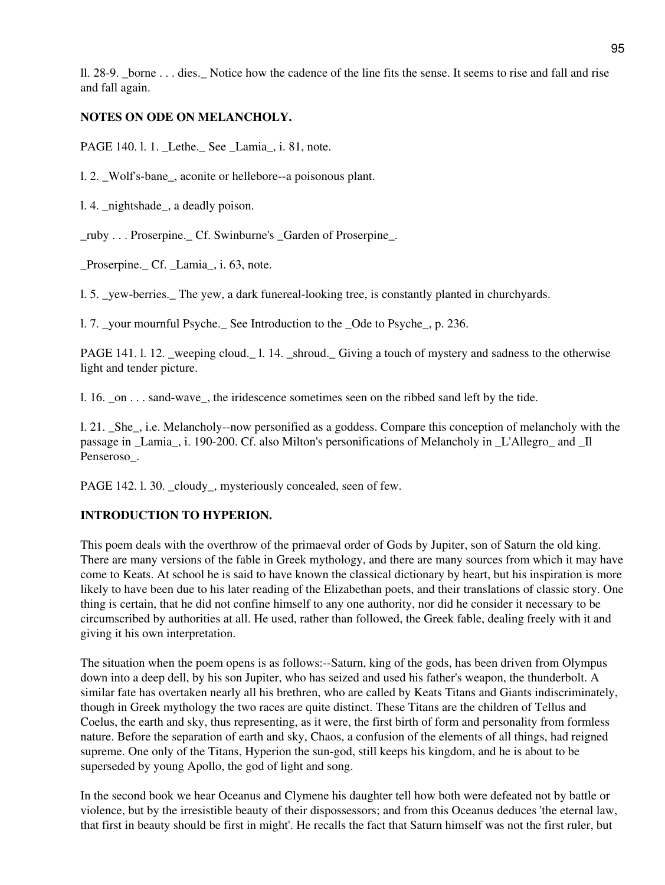ll. 28-9. borne . . . dies. Notice how the cadence of the line fits the sense. It seems to rise and fall and rise and fall again.

## **NOTES ON ODE ON MELANCHOLY.**

PAGE 140. l. 1. \_Lethe.\_ See \_Lamia\_, i. 81, note.

l. 2. \_Wolf's-bane\_, aconite or hellebore--a poisonous plant.

l. 4. \_nightshade\_, a deadly poison.

\_ruby . . . Proserpine.\_ Cf. Swinburne's \_Garden of Proserpine\_.

Proserpine. Cf. Lamia, i. 63, note.

l. 5. \_yew-berries.\_ The yew, a dark funereal-looking tree, is constantly planted in churchyards.

l. 7. \_your mournful Psyche.\_ See Introduction to the \_Ode to Psyche\_, p. 236.

PAGE 141. l. 12. weeping cloud. 1. 14. shroud. Giving a touch of mystery and sadness to the otherwise light and tender picture.

l. 16. \_on . . . sand-wave\_, the iridescence sometimes seen on the ribbed sand left by the tide.

l. 21. \_She\_, i.e. Melancholy--now personified as a goddess. Compare this conception of melancholy with the passage in Lamia, i. 190-200. Cf. also Milton's personifications of Melancholy in L'Allegro and Il Penseroso\_.

PAGE 142. l. 30. cloudy, mysteriously concealed, seen of few.

## **INTRODUCTION TO HYPERION.**

This poem deals with the overthrow of the primaeval order of Gods by Jupiter, son of Saturn the old king. There are many versions of the fable in Greek mythology, and there are many sources from which it may have come to Keats. At school he is said to have known the classical dictionary by heart, but his inspiration is more likely to have been due to his later reading of the Elizabethan poets, and their translations of classic story. One thing is certain, that he did not confine himself to any one authority, nor did he consider it necessary to be circumscribed by authorities at all. He used, rather than followed, the Greek fable, dealing freely with it and giving it his own interpretation.

The situation when the poem opens is as follows:--Saturn, king of the gods, has been driven from Olympus down into a deep dell, by his son Jupiter, who has seized and used his father's weapon, the thunderbolt. A similar fate has overtaken nearly all his brethren, who are called by Keats Titans and Giants indiscriminately, though in Greek mythology the two races are quite distinct. These Titans are the children of Tellus and Coelus, the earth and sky, thus representing, as it were, the first birth of form and personality from formless nature. Before the separation of earth and sky, Chaos, a confusion of the elements of all things, had reigned supreme. One only of the Titans, Hyperion the sun-god, still keeps his kingdom, and he is about to be superseded by young Apollo, the god of light and song.

In the second book we hear Oceanus and Clymene his daughter tell how both were defeated not by battle or violence, but by the irresistible beauty of their dispossessors; and from this Oceanus deduces 'the eternal law, that first in beauty should be first in might'. He recalls the fact that Saturn himself was not the first ruler, but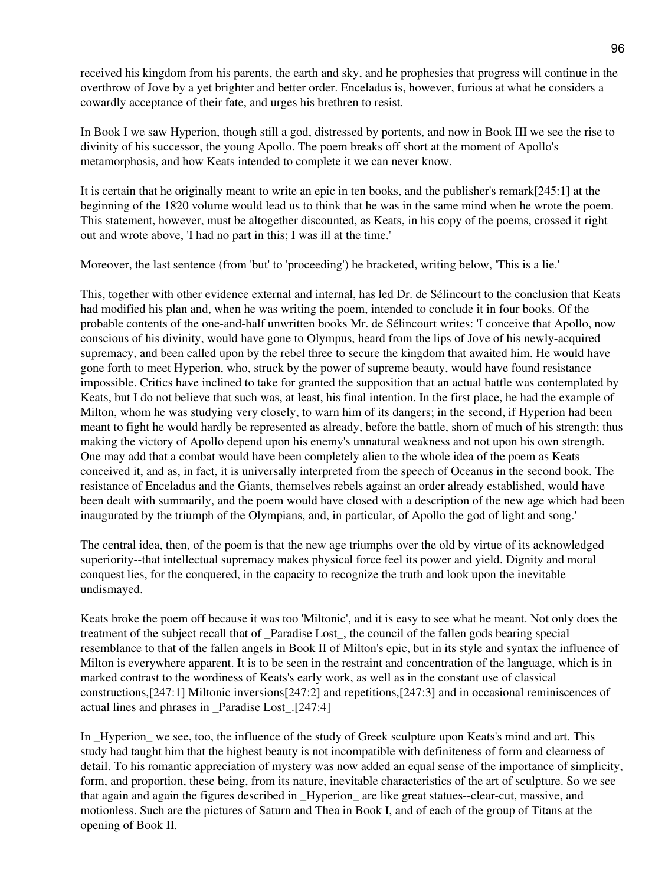received his kingdom from his parents, the earth and sky, and he prophesies that progress will continue in the overthrow of Jove by a yet brighter and better order. Enceladus is, however, furious at what he considers a cowardly acceptance of their fate, and urges his brethren to resist.

In Book I we saw Hyperion, though still a god, distressed by portents, and now in Book III we see the rise to divinity of his successor, the young Apollo. The poem breaks off short at the moment of Apollo's metamorphosis, and how Keats intended to complete it we can never know.

It is certain that he originally meant to write an epic in ten books, and the publisher's remark[245:1] at the beginning of the 1820 volume would lead us to think that he was in the same mind when he wrote the poem. This statement, however, must be altogether discounted, as Keats, in his copy of the poems, crossed it right out and wrote above, 'I had no part in this; I was ill at the time.'

Moreover, the last sentence (from 'but' to 'proceeding') he bracketed, writing below, 'This is a lie.'

This, together with other evidence external and internal, has led Dr. de Sélincourt to the conclusion that Keats had modified his plan and, when he was writing the poem, intended to conclude it in four books. Of the probable contents of the one-and-half unwritten books Mr. de Sélincourt writes: 'I conceive that Apollo, now conscious of his divinity, would have gone to Olympus, heard from the lips of Jove of his newly-acquired supremacy, and been called upon by the rebel three to secure the kingdom that awaited him. He would have gone forth to meet Hyperion, who, struck by the power of supreme beauty, would have found resistance impossible. Critics have inclined to take for granted the supposition that an actual battle was contemplated by Keats, but I do not believe that such was, at least, his final intention. In the first place, he had the example of Milton, whom he was studying very closely, to warn him of its dangers; in the second, if Hyperion had been meant to fight he would hardly be represented as already, before the battle, shorn of much of his strength; thus making the victory of Apollo depend upon his enemy's unnatural weakness and not upon his own strength. One may add that a combat would have been completely alien to the whole idea of the poem as Keats conceived it, and as, in fact, it is universally interpreted from the speech of Oceanus in the second book. The resistance of Enceladus and the Giants, themselves rebels against an order already established, would have been dealt with summarily, and the poem would have closed with a description of the new age which had been inaugurated by the triumph of the Olympians, and, in particular, of Apollo the god of light and song.'

The central idea, then, of the poem is that the new age triumphs over the old by virtue of its acknowledged superiority--that intellectual supremacy makes physical force feel its power and yield. Dignity and moral conquest lies, for the conquered, in the capacity to recognize the truth and look upon the inevitable undismayed.

Keats broke the poem off because it was too 'Miltonic', and it is easy to see what he meant. Not only does the treatment of the subject recall that of \_Paradise Lost\_, the council of the fallen gods bearing special resemblance to that of the fallen angels in Book II of Milton's epic, but in its style and syntax the influence of Milton is everywhere apparent. It is to be seen in the restraint and concentration of the language, which is in marked contrast to the wordiness of Keats's early work, as well as in the constant use of classical constructions,[247:1] Miltonic inversions[247:2] and repetitions,[247:3] and in occasional reminiscences of actual lines and phrases in \_Paradise Lost\_.[247:4]

In Hyperion we see, too, the influence of the study of Greek sculpture upon Keats's mind and art. This study had taught him that the highest beauty is not incompatible with definiteness of form and clearness of detail. To his romantic appreciation of mystery was now added an equal sense of the importance of simplicity, form, and proportion, these being, from its nature, inevitable characteristics of the art of sculpture. So we see that again and again the figures described in \_Hyperion\_ are like great statues--clear-cut, massive, and motionless. Such are the pictures of Saturn and Thea in Book I, and of each of the group of Titans at the opening of Book II.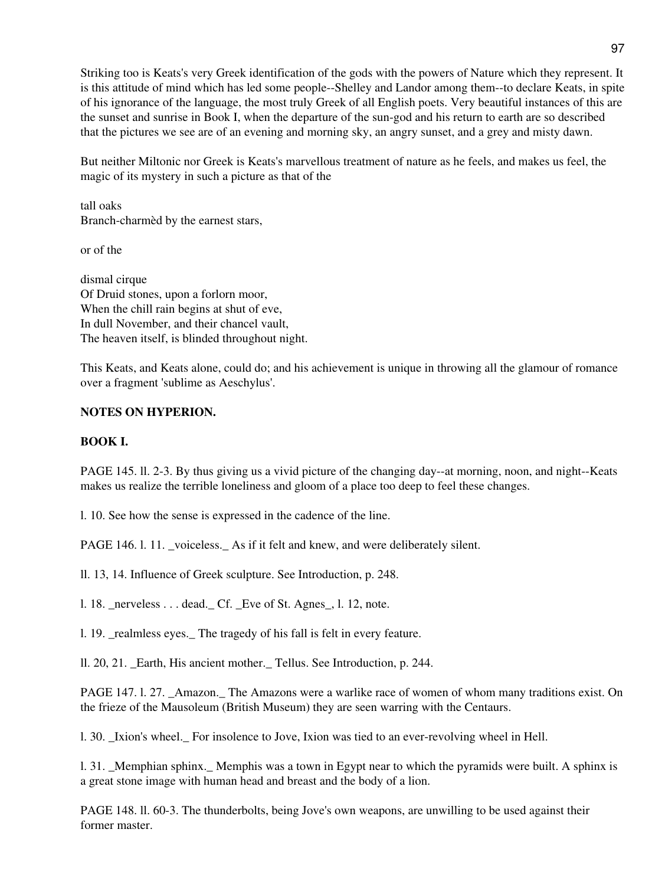Striking too is Keats's very Greek identification of the gods with the powers of Nature which they represent. It is this attitude of mind which has led some people--Shelley and Landor among them--to declare Keats, in spite of his ignorance of the language, the most truly Greek of all English poets. Very beautiful instances of this are the sunset and sunrise in Book I, when the departure of the sun-god and his return to earth are so described that the pictures we see are of an evening and morning sky, an angry sunset, and a grey and misty dawn.

But neither Miltonic nor Greek is Keats's marvellous treatment of nature as he feels, and makes us feel, the magic of its mystery in such a picture as that of the

tall oaks Branch-charmèd by the earnest stars,

or of the

dismal cirque Of Druid stones, upon a forlorn moor, When the chill rain begins at shut of eve, In dull November, and their chancel vault, The heaven itself, is blinded throughout night.

This Keats, and Keats alone, could do; and his achievement is unique in throwing all the glamour of romance over a fragment 'sublime as Aeschylus'.

## **NOTES ON HYPERION.**

#### **BOOK I.**

PAGE 145. ll. 2-3. By thus giving us a vivid picture of the changing day--at morning, noon, and night--Keats makes us realize the terrible loneliness and gloom of a place too deep to feel these changes.

l. 10. See how the sense is expressed in the cadence of the line.

PAGE 146. l. 11. voiceless. As if it felt and knew, and were deliberately silent.

ll. 13, 14. Influence of Greek sculpture. See Introduction, p. 248.

l. 18. \_nerveless . . . dead.\_ Cf. \_Eve of St. Agnes\_, l. 12, note.

1. 19. realmless eyes. The tragedy of his fall is felt in every feature.

ll. 20, 21. \_Earth, His ancient mother.\_ Tellus. See Introduction, p. 244.

PAGE 147. l. 27. Amazon. The Amazons were a warlike race of women of whom many traditions exist. On the frieze of the Mausoleum (British Museum) they are seen warring with the Centaurs.

l. 30. \_Ixion's wheel.\_ For insolence to Jove, Ixion was tied to an ever-revolving wheel in Hell.

l. 31. \_Memphian sphinx.\_ Memphis was a town in Egypt near to which the pyramids were built. A sphinx is a great stone image with human head and breast and the body of a lion.

PAGE 148. ll. 60-3. The thunderbolts, being Jove's own weapons, are unwilling to be used against their former master.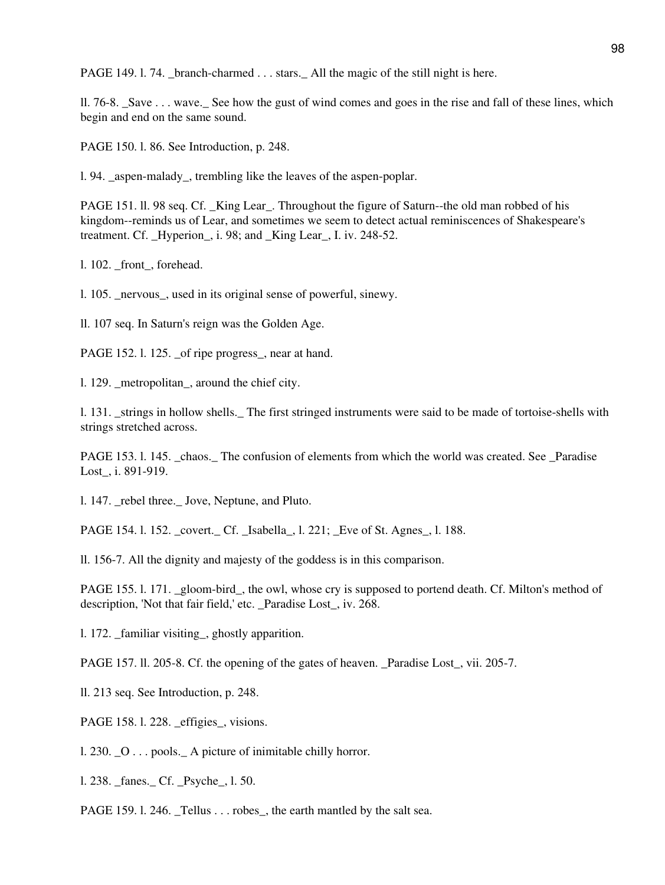PAGE 149. l. 74. \_branch-charmed . . . stars. \_ All the magic of the still night is here.

ll. 76-8. \_Save . . . wave.\_ See how the gust of wind comes and goes in the rise and fall of these lines, which begin and end on the same sound.

PAGE 150. l. 86. See Introduction, p. 248.

l. 94. \_aspen-malady\_, trembling like the leaves of the aspen-poplar.

PAGE 151. ll. 98 seq. Cf. King Lear. Throughout the figure of Saturn--the old man robbed of his kingdom--reminds us of Lear, and sometimes we seem to detect actual reminiscences of Shakespeare's treatment. Cf. \_Hyperion\_, i. 98; and \_King Lear\_, I. iv. 248-52.

l. 102. front, forehead.

l. 105. \_nervous\_, used in its original sense of powerful, sinewy.

ll. 107 seq. In Saturn's reign was the Golden Age.

PAGE 152. l. 125. of ripe progress, near at hand.

l. 129. \_metropolitan\_, around the chief city.

l. 131. \_strings in hollow shells.\_ The first stringed instruments were said to be made of tortoise-shells with strings stretched across.

PAGE 153. l. 145. \_chaos.\_ The confusion of elements from which the world was created. See \_Paradise Lost\_, i. 891-919.

l. 147. \_rebel three.\_ Jove, Neptune, and Pluto.

PAGE 154. l. 152. \_covert.\_ Cf. \_Isabella\_, l. 221; \_Eve of St. Agnes\_, l. 188.

ll. 156-7. All the dignity and majesty of the goddess is in this comparison.

PAGE 155. l. 171. \_gloom-bird\_, the owl, whose cry is supposed to portend death. Cf. Milton's method of description, 'Not that fair field,' etc. \_Paradise Lost\_, iv. 268.

1. 172. familiar visiting, ghostly apparition.

PAGE 157. ll. 205-8. Cf. the opening of the gates of heaven. \_Paradise Lost\_, vii. 205-7.

ll. 213 seq. See Introduction, p. 248.

PAGE 158. l. 228. effigies, visions.

l. 230. \_O . . . pools.\_ A picture of inimitable chilly horror.

1. 238. fanes. Cf. Psyche, 1. 50.

PAGE 159. l. 246. \_Tellus . . . robes\_, the earth mantled by the salt sea.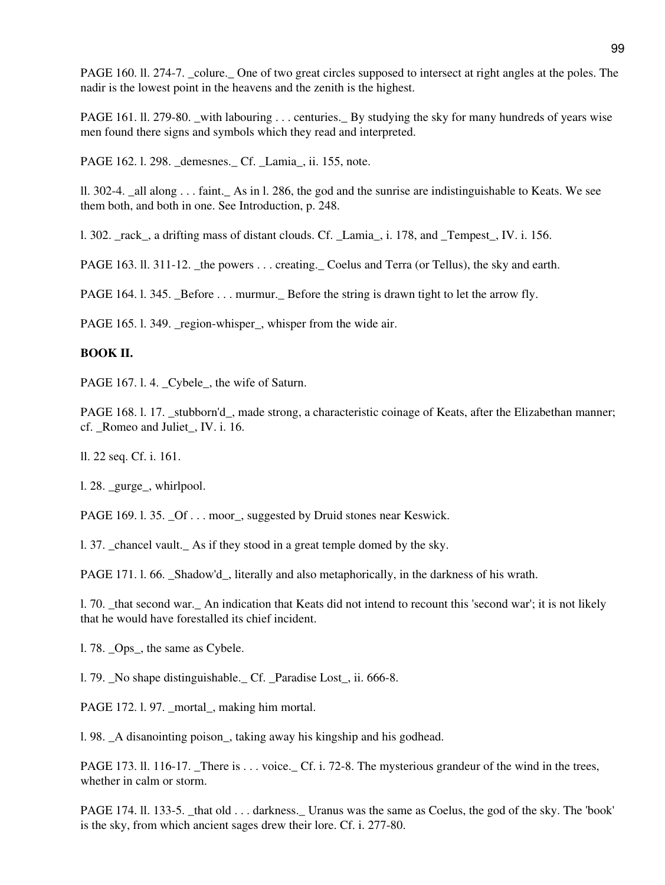PAGE 160. ll. 274-7. \_colure.\_ One of two great circles supposed to intersect at right angles at the poles. The nadir is the lowest point in the heavens and the zenith is the highest.

PAGE 161. ll. 279-80. with labouring . . . centuries. By studying the sky for many hundreds of years wise men found there signs and symbols which they read and interpreted.

PAGE 162. l. 298. \_demesnes.\_ Cf. \_Lamia\_, ii. 155, note.

ll. 302-4. all along  $\ldots$  faint. As in l. 286, the god and the sunrise are indistinguishable to Keats. We see them both, and both in one. See Introduction, p. 248.

l. 302. \_rack\_, a drifting mass of distant clouds. Cf. \_Lamia\_, i. 178, and \_Tempest\_, IV. i. 156.

PAGE 163. ll. 311-12. the powers . . . creating. Coelus and Terra (or Tellus), the sky and earth.

PAGE 164. 1. 345. \_Before . . . murmur. \_ Before the string is drawn tight to let the arrow fly.

PAGE 165. l. 349. region-whisper, whisper from the wide air.

## **BOOK II.**

PAGE 167. l. 4. \_Cybele\_, the wife of Saturn.

PAGE 168. l. 17. stubborn'd, made strong, a characteristic coinage of Keats, after the Elizabethan manner; cf. \_Romeo and Juliet\_, IV. i. 16.

ll. 22 seq. Cf. i. 161.

l. 28. \_gurge\_, whirlpool.

PAGE 169. l. 35. \_Of . . . moor\_, suggested by Druid stones near Keswick.

l. 37. \_chancel vault.\_ As if they stood in a great temple domed by the sky.

PAGE 171. l. 66. \_Shadow'd\_, literally and also metaphorically, in the darkness of his wrath.

l. 70. \_that second war.\_ An indication that Keats did not intend to recount this 'second war'; it is not likely that he would have forestalled its chief incident.

l. 78. \_Ops\_, the same as Cybele.

l. 79. \_No shape distinguishable.\_ Cf. \_Paradise Lost\_, ii. 666-8.

PAGE 172. l. 97. mortal, making him mortal.

l. 98. \_A disanointing poison\_, taking away his kingship and his godhead.

PAGE 173. ll. 116-17. \_There is . . . voice. \_ Cf. i. 72-8. The mysterious grandeur of the wind in the trees, whether in calm or storm.

PAGE 174. ll. 133-5. \_that old . . . darkness.\_ Uranus was the same as Coelus, the god of the sky. The 'book' is the sky, from which ancient sages drew their lore. Cf. i. 277-80.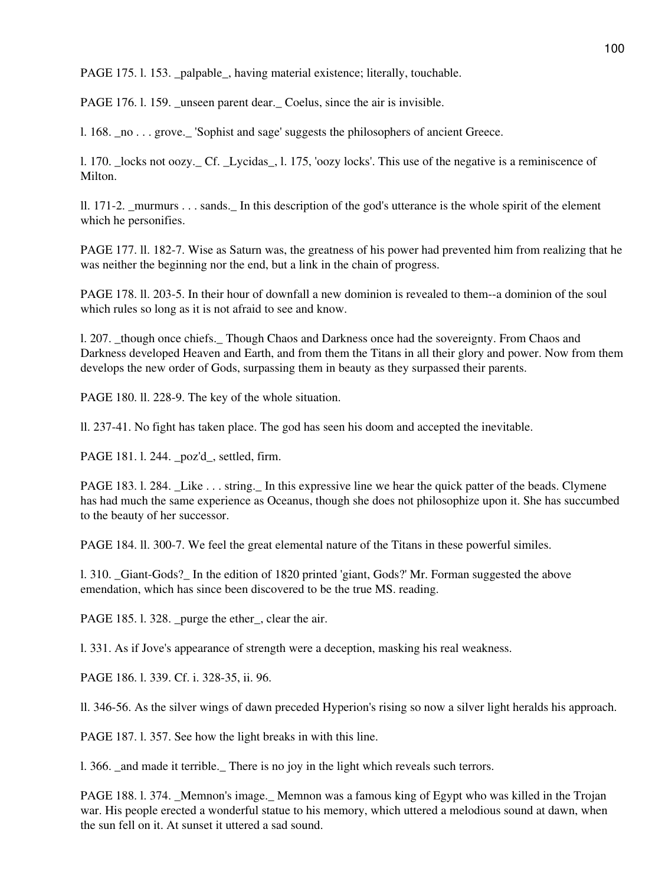PAGE 175. l. 153. \_palpable\_, having material existence; literally, touchable.

PAGE 176. 1. 159. unseen parent dear. Coelus, since the air is invisible.

l. 168. \_no . . . grove.\_ 'Sophist and sage' suggests the philosophers of ancient Greece.

l. 170. \_locks not oozy.\_ Cf. \_Lycidas\_, l. 175, 'oozy locks'. This use of the negative is a reminiscence of Milton.

ll. 171-2. murmurs  $\dots$  sands. In this description of the god's utterance is the whole spirit of the element which he personifies.

PAGE 177. ll. 182-7. Wise as Saturn was, the greatness of his power had prevented him from realizing that he was neither the beginning nor the end, but a link in the chain of progress.

PAGE 178. ll. 203-5. In their hour of downfall a new dominion is revealed to them--a dominion of the soul which rules so long as it is not afraid to see and know.

1. 207. though once chiefs. Though Chaos and Darkness once had the sovereignty. From Chaos and Darkness developed Heaven and Earth, and from them the Titans in all their glory and power. Now from them develops the new order of Gods, surpassing them in beauty as they surpassed their parents.

PAGE 180. ll. 228-9. The key of the whole situation.

ll. 237-41. No fight has taken place. The god has seen his doom and accepted the inevitable.

PAGE 181. l. 244. \_poz'd\_, settled, firm.

PAGE 183. l. 284. Like . . . string. In this expressive line we hear the quick patter of the beads. Clymene has had much the same experience as Oceanus, though she does not philosophize upon it. She has succumbed to the beauty of her successor.

PAGE 184. ll. 300-7. We feel the great elemental nature of the Titans in these powerful similes.

l. 310. \_Giant-Gods?\_ In the edition of 1820 printed 'giant, Gods?' Mr. Forman suggested the above emendation, which has since been discovered to be the true MS. reading.

PAGE 185. l. 328. \_purge the ether\_, clear the air.

l. 331. As if Jove's appearance of strength were a deception, masking his real weakness.

PAGE 186. l. 339. Cf. i. 328-35, ii. 96.

ll. 346-56. As the silver wings of dawn preceded Hyperion's rising so now a silver light heralds his approach.

PAGE 187. l. 357. See how the light breaks in with this line.

l. 366. \_and made it terrible.\_ There is no joy in the light which reveals such terrors.

PAGE 188. 1. 374. Memnon's image. Memnon was a famous king of Egypt who was killed in the Trojan war. His people erected a wonderful statue to his memory, which uttered a melodious sound at dawn, when the sun fell on it. At sunset it uttered a sad sound.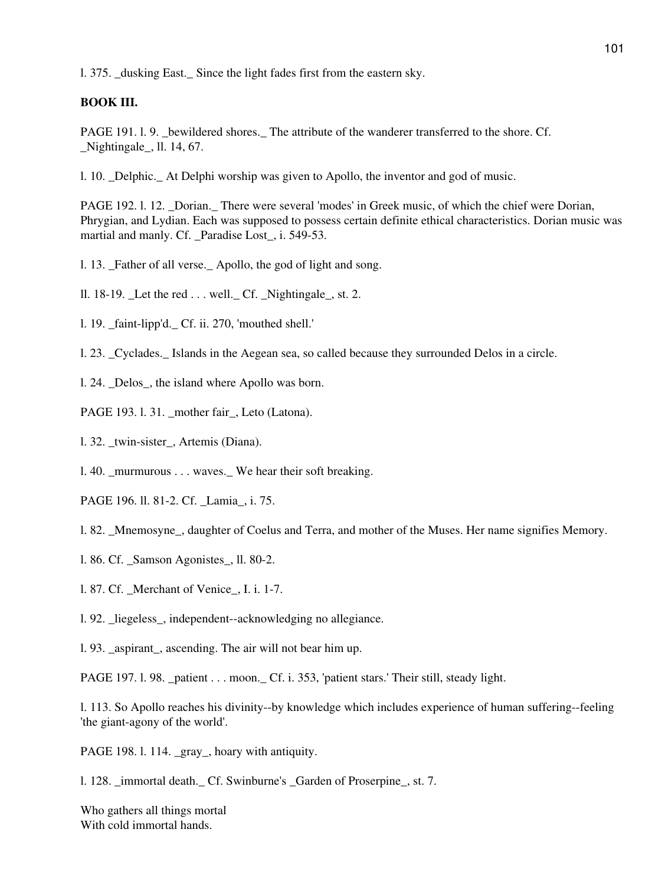l. 375. \_dusking East.\_ Since the light fades first from the eastern sky.

## **BOOK III.**

PAGE 191. l. 9. bewildered shores. The attribute of the wanderer transferred to the shore. Cf. \_Nightingale\_, ll. 14, 67.

l. 10. \_Delphic.\_ At Delphi worship was given to Apollo, the inventor and god of music.

PAGE 192. l. 12. Dorian. There were several 'modes' in Greek music, of which the chief were Dorian, Phrygian, and Lydian. Each was supposed to possess certain definite ethical characteristics. Dorian music was martial and manly. Cf. \_Paradise Lost\_, i. 549-53.

- 1. 13. Father of all verse. Apollo, the god of light and song.
- ll. 18-19. Let the red  $\dots$  well. Cf. Nightingale  $\overline{\phantom{a}}$ , st. 2.
- l. 19. \_faint-lipp'd.\_ Cf. ii. 270, 'mouthed shell.'
- l. 23. \_Cyclades.\_ Islands in the Aegean sea, so called because they surrounded Delos in a circle.
- l. 24. \_Delos\_, the island where Apollo was born.
- PAGE 193. l. 31. mother fair, Leto (Latona).
- l. 32. twin-sister, Artemis (Diana).
- l. 40. \_murmurous . . . waves.\_ We hear their soft breaking.
- PAGE 196. ll. 81-2. Cf. Lamia, i. 75.
- l. 82. \_Mnemosyne\_, daughter of Coelus and Terra, and mother of the Muses. Her name signifies Memory.
- l. 86. Cf. \_Samson Agonistes\_, ll. 80-2.
- l. 87. Cf. \_Merchant of Venice\_, I. i. 1-7.
- l. 92. \_liegeless\_, independent--acknowledging no allegiance.
- l. 93. \_aspirant\_, ascending. The air will not bear him up.

PAGE 197. l. 98. \_patient . . . moon.\_ Cf. i. 353, 'patient stars.' Their still, steady light.

l. 113. So Apollo reaches his divinity--by knowledge which includes experience of human suffering--feeling 'the giant-agony of the world'.

PAGE 198. l. 114. gray, hoary with antiquity.

1. 128. immortal death. Cf. Swinburne's Garden of Proserpine, st. 7.

Who gathers all things mortal With cold immortal hands.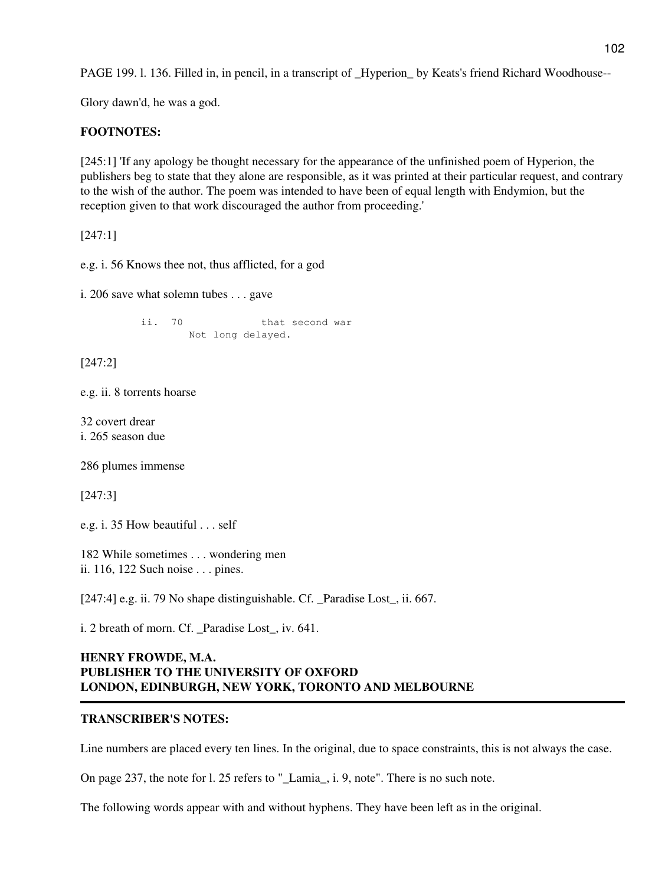PAGE 199. l. 136. Filled in, in pencil, in a transcript of \_Hyperion\_ by Keats's friend Richard Woodhouse--

Glory dawn'd, he was a god.

# **FOOTNOTES:**

[245:1] 'If any apology be thought necessary for the appearance of the unfinished poem of Hyperion, the publishers beg to state that they alone are responsible, as it was printed at their particular request, and contrary to the wish of the author. The poem was intended to have been of equal length with Endymion, but the reception given to that work discouraged the author from proceeding.'

[247:1]

e.g. i. 56 Knows thee not, thus afflicted, for a god

i. 206 save what solemn tubes . . . gave

ii. 70 that second war Not long delayed.

[247:2]

e.g. ii. 8 torrents hoarse

32 covert drear i. 265 season due

286 plumes immense

[247:3]

e.g. i. 35 How beautiful . . . self

182 While sometimes . . . wondering men ii. 116, 122 Such noise . . . pines.

[247:4] e.g. ii. 79 No shape distinguishable. Cf. \_Paradise Lost\_, ii. 667.

i. 2 breath of morn. Cf. Paradise Lost, iv. 641.

## **HENRY FROWDE, M.A. PUBLISHER TO THE UNIVERSITY OF OXFORD LONDON, EDINBURGH, NEW YORK, TORONTO AND MELBOURNE**

## **TRANSCRIBER'S NOTES:**

Line numbers are placed every ten lines. In the original, due to space constraints, this is not always the case.

On page 237, the note for l. 25 refers to "\_Lamia\_, i. 9, note". There is no such note.

The following words appear with and without hyphens. They have been left as in the original.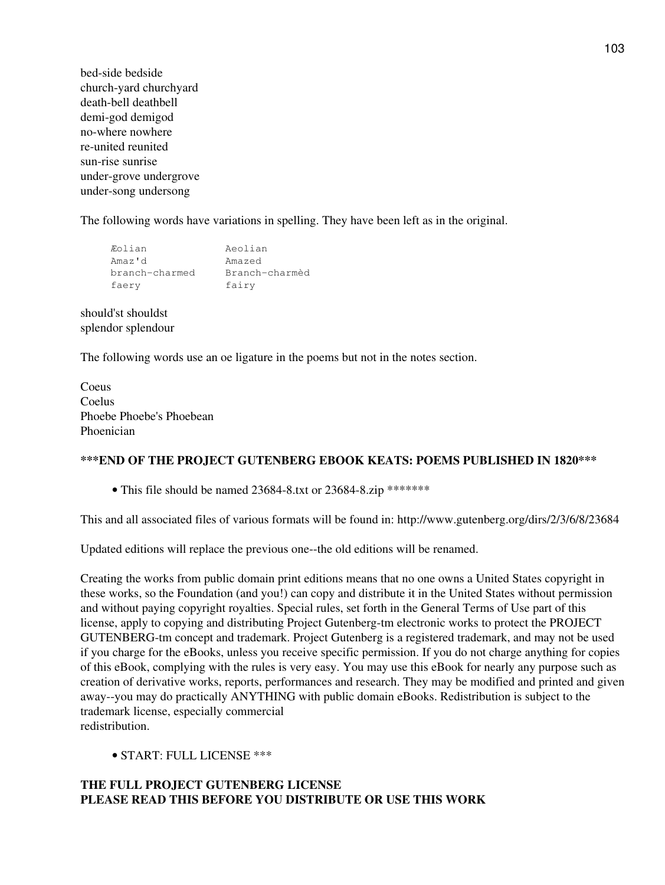bed-side bedside church-yard churchyard death-bell deathbell demi-god demigod no-where nowhere re-united reunited sun-rise sunrise under-grove undergrove under-song undersong

The following words have variations in spelling. They have been left as in the original.

| Eolian<br>Aeolian                |  |
|----------------------------------|--|
| Amaz'd<br>Amazed                 |  |
| Branch-charmèd<br>branch-charmed |  |
| fairy<br>faery                   |  |

should'st shouldst splendor splendour

The following words use an oe ligature in the poems but not in the notes section.

Coeus Coelus Phoebe Phoebe's Phoebean Phoenician

## **\*\*\*END OF THE PROJECT GUTENBERG EBOOK KEATS: POEMS PUBLISHED IN 1820\*\*\***

• This file should be named 23684-8.txt or 23684-8.zip \*\*\*\*\*\*\*

This and all associated files of various formats will be found in: http://www.gutenberg.org/dirs/2/3/6/8/23684

Updated editions will replace the previous one--the old editions will be renamed.

Creating the works from public domain print editions means that no one owns a United States copyright in these works, so the Foundation (and you!) can copy and distribute it in the United States without permission and without paying copyright royalties. Special rules, set forth in the General Terms of Use part of this license, apply to copying and distributing Project Gutenberg-tm electronic works to protect the PROJECT GUTENBERG-tm concept and trademark. Project Gutenberg is a registered trademark, and may not be used if you charge for the eBooks, unless you receive specific permission. If you do not charge anything for copies of this eBook, complying with the rules is very easy. You may use this eBook for nearly any purpose such as creation of derivative works, reports, performances and research. They may be modified and printed and given away--you may do practically ANYTHING with public domain eBooks. Redistribution is subject to the trademark license, especially commercial redistribution.

• START: FULL LICENSE \*\*\*

## **THE FULL PROJECT GUTENBERG LICENSE PLEASE READ THIS BEFORE YOU DISTRIBUTE OR USE THIS WORK**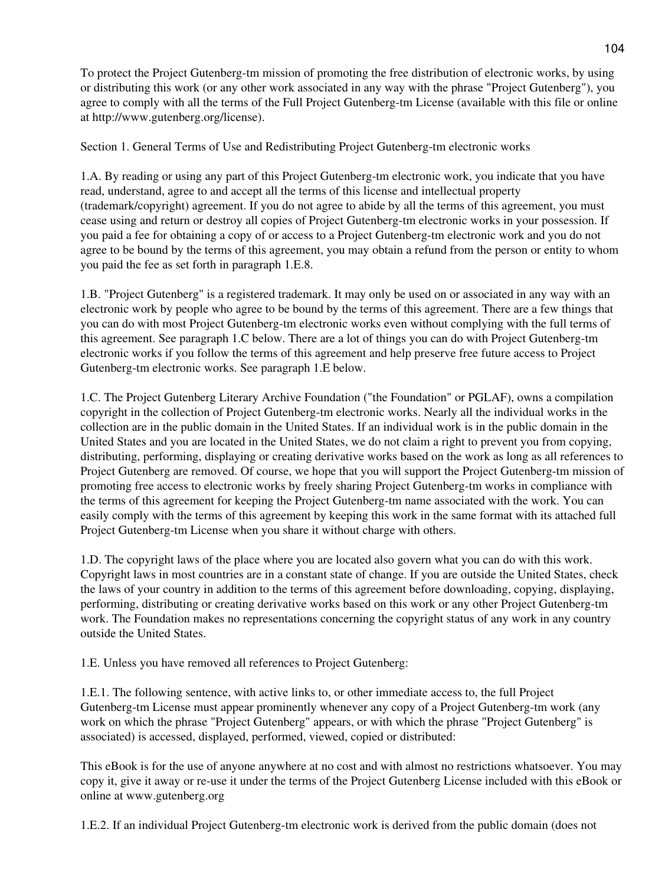To protect the Project Gutenberg-tm mission of promoting the free distribution of electronic works, by using or distributing this work (or any other work associated in any way with the phrase "Project Gutenberg"), you agree to comply with all the terms of the Full Project Gutenberg-tm License (available with this file or online at http://www.gutenberg.org/license).

Section 1. General Terms of Use and Redistributing Project Gutenberg-tm electronic works

1.A. By reading or using any part of this Project Gutenberg-tm electronic work, you indicate that you have read, understand, agree to and accept all the terms of this license and intellectual property (trademark/copyright) agreement. If you do not agree to abide by all the terms of this agreement, you must cease using and return or destroy all copies of Project Gutenberg-tm electronic works in your possession. If you paid a fee for obtaining a copy of or access to a Project Gutenberg-tm electronic work and you do not agree to be bound by the terms of this agreement, you may obtain a refund from the person or entity to whom you paid the fee as set forth in paragraph 1.E.8.

1.B. "Project Gutenberg" is a registered trademark. It may only be used on or associated in any way with an electronic work by people who agree to be bound by the terms of this agreement. There are a few things that you can do with most Project Gutenberg-tm electronic works even without complying with the full terms of this agreement. See paragraph 1.C below. There are a lot of things you can do with Project Gutenberg-tm electronic works if you follow the terms of this agreement and help preserve free future access to Project Gutenberg-tm electronic works. See paragraph 1.E below.

1.C. The Project Gutenberg Literary Archive Foundation ("the Foundation" or PGLAF), owns a compilation copyright in the collection of Project Gutenberg-tm electronic works. Nearly all the individual works in the collection are in the public domain in the United States. If an individual work is in the public domain in the United States and you are located in the United States, we do not claim a right to prevent you from copying, distributing, performing, displaying or creating derivative works based on the work as long as all references to Project Gutenberg are removed. Of course, we hope that you will support the Project Gutenberg-tm mission of promoting free access to electronic works by freely sharing Project Gutenberg-tm works in compliance with the terms of this agreement for keeping the Project Gutenberg-tm name associated with the work. You can easily comply with the terms of this agreement by keeping this work in the same format with its attached full Project Gutenberg-tm License when you share it without charge with others.

1.D. The copyright laws of the place where you are located also govern what you can do with this work. Copyright laws in most countries are in a constant state of change. If you are outside the United States, check the laws of your country in addition to the terms of this agreement before downloading, copying, displaying, performing, distributing or creating derivative works based on this work or any other Project Gutenberg-tm work. The Foundation makes no representations concerning the copyright status of any work in any country outside the United States.

1.E. Unless you have removed all references to Project Gutenberg:

1.E.1. The following sentence, with active links to, or other immediate access to, the full Project Gutenberg-tm License must appear prominently whenever any copy of a Project Gutenberg-tm work (any work on which the phrase "Project Gutenberg" appears, or with which the phrase "Project Gutenberg" is associated) is accessed, displayed, performed, viewed, copied or distributed:

This eBook is for the use of anyone anywhere at no cost and with almost no restrictions whatsoever. You may copy it, give it away or re-use it under the terms of the Project Gutenberg License included with this eBook or online at www.gutenberg.org

1.E.2. If an individual Project Gutenberg-tm electronic work is derived from the public domain (does not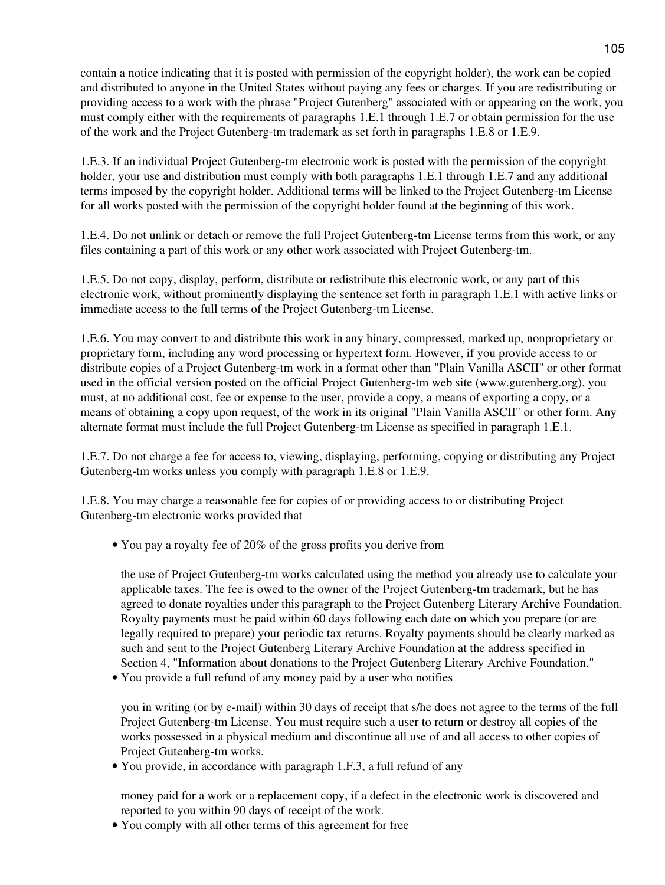contain a notice indicating that it is posted with permission of the copyright holder), the work can be copied and distributed to anyone in the United States without paying any fees or charges. If you are redistributing or providing access to a work with the phrase "Project Gutenberg" associated with or appearing on the work, you must comply either with the requirements of paragraphs 1.E.1 through 1.E.7 or obtain permission for the use of the work and the Project Gutenberg-tm trademark as set forth in paragraphs 1.E.8 or 1.E.9.

1.E.3. If an individual Project Gutenberg-tm electronic work is posted with the permission of the copyright holder, your use and distribution must comply with both paragraphs 1.E.1 through 1.E.7 and any additional terms imposed by the copyright holder. Additional terms will be linked to the Project Gutenberg-tm License for all works posted with the permission of the copyright holder found at the beginning of this work.

1.E.4. Do not unlink or detach or remove the full Project Gutenberg-tm License terms from this work, or any files containing a part of this work or any other work associated with Project Gutenberg-tm.

1.E.5. Do not copy, display, perform, distribute or redistribute this electronic work, or any part of this electronic work, without prominently displaying the sentence set forth in paragraph 1.E.1 with active links or immediate access to the full terms of the Project Gutenberg-tm License.

1.E.6. You may convert to and distribute this work in any binary, compressed, marked up, nonproprietary or proprietary form, including any word processing or hypertext form. However, if you provide access to or distribute copies of a Project Gutenberg-tm work in a format other than "Plain Vanilla ASCII" or other format used in the official version posted on the official Project Gutenberg-tm web site (www.gutenberg.org), you must, at no additional cost, fee or expense to the user, provide a copy, a means of exporting a copy, or a means of obtaining a copy upon request, of the work in its original "Plain Vanilla ASCII" or other form. Any alternate format must include the full Project Gutenberg-tm License as specified in paragraph 1.E.1.

1.E.7. Do not charge a fee for access to, viewing, displaying, performing, copying or distributing any Project Gutenberg-tm works unless you comply with paragraph 1.E.8 or 1.E.9.

1.E.8. You may charge a reasonable fee for copies of or providing access to or distributing Project Gutenberg-tm electronic works provided that

You pay a royalty fee of 20% of the gross profits you derive from •

the use of Project Gutenberg-tm works calculated using the method you already use to calculate your applicable taxes. The fee is owed to the owner of the Project Gutenberg-tm trademark, but he has agreed to donate royalties under this paragraph to the Project Gutenberg Literary Archive Foundation. Royalty payments must be paid within 60 days following each date on which you prepare (or are legally required to prepare) your periodic tax returns. Royalty payments should be clearly marked as such and sent to the Project Gutenberg Literary Archive Foundation at the address specified in Section 4, "Information about donations to the Project Gutenberg Literary Archive Foundation."

You provide a full refund of any money paid by a user who notifies •

you in writing (or by e-mail) within 30 days of receipt that s/he does not agree to the terms of the full Project Gutenberg-tm License. You must require such a user to return or destroy all copies of the works possessed in a physical medium and discontinue all use of and all access to other copies of Project Gutenberg-tm works.

• You provide, in accordance with paragraph 1.F.3, a full refund of any

money paid for a work or a replacement copy, if a defect in the electronic work is discovered and reported to you within 90 days of receipt of the work.

• You comply with all other terms of this agreement for free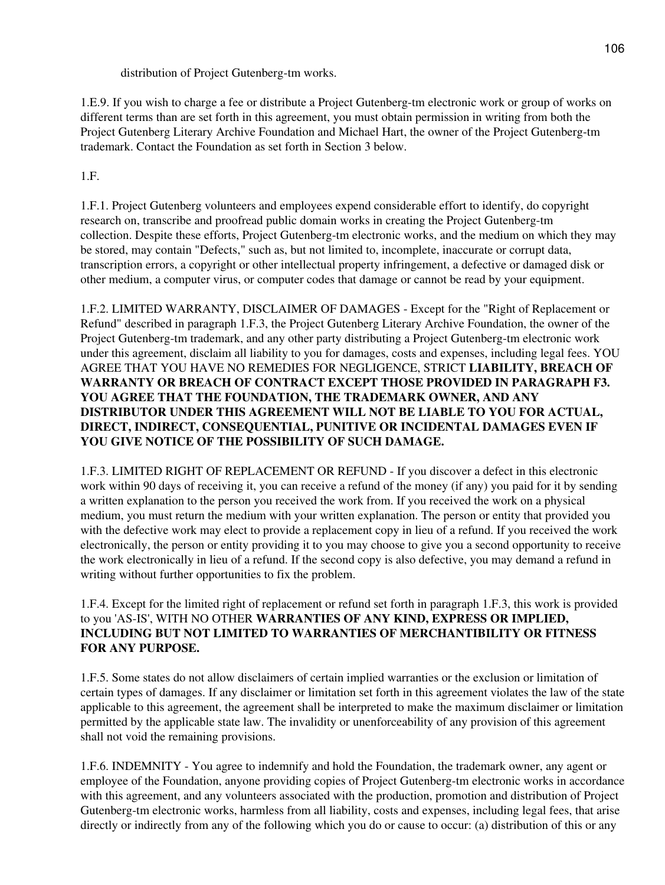distribution of Project Gutenberg-tm works.

1.E.9. If you wish to charge a fee or distribute a Project Gutenberg-tm electronic work or group of works on different terms than are set forth in this agreement, you must obtain permission in writing from both the Project Gutenberg Literary Archive Foundation and Michael Hart, the owner of the Project Gutenberg-tm trademark. Contact the Foundation as set forth in Section 3 below.

1.F.

1.F.1. Project Gutenberg volunteers and employees expend considerable effort to identify, do copyright research on, transcribe and proofread public domain works in creating the Project Gutenberg-tm collection. Despite these efforts, Project Gutenberg-tm electronic works, and the medium on which they may be stored, may contain "Defects," such as, but not limited to, incomplete, inaccurate or corrupt data, transcription errors, a copyright or other intellectual property infringement, a defective or damaged disk or other medium, a computer virus, or computer codes that damage or cannot be read by your equipment.

1.F.2. LIMITED WARRANTY, DISCLAIMER OF DAMAGES - Except for the "Right of Replacement or Refund" described in paragraph 1.F.3, the Project Gutenberg Literary Archive Foundation, the owner of the Project Gutenberg-tm trademark, and any other party distributing a Project Gutenberg-tm electronic work under this agreement, disclaim all liability to you for damages, costs and expenses, including legal fees. YOU AGREE THAT YOU HAVE NO REMEDIES FOR NEGLIGENCE, STRICT **LIABILITY, BREACH OF WARRANTY OR BREACH OF CONTRACT EXCEPT THOSE PROVIDED IN PARAGRAPH F3. YOU AGREE THAT THE FOUNDATION, THE TRADEMARK OWNER, AND ANY DISTRIBUTOR UNDER THIS AGREEMENT WILL NOT BE LIABLE TO YOU FOR ACTUAL, DIRECT, INDIRECT, CONSEQUENTIAL, PUNITIVE OR INCIDENTAL DAMAGES EVEN IF YOU GIVE NOTICE OF THE POSSIBILITY OF SUCH DAMAGE.**

1.F.3. LIMITED RIGHT OF REPLACEMENT OR REFUND - If you discover a defect in this electronic work within 90 days of receiving it, you can receive a refund of the money (if any) you paid for it by sending a written explanation to the person you received the work from. If you received the work on a physical medium, you must return the medium with your written explanation. The person or entity that provided you with the defective work may elect to provide a replacement copy in lieu of a refund. If you received the work electronically, the person or entity providing it to you may choose to give you a second opportunity to receive the work electronically in lieu of a refund. If the second copy is also defective, you may demand a refund in writing without further opportunities to fix the problem.

1.F.4. Except for the limited right of replacement or refund set forth in paragraph 1.F.3, this work is provided to you 'AS-IS', WITH NO OTHER **WARRANTIES OF ANY KIND, EXPRESS OR IMPLIED, INCLUDING BUT NOT LIMITED TO WARRANTIES OF MERCHANTIBILITY OR FITNESS FOR ANY PURPOSE.**

1.F.5. Some states do not allow disclaimers of certain implied warranties or the exclusion or limitation of certain types of damages. If any disclaimer or limitation set forth in this agreement violates the law of the state applicable to this agreement, the agreement shall be interpreted to make the maximum disclaimer or limitation permitted by the applicable state law. The invalidity or unenforceability of any provision of this agreement shall not void the remaining provisions.

1.F.6. INDEMNITY - You agree to indemnify and hold the Foundation, the trademark owner, any agent or employee of the Foundation, anyone providing copies of Project Gutenberg-tm electronic works in accordance with this agreement, and any volunteers associated with the production, promotion and distribution of Project Gutenberg-tm electronic works, harmless from all liability, costs and expenses, including legal fees, that arise directly or indirectly from any of the following which you do or cause to occur: (a) distribution of this or any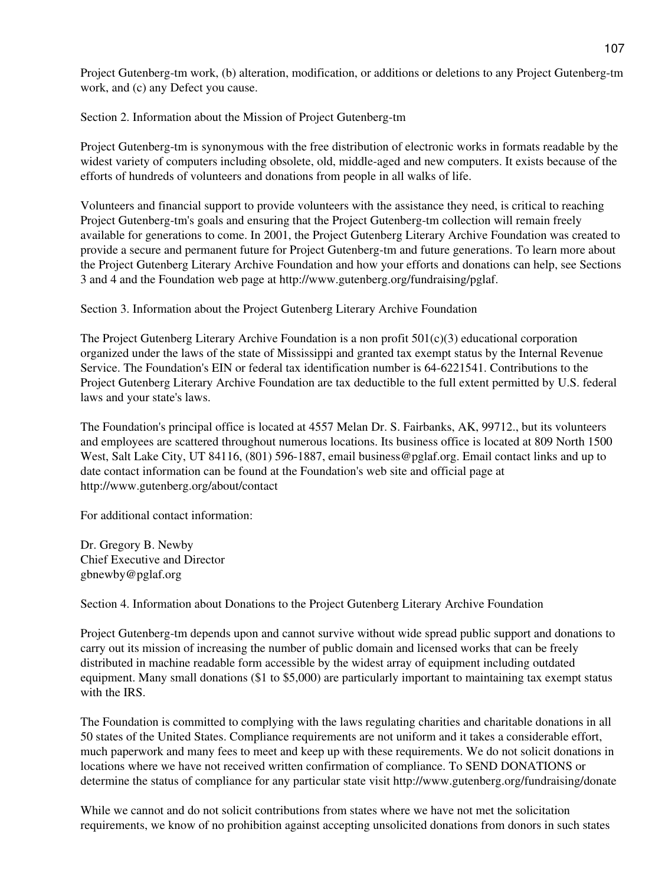Project Gutenberg-tm work, (b) alteration, modification, or additions or deletions to any Project Gutenberg-tm work, and (c) any Defect you cause.

Section 2. Information about the Mission of Project Gutenberg-tm

Project Gutenberg-tm is synonymous with the free distribution of electronic works in formats readable by the widest variety of computers including obsolete, old, middle-aged and new computers. It exists because of the efforts of hundreds of volunteers and donations from people in all walks of life.

Volunteers and financial support to provide volunteers with the assistance they need, is critical to reaching Project Gutenberg-tm's goals and ensuring that the Project Gutenberg-tm collection will remain freely available for generations to come. In 2001, the Project Gutenberg Literary Archive Foundation was created to provide a secure and permanent future for Project Gutenberg-tm and future generations. To learn more about the Project Gutenberg Literary Archive Foundation and how your efforts and donations can help, see Sections 3 and 4 and the Foundation web page at http://www.gutenberg.org/fundraising/pglaf.

Section 3. Information about the Project Gutenberg Literary Archive Foundation

The Project Gutenberg Literary Archive Foundation is a non profit  $501(c)(3)$  educational corporation organized under the laws of the state of Mississippi and granted tax exempt status by the Internal Revenue Service. The Foundation's EIN or federal tax identification number is 64-6221541. Contributions to the Project Gutenberg Literary Archive Foundation are tax deductible to the full extent permitted by U.S. federal laws and your state's laws.

The Foundation's principal office is located at 4557 Melan Dr. S. Fairbanks, AK, 99712., but its volunteers and employees are scattered throughout numerous locations. Its business office is located at 809 North 1500 West, Salt Lake City, UT 84116, (801) 596-1887, email business@pglaf.org. Email contact links and up to date contact information can be found at the Foundation's web site and official page at http://www.gutenberg.org/about/contact

For additional contact information:

Dr. Gregory B. Newby Chief Executive and Director gbnewby@pglaf.org

Section 4. Information about Donations to the Project Gutenberg Literary Archive Foundation

Project Gutenberg-tm depends upon and cannot survive without wide spread public support and donations to carry out its mission of increasing the number of public domain and licensed works that can be freely distributed in machine readable form accessible by the widest array of equipment including outdated equipment. Many small donations (\$1 to \$5,000) are particularly important to maintaining tax exempt status with the IRS.

The Foundation is committed to complying with the laws regulating charities and charitable donations in all 50 states of the United States. Compliance requirements are not uniform and it takes a considerable effort, much paperwork and many fees to meet and keep up with these requirements. We do not solicit donations in locations where we have not received written confirmation of compliance. To SEND DONATIONS or determine the status of compliance for any particular state visit http://www.gutenberg.org/fundraising/donate

While we cannot and do not solicit contributions from states where we have not met the solicitation requirements, we know of no prohibition against accepting unsolicited donations from donors in such states